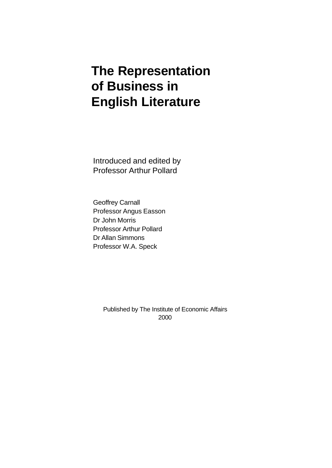# **The Representation of Business in English Literature**

Introduced and edited by Professor Arthur Pollard

Geoffrey Carnall Professor Angus Easson Dr John Morris Professor Arthur Pollard Dr Allan Simmons Professor W.A. Speck

> Published by The Institute of Economic Affairs 2000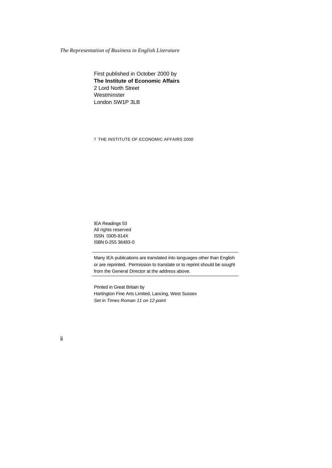# *The Representation of Business in English Literature*

First published in October 2000 by **The Institute of Economic Affairs** 2 Lord North Street Westminster London SW1P 3LB

? THE INSTITUTE OF ECONOMIC AFFAIRS 2000

IEA Readings 53 All rights reserved ISSN 0305-814X ISBN 0-255 36483-0

Many IEA publications are translated into languages other than English or are reprinted. Permission to translate or to reprint should be sought from the General Director at the address above.

Printed in Great Britain by Hartington Fine Arts Limited, Lancing, West Sussex *Set in Times Roman 11 on 12 point*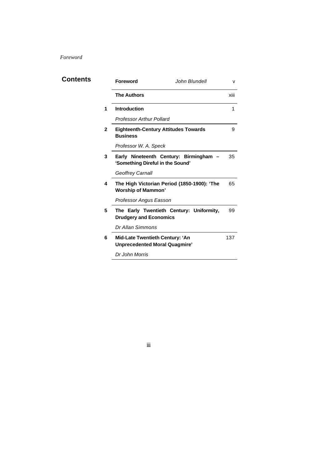# *Foreword*

| Contents         |  | <b>Foreword</b>                                                                | John Blundell | v    |
|------------------|--|--------------------------------------------------------------------------------|---------------|------|
|                  |  | <b>The Authors</b>                                                             |               | xiii |
| 1                |  | <b>Introduction</b>                                                            |               | 1    |
|                  |  | <b>Professor Arthur Pollard</b>                                                |               |      |
| 2<br>3<br>4<br>5 |  | <b>Eighteenth-Century Attitudes Towards</b><br><b>Business</b>                 |               | 9    |
|                  |  | Professor W. A. Speck                                                          |               |      |
|                  |  | Early Nineteenth Century: Birmingham<br>'Something Direful in the Sound'       |               | 35   |
|                  |  | <b>Geoffrey Carnall</b>                                                        |               |      |
|                  |  | The High Victorian Period (1850-1900): 'The<br><b>Worship of Mammon'</b>       |               | 65   |
|                  |  | Professor Angus Easson                                                         |               |      |
|                  |  | The Early Twentieth Century: Uniformity,<br><b>Drudgery and Economics</b>      |               | 99   |
|                  |  | Dr Allan Simmons                                                               |               |      |
| 6                |  | <b>Mid-Late Twentieth Century: 'An</b><br><b>Unprecedented Moral Quagmire'</b> |               | 137  |
|                  |  | Dr John Morris                                                                 |               |      |
|                  |  |                                                                                |               |      |

# iii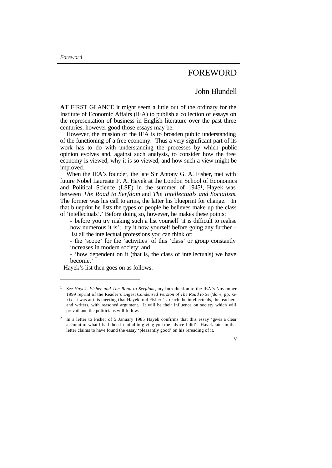# FOREWORD

# John Blundell

**A**T FIRST GLANCE it might seem a little out of the ordinary for the Institute of Economic Affairs (IEA) to publish a collection of essays on the representation of business in English literature over the past three centuries, however good those essays may be.

However, the mission of the IEA is to broaden public understanding of the functioning of a free economy. Thus a very significant part of its work has to do with understanding the processes by which public opinion evolves and, against such analysis, to consider how the free economy is viewed, why it is so viewed, and how such a view might be improved.

When the IEA's founder, the late Sir Antony G. A. Fisher, met with future Nobel Laureate F. A. Hayek at the London School of Economics and Political Science (LSE) in the summer of 1945<sup>1</sup> , Hayek was between *The Road to Serfdom* and *The Intellectuals and Socialism*. The former was his call to arms, the latter his blueprint for change. In that blueprint he lists the types of people he believes make up the class of 'intellectuals'.<sup>2</sup> Before doing so, however, he makes these points:

- before you try making such a list yourself 'it is difficult to realise how numerous it is'; try it now yourself before going any further – list all the intellectual professions you can think of;

- the 'scope' for the 'activities' of this 'class' or group constantly increases in modern society; and

- 'how dependent on it (that is, the class of intellectuals) we have become.'

Hayek's list then goes on as follows:

<sup>1</sup> See *Hayek, Fisher and The Road to Serfdom*, my Introduction to the IEA's November 1999 reprint of the Reader's Digest *Condensed Version of The Road to Serfdom*, pp. xixix. It was at this meeting that Hayek told Fisher '…reach the intellectuals, the teachers and writers, with reasoned argument. It will be their influence on society which will prevail and the politicians will follow.'

<sup>&</sup>lt;sup>2</sup> In a letter to Fisher of 5 January 1985 Hayek confirms that this essay 'gives a clear account of what I had then in mind in giving you the advice I did'. Hayek later in that letter claims to have found the essay 'pleasantly good' on his rereading of it.

v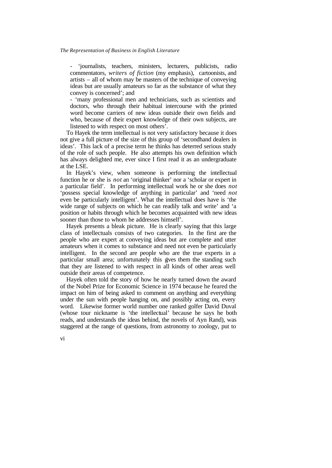- 'journalists, teachers, ministers, lecturers, publicists, radio commentators, *writers of fiction* (my emphasis), cartoonists, and artists – all of whom may be masters of the technique of conveying ideas but are usually amateurs so far as the substance of what they convey is concerned'; and

- 'many professional men and technicians, such as scientists and doctors, who through their habitual intercourse with the printed word become carriers of new ideas outside their own fields and who, because of their expert knowledge of their own subjects, are listened to with respect on most others'.

To Hayek the term intellectual is not very satisfactory because it does not give a full picture of the size of this group of 'secondhand dealers in ideas'. This lack of a precise term he thinks has deterred serious study of the role of such people. He also attempts his own definition which has always delighted me, ever since I first read it as an undergraduate at the LSE.

In Hayek's view, when someone is performing the intellectual function he or she is *not* an 'original thinker' nor a 'scholar or expert in a particular field'. In performing intellectual work he or she does *not* 'possess special knowledge of anything in particular' and 'need *not* even be particularly intelligent'. What the intellectual does have is 'the wide range of subjects on which he can readily talk and write' and 'a position or habits through which he becomes acquainted with new ideas sooner than those to whom he addresses himself'.

Hayek presents a bleak picture. He is clearly saying that this large class of intellectuals consists of two categories. In the first are the people who are expert at conveying ideas but are complete and utter amateurs when it comes to substance and need not even be particularly intelligent. In the second are people who are the true experts in a particular small area; unfortunately this gives them the standing such that they are listened to with respect in all kinds of other areas well outside their areas of competence.

Hayek often told the story of how he nearly turned down the award of the Nobel Prize for Economic Science in 1974 because he feared the impact on him of being asked to comment on anything and everything under the sun with people hanging on, and possibly acting on, every word. Likewise former world number one ranked golfer David Duval (whose tour nickname is 'the intellectual' because he says he both reads, and understands the ideas behind, the novels of Ayn Rand), was staggered at the range of questions, from astronomy to zoology, put to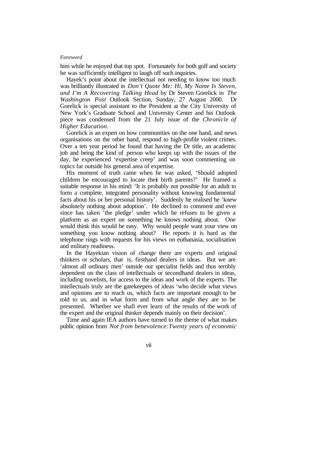## *Foreword*

him while he enjoyed that top spot. Fortunately for both golf and society he was sufficiently intelligent to laugh off such inquiries.

Hayek's point about the intellectual not needing to know too much was brilliantly illustrated in *Don't Quote Me: Hi, My Name Is Steven, and I'm A Recovering Talking Head* by Dr Steven Gorelick in *The Washington Post* Outlook Section, Sunday, 27 August 2000. Dr Gorelick is special assistant to the President at the City University of New York's Graduate School and University Center and his Outlook piece was condensed from the 21 July issue of the *Chronicle of Higher Education*.

Gorelick is an expert on how communities on the one hand, and news organisations on the other hand, respond to high-profile violent crimes. Over a ten year period he found that having the Dr title, an academic job and being the kind of person who keeps up with the issues of the day, he experienced 'expertise creep' and was soon commenting on topics far outside his general area of expertise.

His moment of truth came when he was asked, 'Should adopted children be encouraged to locate their birth parents?' He framed a suitable response in his mind: 'It is probably not possible for an adult to form a complete, integrated personality without knowing fundamental facts about his or her personal history'. Suddenly he realised he 'knew absolutely nothing about adoption'. He declined to comment and ever since has taken 'the pledge' under which he refuses to be given a platform as an expert on something he knows nothing about. One would think this would be easy. Why would people want your view on something you know nothing about? He reports it is hard as the telephone rings with requests for his views on euthanasia, socialisation and military readiness.

In the Hayekian vision of change there are experts and original thinkers or scholars, that is, firsthand dealers in ideas. But we are 'almost all ordinary men' outside our specialist fields and thus terribly dependent on the class of intellectuals or secondhand dealers in ideas, including novelists, for access to the ideas and work of the experts. The intellectuals truly are the gatekeepers of ideas 'who decide what views and opinions are to reach us, which facts are important enough to be told to us, and in what form and from what angle they are to be presented. Whether we shall ever learn of the results of the work of the expert and the original thinker depends mainly on their decision'.

Time and again IEA authors have turned to the theme of what makes public opinion from *Not from benevolence:Twenty years of economic*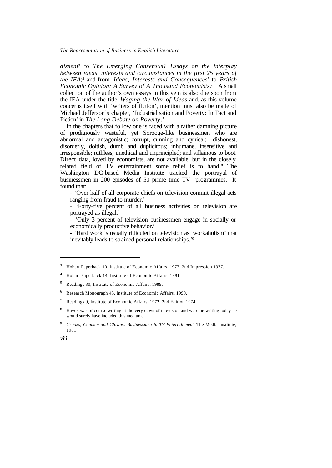#### *The Representation of Business in English Literature*

*dissent<sup>3</sup>* to *The Emerging Consensus? Essays on the interplay between ideas, interests and circumstances in the first 25 years of*  the IEA;<sup>4</sup> and from *Ideas, Interests and Consequences*<sup>5</sup> to *British Economic Opinion: A Survey of A Thousand Economists.<sup>6</sup>* A small collection of the author's own essays in this vein is also due soon from the IEA under the title *Waging the War of Ideas* and, as this volume concerns itself with 'writers of fiction', mention must also be made of Michael Jefferson's chapter, 'Industrialisation and Poverty: In Fact and Fiction' in *The Long Debate on Poverty*. 7

In the chapters that follow one is faced with a rather damning picture of prodigiously wasteful, yet Scrooge-like businessmen who are abnormal and antagonistic; corrupt, cunning and cynical; dishonest, disorderly, doltish, dumb and duplicitous; inhumane, insensitive and irresponsible; ruthless; unethical and unprincipled; and villainous to boot. Direct data, loved by economists, are not available, but in the closely related field of TV entertainment some relief is to hand.<sup>8</sup> The Washington DC-based Media Institute tracked the portrayal of businessmen in 200 episodes of 50 prime time TV programmes. It found that:

- 'Over half of all corporate chiefs on television commit illegal acts ranging from fraud to murder.'

- 'Forty-five percent of all business activities on television are portrayed as illegal.'

- 'Only 3 percent of television businessmen engage in socially or economically productive behavior.'

- 'Hard work is usually ridiculed on television as 'workaholism' that inevitably leads to strained personal relationships.'<sup>9</sup>

<sup>3</sup> Hobart Paperback 10, Institute of Economic Affairs, 1977, 2nd Impression 1977.

<sup>4</sup> Hobart Paperback 14, Institute of Economic Affairs, 1981

<sup>5</sup> Readings 30, Institute of Economic Affairs, 1989.

<sup>6</sup> Research Monograph 45, Institute of Economic Affairs, 1990.

<sup>7</sup> Readings 9, Institute of Economic Affairs, 1972, 2nd Edition 1974.

<sup>8</sup> Hayek was of course writing at the very dawn of television and were he writing today he would surely have included this medium.

<sup>9</sup> *Crooks, Conmen and Clowns: Businessmen in TV Entertainment*: The Media Institute, 1981.

viii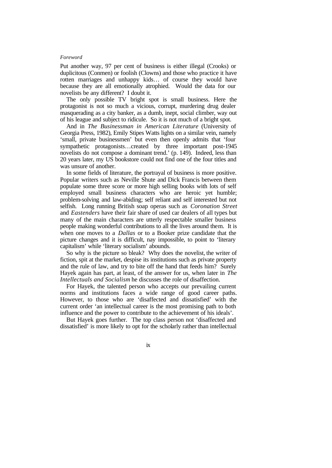## *Foreword*

Put another way, 97 per cent of business is either illegal (Crooks) or duplicitous (Conmen) or foolish (Clowns) and those who practice it have rotten marriages and unhappy kids… of course they would have because they are all emotionally atrophied. Would the data for our novelists be any different? I doubt it.

The only possible TV bright spot is small business. Here the protagonist is not so much a vicious, corrupt, murdering drug dealer masquerading as a city banker, as a dumb, inept, social climber, way out of his league and subject to ridicule. So it is not much of a bright spot.

And in *The Businessman in American Literature* (University of Georgia Press, 1982), Emily Stipes Watts lights on a similar vein, namely 'small, private businessmen' but even then openly admits that 'four sympathetic protagonists…created by three important post-1945 novelists do not compose a dominant trend.' (p. 149). Indeed, less than 20 years later, my US bookstore could not find one of the four titles and was unsure of another.

In some fields of literature, the portrayal of business is more positive. Popular writers such as Neville Shute and Dick Francis between them populate some three score or more high selling books with lots of self employed small business characters who are heroic yet humble; problem-solving and law-abiding; self reliant and self interested but not selfish. Long running British soap operas such as *Coronation Street* and *Eastenders* have their fair share of used car dealers of all types but many of the main characters are utterly respectable smaller business people making wonderful contributions to all the lives around them. It is when one moves to a *Dallas* or to a Booker prize candidate that the picture changes and it is difficult, nay impossible, to point to 'literary capitalism' while 'literary socialism' abounds.

So why is the picture so bleak? Why does the novelist, the writer of fiction, spit at the market, despise its institutions such as private property and the rule of law, and try to bite off the hand that feeds him? Surely Hayek again has part, at least, of the answer for us, when later in *The Intellectuals and Socialism* he discusses the role of disaffection.

For Hayek, the talented person who accepts our prevailing current norms and institutions faces a wide range of good career paths. However, to those who are 'disaffected and dissatisfied' with the current order 'an intellectual career is the most promising path to both influence and the power to contribute to the achievement of his ideals'.

But Hayek goes further. The top class person not 'disaffected and dissatisfied' is more likely to opt for the scholarly rather than intellectual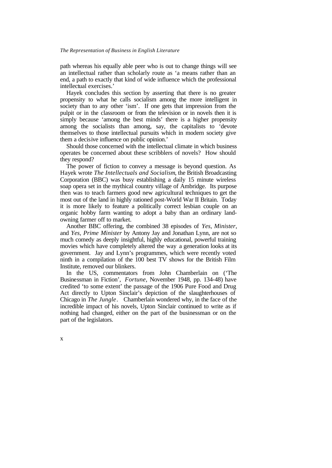### *The Representation of Business in English Literature*

path whereas his equally able peer who is out to change things will see an intellectual rather than scholarly route as 'a means rather than an end, a path to exactly that kind of wide influence which the professional intellectual exercises.'

Hayek concludes this section by asserting that there is no greater propensity to what he calls socialism among the more intelligent in society than to any other 'ism'. If one gets that impression from the pulpit or in the classroom or from the television or in novels then it is simply because 'among the best minds' there is a higher propensity among the socialists than among, say, the capitalists to 'devote themselves to those intellectual pursuits which in modern society give them a decisive influence on public opinion.'

Should those concerned with the intellectual climate in which business operates be concerned about these scribblers of novels? How should they respond?

The power of fiction to convey a message is beyond question. As Hayek wrote *The Intellectuals and Socialism*, the British Broadcasting Corporation (BBC) was busy establishing a daily 15 minute wireless soap opera set in the mythical country village of Ambridge. Its purpose then was to teach farmers good new agricultural techniques to get the most out of the land in highly rationed post-World War II Britain. Today it is more likely to feature a politically correct lesbian couple on an organic hobby farm wanting to adopt a baby than an ordinary landowning farmer off to market.

Another BBC offering, the combined 38 episodes of *Yes, Minister*, and *Yes, Prime Minister* by Antony Jay and Jonathan Lynn, are not so much comedy as deeply insightful, highly educational, powerful training movies which have completely altered the way a generation looks at its government. Jay and Lynn's programmes, which were recently voted ninth in a compilation of the 100 best TV shows for the British Film Institute, removed our blinkers.

In the US, commentators from John Chamberlain on ('The Businessman in Fiction', *Fortune*, November 1948, pp. 134-48) have credited 'to some extent' the passage of the 1906 Pure Food and Drug Act directly to Upton Sinclair's depiction of the slaughterhouses of Chicago in *The Jungle*. Chamberlain wondered why, in the face of the incredible impact of his novels, Upton Sinclair continued to write as if nothing had changed, either on the part of the businessman or on the part of the legislators.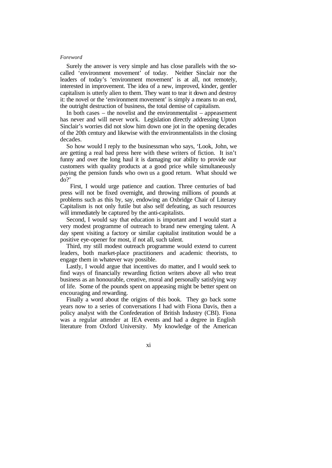## *Foreword*

Surely the answer is very simple and has close parallels with the socalled 'environment movement' of today. Neither Sinclair nor the leaders of today's 'environment movement' is at all, not remotely, interested in improvement. The idea of a new, improved, kinder, gentler capitalism is utterly alien to them. They want to tear it down and destroy it: the novel or the 'environment movement' is simply a means to an end, the outright destruction of business, the total demise of capitalism.

In both cases – the novelist and the environmentalist – appeasement has never and will never work. Legislation directly addressing Upton Sinclair's worries did not slow him down one jot in the opening decades of the 20th century and likewise with the environmentalists in the closing decades.

So how would I reply to the businessman who says, 'Look, John, we are getting a real bad press here with these writers of fiction. It isn't funny and over the long haul it is damaging our ability to provide our customers with quality products at a good price while simultaneously paying the pension funds who own us a good return. What should we do?'

First, I would urge patience and caution. Three centuries of bad press will not be fixed overnight, and throwing millions of pounds at problems such as this by, say, endowing an Oxbridge Chair of Literary Capitalism is not only futile but also self defeating, as such resources will immediately be captured by the anti-capitalists.

Second, I would say that education is important and I would start a very modest programme of outreach to brand new emerging talent. A day spent visiting a factory or similar capitalist institution would be a positive eye-opener for most, if not all, such talent.

Third, my still modest outreach programme would extend to current leaders, both market-place practitioners and academic theorists, to engage them in whatever way possible.

Lastly, I would argue that incentives do matter, and I would seek to find ways of financially rewarding fiction writers above all who treat business as an honourable, creative, moral and personally satisfying way of life. Some of the pounds spent on appeasing might be better spent on encouraging and rewarding.

Finally a word about the origins of this book. They go back some years now to a series of conversations I had with Fiona Davis, then a policy analyst with the Confederation of British Industry (CBI). Fiona was a regular attender at IEA events and had a degree in English literature from Oxford University. My knowledge of the American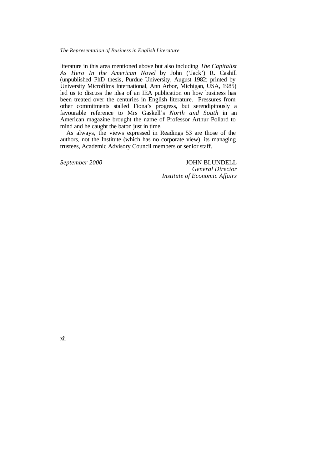### *The Representation of Business in English Literature*

literature in this area mentioned above but also including *The Capitalist As Hero In the American Novel* by John ('Jack') R. Cashill (unpublished PhD thesis, Purdue University, August 1982; printed by University Microfilms International, Ann Arbor, Michigan, USA, 1985) led us to discuss the idea of an IEA publication on how business has been treated over the centuries in English literature. Pressures from other commitments stalled Fiona's progress, but serendipitously a favourable reference to Mrs Gaskell's *North and South* in an American magazine brought the name of Professor Arthur Pollard to mind and he caught the baton just in time.

As always, the views expressed in Readings 53 are those of the authors, not the Institute (which has no corporate view), its managing trustees, Academic Advisory Council members or senior staff.

*September 2000* JOHN BLUNDELL *General Director Institute of Economic Affairs*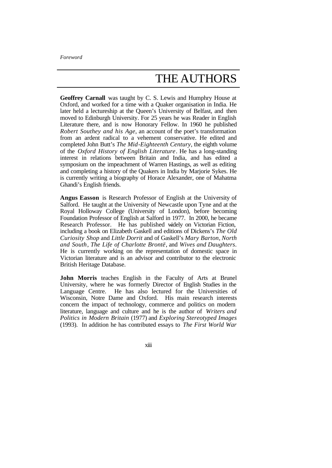# THE AUTHORS

**Geoffrey Carnall** was taught by C. S. Lewis and Humphry House at Oxford, and worked for a time with a Quaker organisation in India. He later held a lectureship at the Queen's University of Belfast, and then moved to Edinburgh University. For 25 years he was Reader in English Literature there, and is now Honorary Fellow. In 1960 he published *Robert Southey and his Age*, an account of the poet's transformation from an ardent radical to a vehement conservative. He edited and completed John Butt's *The Mid-Eighteenth Century*, the eighth volume of the *Oxford History of English Literature*. He has a long-standing interest in relations between Britain and India, and has edited a symposium on the impeachment of Warren Hastings, as well as editing and completing a history of the Quakers in India by Marjorie Sykes. He is currently writing a biography of Horace Alexander, one of Mahatma Ghandi's English friends.

**Angus Easson** is Research Professor of English at the University of Salford. He taught at the University of Newcastle upon Tyne and at the Royal Holloway College (University of London), before becoming Foundation Professor of English at Salford in 1977. In 2000, he became Research Professor. He has published widely on Victorian Fiction, including a book on Elizabeth Gaskell and editions of Dickens's *The Old Curiosity Shop* and *Little Dorrit* and of Gaskell's *Mary Barton*, *North and South*, *The Life of Charlotte Brontë*, and *Wives and Daughters*. He is currently working on the representation of domestic space in Victorian literature and is an advisor and contributor to the electronic British Heritage Database.

**John Morris** teaches English in the Faculty of Arts at Brunel University, where he was formerly Director of English Studies in the Language Centre. He has also lectured for the Universities of Wisconsin, Notre Dame and Oxford. His main research interests concern the impact of technology, commerce and politics on modern literature, language and culture and he is the author of *Writers and Politics in Modern Britain* (1977) and *Exploring Stereotyped Images* (1993). In addition he has contributed essays to *The First World War*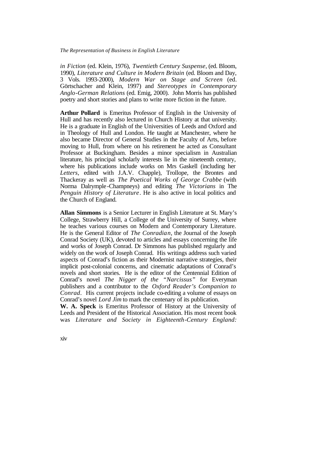### *The Representation of Business in English Literature*

*in Fiction* (ed. Klein, 1976), *Twentieth Century Suspense*, (ed. Bloom, 1990), *Literature and Culture in Modern Britain* (ed. Bloom and Day, 3 Vols. 1993-2000), *Modern War on Stage and Screen* (ed. Görtschacher and Klein, 1997) and *Stereotypes in Contemporary Anglo-German Relations* (ed. Emig, 2000). John Morris has published poetry and short stories and plans to write more fiction in the future.

**Arthur Pollard** is Emeritus Professor of English in the University of Hull and has recently also lectured in Church History at that university. He is a graduate in English of the Universities of Leeds and Oxford and in Theology of Hull and London. He taught at Manchester, where he also became Director of General Studies in the Faculty of Arts, before moving to Hull, from where on his retirement he acted as Consultant Professor at Buckingham. Besides a minor specialism in Australian literature, his principal scholarly interests lie in the nineteenth century, where his publications include works on Mrs Gaskell (including her *Letters*, edited with J.A.V. Chapple), Trollope, the Brontes and Thackeray as well as *The Poetical Works of George Crabbe* (with Norma Dalrymple-Champneys) and editing *The Victorians* in The *Penguin History of Literature*. He is also active in local politics and the Church of England.

**Allan Simmons** is a Senior Lecturer in English Literature at St. Mary's College, Strawberry Hill, a College of the University of Surrey, where he teaches various courses on Modern and Contemporary Literature. He is the General Editor of *The Conradian*, the Journal of the Joseph Conrad Society (UK), devoted to articles and essays concerning the life and works of Joseph Conrad. Dr Simmons has published regularly and widely on the work of Joseph Conrad. His writings address such varied aspects of Conrad's fiction as their Modernist narrative strategies, their implicit post-colonial concerns, and cinematic adaptations of Conrad's novels and short stories. He is the editor of the Centennial Edition of Conrad's novel *The Nigger of the "Narcissus"* for Everyman publishers and a contributor to the *Oxford Reader's Companion to Conrad*. His current projects include co-editing a volume of essays on Conrad's novel *Lord Jim* to mark the centenary of its publication.

**W. A. Speck** is Emeritus Professor of History at the University of Leeds and President of the Historical Association. His most recent book was *Literature and Society in Eighteenth-Century England:*

xiv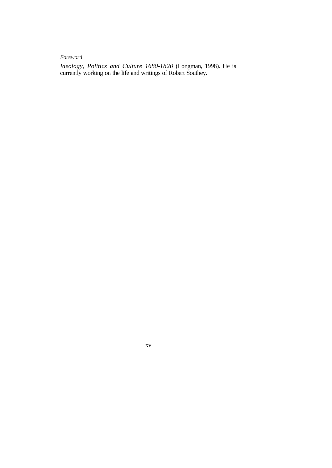*Foreword*

*Ideology, Politics and Culture 1680-1820* (Longman, 1998). He is currently working on the life and writings of Robert Southey.

xv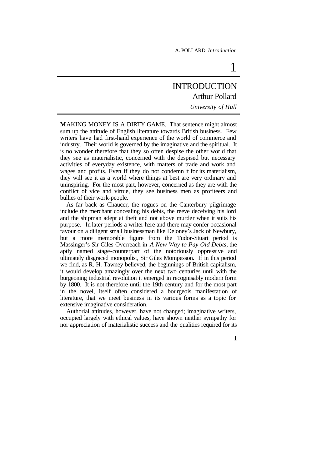# 1

# INTRODUCTION Arthur Pollard

 *University of Hull*

**M**AKING MONEY IS A DIRTY GAME. That sentence might almost sum up the attitude of English literature towards British business. Few writers have had first-hand experience of the world of commerce and industry. Their world is governed by the imaginative and the spiritual. It is no wonder therefore that they so often despise the other world that they see as materialistic, concerned with the despised but necessary activities of everyday existence, with matters of trade and work and wages and profits. Even if they do not condemn it for its materialism, they will see it as a world where things at best are very ordinary and uninspiring. For the most part, however, concerned as they are with the conflict of vice and virtue, they see business men as profiteers and bullies of their work-people.

As far back as Chaucer, the rogues on the Canterbury pilgrimage include the merchant concealing his debts, the reeve deceiving his lord and the shipman adept at theft and not above murder when it suits his purpose. In later periods a writer here and there may confer occasional favour on a diligent small businessman like Deloney's Jack of Newbury, but a more memorable figure from the Tudor-Stuart period is Massinger's Sir Giles Overreach in *A New Way to Pay Old Debts*, the aptly named stage-counterpart of the notoriously oppressive and ultimately disgraced monopolist, Sir Giles Mompesson. If in this period we find, as R. H. Tawney believed, the beginnings of British capitalism, it would develop amazingly over the next two centuries until with the burgeoning industrial revolution it emerged in recognisably modern form by 1800. It is not therefore until the 19th century and for the most part in the novel, itself often considered a bourgeois manifestation of literature, that we meet business in its various forms as a topic for extensive imaginative consideration.

Authorial attitudes, however, have not changed; imaginative writers, occupied largely with ethical values, have shown neither sympathy for nor appreciation of materialistic success and the qualities required for its

1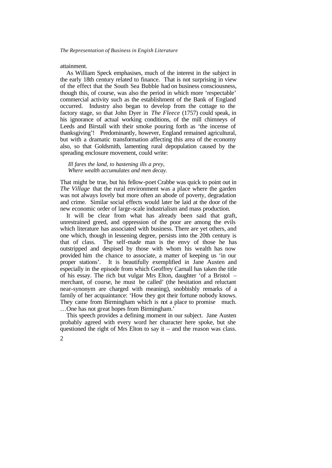attainment.

As William Speck emphasises, much of the interest in the subject in the early 18th century related to finance. That is not surprising in view of the effect that the South Sea Bubble had on business consciousness, though this, of course, was also the period in which more 'respectable' commercial activity such as the establishment of the Bank of England occurred. Industry also began to develop from the cottage to the factory stage, so that John Dyer in *The Fleece* (1757) could speak, in his ignorance of actual working conditions, of the mill chimneys of Leeds and Birstall with their smoke pouring forth as 'the incense of thanksgiving'! Predominantly, however, England remained agricultural, but with a dramatic transformation affecting this area of the economy also, so that Goldsmith, lamenting rural depopulation caused by the spreading enclosure movement, could write:

*Ill fares the land, to hastening ills a prey, Where wealth accumulates and men decay.*

That might be true, but his fellow-poet Crabbe was quick to point out in *The Village* that the rural environment was a place where the garden was not always lovely but more often an abode of poverty, degradation and crime. Similar social effects would later be laid at the door of the new economic order of large-scale industrialism and mass production.

It will be clear from what has already been said that graft, unrestrained greed, and oppression of the poor are among the evils which literature has associated with business. There are yet others, and one which, though in lessening degree, persists into the 20th century is that of class. The self-made man is the envy of those he has outstripped and despised by those with whom his wealth has now provided him the chance to associate, a matter of keeping us 'in our proper stations'. It is beautifully exemplified in Jane Austen and especially in the episode from which Geoffrey Carnall has taken the title of his essay. The rich but vulgar Mrs Elton, daughter 'of a Bristol – merchant, of course, he must be called' (the hesitation and reluctant near-synonym are charged with meaning), snobbishly remarks of a family of her acquaintance: 'How they got their fortune nobody knows. They came from Birmingham which is not a place to promise much. …One has not great hopes from Birmingham.'

This speech provides a defining moment in our subject. Jane Austen probably agreed with every word her character here spoke, but she questioned the right of Mrs Elton to say it – and the reason was class.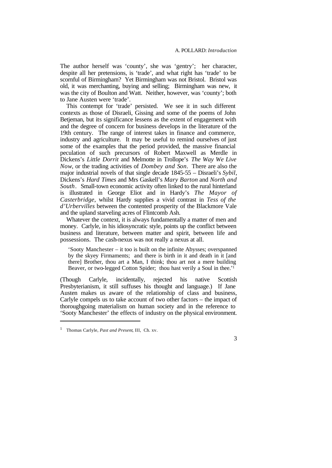The author herself was 'county', she was 'gentry'; her character, despite all her pretensions, is 'trade', and what right has 'trade' to be scornful of Birmingham? Yet Birmingham was not Bristol. Bristol was old, it was merchanting, buying and selling; Birmingham was new, it was the city of Boulton and Watt. Neither, however, was 'county'; both to Jane Austen were 'trade'.

This contempt for 'trade' persisted. We see it in such different contexts as those of Disraeli, Gissing and some of the poems of John Betjeman, but its significance lessens as the extent of engagement with and the degree of concern for business develops in the literature of the 19th century. The range of interest takes in finance and commerce, industry and agriculture. It may be useful to remind ourselves of just some of the examples that the period provided, the massive financial peculation of such precursors of Robert Maxwell as Merdle in Dickens's *Little Dorrit* and Melmotte in Trollope's *The Way We Live Now*, or the trading activities of *Dombey and Son*. There are also the major industrial novels of that single decade 1845-55 – Disraeli's *Sybil*, Dickens's *Hard Times* and Mrs Gaskell's *Mary Barton* and *North and South*. Small-town economic activity often linked to the rural hinterland is illustrated in George Eliot and in Hardy's *The Mayor of Casterbridge*, whilst Hardy supplies a vivid contrast in *Tess of the d'Urbervilles* between the contented prosperity of the Blackmore Vale and the upland starveling acres of Flintcomb Ash.

Whatever the context, it is always fundamentally a matter of men and money. Carlyle, in his idiosyncratic style, points up the conflict between business and literature, between matter and spirit, between life and possessions. The cash-nexus was not really a nexus at all.

'Sooty Manchester – it too is built on the infinite Abysses; overspanned by the skyey Firmaments; and there is birth in it and death in it [and there] Brother, thou art a Man, I think; thou art not a mere building Beaver, or two-legged Cotton Spider; thou hast verily a Soul in thee.'<sup>1</sup>

(Though Carlyle, incidentally, rejected his native Scottish Presbyterianism, it still suffuses his thought and language.) If Jane Austen makes us aware of the relationship of class and business, Carlyle compels us to take account of two other factors – the impact of thoroughgoing materialism on human society and in the reference to 'Sooty Manchester' the effects of industry on the physical environment.

<sup>1</sup> Thomas Carlyle, *Past and Present*, III, Ch. xv.

<sup>3</sup>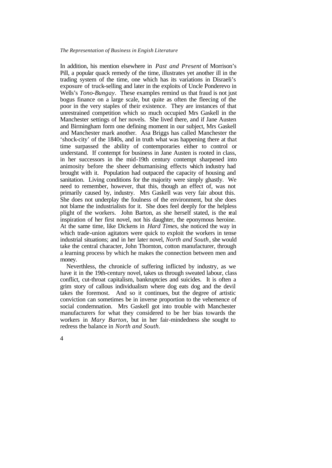## *The Representation of Business in Engish Literature*

In addition, his mention elsewhere in *Past and Present* of Morrison's Pill, a popular quack remedy of the time, illustrates yet another ill in the trading system of the time, one which has its variations in Disraeli's exposure of truck-selling and later in the exploits of Uncle Ponderevo in Wells's *Tono-Bungay*. These examples remind us that fraud is not just bogus finance on a large scale, but quite as often the fleecing of the poor in the very staples of their existence. They are instances of that unrestrained competition which so much occupied Mrs Gaskell in the Manchester settings of her novels. She lived there, and if Jane Austen and Birmingham form one defining moment in our subject, Mrs Gaskell and Manchester mark another. Asa Briggs has called Manchester the 'shock-city' of the 1840s, and in truth what was happening there at that time surpassed the ability of contemporaries either to control or understand. If contempt for business in Jane Austen is rooted in class, in her successors in the mid-19th century contempt sharpened into animosity before the sheer dehumanising effects which industry had brought with it. Population had outpaced the capacity of housing and sanitation. Living conditions for the majority were simply ghastly. We need to remember, however, that this, though an effect of, was not primarily caused by, industry. Mrs Gaskell was very fair about this. She does not underplay the foulness of the environment, but she does not blame the industrialists for it. She does feel deeply for the helpless plight of the workers. John Barton, as she herself stated, is the real inspiration of her first novel, not his daughter, the eponymous heroine. At the same time, like Dickens in *Hard Times*, she noticed the way in which trade-union agitators were quick to exploit the workers in tense industrial situations; and in her later novel, *North and South*, she would take the central character, John Thornton, cotton manufacturer, through a learning process by which he makes the connection between men and money.

Neverthless, the chronicle of suffering inflicted by industry, as we have it in the 19th-century novel, takes us through sweated labour, class conflict, cut-throat capitalism, bankruptcies and suicides. It is often a grim story of callous individualism where dog eats dog and the devil takes the foremost. And so it continues, but the degree of artistic conviction can sometimes be in inverse proportion to the vehemence of social condemnation. Mrs Gaskell got into trouble with Manchester manufacturers for what they considered to be her bias towards the workers in *Mary Barton*, but in her fair-mindedness she sought to redress the balance in *North and South.*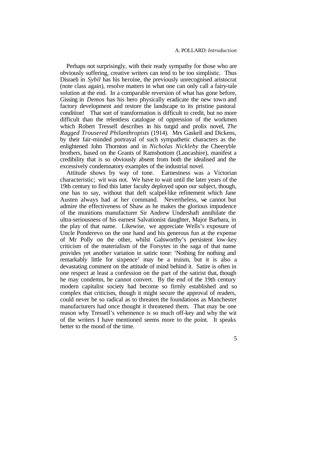5

Perhaps not surprisingly, with their ready sympathy for those who are obviously suffering, creative writers can tend to be too simplistic. Thus Disraeli in *Sybil* has his heroine, the previously unrecognised aristocrat (note class again), resolve matters in what one can only call a fairy-tale solution at the end. In a comparable reversion of what has gone before, Gissing in *Demos* has his hero physically eradicate the new town and factory development and restore the landscape to its pristine pastoral condition! That sort of transformation is difficult to credit, but no more difficult than the relentless catalogue of oppression of the workmen which Robert Tressell describes in his turgid and prolix novel, *The Ragged Trousered Philanthropists* (1914). Mrs Gaskell and Dickens, by their fair-minded portrayal of such sympathetic characters as the enlightened John Thornton and in *Nicholas Nickleby* the Cheeryble brothers, based on the Grants of Ramsbottom (Lancashire), manifest a credibility that is so obviously absent from both the idealised and the excessively condemnatory examples of the industrial novel.

Attitude shows by way of tone. Earnestness was a Victorian characteristic; wit was not. We have to wait until the later years of the 19th century to find this latter faculty deployed upon our subject, though, one has to say, without that deft scalpel-like refinement which Jane Austen always had at her command. Nevertheless, we cannot but admire the effectiveness of Shaw as he makes the glorious impudence of the munitions manufacturer Sir Andrew Undershaft annihilate the ultra-seriousness of his earnest Salvationist daughter, Major Barbara, in the play of that name. Likewise, we appreciate Wells's exposure of Uncle Ponderevo on the one hand and his generous fun at the expense of Mr Polly on the other, whilst Galsworthy's persistent low-key criticism of the materialism of the Forsytes in the saga of that name provides yet another variation in satiric tone: 'Nothing for nothing and remarkably little for sixpence' may be a truism, but it is also a devastating comment on the attitude of mind behind it. Satire is often in one respect at least a confession on the part of the satirist that, though he may condemn, he cannot convert. By the end of the 19th century modern capitalist society had become so firmly established and so complex that criticism, though it might secure the approval of readers, could never be so radical as to threaten the foundations as Manchester manufacturers had once thought it threatened them. That may be one reason why Tressell's vehemence is so much off-key and why the wit of the writers I have mentioned seems more to the point. It speaks better to the mood of the time.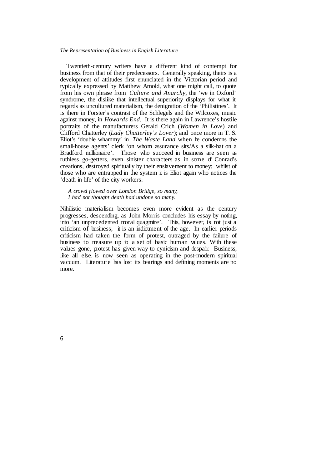### *The Representation of Business in Engish Literature*

Twentieth-century writers have a different kind of contempt for business from that of their predecessors. Generally speaking, theirs is a development of attitudes first enunciated in the Victorian period and typically expressed by Matthew Arnold, what one might call, to quote from his own phrase from *Culture and Anarchy*, the 'we in Oxford' syndrome, the dislike that intellectual superiority displays for what it regards as uncultured materialism, the denigration of the 'Philistines'. It is there in Forster's contrast of the Schlegels and the Wilcoxes, music against money, in *Howards End.* It is there again in Lawrence's hostile portraits of the manufacturers Gerald Crich (*Women in Love*) and Clifford Chatterley (*Lady Chatterley's Lover*); and once more in T. S. Eliot's 'double whammy' in *The Waste Land* when he condemns the small-house agents' clerk 'on whom assurance sits/As a silk-hat on a Bradford millionaire'. Those who succeed in business are seen as ruthless go-getters, even sinister characters as in some of Conrad's creations, destroyed spiritually by their enslavement to money; whilst of those who are entrapped in the system it is Eliot again who notices the 'death-in-life' of the city workers:

# *A crowd flowed over London Bridge, so many, I had not thought death had undone so many.*

Nihilistic materialism becomes even more evident as the century progresses, descending, as John Morris concludes his essay by noting, into 'an unprecedented moral quagmire'. This, however, is not just a criticism of business; it is an indictment of the age. In earlier periods criticism had taken the form of protest, outraged by the failure of business to measure up to a set of basic human values. With these values gone, protest has given way to cynicism and despair. Business, like all else, is now seen as operating in the post-modern spiritual vacuum. Literature has bst its bearings and defining moments are no more.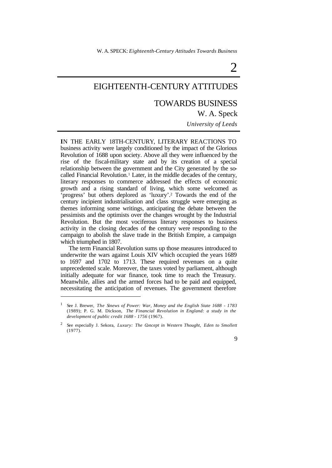# 2

# EIGHTEENTH-CENTURY ATTITUDES

# TOWARDS BUSINESS

W. A. Speck

*University of Leeds* 

**I**N THE EARLY 18TH-CENTURY, LITERARY REACTIONS TO business activity were largely conditioned by the impact of the Glorious Revolution of 1688 upon society. Above all they were influenced by the rise of the fiscal-military state and by its creation of a special relationship between the government and the City generated by the socalled Financial Revolution.<sup>1</sup> Later, in the middle decades of the century, literary responses to commerce addressed the effects of economic growth and a rising standard of living, which some welcomed as 'progress' but others deplored as 'luxury'.<sup>2</sup> Towards the end of the century incipient industrialisation and class struggle were emerging as themes informing some writings, anticipating the debate between the pessimists and the optimists over the changes wrought by the Industrial Revolution. But the most vociferous literary responses to business activity in the closing decades of the century were responding to the campaign to abolish the slave trade in the British Empire, a campaign which triumphed in 1807.

 The term Financial Revolution sums up those measures introduced to underwrite the wars against Louis XIV which occupied the years 1689 to 1697 and 1702 to 1713. These required revenues on a quite unprecedented scale. Moreover, the taxes voted by parliament, although initially adequate for war finance, took time to reach the Treasury. Meanwhile, allies and the armed forces had to be paid and equipped, necessitating the anticipation of revenues. The government therefore

<sup>2</sup> See especially J. Sekora, *Luxury: The Concept in Western Thought, Eden to Smollett* (1977).



<sup>1</sup> See J. Brewer, *The Sinews of Power: War, Money and the English State 1688 - 1783* (1989); P. G. M. Dickson, *The Financial Revolution in England: a study in the development of public credit 1688 - 1756* (1967).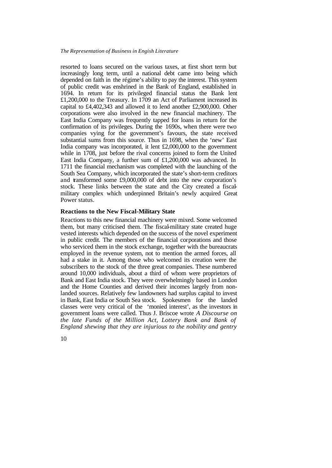resorted to loans secured on the various taxes, at first short term but increasingly long term, until a national debt came into being which depended on faith in the régime's ability to pay the interest. This system of public credit was enshrined in the Bank of England, established in 1694. In return for its privileged financial status the Bank lent £1,200,000 to the Treasury. In 1709 an Act of Parliament increased its capital to £4,402,343 and allowed it to lend another £2,900,000. Other corporations were also involved in the new financial machinery. The East India Company was frequently tapped for loans in return for the confirmation of its privileges. During the 1690s, when there were two companies vying for the government's favours, the state received substantial sums from this source. Thus in 1698, when the 'new' East India company was incorporated, it lent £2,000,000 to the government while in 1708, just before the rival concerns joined to form the United East India Company, a further sum of £1,200,000 was advanced. In 1711 the financial mechanism was completed with the launching of the South Sea Company, which incorporated the state's short-term creditors and transformed some £9,000,000 of debt into the new corporation's stock. These links between the state and the City created a fiscalmilitary complex which underpinned Britain's newly acquired Great Power status.

# **Reactions to the New Fiscal-Military State**

Reactions to this new financial machinery were mixed. Some welcomed them, but many criticised them. The fiscal-military state created huge vested interests which depended on the success of the novel experiment in public credit. The members of the financial corporations and those who serviced them in the stock exchange, together with the bureaucrats employed in the revenue system, not to mention the armed forces, all had a stake in it. Among those who welcomed its creation were the subscribers to the stock of the three great companies. These numbered around 10,000 individuals, about a third of whom were proprietors of Bank and East India stock. They were overwhelmingly based in London and the Home Counties and derived their incomes largely from nonlanded sources. Relatively few landowners had surplus capital to invest in Bank, East India or South Sea stock. Spokesmen for the landed classes were very critical of the 'monied interest', as the investors in government loans were called. Thus J. Briscoe wrote *A Discourse on the late Funds of the Million Act, Lottery Bank and Bank of England shewing that they are injurious to the nobility and gentry* 

10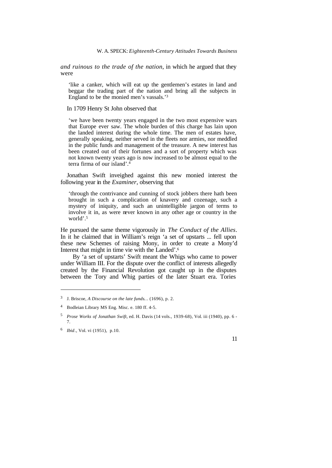*and ruinous to the trade of the nation*, in which he argued that they were

'like a canker, which will eat up the gentlemen's estates in land and beggar the trading part of the nation and bring all the subjects in England to be the monied men's vassals.'<sup>3</sup>

## In 1709 Henry St John observed that

'we have been twenty years engaged in the two most expensive wars that Europe ever saw. The whole burden of this charge has lain upon the landed interest during the whole time. The men of estates have, generally speaking, neither served in the fleets nor armies, nor meddled in the public funds and management of the treasure. A new interest has been created out of their fortunes and a sort of property which was not known twenty years ago is now increased to be almost equal to the terra firma of our island'.<sup>4</sup>

Jonathan Swift inveighed against this new monied interest the following year in the *Examiner*, observing that

'through the contrivance and cunning of stock jobbers there hath been brought in such a complication of knavery and cozenage, such a mystery of iniquity, and such an unintelligible jargon of terms to involve it in, as were never known in any other age or country in the world'.<sup>5</sup>

He pursued the same theme vigorously in *The Conduct of the Allies*. In it he claimed that in William's reign 'a set of upstarts ... fell upon these new Schemes of raising Mony, in order to create a Mony'd Interest that might in time vie with the Landed'.<sup>6</sup>

 By 'a set of upstarts' Swift meant the Whigs who came to power under William III. For the dispute over the conflict of interests allegedly created by the Financial Revolution got caught up in the disputes between the Tory and Whig parties of the later Stuart era. Tories

<sup>3</sup> J. Briscoe, *A Discourse on the late funds…* (1696), p. 2.

<sup>4</sup> Bodleian Library MS Eng. Misc. e. 180 ff. 4-5.

<sup>5</sup> *Prose Works of Jonathan Swift*, ed. H. Davis (14 vols., 1939-68), Vol. iii (1940), pp. 6 - 7.

<sup>6</sup> *Ibid.*, Vol. vi (1951), p.10.

<sup>11</sup>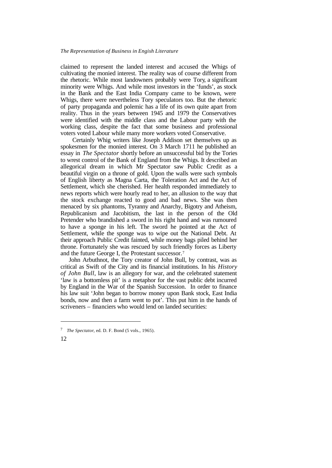claimed to represent the landed interest and accused the Whigs of cultivating the monied interest. The reality was of course different from the rhetoric. While most landowners probably were Tory, a significant minority were Whigs. And while most investors in the 'funds', as stock in the Bank and the East India Company came to be known, were Whigs, there were nevertheless Tory speculators too. But the rhetoric of party propaganda and polemic has a life of its own quite apart from reality. Thus in the years between 1945 and 1979 the Conservatives were identified with the middle class and the Labour party with the working class, despite the fact that some business and professional voters voted Labour while many more workers voted Conservative.

 Certainly Whig writers like Joseph Addison set themselves up as spokesmen for the monied interest. On 3 March 1711 he published an essay in *The Spectator* shortly before an unsuccessful bid by the Tories to wrest control of the Bank of England from the Whigs. It described an allegorical dream in which Mr Spectator saw Public Credit as a beautiful virgin on a throne of gold. Upon the walls were such symbols of English liberty as Magna Carta, the Toleration Act and the Act of Settlement, which she cherished. Her health responded immediately to news reports which were hourly read to her, an allusion to the way that the stock exchange reacted to good and bad news. She was then menaced by six phantoms, Tyranny and Anarchy, Bigotry and Atheism, Republicanism and Jacobitism, the last in the person of the Old Pretender who brandished a sword in his right hand and was rumoured to have a sponge in his left. The sword he pointed at the Act of Settlement, while the sponge was to wipe out the National Debt. At their approach Public Credit fainted, while money bags piled behind her throne. Fortunately she was rescued by such friendly forces as Liberty and the future George I, the Protestant successor.<sup>7</sup>

 John Arbuthnot, the Tory creator of John Bull, by contrast, was as critical as Swift of the City and its financial institutions. In his *History of John Bull*, law is an allegory for war, and the celebrated statement 'law is a bottomless pit' is a metaphor for the vast public debt incurred by England in the War of the Spanish Succession. In order to finance his law suit 'John began to borrow money upon Bank stock, East India bonds, now and then a farm went to pot'. This put him in the hands of scriveners – financiers who would lend on landed securities:

<sup>7</sup> *The Spectator*, ed. D. F. Bond (5 vols., 1965).

<sup>12</sup>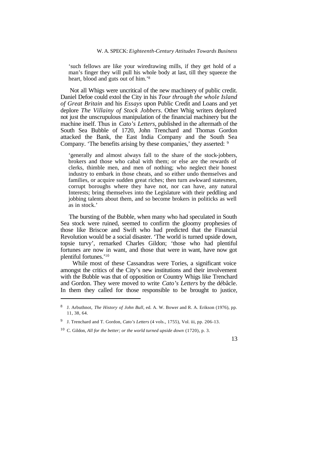'such fellows are like your wiredrawing mills, if they get hold of a man's finger they will pull his whole body at last, till they squeeze the heart, blood and guts out of him.'<sup>8</sup>

 Not all Whigs were uncritical of the new machinery of public credit. Daniel Defoe could extol the City in his *Tour through the whole Island of Great Britain* and his *Essays* upon Public Credit and Loans and yet deplore *The Villainy of Stock Jobbers*. Other Whig writers deplored not just the unscrupulous manipulation of the financial machinery but the machine itself. Thus in *Cato's Letters*, published in the aftermath of the South Sea Bubble of 1720, John Trenchard and Thomas Gordon attacked the Bank, the East India Company and the South Sea Company. 'The benefits arising by these companies,' they asserted: <sup>9</sup>

'generally and almost always fall to the share of the stock-jobbers, brokers and those who cabal with them; or else are the rewards of clerks, thimble men, and men of nothing; who neglect their honest industry to embark in those cheats, and so either undo themselves and families, or acquire sudden great riches; then turn awkward statesmen, corrupt boroughs where they have not, nor can have, any natural Interests; bring themselves into the Legislature with their peddling and jobbing talents about them, and so become brokers in politicks as well as in stock.'

 The bursting of the Bubble, when many who had speculated in South Sea stock were ruined, seemed to confirm the gloomy prophesies of those like Briscoe and Swift who had predicted that the Financial Revolution would be a social disaster. 'The world is turned upside down, topsie turvy', remarked Charles Gildon; 'those who had plentiful fortunes are now in want, and those that were in want, have now got plentiful fortunes.'<sup>10</sup>

 While most of these Cassandras were Tories, a significant voice amongst the critics of the City's new institutions and their involvement with the Bubble was that of opposition or Country Whigs like Trenchard and Gordon. They were moved to write *Cato's Letters* by the débâcle. In them they called for those responsible to be brought to justice,

<sup>8</sup> J. Arbuthnot, *The History of John Bull*, ed. A. W. Bower and R. A. Erikson (1976), pp. 11, 38, 64.

<sup>9</sup> J. Trenchard and T. Gordon, *Cato's Letters* (4 vols., 1755), Vol. iii, pp. 206-13.

<sup>10</sup> C. Gildon, *All for the better; or the world turned upside down* (1720), p. 3.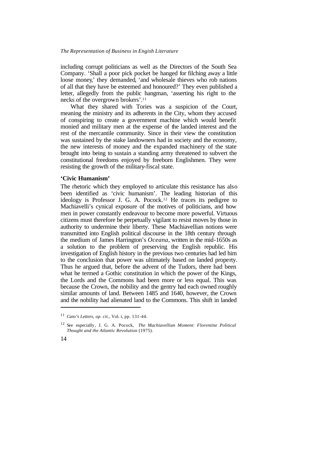### *The Representation of Business in Engish Literature*

including corrupt politicians as well as the Directors of the South Sea Company. 'Shall a poor pick pocket be hanged for filching away a little loose money,' they demanded, 'and wholesale thieves who rob nations of all that they have be esteemed and honoured?' They even published a letter, allegedly from the public hangman, 'asserting his right to the necks of the overgrown brokers'.<sup>11</sup>

 What they shared with Tories was a suspicion of the Court, meaning the ministry and its adherents in the City, whom they accused of conspiring to create a government machine which would benefit monied and military men at the expense of the landed interest and the rest of the mercantile community. Since in their view the constitution was sustained by the stake landowners had in society and the economy, the new interests of money and the expanded machinery of the state brought into being to sustain a standing army threatened to subvert the constitutional freedoms enjoyed by freeborn Englishmen. They were resisting the growth of the military-fiscal state.

## **'Civic Humanism'**

The rhetoric which they employed to articulate this resistance has also been identified as 'civic humanism'. The leading historian of this ideology is Professor J. G. A. Pocock.12 He traces its pedigree to Machiavelli's cynical exposure of the motives of politicians, and how men in power constantly endeavour to become more powerful. Virtuous citizens must therefore be perpetually vigilant to resist moves by those in authority to undermine their liberty. These Machiavellian notions were transmitted into English political discourse in the 18th century through the medium of James Harrington's *Oceana*, written in the mid-1650s as a solution to the problem of preserving the English republic. His investigation of English history in the previous two centuries had led him to the conclusion that power was ultimately based on landed property. Thus he argued that, before the advent of the Tudors, there had been what he termed a Gothic constitution in which the power of the Kings, the Lords and the Commons had been more or less equal. This was because the Crown, the nobility and the gentry had each owned roughly similar amounts of land. Between 1485 and 1640, however, the Crown and the nobility had alienated land to the Commons. This shift in landed

<sup>11</sup> *Cato's Letters*, *op. cit*., Vol. i, pp. 131-44.

<sup>12</sup> See especially, J. G. A. Pocock, *The Machiavellian Moment: Florentine Political Thought and the Atlantic Revolution* (1975).

<sup>14</sup>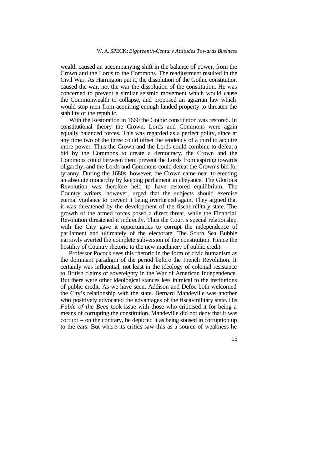wealth caused an accompanying shift in the balance of power, from the Crown and the Lords to the Commons. The readjustment resulted in the Civil War. As Harrington put it, the dissolution of the Gothic constitution caused the war, not the war the dissolution of the constitution. He was concerned to prevent a similar seismic movement which would cause the Commonwealth to collapse, and proposed an agrarian law which would stop men from acquiring enough landed property to threaten the stability of the republic.

 With the Restoration in 1660 the Gothic constitution was restored. In constitutional theory the Crown, Lords and Commons were again equally balanced forces. This was regarded as a perfect polity, since at any time two of the three could offset the tendency of a third to acquire more power. Thus the Crown and the Lords could combine to defeat a bid by the Commons to create a democracy, the Crown and the Commons could between them prevent the Lords from aspiring towards oligarchy, and the Lords and Commons could defeat the Crown's bid for tyranny. During the 1680s, however, the Crown came near to erecting an absolute monarchy by keeping parliament in abeyance. The Glorious Revolution was therefore held to have restored equilibrium. The Country writers, however, urged that the subjects should exercise eternal vigilance to prevent it being overturned again. They argued that it was threatened by the development of the fiscal-military state. The growth of the armed forces posed a direct threat, while the Financial Revolution threatened it indirectly. Thus the Court's special relationship with the City gave it opportunities to corrupt the independence of parliament and ultimately of the electorate. The South Sea Bubble narrowly averted the complete subversion of the constitution. Hence the hostility of Country rhetoric to the new machinery of public credit.

 Professor Pocock sees this rhetoric in the form of civic humanism as the dominant paradigm of the period before the French Revolution. It certainly was influential, not least in the ideology of colonial resistance to British claims of sovereignty in the War of American Independence. But there were other ideological stances less inimical to the institutions of public credit. As we have seen, Addison and Defoe both welcomed the City's relationship with the state. Bernard Mandeville was another who positively advocated the advantages of the fiscal-military state. His *Fable of the Bees* took issue with those who criticised it for being a means of corrupting the constitution. Mandeville did not deny that it was corrupt – on the contrary, he depicted it as being soused in corruption up to the ears. But where its critics saw this as a source of weakness he

15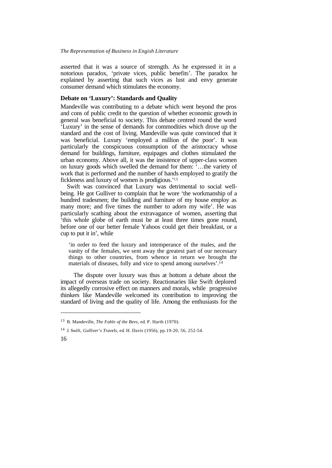asserted that it was a source of strength. As he expressed it in a notorious paradox, 'private vices, public benefits'. The paradox he explained by asserting that such vices as lust and envy generate consumer demand which stimulates the economy.

# **Debate on 'Luxury': Standards and Quality**

Mandeville was contributing to a debate which went beyond the pros and cons of public credit to the question of whether economic growth in general was beneficial to society. This debate centred round the word 'Luxury' in the sense of demands for commodities which drove up the standard and the cost of living. Mandeville was quite convinced that it was beneficial. Luxury 'employed a million of the poor'. It was particularly the conspicuous consumption of the aristocracy whose demand for buildings, furniture, equipages and clothes stimulated the urban economy. Above all, it was the insistence of upper-class women on luxury goods which swelled the demand for them: '…the variety of work that is performed and the number of hands employed to gratify the fickleness and luxury of women is prodigious.'<sup>13</sup>

Swift was convinced that Luxury was detrimental to social wellbeing. He got Gulliver to complain that he wore 'the workmanship of a hundred tradesmen; the building and furniture of my house employ as many more; and five times the number to adorn my wife'. He was particularly scathing about the extravagance of women, asserting that 'this whole globe of earth must be at least three times gone round, before one of our better female Yahoos could get their breakfast, or a cup to put it in', while

'in order to feed the luxury and intemperance of the males, and the vanity of the females, we sent away the greatest part of our necessary things to other countries, from whence in return we brought the materials of diseases, folly and vice to spend among ourselves'.<sup>14</sup>

 The dispute over luxury was thus at bottom a debate about the impact of overseas trade on society. Reactionaries like Swift deplored its allegedly corrosive effect on manners and morals, while progressive thinkers like Mandeville welcomed its contribution to improving the standard of living and the quality of life. Among the enthusiasts for the

<sup>13</sup> B. Mandeville, *The Fable of the Bees*, ed. P. Harth (1970).

<sup>14</sup> J. Swift, *Gulliver's Travels*, ed. H. Davis (1956), pp.19-20, 56, 252-54.

<sup>16</sup>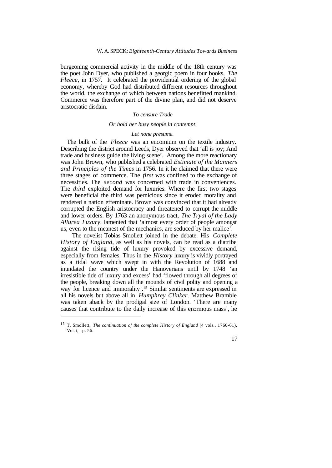burgeoning commercial activity in the middle of the 18th century was the poet John Dyer, who published a georgic poem in four books, *The Fleece*, in 1757. It celebrated the providential ordering of the global economy, whereby God had distributed different resources throughout the world, the exchange of which between nations benefitted mankind. Commerce was therefore part of the divine plan, and did not deserve aristocratic disdain.

# *To censure Trade*

### *Or hold her busy people in contempt,*

### *Let none presume.*

The bulk of the *Fleece* was an encomium on the textile industry. Describing the district around Leeds, Dyer observed that 'all is joy; And trade and business guide the living scene'. Among the more reactionary was John Brown, who published a celebrated *Estimate of the Manners and Principles of the Times* in 1756. In it he claimed that there were three stages of commerce. The *first* was confined to the exchange of necessities. The *second* was concerned with trade in conveniences. The *third* exploited demand for luxuries. Where the first two stages were beneficial the third was pernicious since it eroded morality and rendered a nation effeminate. Brown was convinced that it had already corrupted the English aristocracy and threatened to corrupt the middle and lower orders. By 1763 an anonymous tract, *The Tryal of the Lady Allurea Luxury*, lamented that 'almost every order of people amongst us, even to the meanest of the mechanics, are seduced by her malice'.

 The novelist Tobias Smollett joined in the debate. His *Complete History of England*, as well as his novels, can be read as a diatribe against the rising tide of luxury provoked by excessive demand, especially from females. Thus in the *History* luxury is vividly portrayed as a tidal wave which swept in with the Revolution of 1688 and inundated the country under the Hanoverians until by 1748 'an irresistible tide of luxury and excess' had 'flowed through all degrees of the people, breaking down all the mounds of civil polity and opening a way for licence and immorality'.15 Similar sentiments are expressed in all his novels but above all in *Humphrey Clinker*. Matthew Bramble was taken aback by the prodigal size of London. 'There are many causes that contribute to the daily increase of this enormous mass', he

<sup>15</sup> T. Smollett, *The continuation of the complete History of England* (4 vols., 1760-61), Vol. i, p. 56.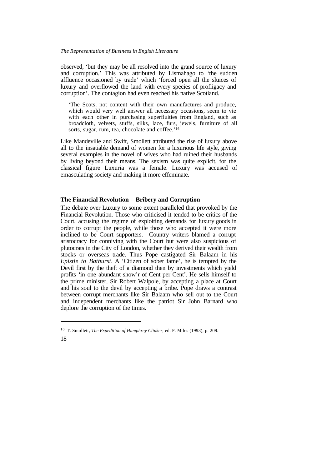### *The Representation of Business in Engish Literature*

observed, 'but they may be all resolved into the grand source of luxury and corruption.' This was attributed by Lismahago to 'the sudden affluence occasioned by trade' which 'forced open all the sluices of luxury and overflowed the land with every species of profligacy and corruption'. The contagion had even reached his native Scotland.

'The Scots, not content with their own manufactures and produce, which would very well answer all necessary occasions, seem to vie with each other in purchasing superfluities from England, such as broadcloth, velvets, stuffs, silks, lace, furs, jewels, furniture of all sorts, sugar, rum, tea, chocolate and coffee.'<sup>16</sup>

Like Mandeville and Swift, Smollett attributed the rise of luxury above all to the insatiable demand of women for a luxurious life style, giving several examples in the novel of wives who had ruined their husbands by living beyond their means. The sexism was quite explicit, for the classical figure Luxuria was a female. Luxury was accused of emasculating society and making it more effeminate.

# **The Financial Revolution – Bribery and Corruption**

The debate over Luxury to some extent paralleled that provoked by the Financial Revolution. Those who criticised it tended to be critics of the Court, accusing the régime of exploiting demands for luxury goods in order to corrupt the people, while those who accepted it were more inclined to be Court supporters. Country writers blamed a corrupt aristocracy for conniving with the Court but were also suspicious of plutocrats in the City of London, whether they derived their wealth from stocks or overseas trade. Thus Pope castigated Sir Balaam in his *Epistle to Bathurst*. A 'Citizen of sober fame', he is tempted by the Devil first by the theft of a diamond then by investments which yield profits 'in one abundant show'r of Cent per Cent'. He sells himself to the prime minister, Sir Robert Walpole, by accepting a place at Court and his soul to the devil by accepting a bribe. Pope draws a contrast between corrupt merchants like Sir Balaam who sell out to the Court and independent merchants like the patriot Sir John Barnard who deplore the corruption of the times.

<sup>18</sup> <sup>16</sup> T. Smollett, *The Expedition of Humphrey Clinker*, ed. P. Miles (1993), p. 209.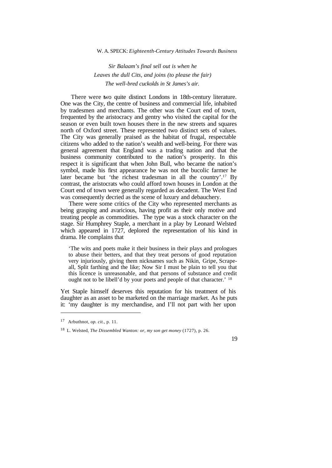### W. A. SPECK: *Eighteenth-Century Attitudes Towards Business*

# *Sir Balaam's final sell out is when he Leaves the dull Cits, and joins (to please the fair) The well-bred cuckolds in St James's air.*

 There were two quite distinct Londons in 18th-century literature. One was the City, the centre of business and commercial life, inhabited by tradesmen and merchants. The other was the Court end of town, frequented by the aristocracy and gentry who visited the capital for the season or even built town houses there in the new streets and squares north of Oxford street. These represented two distinct sets of values. The City was generally praised as the habitat of frugal, respectable citizens who added to the nation's wealth and well-being. For there was general agreement that England was a trading nation and that the business community contributed to the nation's prosperity. In this respect it is significant that when John Bull, who became the nation's symbol, made his first appearance he was not the bucolic farmer he later became but 'the richest tradesman in all the country'.<sup>17</sup> By contrast, the aristocrats who could afford town houses in London at the Court end of town were generally regarded as decadent. The West End was consequently decried as the scene of luxury and debauchery.

 There were some critics of the City who represented merchants as being grasping and avaricious, having profit as their only motive and treating people as commodities. The type was a stock character on the stage. Sir Humphrey Staple, a merchant in a play by Leonard Welsted which appeared in 1727, deplored the representation of his kind in drama. He complains that

'The wits and poets make it their business in their plays and prologues to abuse their betters, and that they treat persons of good reputation very injuriously, giving them nicknames such as Nikin, Gripe, Scrapeall, Split farthing and the like; Now Sir I must be plain to tell you that this licence is unreasonable, and that persons of substance and credit ought not to be libell'd by your poets and people of that character.' <sup>18</sup>

Yet Staple himself deserves this reputation for his treatment of his daughter as an asset to be marketed on the marriage market. As he puts it: 'my daughter is my merchandise, and I'll not part with her upon

l

19

<sup>17</sup> Arbuthnot, *op. cit.*, p. 11.

<sup>18</sup> L. Welsted, *The Dissembled Wanton: or, my son get money* (1727), p. 26.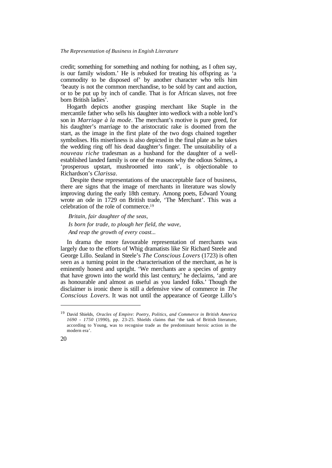### *The Representation of Business in Engish Literature*

credit; something for something and nothing for nothing, as I often say, is our family wisdom.' He is rebuked for treating his offspring as 'a commodity to be disposed of' by another character who tells him 'beauty is not the common merchandise, to be sold by cant and auction, or to be put up by inch of candle. That is for African slaves, not free born British ladies'.

Hogarth depicts another grasping merchant like Staple in the mercantile father who sells his daughter into wedlock with a noble lord's son in *Marriage à la mode*. The merchant's motive is pure greed, for his daughter's marriage to the aristocratic rake is doomed from the start, as the image in the first plate of the two dogs chained together symbolises. His miserliness is also depicted in the final plate as he takes the wedding ring off his dead daughter's finger. The unsuitability of a *nouveau riche* tradesman as a husband for the daughter of a wellestablished landed family is one of the reasons why the odious Solmes, a 'prosperous upstart, mushroomed into rank', is objectionable to Richardson's *Clarissa*.

 Despite these representations of the unacceptable face of business, there are signs that the image of merchants in literature was slowly improving during the early 18th century. Among poets, Edward Young wrote an ode in 1729 on British trade, 'The Merchant'. This was a celebration of the role of commerce.<sup>19</sup>

*Britain, fair daughter of the seas, Is born for trade, to plough her field, the wave, And reap the growth of every coast...*

In drama the more favourable representation of merchants was largely due to the efforts of Whig dramatists like Sir Richard Steele and George Lillo. Sealand in Steele's *The Conscious Lovers* (1723) is often seen as a turning point in the characterisation of the merchant, as he is eminently honest and upright. 'We merchants are a species of gentry that have grown into the world this last century,' he declaims, 'and are as honourable and almost as useful as you landed folks.' Though the disclaimer is ironic there is still a defensive view of commerce in *The Conscious Lovers*. It was not until the appearance of George Lillo's

<sup>19</sup> David Shields, *Oracles of Empire: Poetry, Politics, and Commerce in British America 1690 - 1750* (1990), pp. 23-25. Shields claims that 'the task of British literature, according to Young, was to recognise trade as the predominant heroic action in the modern era'.

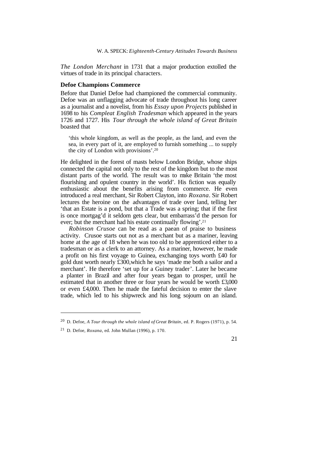*The London Merchant* in 1731 that a major production extolled the virtues of trade in its principal characters.

# **Defoe Champions Commerce**

Before that Daniel Defoe had championed the commercial community. Defoe was an unflagging advocate of trade throughout his long career as a journalist and a novelist, from his *Essay upon Projects* published in 1698 to his *Compleat English Tradesman* which appeared in the years 1726 and 1727. His *Tour through the whole island of Great Britain* boasted that

'this whole kingdom, as well as the people, as the land, and even the sea, in every part of it, are employed to furnish something ... to supply the city of London with provisions'.<sup>20</sup>

He delighted in the forest of masts below London Bridge, whose ships connected the capital not only to the rest of the kingdom but to the most distant parts of the world. The result was to make Britain 'the most flourishing and opulent country in the world'. His fiction was equally enthusiastic about the benefits arising from commerce. He even introduced a real merchant, Sir Robert Clayton, into *Roxana*. Sir Robert lectures the heroine on the advantages of trade over land, telling her 'that an Estate is a pond, but that a Trade was a spring; that if the first is once mortgag'd it seldom gets clear, but embarrass'd the person for ever; but the merchant had his estate continually flowing'.<sup>21</sup>

 *Robinson Crusoe* can be read as a paean of praise to business activity. Crusoe starts out not as a merchant but as a mariner, leaving home at the age of 18 when he was too old to be apprenticed either to a tradesman or as a clerk to an attorney. As a mariner, however, he made a profit on his first voyage to Guinea, exchanging toys worth £40 for gold dust worth nearly £300,which he says 'made me both a sailor and a merchant'. He therefore 'set up for a Guiney trader'. Later he became a planter in Brazil and after four years began to prosper, until he estimated that in another three or four years he would be worth £3,000 or even £4,000. Then he made the fateful decision to enter the slave trade, which led to his shipwreck and his long sojourn on an island.

<sup>20</sup> D. Defoe, *A Tour through the whole island of Great Britain*, ed. P. Rogers (1971), p. 54.

<sup>21</sup> D. Defoe, *Roxana*, ed. John Mullan (1996), p. 170.

<sup>21</sup>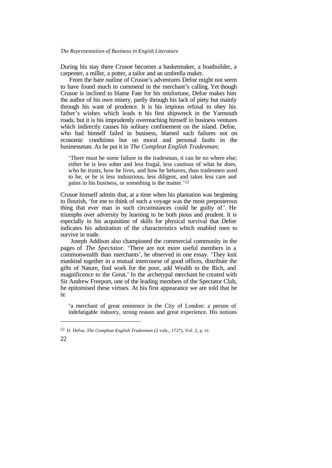## *The Representation of Business in Engish Literature*

During his stay there Crusoe becomes a basketmaker, a boatbuilder, a carpenter, a miller, a potter, a tailor and an umbrella maker.

 From the bare outline of Crusoe's adventures Defoe might not seem to have found much to commend in the merchant's calling. Yet though Crusoe is inclined to blame Fate for his misfortune, Defoe makes him the author of his own misery, partly through his lack of piety but mainly through his want of prudence. It is his impious refusal to obey his father's wishes which leads to his first shipwreck in the Yarmouth roads, but it is his imprudently overreaching himself in business ventures which indirectly causes his solitary confinement on the island. Defoe, who had himself failed in business, blamed such failures not on economic conditions but on moral and personal faults in the businessman. As he put it in *The Compleat English Tradesman*:

'There must be some failure in the tradesman, it can be no where else; either he is less sober and less frugal, less cautious of what he does, who he trusts, how he lives, and how he behaves, than tradesmen used to be; or he is less industrious, less diligent, and takes less care and pains in his business, or something is the matter.' 22

Crusoe himself admits that, at a time when his plantation was beginning to flourish, 'for me to think of such a voyage was the most preposterous thing that ever man in such circumstances could be guilty of'. He triumphs over adversity by learning to be both pious and prudent. It is especially in his acquisition of skills for physical survival that Defoe indicates his admiration of the characteristics which enabled men to survive in trade.

 Joseph Addison also championed the commercial community in the pages of *The Spectator*. 'There are not more useful members in a commonwealth than merchants', he observed in one essay. 'They knit mankind together in a mutual intercourse of good offices, distribute the gifts of Nature, find work for the poor, add Wealth to the Rich, and magnificence to the Great.' In the archetypal merchant he created with Sir Andrew Freeport, one of the leading members of the Spectator Club, he epitomised these virtues. At his first appearance we are told that he is:

'a merchant of great eminence in the City of London: a person of indefatigable industry, strong reason and great experience. His notions

<sup>22</sup> <sup>22</sup> D. Defoe, *The Compleat English Tradesman* (2 vols., 1727), Vol. 2, p. vi.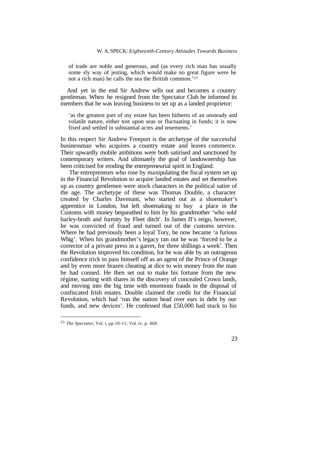of trade are noble and generous, and (as every rich man has usually some sly way of jesting, which would make no great figure were he not a rich man) he calls the sea the British common.' 23

And yet in the end Sir Andrew sells out and becomes a country gentleman. When he resigned from the Spectator Club he informed its members that he was leaving business to set up as a landed proprietor:

'as the greatest part of my estate has been hitherto of an unsteady and volatile nature, either tost upon seas or fluctuating in funds; it is now fixed and settled in substantial acres and tenements.'

In this respect Sir Andrew Freeport is the archetype of the successful businessman who acquires a country estate and leaves commerce. Their upwardly mobile ambitions were both satirised and sanctioned by contemporary writers. And ultimately the goal of landownership has been criticised for eroding the entrepreneurial spirit in England.

 The entrepreneurs who rose by manipulating the fiscal system set up in the Financial Revolution to acquire landed estates and set themselves up as country gentlemen were stock characters in the political satire of the age. The archetype of these was Thomas Double, a character created by Charles Davenant, who started out as a shoemaker's apprentice in London, but left shoemaking to buy a place in the Customs with money bequeathed to him by his grandmother 'who sold barley-broth and furmity by Fleet ditch'. In James II's reign, however, he was convicted of fraud and turned out of the customs service. Where he had previously been a loyal Tory, he now became 'a furious Whig'. When his grandmother's legacy ran out he was 'forced to be a corrector of a private press in a garret, for three shillings a week'. Then the Revolution improved his condition, for he was able by an outrageous confidence trick to pass himself off as an agent of the Prince of Orange and by even more brazen cheating at dice to win money from the man he had conned. He then set out to make his fortune from the new régime, starting with shares in the discovery of concealed Crown lands, and moving into the big time with enormous frauds in the disposal of confiscated Irish estates. Double claimed the credit for the Financial Revolution, which had 'run the nation head over ears in debt by our funds, and new devices'. He confessed that £50,000 had stuck to his

<sup>23</sup> *The Spectator*, Vol. i, pp.10-11; Vol. iv, p. 468.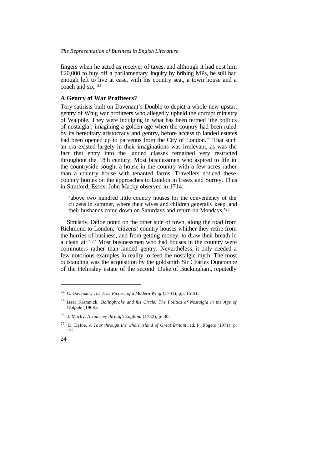fingers when he acted as receiver of taxes, and although it had cost him £20,000 to buy off a parliamentary inquiry by bribing MPs, he still had enough left to live at ease, with his country seat, a town house and a coach and six. <sup>24</sup>

# **A Gentry of War Profiteers?**

Tory satirists built on Davenant's Double to depict a whole new upstart gentry of Whig war profiteers who allegedly upheld the corrupt ministry of Walpole. They were indulging in what has been termed 'the politics of nostalgia', imagining a golden age when the country had been ruled by its hereditary aristocracy and gentry, before access to landed estates had been opened up to parvenus from the City of London. <sup>25</sup> That such an era existed largely in their imaginations was irrelevant, as was the fact that entry into the landed classes remained very restricted throughout the 18th century. Most businessmen who aspired to life in the countryside sought a house in the country with a few acres rather than a country house with tenanted farms. Travellers noticed these country homes on the approaches to London in Essex and Surrey. Thus in Stratford, Essex, John Macky observed in 1714:

'above two hundred little country houses for the conveniency of the citizens in summer, where their wives and children generally keep, and their husbands come down on Saturdays and return on Mondays.'<sup>26</sup>

Similarly, Defoe noted on the other side of town, along the road from Richmond to London, 'citizens' country houses whither they retire from the hurries of business, and from getting money, to draw their breath in a clean air'. <sup>27</sup> Most businessmen who had houses in the country were commuters rather than landed gentry. Nevertheless, it only needed a few notorious examples in reality to feed the nostalgic myth. The most outstanding was the acquisition by the goldsmith Sir Charles Duncombe of the Helmsley estate of the second Duke of Buckingham, reputedly

<sup>24</sup> C. Davenant, *The True Picture of a Modern Whig* (1701), pp. 15-31.

<sup>25</sup> Isaac Kramnick, *Bolingbroke and his Circle: The Politics of Nostalgia in the Age of Walpole* (1968).

<sup>26</sup> J. Macky, *A Journey through England* (1732), p. 30.

<sup>27</sup> D. Defoe, *A Tour through the whole island of Great Britain*, ed. P. Rogers (1971), p. 171.

<sup>24</sup>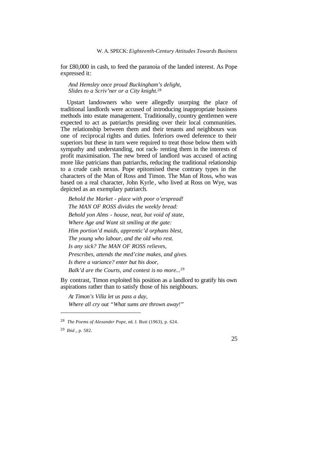for £80,000 in cash, to feed the paranoia of the landed interest. As Pope expressed it:

*And Hemsley once proud Buckingham's delight, Slides to a Scriv'ner or a City knight.*<sup>28</sup>

Upstart landowners who were allegedly usurping the place of traditional landlords were accused of introducing inappropriate business methods into estate management. Traditionally, country gentlemen were expected to act as patriarchs presiding over their local communities. The relationship between them and their tenants and neighbours was one of reciprocal rights and duties. Inferiors owed deference to their superiors but these in turn were required to treat those below them with sympathy and understanding, not rack- renting them in the interests of profit maximisation. The new breed of landlord was accused of acting more like patricians than patriarchs, reducing the traditional relationship to a crude cash nexus. Pope epitomised these contrary types in the characters of the Man of Ross and Timon. The Man of Ross, who was based on a real character, John Kyrle , who lived at Ross on Wye, was depicted as an exemplary patriarch.

*Behold the Market - place with poor o'erspread! The MAN OF ROSS divides the weekly bread: Behold yon Alms - house, neat, but void of state, Where Age and Want sit smiling at the gate: Him portion'd maids, apprentic'd orphans blest, The young who labour, and the old who rest. Is any sick? The MAN OF ROSS relieves, Prescribes, attends the med'cine makes, and gives. Is there a variance? enter but his door, Balk'd are the Courts, and contest is no more...*<sup>29</sup>

By contrast, Timon exploited his position as a landlord to gratify his own aspirations rather than to satisfy those of his neighbours.

*At Timon's Villa let us pass a day, Where all cry out "What sums are thrown away!"*



<sup>28</sup> *The Poems of Alexander Pope*, ed. J. Butt (1963), p. 624.

<sup>29</sup> *Ibid*., p. 582.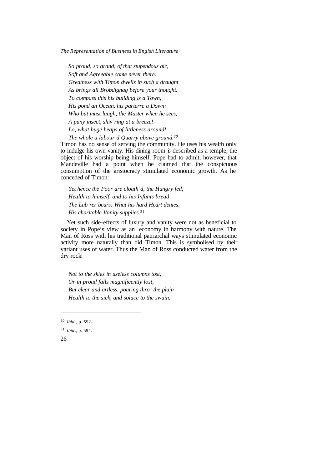*So proud, so grand, of that stupendous air, Soft and Agreeable come never there. Greatness with Timon dwells in such a draught As brings all Brobdignag before your thought. To compass this his building is a Town, His pond an Ocean, his parterre a Down: Who but must laugh, the Master when he sees, A puny insect, shiv'ring at a breeze! Lo, what huge heaps of littleness around! The whole a labour'd Quarry above ground.<sup>30</sup>*

Timon has no sense of serving the community. He uses his wealth only to indulge his own vanity. His dining-room is described as a temple, the object of his worship being himself. Pope had to admit, however, that Mandeville had a point when he claimed that the conspicuous consumption of the aristocracy stimulated economic growth. As he conceded of Timon:

*Yet hence the Poor are cloath'd, the Hungry fed; Health to himself, and to his Infants bread The Lab'rer bears: What his hard Heart denies, His charitable Vanity supplies*. 31

Yet such side-effects of luxury and vanity were not as beneficial to society in Pope's view as an economy in harmony with nature. The Man of Ross with his traditional patriarchal ways stimulated economic activity more naturally than did Timon. This is symbolised by their variant uses of water. Thus the Man of Ross conducted water from the dry rock:

*Not to the skies in useless columns tost, Or in proud falls magnificently lost, But clear and artless, pouring thro' the plain Health to the sick, and solace to the swain.*

26

<sup>30</sup> *Ibid*., p. 592.

<sup>31</sup> *Ibid*., p. 594.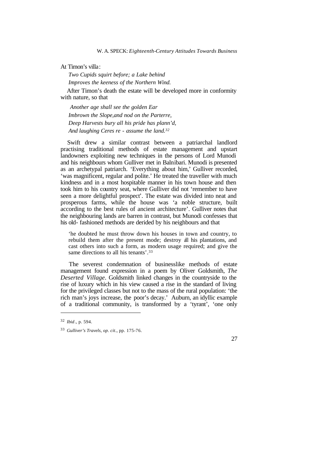At Timon's villa:

*Two Cupids squirt before; a Lake behind Improves the keeness of the Northern Wind.*

After Timon's death the estate will be developed more in conformity with nature, so that

*Another age shall see the golden Ear Imbrown the Slope,and nod on the Parterre, Deep Harvests bury all his pride has plann'd, And laughing Ceres re - assume the land.<sup>32</sup>*

 Swift drew a similar contrast between a patriarchal landlord practising traditional methods of estate management and upstart landowners exploiting new techniques in the persons of Lord Munodi and his neighbours whom Gulliver met in Balnibari. Munodi is presented as an archetypal patriarch. 'Everything about him,' Gulliver recorded, 'was magnificent, regular and polite.' He treated the traveller with much kindness and in a most hospitable manner in his town house and then took him to his country seat, where Gulliver did not 'remember to have seen a more delightful prospect'. The estate was divided into neat and prosperous farms, while the house was 'a noble structure, built according to the best rules of ancient architecture'. Gulliver notes that the neighbouring lands are barren in contrast, but Munodi confesses that his old- fashioned methods are derided by his neighbours and that

'he doubted he must throw down his houses in town and country, to rebuild them after the present mode; destroy all his plantations, and cast others into such a form, as modern usage required; and give the same directions to all his tenants'.<sup>33</sup>

 The severest condemnation of businesslike methods of estate management found expression in a poem by Oliver Goldsmith, *The Deserted Village*. Goldsmith linked changes in the countryside to the rise of luxury which in his view caused a rise in the standard of living for the privileged classes but not to the mass of the rural population: 'the rich man's joys increase, the poor's decay.' Auburn, an idyllic example of a traditional community, is transformed by a 'tyrant', 'one only



<sup>32</sup> *Ibid*., p. 594.

<sup>33</sup> *Gulliver's Travels*, *op. cit*., pp. 175-76.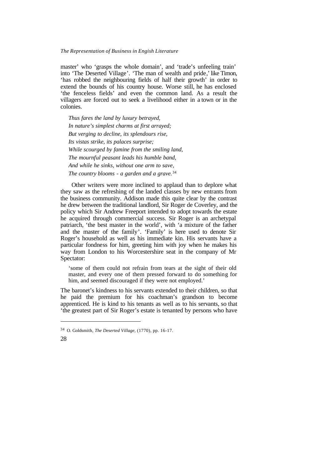master' who 'grasps the whole domain', and 'trade's unfeeling train' into 'The Deserted Village'. 'The man of wealth and pride,' like Timon, 'has robbed the neighbouring fields of half their growth' in order to extend the bounds of his country house. Worse still, he has enclosed 'the fenceless fields' and even the common land. As a result the villagers are forced out to seek a livelihood either in a town or in the colonies.

*Thus fares the land by luxury betrayed, In nature's simplest charms at first arrayed; But verging to decline, its splendours rise, Its vistas strike, its palaces surprise; While scourged by famine from the smiling land, The mournful peasant leads his humble band, And while he sinks, without one arm to save, The country blooms - a garden and a grave.*<sup>34</sup>

 Other writers were more inclined to applaud than to deplore what they saw as the refreshing of the landed classes by new entrants from the business community. Addison made this quite clear by the contrast he drew between the traditional landlord, Sir Roger de Coverley, and the policy which Sir Andrew Freeport intended to adopt towards the estate he acquired through commercial success. Sir Roger is an archetypal patriarch, 'the best master in the world', with 'a mixture of the father and the master of the family'. 'Family' is here used to denote Sir Roger's household as well as his immediate kin. His servants have a particular fondness for him, greeting him with joy when he makes his way from London to his Worcestershire seat in the company of Mr Spectator:

'some of them could not refrain from tears at the sight of their old master, and every one of them pressed forward to do something for him, and seemed discouraged if they were not employed.'

The baronet's kindness to his servants extended to their children, so that he paid the premium for his coachman's grandson to become apprenticed. He is kind to his tenants as well as to his servants, so that 'the greatest part of Sir Roger's estate is tenanted by persons who have

<sup>34</sup> O. Goldsmith, *The Deserted Village*, (1770), pp. 16-17.

<sup>28</sup>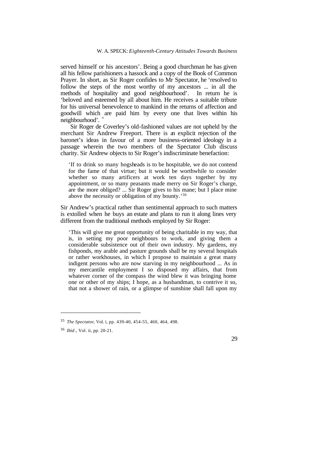served himself or his ancestors'. Being a good churchman he has given all his fellow parishioners a hassock and a copy of the Book of Common Prayer. In short, as Sir Roger confides to Mr Spectator, he 'resolved to follow the steps of the most worthy of my ancestors ... in all the methods of hospitality and good neighbourhood'. In return he is 'beloved and esteemed by all about him. He receives a suitable tribute for his universal benevolence to mankind in the returns of affection and goodwill which are paid him by every one that lives within his neighbourhood'.<sup>35</sup>

 Sir Roger de Coverley's old-fashioned values are not upheld by the merchant Sir Andrew Freeport. There is an explicit rejection of the baronet's ideas in favour of a more business-oriented ideology in a passage wherein the two members of the Spectator Club discuss charity. Sir Andrew objects to Sir Roger's indiscriminate benefaction:

'If to drink so many hogsheads is to be hospitable, we do not contend for the fame of that virtue; but it would be worthwhile to consider whether so many artificers at work ten days together by my appointment, or so many peasants made merry on Sir Roger's charge, are the more obliged? ... Sir Roger gives to his mane; but I place mine above the necessity or obligation of my bounty.<sup>36</sup>

Sir Andrew's practical rather than sentimental approach to such matters is extolled when he buys an estate and plans to run it along lines very different from the traditional methods employed by Sir Roger:

'This will give me great opportunity of being charitable in my way, that is, in setting my poor neighbours to work, and giving them a considerable subsistence out of their own industry. My gardens, my fishponds, my arable and pasture grounds shall be my several hospitals or rather workhouses, in which I propose to maintain a great many indigent persons who are now starving in my neighbourhood ... As in my mercantile employment I so disposed my affairs, that from whatever corner of the compass the wind blew it was bringing home one or other of my ships; I hope, as a husbandman, to contrive it so, that not a shower of rain, or a glimpse of sunshine shall fall upon my



<sup>35</sup> *The Spectator*, Vol. i, pp. 439-40, 454-55, 460, 464, 498.

<sup>36</sup> *Ibid*., Vol. ii, pp. 20-21.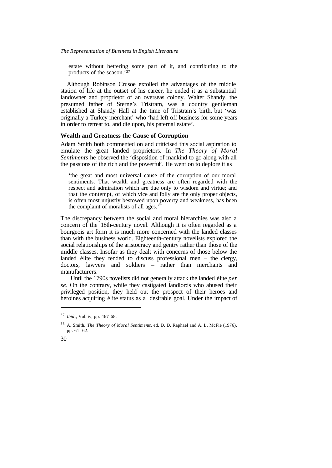estate without bettering some part of it, and contributing to the products of the season.' 37

Although Robinson Crusoe extolled the advantages of the middle station of life at the outset of his career, he ended it as a substantial landowner and proprietor of an overseas colony. Walter Shandy, the presumed father of Sterne's Tristram, was a country gentleman established at Shandy Hall at the time of Tristram's birth, but 'was originally a Turkey merchant' who 'had left off business for some years in order to retreat to, and die upon, his paternal estate'.

# **Wealth and Greatness the Cause of Corruption**

Adam Smith both commented on and criticised this social aspiration to emulate the great landed proprietors. In *The Theory of Moral Sentiments* he observed the 'disposition of mankind to go along with all the passions of the rich and the powerful'. He went on to deplore it as

'the great and most universal cause of the corruption of our moral sentiments. That wealth and greatness are often regarded with the respect and admiration which are due only to wisdom and virtue; and that the contempt, of which vice and folly are the only proper objects, is often most unjustly bestowed upon poverty and weakness, has been the complaint of moralists of all ages.'

The discrepancy between the social and moral hierarchies was also a concern of the 18th-century novel. Although it is often regarded as a bourgeois art form it is much more concerned with the landed classes than with the business world. Eighteenth-century novelists explored the social relationships of the aristocracy and gentry rather than those of the middle classes. Insofar as they dealt with concerns of those below the landed élite they tended to discuss professional men – the clergy, doctors, lawyers and soldiers – rather than merchants and manufacturers.

 Until the 1790s novelists did not generally attack the landed élite *per se*. On the contrary, while they castigated landlords who abused their privileged position, they held out the prospect of their heroes and heroines acquiring élite status as a desirable goal. Under the impact of

<sup>37</sup> *Ibid.*, Vol. iv, pp. 467-68.

<sup>38</sup> A. Smith, *The Theory of Moral Sentiments*, ed. D. D. Raphael and A. L. McFie (1976), pp. 61- 62.

<sup>30</sup>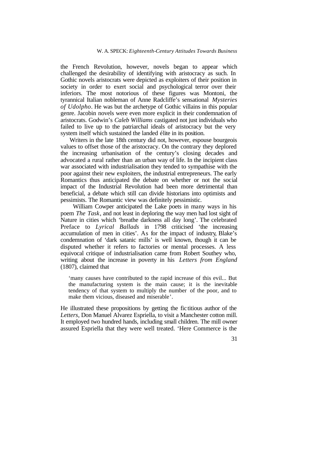the French Revolution, however, novels began to appear which challenged the desirability of identifying with aristocracy as such. In Gothic novels aristocrats were depicted as exploiters of their position in society in order to exert social and psychological terror over their inferiors. The most notorious of these figures was Montoni, the tyrannical Italian nobleman of Anne Radcliffe's sensational *Mysteries of Udolpho*. He was but the archetype of Gothic villains in this popular genre. Jacobin novels were even more explicit in their condemnation of aristocrats. Godwin's *Caleb Williams* castigated not just individuals who failed to live up to the patriarchal ideals of aristocracy but the very system itself which sustained the landed élite in its position.

 Writers in the late 18th century did not, however, espouse bourgeois values to offset those of the aristocracy. On the contrary they deplored the increasing urbanisation of the century's closing decades and advocated a rural rather than an urban way of life. In the incipient class war associated with industrialisation they tended to sympathise with the poor against their new exploiters, the industrial entrepreneurs. The early Romantics thus anticipated the debate on whether or not the social impact of the Industrial Revolution had been more detrimental than beneficial, a debate which still can divide historians into optimists and pessimists. The Romantic view was definitely pessimistic.

 William Cowper anticipated the Lake poets in many ways in his poem *The Task*, and not least in deploring the way men had lost sight of Nature in cities which 'breathe darkness all day long'. The celebrated Preface to *Lyrical Ballads* in 1798 criticised 'the increasing accumulation of men in cities'. As for the impact of industry, Blake's condemnation of 'dark satanic mills' is well known, though it can be disputed whether it refers to factories or mental processes. A less equivocal critique of industrialisation came from Robert Southey who, writing about the increase in poverty in his *Letters from England* (1807), claimed that

'many causes have contributed to the rapid increase of this evil... But the manufacturing system is the main cause; it is the inevitable tendency of that system to multiply the number of the poor, and to make them vicious, diseased and miserable'.

He illustrated these propositions by getting the fictitious author of the *Letters*, Don Manuel Alvarez Espriella, to visit a Manchester cotton mill. It employed two hundred hands, including small children. The mill owner assured Espriella that they were well treated. 'Here Commerce is the

31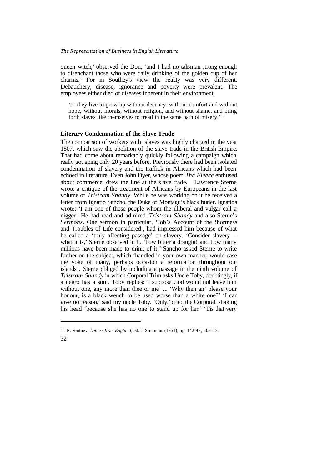queen witch,' observed the Don, 'and I had no talisman strong enough to disenchant those who were daily drinking of the golden cup of her charms.' For in Southey's view the reality was very different. Debauchery, disease, ignorance and poverty were prevalent. The employees either died of diseases inherent in their environment,

'or they live to grow up without decency, without comfort and without hope, without morals, without religion, and without shame, and bring forth slaves like themselves to tread in the same path of misery.'<sup>39</sup>

# **Literary Condemnation of the Slave Trade**

The comparison of workers with slaves was highly charged in the year 1807, which saw the abolition of the slave trade in the British Empire. That had come about remarkably quickly following a campaign which really got going only 20 years before. Previously there had been isolated condemnation of slavery and the traffick in Africans which had been echoed in literature. Even John Dyer, whose poem *The Fleece* enthused about commerce, drew the line at the slave trade. Lawrence Sterne wrote a critique of the treatment of Africans by Europeans in the last volume of *Tristram Shandy*. While he was working on it he received a letter from Ignatio Sancho, the Duke of Montagu's black butler. Ignatios wrote: 'I am one of those people whom the illiberal and vulgar call a nigger.' He had read and admired *Tristram Shandy* and also Sterne's *Sermons*. One sermon in particular, 'Job's Account of the Shortness and Troubles of Life considered', had impressed him because of what he called a 'truly affecting passage' on slavery. 'Consider slavery – what it is,' Sterne observed in it, 'how bitter a draught! and how many millions have been made to drink of it.' Sancho asked Sterne to write further on the subject, which 'handled in your own manner, would ease the yoke of many, perhaps occasion a reformation throughout our islands'. Sterne obliged by including a passage in the ninth volume of *Tristram Shandy* in which Corporal Trim asks Uncle Toby, doubtingly, if a negro has a soul. Toby replies: 'I suppose God would not leave him without one, any more than thee or me' ... 'Why then an' please your honour, is a black wench to be used worse than a white one?' 'I can give no reason,' said my uncle Toby. 'Only,' cried the Corporal, shaking his head 'because she has no one to stand up for her.' 'Tis that very

<sup>32</sup> <sup>39</sup> R. Southey, *Letters from England*, ed. J. Simmons (1951), pp. 142-47, 207-13.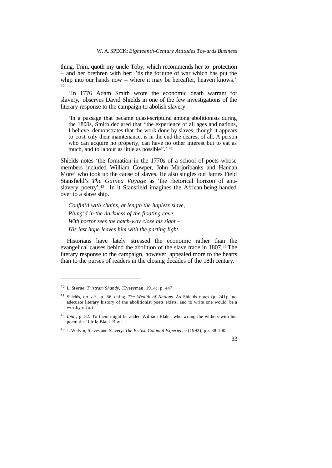thing, Trim, quoth my uncle Toby, which recommends her to protection – and her brethren with her; 'tis the fortune of war which has put the whip into our hands now – where it may be hereafter, heaven knows.' 40

 'In 1776 Adam Smith wrote the economic death warrant for slavery,' observes David Shields in one of the few investigations of the literary response to the campaign to abolish slavery.

'In a passage that became quasi-scriptural among abolitionists during the 1800s, Smith declared that "the experience of all ages and nations, I believe, demonstrates that the work done by slaves, though it appears to cost only their maintenance, is in the end the dearest of all. A person who can acquire no property, can have no other interest but to eat as much, and to labour as little as possible".' <sup>41</sup>

Shields notes 'the formation in the 1770s of a school of poets whose members included William Cowper, John Marjoribanks and Hannah More' who took up the cause of slaves. He also singles out James Field Stansfield's *The Guinea Voyage* as 'the rhetorical horizon of antislavery poetry'.<sup>42</sup> In it Stansfield imagines the African being handed over to a slave ship.

*Confin'd with chains, at length the hapless slave, Plung'd in the darkness of the floating cave, With horror sees the hatch-way close his sight – His last hope leaves him with the parting light.*

Historians have lately stressed the economic rather than the evangelical causes behind the abolition of the slave trade in 1807.<sup>43</sup> The literary response to the campaign, however, appealed more to the hearts than to the purses of readers in the closing decades of the 18th century.

<sup>40</sup> L. St erne, *Tristram Shandy*, (Everyman, 1914), p. 447.

<sup>41</sup> Shields, *op. cit*., p. 86, citing *The Wealth of Nations*. As Shields notes (p. 241): 'no adequate literary history of the abolitionist poets exists, and to write one would be a worthy effort.'

<sup>42</sup> *Ibid.*, p. 82. To them might be added William Blake, who wrung the withers with his poem the 'Little Black Boy'.

<sup>43</sup> J. Walvin, Slaves and Slavery: *The British Colonial Experience* (1992), pp. 88-100.

<sup>33</sup>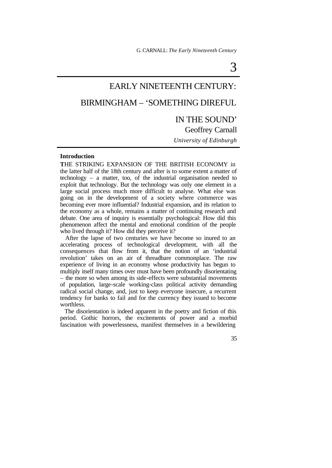# 3

# EARLY NINETEENTH CENTURY:

BIRMINGHAM – 'SOMETHING DIREFUL

# IN THE SOUND' Geoffrey Carnall *University of Edinburgh*

# **Introduction**

**T**HE STRIKING EXPANSION OF THE BRITISH ECONOMY in the latter half of the 18th century and after is to some extent a matter of technology – a matter, too, of the industrial organisation needed to exploit that technology. But the technology was only one element in a large social process much more difficult to analyse. What else was going on in the development of a society where commerce was becoming ever more influential? Industrial expansion, and its relation to the economy as a whole, remains a matter of continuing research and debate. One area of inquiry is essentially psychological: How did this phenomenon affect the mental and emotional condition of the people who lived through it? How did they perceive it?

 After the lapse of two centuries we have become so inured to an accelerating process of technological development, with all the consequences that flow from it, that the notion of an 'industrial revolution' takes on an air of threadbare commonplace. The raw experience of living in an economy whose productivity has begun to multiply itself many times over must have been profoundly disorientating – the more so when among its side-effects were substantial movements of population, large-scale working-class political activity demanding radical social change, and, just to keep everyone insecure, a recurrent tendency for banks to fail and for the currency they issued to become worthless.

 The disorientation is indeed apparent in the poetry and fiction of this period. Gothic horrors, the excitements of power and a morbid fascination with powerlessness, manifest themselves in a bewildering

35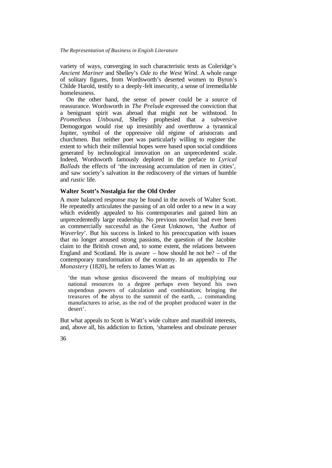variety of ways, converging in such characteristic texts as Coleridge's *Ancient Mariner* and Shelley's *Ode to the West Wind*. A whole range of solitary figures, from Wordsworth's deserted women to Byron's Childe Harold, testify to a deeply-felt insecurity, a sense of irremediable homelessness.

On the other hand, the sense of power could be a source of reassurance. Wordsworth in *The Prelude* expressed the conviction that a benignant spirit was abroad that might not be withstood. In *Prometheus Unbound*, Shelley prophesied that a subversive Demogorgon would rise up irresistibly and overthrow a tyrannical Jupiter, symbol of the oppressive old régime of aristocrats and churchmen. But neither poet was particularly willing to register the extent to which their millennial hopes were based upon social conditions generated by technological innovation on an unprecedented scale. Indeed, Wordsworth famously deplored in the preface to *Lyrical Ballads* the effects of 'the increasing accumulation of men in cities', and saw society's salvation in the rediscovery of the virtues of humble and *rustic* life.

# **Walter Scott's Nostalgia for the Old Order**

A more balanced response may be found in the novels of Walter Scott. He repeatedly articulates the passing of an old order to a new in a way which evidently appealed to his contemporaries and gained him an unprecedentedly large readership. No previous novelist had ever been as commercially successful as the Great Unknown, 'the Author of *Waverley*'. But his success is linked to his preoccupation with issues that no longer aroused strong passions, the question of the Jacobite claim to the British crown and, to some extent, the relations between England and Scotland. He is aware  $-$  how should he not be?  $-$  of the contemporary transformation of the economy. In an appendix to *The Monastery* (1820), he refers to James Watt as

'the man whose genius discovered the means of multiplying our national resources to a degree perhaps even beyond his own stupendous powers of calculation and combination; bringing the treasures of the abyss to the summit of the earth, ... commanding manufactures to arise, as the rod of the prophet produced water in the desert'.

But what appeals to Scott is Watt's wide culture and manifold interests, and, above all, his addiction to fiction, 'shameless and obstinate peruser

36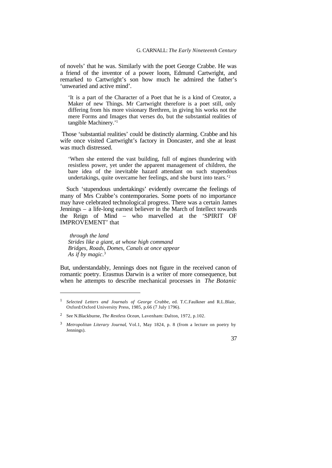of novels' that he was. Similarly with the poet George Crabbe. He was a friend of the inventor of a power loom, Edmund Cartwright, and remarked to Cartwright's son how much he admired the father's 'unwearied and active mind'.

'It is a part of the Character of a Poet that he is a kind of Creator, a Maker of new Things. Mr Cartwright therefore is a poet still, only differing from his more visionary Brethren, in giving his works not the mere Forms and Images that verses do, but the substantial realities of tangible Machinery.'<sup>1</sup>

 Those 'substantial realities' could be distinctly alarming. Crabbe and his wife once visited Cartwright's factory in Doncaster, and she at least was much distressed.

'When she entered the vast building, full of engines thundering with resistless power, yet under the apparent management of children, the bare idea of the inevitable hazard attendant on such stupendous undertakings, quite overcame her feelings, and she burst into tears.'<sup>2</sup>

Such 'stupendous undertakings' evidently overcame the feelings of many of Mrs Crabbe's contemporaries. Some poets of no importance may have celebrated technological progress. There was a certain James Jennings – a life-long earnest believer in the March of Intellect towards the Reign of Mind – who marvelled at the 'SPIRIT OF IMPROVEMENT' that

 *through the land Strides like a giant, at whose high command Bridges, Roads, Domes, Canals at once appear As if by magic*. 3

l

But, understandably, Jennings does not figure in the received canon of romantic poetry. Erasmus Darwin is a writer of more consequence, but when he attempts to describe mechanical processes in *The Botanic* 

<sup>1</sup> *Selected Letters and Journals of George Crabbe*, ed. T.C.Faulkner and R.L.Blair, Oxford:Oxford University Press, 1985, p.66 (7 July 1796).

<sup>2</sup> See N.Blackburne, *The Restless Ocean*, Lavenham: Dalton, 1972, p.102.

<sup>3</sup> *Metropolitan Literary Journal*, Vol.1, May 1824, p. 8 (from a lecture on poetry by Jennings).

<sup>37</sup>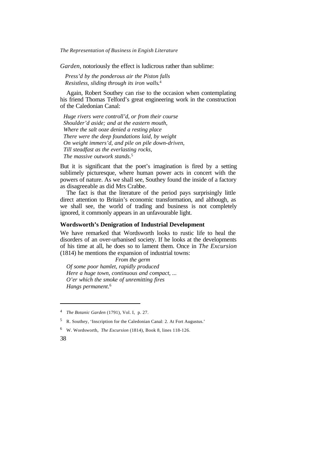*Garden*, notoriously the effect is ludicrous rather than sublime:

 *Press'd by the ponderous air the Piston falls Resistless, sliding through its iron walls*. 4

Again, Robert Southey can rise to the occasion when contemplating his friend Thomas Telford's great engineering work in the construction of the Caledonian Canal:

 *Huge rivers were controll'd, or from their course Shoulder'd aside; and at the eastern mouth, Where the salt ooze denied a resting place There were the deep foundations laid, by weight On weight immers'd, and pile on pile down-driven, Till steadfast as the everlasting rocks, The massive outwork stands*. 5

But it is significant that the poet's imagination is fired by a setting sublimely picturesque, where human power acts in concert with the powers of nature. As we shall see, Southey found the inside of a factory as disagreeable as did Mrs Crabbe.

The fact is that the literature of the period pays surprisingly little direct attention to Britain's economic transformation, and although, as we shall see, the world of trading and business is not completely ignored, it commonly appears in an unfavourable light.

# **Wordsworth's Denigration of Industrial Development**

We have remarked that Wordsworth looks to rustic life to heal the disorders of an over-urbanised society. If he looks at the developments of his time at all, he does so to lament them. Once in *The Excursion* (1814) he mentions the expansion of industrial towns:

 *From the germ Of some poor hamlet, rapidly produced Here a huge town, continuous and compact, ... O'er which the smoke of unremitting fires Hangs permanent*. 6

<sup>5</sup> R. Southey, 'Inscription for the Caledonian Canal: 2. At Fort Augustus.'

# 38

<sup>4</sup> *The Botanic Garden* (1791), Vol. I, p. 27.

<sup>6</sup> W. Wordsworth, *The Excursion* (1814), Book 8, lines 118-126.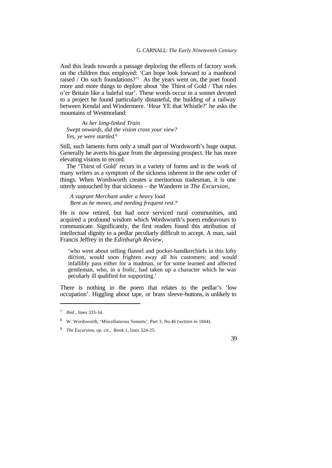And this leads towards a passage deploring the effects of factory work on the children thus employed: 'Can hope look forward to a manhood raised / On such foundations?'<sup>7</sup> As the years went on, the poet found more and more things to deplore about 'the Thirst of Gold / That rules o'er Britain like a baleful star'. These words occur in a sonnet devoted to a project he found particularly distasteful, the building of a railway between Kendal and Windermere. 'Hear YE that Whistle?' he asks the mountains of Westmorland:

 *As her long-linked Train Swept onwards, did the vision cross your view? Yes, ye were startled.*<sup>8</sup>

Still, such laments form only a small part of Wordsworth's huge output. Generally he averts his gaze from the depressing prospect. He has more elevating visions to record.

The 'Thirst of Gold' recurs in a variety of forms and in the work of many writers as a symptom of the sickness inherent in the new order of things. When Wordsworth creates a meritorious tradesman, it is one utterly untouched by that sickness – the Wanderer in *The Excursion*,

 *A vagrant Merchant under a heavy load Bent as he moves, and needing frequent rest*. 9

He is now retired, but had once serviced rural communities, and acquired a profound wisdom which Wordsworth's poem endeavours to communicate. Significantly, the first readers found this attribution of intellectual dignity to a pedlar peculiarly difficult to accept. A man, said Francis Jeffrey in the *Edinburgh Review*,

'who went about selling flannel and pocket-handkerchiefs in this lofty diction, would soon frighten away all his customers; and would infallibly pass either for a madman, or for some learned and affected gentleman, who, in a frolic, had taken up a character which he was peculiarly ill qualified for supporting.'

There is nothing in the poem that relates to the pedlar's 'low occupation'. Higgling about tape, or brass sleeve-buttons, is unlikely to



<sup>7</sup> *Ibid*., lines 333-34.

<sup>8</sup> W. Wordsworth, 'Miscellaneous Sonnets', Part 3, No.46 (written in 1844).

<sup>9</sup> *The Excursion*, *op. cit*., Book 1, lines 324-25.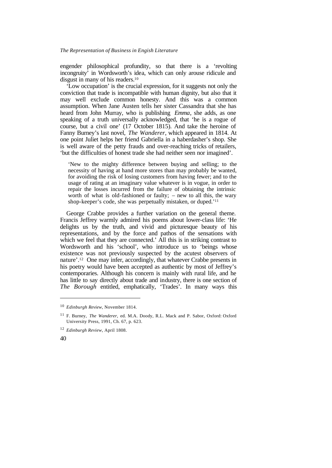engender philosophical profundity, so that there is a 'revolting incongruity' in Wordsworth's idea, which can only arouse ridicule and disgust in many of his readers.<sup>10</sup>

'Low occupation' is the crucial expression, for it suggests not only the conviction that trade is incompatible with human dignity, but also that it may well exclude common honesty. And this was a common assumption. When Jane Austen tells her sister Cassandra that she has heard from John Murray, who is publishing *Emma*, she adds, as one speaking of a truth universally acknowledged, that 'he is a rogue of course, but a civil one' (17 October 1815). And take the heroine of Fanny Burney's last novel, *The Wanderer*, which appeared in 1814. At one point Juliet helps her friend Gabriella in a haberdasher's shop. She is well aware of the petty frauds and over-reaching tricks of retailers, 'but the difficulties of honest trade she had neither seen nor imagined'.

'New to the mighty difference between buying and selling; to the necessity of having at hand more stores than may probably be wanted, for avoiding the risk of losing customers from having fewer; and to the usage of rating at an imaginary value whatever is in vogue, in order to repair the losses incurred from the failure of obtaining the intrinsic worth of what is old-fashioned or faulty; – new to all this, the wary shop-keeper's code, she was perpetually mistaken, or duped.'<sup>11</sup>

George Crabbe provides a further variation on the general theme. Francis Jeffrey warmly admired his poems about lower-class life: 'He delights us by the truth, and vivid and picturesque beauty of his representations, and by the force and pathos of the sensations with which we feel that they are connected.' All this is in striking contrast to Wordsworth and his 'school', who introduce us to 'beings whose existence was not previously suspected by the acutest observers of nature'.12 One may infer, accordingly, that whatever Crabbe presents in his poetry would have been accepted as authentic by most of Jeffrey's contemporaries. Although his concern is mainly with rural life, and he has little to say directly about trade and industry, there is one section of *The Borough* entitled, emphatically, 'Trades'. In many ways this

# 40

<sup>10</sup> *Edinburgh Review*, November 1814.

<sup>11</sup> F. Burney, *The Wanderer*, ed. M.A. Doody, R.L. Mack and P. Sabor, Oxford: Oxford University Press, 1991, Ch. 67, p. 623.

<sup>12</sup> *Edinburgh Review*, April 1808.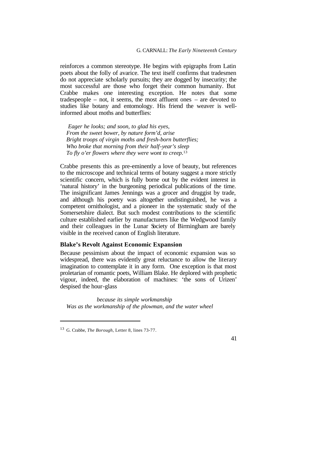reinforces a common stereotype. He begins with epigraphs from Latin poets about the folly of avarice. The text itself confirms that tradesmen do not appreciate scholarly pursuits; they are dogged by insecurity; the most successful are those who forget their common humanity. But Crabbe makes one interesting exception. He notes that some tradespeople – not, it seems, the most affluent ones – are devoted to studies like botany and entomology. His friend the weaver is wellinformed about moths and butterflies:

 *Eager he looks; and soon, to glad his eyes, From the sweet bower, by nature form'd, arise Bright troops of virgin moths and fresh-born butterflies; Who broke that morning from their half-year's sleep To fly o'er flowers where they were wont to creep*. 13

Crabbe presents this as pre-eminently a love of beauty, but references to the microscope and technical terms of botany suggest a more strictly scientific concern, which is fully borne out by the evident interest in 'natural history' in the burgeoning periodical publications of the time. The insignificant James Jennings was a grocer and druggist by trade, and although his poetry was altogether undistinguished, he was a competent ornithologist, and a pioneer in the systematic study of the Somersetshire dialect. But such modest contributions to the scientific culture established earlier by manufacturers like the Wedgwood family and their colleagues in the Lunar Society of Birmingham are barely visible in the received canon of English literature.

#### **Blake's Revolt Against Economic Expansion**

Because pessimism about the impact of economic expansion was so widespread, there was evidently great reluctance to allow the literary imagination to contemplate it in any form. One exception is that most proletarian of romantic poets, William Blake. He deplored with prophetic vigour, indeed, the elaboration of machines: 'the sons of Urizen' despised the hour-glass

 *because its simple workmanship Was as the workmanship of the plowman, and the water wheel*



<sup>13</sup> G. Crabbe, *The Borough*, Letter 8, lines 73-77.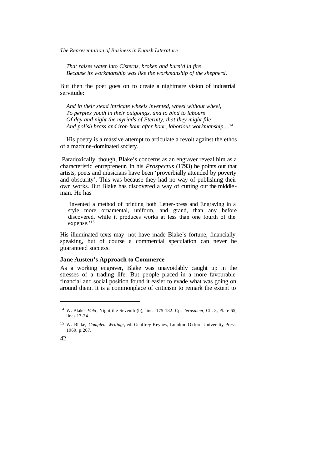*That raises water into Cisterns, broken and burn'd in fire Because its workmanship was like the workmanship of the shepherd*.

But then the poet goes on to create a nightmare vision of industrial servitude:

*And in their stead intricate wheels invented, wheel without wheel, To perplex youth in their outgoings, and to bind to labours Of day and night the myriads of Eternity, that they might file And polish brass and iron hour after hour, laborious workmanship ...*<sup>14</sup>

His poetry is a massive attempt to articulate a revolt against the ethos of a machine-dominated society.

 Paradoxically, though, Blake's concerns as an engraver reveal him as a characteristic entrepreneur. In his *Prospectus* (1793) he points out that artists, poets and musicians have been 'proverbially attended by poverty and obscurity'. This was because they had no way of publishing their own works. But Blake has discovered a way of cutting out the middleman. He has

'invented a method of printing both Letter-press and Engraving in a style more ornamental, uniform, and grand, than any before discovered, while it produces works at less than one fourth of the expense.'<sup>15</sup>

His illuminated texts may not have made Blake's fortune, financially speaking, but of course a commercial speculation can never be guaranteed success.

# **Jane Austen's Approach to Commerce**

As a working engraver, Blake was unavoidably caught up in the stresses of a trading life. But people placed in a more favourable financial and social position found it easier to evade what was going on around them. It is a commonplace of criticism to remark the extent to

<sup>14</sup> W. Blake, *Vala*, Night the Seventh (b), lines 175-182. Cp. *Jerusalem*, Ch. 3, Plate 65, lines 17-24.

<sup>15</sup> W. Blake, *Complete Writings*, ed. Geoffrey Keynes, London: Oxford University Press, 1969, p.207.

<sup>42</sup>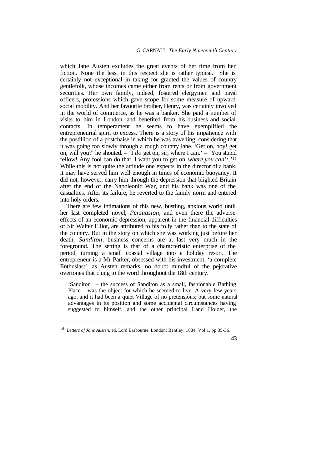which Jane Austen excludes the great events of her time from her fiction. None the less, in this respect she is rather typical. She is certainly not exceptional in taking for granted the values of country gentlefolk, whose incomes came either from rents or from government securities. Her own family, indeed, fostered clergymen and naval officers, professions which gave scope for some measure of upward social mobility. And her favourite brother, Henry, was certainly involved in the world of commerce, as he was a banker. She paid a number of visits to him in London, and benefited from his business and social contacts. In temperament he seems to have exemplified the entrepreneurial spirit to excess. There is a story of his impatience with the postillion of a postchaise in which he was travelling, considering that it was going too slowly through a rough country lane. 'Get on, boy! get on, will you?' he shouted. – 'I *do* get on, sir, where I can.' – 'You stupid fellow! Any fool can do that. I want you to get on *where you can't*.'<sup>16</sup> While this is not quite the attitude one expects in the director of a bank, it may have served him well enough in times of economic buoyancy. It did not, however, carry him through the depression that blighted Britain after the end of the Napoleonic War, and his bank was one of the casualties. After its failure, he reverted to the family norm and entered into holy orders.

There are few intimations of this new, bustling, anxious world until her last completed novel, *Persuasion*, and even there the adverse effects of an economic depression, apparent in the financial difficulties of Sir Walter Elliot, are attributed to his folly rather than to the state of the country. But in the story on which she was working just before her death, *Sanditon*, business concerns are at last very much in the foreground. The setting is that of a characteristic enterprise of the period, turning a small coastal village into a holiday resort. The entrepreneur is a Mr Parker, obsessed with his investment, 'a complete Enthusiast', as Austen remarks, no doubt mindful of the pejorative overtones that clung to the word throughout the 18th century.

'Sanditon – the success of Sanditon as a small, fashionable Bathing Place – was the object for which he seemed to live. A very few years ago, and it had been a quiet Village of no pretensions; but some natural advantages in its position and some accidental circumstances having suggested to himself, and the other principal Land Holder, the

<sup>16</sup> *Letters of Jane Austen*, ed. Lord Brabourne, London: Bentley, 1884, Vol.1, pp.35-36.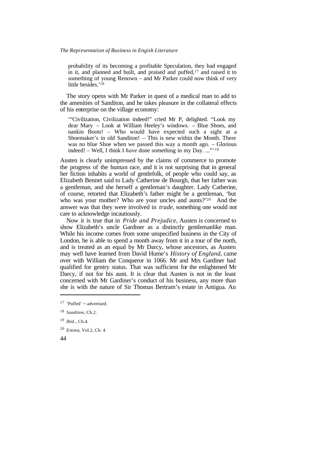probability of its becoming a profitable Speculation, they had engaged in it, and planned and built, and praised and puffed, <sup>17</sup> and raised it to something of young Renown – and Mr Parker could now think of very little besides.'<sup>18</sup>

The story opens with Mr Parker in quest of a medical man to add to the amenities of Sanditon, and he takes pleasure in the collateral effects of his enterprise on the village economy:

'"Civilization, Civilization indeed!" cried Mr P, delighted. "Look my dear Mary – Look at William Heeley's windows. – Blue Shoes, and nankin Boots! – Who would have expected such a sight at a Shoemaker's in old Sanditon! – This is new within the Month. There was no blue Shoe when we passed this way a month ago. – Glorious indeed! – Well, I think I *have* done something in my Day. ..."'<sup>19</sup>

Austen is clearly unimpressed by the claims of commerce to promote the progress of the human race, and it is not surprising that in general her fiction inhabits a world of gentlefolk, of people who could say, as Elizabeth Bennet said to Lady Catherine de Bourgh, that her father was a gentleman, and she herself a gentleman's daughter. Lady Catherine, of course, retorted that Elizabeth's father might be a gentleman, 'but who was your mother? Who are your uncles and aunts?'<sup>20</sup> And the answer was that they were involved in *trade*, something one would not care to acknowledge incautiously.

Now it is true that in *Pride and Prejudice*, Austen is concerned to show Elizabeth's uncle Gardiner as a distinctly gentlemanlike man. While his income comes from some unspecified business in the City of London, he is able to spend a month away from it in a tour of the north, and is treated as an equal by Mr Darcy, whose ancestors, as Austen may well have learned from David Hume's *History of England*, came over with William the Conqueror in 1066. Mr and Mrs Gardiner had qualified for gentry status. That was sufficient for the enlightened Mr Darcy, if not for his aunt. It is clear that Austen is not in the least concerned with Mr Gardiner's conduct of his business, any more than she is with the nature of Sir Thomas Bertram's estate in Antigua. An

<sup>&</sup>lt;sup>17</sup> 'Puffed' = advertised.

<sup>18</sup> *Sanditon*, Ch.2.

<sup>19</sup> *Ibid*., Ch.4.

<sup>20</sup> *Emma*, Vol.2, Ch. 4.

<sup>44</sup>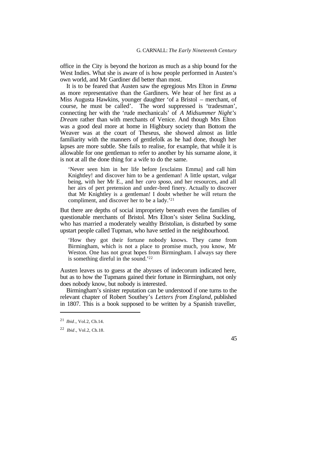office in the City is beyond the horizon as much as a ship bound for the West Indies. What she is aware of is how people performed in Austen's own world, and Mr Gardiner did better than most.

It is to be feared that Austen saw the egregious Mrs Elton in *Emma* as more representative than the Gardiners. We hear of her first as a Miss Augusta Hawkins, younger daughter 'of a Bristol – merchant, of course, he must be called'. The word suppressed is 'tradesman', connecting her with the 'rude mechanicals' of *A Midsummer Night's Dream* rather than with merchants of Venice. And though Mrs Elton was a good deal more at home in Highbury society than Bottom the Weaver was at the court of Theseus, she showed almost as little familiarity with the manners of gentlefolk as he had done, though her lapses are more subtle. She fails to realise, for example, that while it is allowable for one gentleman to refer to another by his surname alone, it is not at all the done thing for a wife to do the same.

'Never seen him in her life before [exclaims Emma] and call him Knightley! and discover him to be a gentleman! A little upstart, vulgar being, with her Mr E., and her *caro sposo*, and her resources, and all her airs of pert pretension and under-bred finery. Actually to discover that Mr Knightley is a gentleman! I doubt whether he will return the compliment, and discover her to be a lady.'<sup>21</sup>

But there are depths of social impropriety beneath even the families of questionable merchants of Bristol. Mrs Elton's sister Selina Suckling, who has married a moderately wealthy Bristolian, is disturbed by some upstart people called Tupman, who have settled in the neighbourhood.

'How they got their fortune nobody knows. They came from Birmingham, which is not a place to promise much, you know, Mr Weston. One has not great hopes from Birmingham. I always say there is something direful in the sound.'<sup>22</sup>

Austen leaves us to guess at the abysses of indecorum indicated here, but as to how the Tupmans gained their fortune in Birmingham, not only does nobody know, but nobody is interested.

Birmingham's sinister reputation can be understood if one turns to the relevant chapter of Robert Southey's *Letters from England*, published in 1807. This is a book supposed to be written by a Spanish traveller,

<sup>21</sup> *Ibid*., Vol.2, Ch.14.

<sup>22</sup> *Ibid*., Vol.2, Ch.18.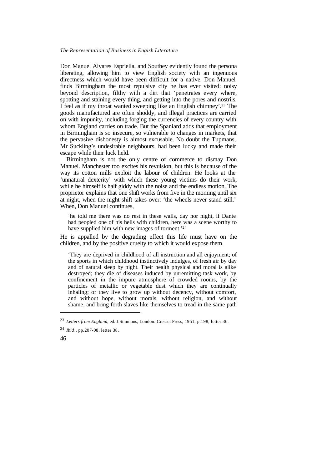Don Manuel Alvares Espriella, and Southey evidently found the persona liberating, allowing him to view English society with an ingenuous directness which would have been difficult for a native. Don Manuel finds Birmingham the most repulsive city he has ever visited: noisy beyond description, filthy with a dirt that 'penetrates every where, spotting and staining every thing, and getting into the pores and nostrils. I feel as if my throat wanted sweeping like an English chimney'.23 The goods manufactured are often shoddy, and illegal practices are carried on with impunity, including forging the currencies of every country with whom England carries on trade. But the Spaniard adds that employment in Birmingham is so insecure, so vulnerable to changes in markets, that the pervasive dishonesty is almost excusable. No doubt the Tupmans, Mr Suckling's undesirable neighbours, had been lucky and made their escape while their luck held.

Birmingham is not the only centre of commerce to dismay Don Manuel. Manchester too excites his revulsion, but this is because of the way its cotton mills exploit the labour of children. He looks at the 'unnatural dexterity' with which these young victims do their work, while he himself is half giddy with the noise and the endless motion. The proprietor explains that one shift works from five in the morning until six at night, when the night shift takes over: 'the wheels never stand still.' When, Don Manuel continues,

'he told me there was no rest in these walls, day nor night, if Dante had peopled one of his hells with children, here was a scene worthy to have supplied him with new images of torment.<sup>'24</sup>

He is appalled by the degrading effect this life must have on the children, and by the positive cruelty to which it would expose them.

'They are deprived in childhood of all instruction and all enjoyment; of the sports in which childhood instinctively indulges, of fresh air by day and of natural sleep by night. Their health physical and moral is alike destroyed; they die of diseases induced by unremitting task work, by confinement in the impure atmosphere of crowded rooms, by the particles of metallic or vegetable dust which they are continually inhaling; or they live to grow up without decency, without comfort, and without hope, without morals, without religion, and without shame, and bring forth slaves like themselves to tread in the same path

<sup>23</sup> *Letters from England*, ed. J.Simmons, London: Cresset Press, 1951, p.198, letter 36.

<sup>24</sup> *Ibid*., pp.207-08, letter 38.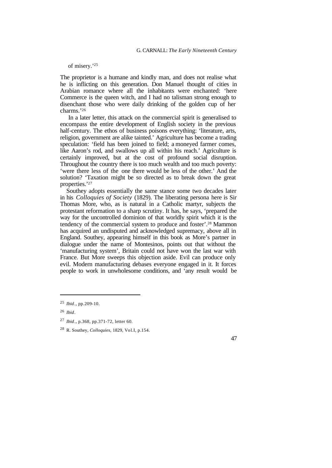of misery.'<sup>25</sup>

The proprietor is a humane and kindly man, and does not realise what he is inflicting on this generation. Don Manuel thought of cities in Arabian romance where all the inhabitants were enchanted: 'here Commerce is the queen witch, and I had no talisman strong enough to disenchant those who were daily drinking of the golden cup of her charms.'<sup>26</sup>

 In a later letter, this attack on the commercial spirit is generalised to encompass the entire development of English society in the previous half-century. The ethos of business poisons everything: 'literature, arts, religion, government are alike tainted.' Agriculture has become a trading speculation: 'field has been joined to field; a moneyed farmer comes, like Aaron's rod, and swallows up all within his reach.' Agriculture is certainly improved, but at the cost of profound social disruption. Throughout the country there is too much wealth and too much poverty: 'were there less of the one there would be less of the other.' And the solution? 'Taxation might be so directed as to break down the great properties.'<sup>27</sup>

Southey adopts essentially the same stance some two decades later in his *Colloquies of Society* (1829). The liberating persona here is Sir Thomas More, who, as is natural in a Catholic martyr, subjects the protestant reformation to a sharp scrutiny. It has, he says, 'prepared the way for the uncontrolled dominion of that worldly spirit which it is the tendency of the commercial system to produce and foster'.28 Mammon has acquired an undisputed and acknowledged supremacy, above all in England. Southey, appearing himself in this book as More's partner in dialogue under the name of Montesinos, points out that without the 'manufacturing system', Britain could not have won the last war with France. But More sweeps this objection aside. Evil can produce only evil. Modern manufacturing debases everyone engaged in it. It forces people to work in unwholesome conditions, and 'any result would be

l

# 47

<sup>25</sup> *Ibid*., pp.209-10.

<sup>26</sup> *Ibid*.

<sup>27</sup> *Ibid*., p.368, pp.371-72, letter 60.

<sup>28</sup> R. Southey, *Colloquies*, 1829, Vol.I, p.154.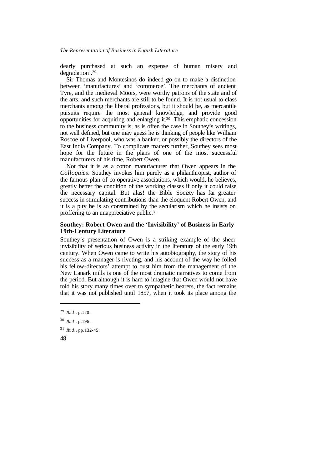dearly purchased at such an expense of human misery and degradation'.<sup>29</sup>

Sir Thomas and Montesinos do indeed go on to make a distinction between 'manufactures' and 'commerce'. The merchants of ancient Tyre, and the medieval Moors, were worthy patrons of the state and of the arts, and such merchants are still to be found. It is not usual to class merchants among the liberal professions, but it should be, as mercantile pursuits require the most general knowledge, and provide good opportunities for acquiring and enlarging it.30 This emphatic concession to the business community is, as is often the case in Southey's writings, not well defined, but one may guess he is thinking of people like William Roscoe of Liverpool, who was a banker, or possibly the directors of the East India Company. To complicate matters further, Southey sees most hope for the future in the plans of one of the most successful manufacturers of his time, Robert Owen.

Not that it is as a cotton manufacturer that Owen appears in the *Colloquies*. Southey invokes him purely as a philanthropist, author of the famous plan of co-operative associations, which would, he believes, greatly better the condition of the working classes if only it could raise the necessary capital. But alas! the Bible Society has far greater success in stimulating contributions than the eloquent Robert Owen, and it is a pity he is so constrained by the secularism which he insists on proffering to an unappreciative public.<sup>31</sup>

# **Southey: Robert Owen and the 'Invisibility' of Business in Early 19th-Century Literature**

Southey's presentation of Owen is a striking example of the sheer invisibility of serious business activity in the literature of the early 19th century. When Owen came to write his autobiography, the story of his success as a manager is riveting, and his account of the way he foiled his fellow-directors' attempt to oust him from the management of the New Lanark mills is one of the most dramatic narratives to come from the period. But although it is hard to imagine that Owen would not have told his story many times over to sympathetic hearers, the fact remains that it was not published until 1857, when it took its place among the

<sup>29</sup> *Ibid*., p.170.

<sup>30</sup> *Ibid*., p.196.

<sup>31</sup> *Ibid*., pp.132-45.

<sup>48</sup>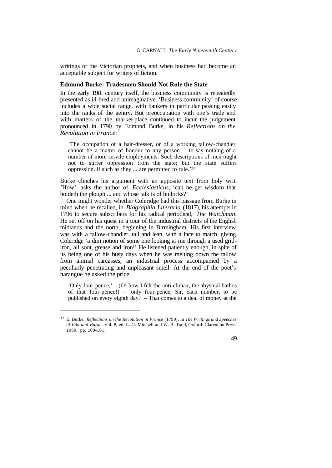writings of the Victorian prophets, and when business had become an acceptable subject for writers of fiction.

#### **Edmund Burke: Tradesmen Should Not Rule the State**

In the early 19th century itself, the business community is repeatedly presented as ill-bred and unimaginative. 'Business community' of course includes a wide social range, with bankers in particular passing easily into the ranks of the gentry. But preoccupation with one's trade and with matters of the market-place continued to incur the judgement pronounced in 1790 by Edmund Burke, in his *Reflections on the Revolution in France*:

'The occupation of a hair-dresser, or of a working tallow-chandler, cannot be a matter of honour to any person – to say nothing of a number of more servile employments. Such descriptions of men ought not to suffer oppression from the state; but the state suffers oppression, if such as they ... are permitted to rule.'<sup>32</sup>

Burke clinches his argument with an apposite text from holy writ. 'How', asks the author of *Ecclesiasticus*, 'can he get wisdom that holdeth the plough ... and whose talk is of bullocks?'

One might wonder whether Coleridge had this passage from Burke in mind when he recalled, in *Biographia Literaria* (1817), his attempts in 1796 to secure subscribers for his radical periodical, *The Watchman*. He set off on his quest in a tour of the industrial districts of the English midlands and the north, beginning in Birmingham. His first interview was with a tallow-chandler, tall and lean, with a face to match, giving Coleridge 'a dim notion of some one looking at me through a used gridiron, all soot, grease and iron!' He listened patiently enough, in spite of its being one of his busy days when he was melting down the tallow from animal carcasses, an industrial process accompanied by a peculiarly penetrating and unpleasant smell. At the end of the poet's harangue he asked the price.

'Only four-pence,' – (O! how I felt the anti-climax, the abysmal bathos of that four-pence!) – 'only four-pence, Sir, each number, to be published on every eighth day.' – That comes to a deal of money at the

<sup>32</sup> E. Burke, *Reflections on the Revolution in France* (1790), in *The Writings and Speeches of Edmund Burke*, Vol. 8, ed. L. G. Mitchell and W. B. Todd, Oxford: Clarendon Press, 1989, pp. 100-101.

<sup>49</sup>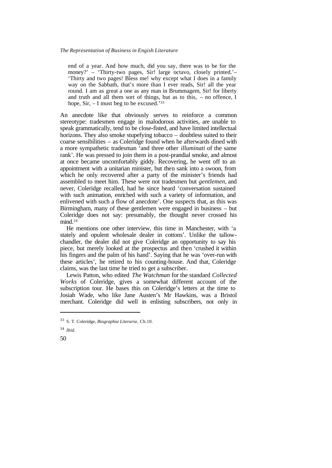end of a year. And how much, did you say, there was to be for the money?' – 'Thirty-two pages, Sir! large octavo, closely printed.'– 'Thirty and two pages! Bless me! why except what I does in a family way on the Sabbath, that's more than I ever reads, Sir! all the year round. I am as great a one as any man in Brummagem, Sir! for liberty and truth and all them sort of things, but as to this, – no offence, I hope, Sir,  $-1$  must beg to be excused.<sup>'33</sup>

An anecdote like that obviously serves to reinforce a common stereotype: tradesmen engage in malodorous activities, are unable to speak grammatically, tend to be close-fisted, and have limited intellectual horizons. They also smoke stupefying tobacco – doubtless suited to their coarse sensibilities – as Coleridge found when he afterwards dined with a more sympathetic tradesman 'and three other *illuminati* of the same rank'. He was pressed to join them in a post-prandial smoke, and almost at once became uncomfortably giddy. Recovering, he went off to an appointment with a unitarian minister, but then sank into a swoon, from which he only recovered after a party of the minister's friends had assembled to meet him. These were not tradesmen but *gentlemen*, and never, Coleridge recalled, had he since heard 'conversation sustained with such animation, enriched with such a variety of information, and enlivened with such a flow of anecdote'. One suspects that, as this was Birmingham, many of these gentlemen were engaged in business – but Coleridge does not say: presumably, the thought never crossed his mind.<sup>34</sup>

He mentions one other interview, this time in Manchester, with 'a stately and opulent wholesale dealer in cottons'. Unlike the tallowchandler, the dealer did not give Coleridge an opportunity to say his piece, but merely looked at the prospectus and then 'crushed it within his fingers and the palm of his hand'. Saying that he was 'over-run with these articles', he retired to his counting-house. And that, Coleridge claims, was the last time he tried to get a subscriber.

Lewis Patton, who edited *The Watchman* for the standard *Collected Works* of Coleridge, gives a somewhat different account of the subscription tour. He bases this on Coleridge's letters at the time to Josiah Wade, who like Jane Austen's Mr Hawkins, was a Bristol merchant. Coleridge did well in enlisting subscribers, not only in

<sup>33</sup> S. T. Coleridge, *Biographia Literaria*, Ch.10.

<sup>34</sup> *Ibid.*

<sup>50</sup>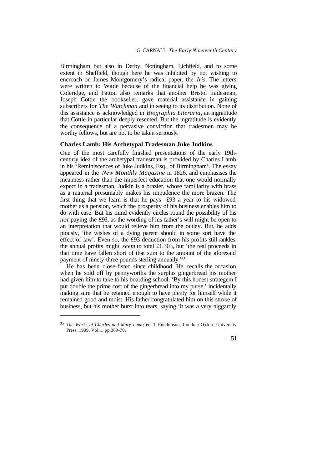Birmingham but also in Derby, Nottingham, Lichfield, and to some extent in Sheffield, though here he was inhibited by not wishing to encroach on James Montgomery's radical paper, the *Iris*. The letters were written to Wade because of the financial help he was giving Coleridge, and Patton also remarks that another Bristol tradesman, Joseph Cottle the bookseller, gave material assistance in gaining subscribers for *The Watchman* and in seeing to its distribution. None of this assistance is acknowledged in *Biographia Literaria*, an ingratitude that Cottle in particular deeply resented. But the ingratitude is evidently the consequence of a pervasive conviction that tradesmen may be worthy fellows, but are not to be taken seriously.

#### **Charles Lamb: His Archetypal Tradesman Juke Judkins**

One of the most carefully finished presentations of the early 19thcentury idea of the archetypal tradesman is provided by Charles Lamb in his 'Reminiscences of Juke Judkins, Esq., of Birmingham'. The essay appeared in the *New Monthly Magazine* in 1826, and emphasises the meanness rather than the imperfect education that one would normally expect in a tradesman. Judkin is a brazier, whose familiarity with brass as a material presumably makes his impudence the more brazen. The first thing that we learn is that he pays £93 a year to his widowed mother as a pension, which the prosperity of his business enables him to do with ease. But his mind evidently circles round the possibility of his *not* paying the £93, as the wording of his father's will might be open to an interpretation that would relieve him from the outlay. But, he adds piously, 'the wishes of a dying parent should in some sort have the effect of law'. Even so, the £93 deduction from his profits still rankles: the annual profits might *seem* to total £1,303, but 'the real proceeds in that time have fallen short of that sum to the amount of the aforesaid payment of ninety-three pounds sterling annually.'<sup>35</sup>

He has been close-fisted since childhood. He recalls the occasion when he sold off by pennyworths the surplus gingerbread his mother had given him to take to his boarding school. 'By this honest strategem I put double the prime cost of the gingerbread into my purse,' incidentally making sure that he retained enough to have plenty for himself while it remained good and moist. His father congratulated him on this stroke of business, but his mother burst into tears, saying 'it was a very niggardly

<sup>35</sup> *The Works of Charles and Mary Lamb*, ed. T.Hutchinson, London: Oxford University Press, 1909, Vol.1, pp.369-70.

<sup>51</sup>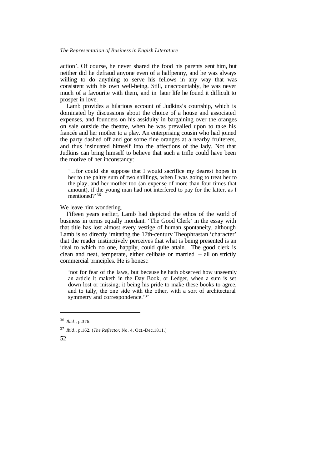action'. Of course, he never shared the food his parents sent him, but neither did he defraud anyone even of a halfpenny, and he was always willing to do anything to serve his fellows in any way that was consistent with his own well-being. Still, unaccountably, he was never much of a favourite with them, and in later life he found it difficult to prosper in love.

Lamb provides a hilarious account of Judkins's courtship, which is dominated by discussions about the choice of a house and associated expenses, and founders on his assiduity in bargaining over the oranges on sale outside the theatre, when he was prevailed upon to take his fiancée and her mother to a play. An enterprising cousin who had joined the party dashed off and got some fine oranges at a nearby fruiterers, and thus insinuated himself into the affections of the lady. Not that Judkins can bring himself to believe that such a trifle could have been the motive of her inconstancy:

'…for could she suppose that I would sacrifice my dearest hopes in her to the paltry sum of two shillings, when I was going to treat her to the play, and her mother too (an expense of more than four times that amount), if the young man had not interfered to pay for the latter, as I mentioned?'<sup>36</sup>

We leave him wondering.

Fifteen years earlier, Lamb had depicted the ethos of the world of business in terms equally mordant. 'The Good Clerk' in the essay with that title has lost almost every vestige of human spontaneity, although Lamb is so directly imitating the 17th-century Theophrastan 'character' that the reader instinctively perceives that what is being presented is an ideal to which no one, happily, could quite attain. The good clerk is clean and neat, temperate, either celibate or married – all on strictly commercial principles. He is honest:

'not for fear of the laws, but because he hath observed how unseemly an article it maketh in the Day Book, or Ledger, when a sum is set down lost or missing; it being his pride to make these books to agree, and to tally, the one side with the other, with a sort of architectural symmetry and correspondence.'<sup>37</sup>

<sup>36</sup> *Ibid*., p.376.

<sup>37</sup> *Ibid*., p.162. (*The Reflector*, No. 4, Oct.-Dec.1811.)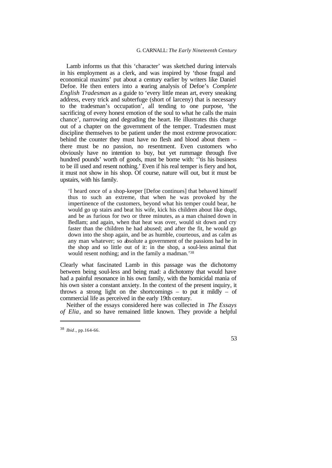Lamb informs us that this 'character' was sketched during intervals in his employment as a clerk, and was inspired by 'those frugal and economical maxims' put about a century earlier by writers like Daniel Defoe. He then enters into a searing analysis of Defoe's *Complete English Tradesman* as a guide to 'every little mean art, every sneaking address, every trick and subterfuge (short of larceny) that is necessary to the tradesman's occupation', all tending to one purpose, 'the sacrificing of every honest emotion of the soul to what he calls the main chance', narrowing and degrading the heart. He illustrates this charge out of a chapter on the government of the temper. Tradesmen must discipline themselves to be patient under the most extreme provocation: behind the counter they must have no flesh and blood about them – there must be no passion, no resentment. Even customers who obviously have no intention to buy, but yet rummage through five hundred pounds' worth of goods, must be borne with: "tis his business" to be ill used and resent nothing.' Even if his real temper is fiery and hot, it must not show in his shop. Of course, nature will out, but it must be upstairs, with his family.

'I heard once of a shop-keeper [Defoe continues] that behaved himself thus to such an extreme, that when he was provoked by the impertinence of the customers, beyond what his temper could bear, he would go up stairs and beat his wife, kick his children about like dogs, and be as furious for two or three minutes, as a man chained down in Bedlam; and again, when that heat was over, would sit down and cry faster than the children he had abused; and after the fit, he would go down into the shop again, and be as humble, courteous, and as calm as any man whatever; so absolute a government of the passions had he in the shop and so little out of it: in the shop, a soul-less animal that would resent nothing; and in the family a madman.'<sup>38</sup>

Clearly what fascinated Lamb in this passage was the dichotomy between being soul-less and being mad: a dichotomy that would have had a painful resonance in his own family, with the homicidal mania of his own sister a constant anxiety. In the context of the present inquiry, it throws a strong light on the shortcomings – to put it mildly – of commercial life as perceived in the early 19th century.

Neither of the essays considered here was collected in *The Essays of Elia*, and so have remained little known. They provide a helpful

<sup>38</sup> *Ibid*., pp.164-66.

<sup>53</sup>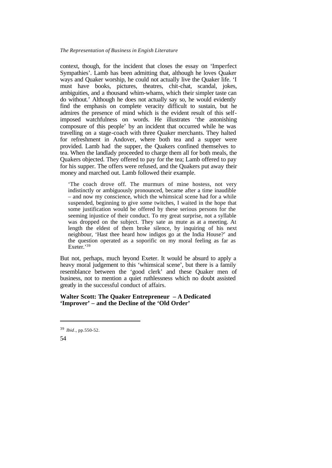context, though, for the incident that closes the essay on 'Imperfect Sympathies'. Lamb has been admitting that, although he loves Quaker ways and Quaker worship, he could not actually live the Quaker life. 'I must have books, pictures, theatres, chit-chat, scandal, jokes, ambiguities, and a thousand whim-whams, which their simpler taste can do without.' Although he does not actually say so, he would evidently find the emphasis on complete veracity difficult to sustain, but he admires the presence of mind which is the evident result of this selfimposed watchfulness on words. He illustrates 'the astonishing composure of this people' by an incident that occurred while he was travelling on a stage-coach with three Quaker merchants. They halted for refreshment in Andover, where both tea and a supper were provided. Lamb had the supper, the Quakers confined themselves to tea. When the landlady proceeded to charge them all for both meals, the Quakers objected. They offered to pay for the tea; Lamb offered to pay for his supper. The offers were refused, and the Quakers put away their money and marched out. Lamb followed their example.

'The coach drove off. The murmurs of mine hostess, not very indistinctly or ambiguously pronounced, became after a time inaudible – and now my conscience, which the whimsical scene had for a while suspended, beginning to give some twitches, I waited in the hope that some justification would be offered by these serious persons for the seeming injustice of their conduct. To my great surprise, not a syllable was dropped on the subject. They sate as mute as at a meeting. At length the eldest of them broke silence, by inquiring of his next neighbour, 'Hast thee heard how indigos go at the India House?' and the question operated as a soporific on my moral feeling as far as Exeter.'<sup>39</sup>

But not, perhaps, much beyond Exeter. It would be absurd to apply a heavy moral judgement to this 'whimsical scene', but there is a family resemblance between the 'good clerk' and these Quaker men of business, not to mention a quiet ruthlessness which no doubt assisted greatly in the successful conduct of affairs.

# **Walter Scott: The Quaker Entrepreneur – A Dedicated 'Improver' – and the Decline of the 'Old Order'**

<sup>39</sup> *Ibid*., pp.550-52.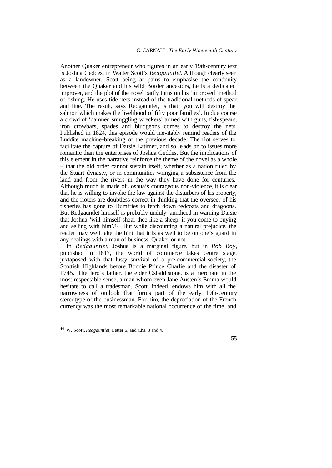Another Quaker entrepreneur who figures in an early 19th-century text is Joshua Geddes, in Walter Scott's *Redgauntlet*. Although clearly seen as a landowner, Scott being at pains to emphasise the continuity between the Quaker and his wild Border ancestors, he is a dedicated improver, and the plot of the novel partly turns on his 'improved' method of fishing. He uses tide-nets instead of the traditional methods of spear and line. The result, says Redgauntlet, is that 'you will destroy the salmon which makes the livelihood of fifty poor families'. In due course a crowd of 'damned smuggling wreckers' armed with guns, fish-spears, iron crowbars, spades and bludgeons comes to destroy the nets. Published in 1824, this episode would inevitably remind readers of the Luddite machine-breaking of the previous decade. The riot serves to facilitate the capture of Darsie Latimer, and so le ads on to issues more romantic than the enterprises of Joshua Geddes. But the implications of this element in the narrative reinforce the theme of the novel as a whole – that the old order cannot sustain itself, whether as a nation ruled by the Stuart dynasty, or in communities wringing a subsistence from the land and from the rivers in the way they have done for centuries. Although much is made of Joshua's courageous non-violence, it is clear that he is willing to invoke the law against the disturbers of his property, and the rioters are doubtless correct in thinking that the overseer of his fisheries has gone to Dumfries to fetch down redcoats and dragoons. But Redgauntlet himself is probably unduly jaundiced in warning Darsie that Joshua 'will himself shear thee like a sheep, if you come to buying and selling with him'.40 But while discounting a natural prejudice, the reader may well take the hint that it is as well to be on one's guard in any dealings with a man of business, Quaker or not.

In *Redgauntlet*, Joshua is a marginal figure, but in *Rob Roy*, published in 1817, the world of commerce takes centre stage, juxtaposed with that lusty survival of a pre-commercial society, the Scottish Highlands before Bonnie Prince Charlie and the disaster of 1745. The hero's father, the elder Osbaldistone, is a merchant in the most respectable sense, a man whom even Jane Austen's Emma would hesitate to call a tradesman. Scott, indeed, endows him with all the narrowness of outlook that forms part of the early 19th-century stereotype of the businessman. For him, the depreciation of the French currency was the most remarkable national occurrence of the time, and

<sup>40</sup> W. Scott, *Redgauntlet*, Letter 6, and Chs. 3 and 4.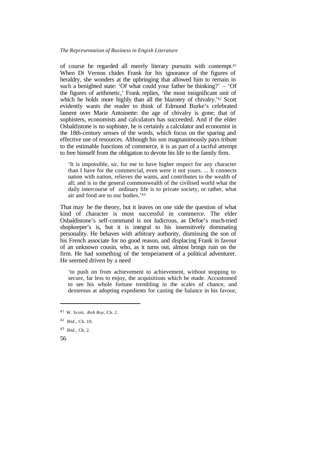of course he regarded all merely literary pursuits with contempt.<sup>41</sup> When Di Vernon chides Frank for his ignorance of the figures of heraldry, she wonders at the upbringing that allowed him to remain in such a benighted state: 'Of what could your father be thinking?' – 'Of the figures of arithmetic,' Frank replies, 'the most insignificant unit of which he holds more highly than all the blazonry of chivalry.<sup>'42</sup> Scott evidently wants the reader to think of Edmund Burke's celebrated lament over Marie Antoinette: the age of chivalry is gone; that of sophisters, economists and calculators has succeeded. And if the elder Osbaldistone is no sophister, he is certainly a calculator and economist in the 18th-century senses of the words, which focus on the sparing and effective use of resources. Although his son magnanimously pays tribute to the estimable functions of commerce, it is as part of a tactful attempt to free himself from the obligation to devote his life to the family firm.

'It is impossible, sir, for me to have higher respect for any character than I have for the commercial, even were it not yours. ... It connects nation with nation, relieves the wants, and contributes to the wealth of all; and is to the general commonwealth of the civilised world what the daily intercourse of ordinary life is to private society, or rather, what air and food are to our bodies.'<sup>43</sup>

That may be the theory, but it leaves on one side the question of what kind of character is most successful in commerce. The elder Osbaldistone's self-command is not ludicrous, as Defoe's much-tried shopkeeper's is, but it is integral to his insensitively dominating personality. He behaves with arbitrary authority, dismissing the son of his French associate for no good reason, and displacing Frank in favour of an unknown cousin, who, as it turns out, almost brings ruin on the firm. He had something of the temperament of a political adventurer. He seemed driven by a need

'to push on from achievement to achievement, without stopping to secure, far less to enjoy, the acquisitions which he made. Accustomed to see his whole fortune trembling in the scales of chance, and dexterous at adopting expedients for casting the balance in his favour,

56

<sup>41</sup> W. Scott, *Rob Roy*, Ch. 2.

<sup>42</sup> *Ibid*., Ch. 10.

<sup>43</sup> *Ibid*., Ch. 2.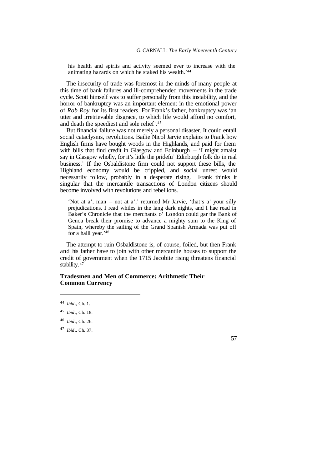his health and spirits and activity seemed ever to increase with the animating hazards on which he staked his wealth.'<sup>44</sup>

The insecurity of trade was foremost in the minds of many people at this time of bank failures and ill-comprehended movements in the trade cycle. Scott himself was to suffer personally from this instability, and the horror of bankruptcy was an important element in the emotional power of *Rob Roy* for its first readers. For Frank's father, bankruptcy was 'an utter and irretrievable disgrace, to which life would afford no comfort, and death the speediest and sole relief'.<sup>45</sup>

But financial failure was not merely a personal disaster. It could entail social cataclysms, revolutions. Bailie Nicol Jarvie explains to Frank how English firms have bought woods in the Highlands, and paid for them with bills that find credit in Glasgow and Edinburgh  $-$  'I might amaist say in Glasgow wholly, for it's little the pridefu' Edinburgh folk do in real business.' If the Osbaldistone firm could not support these bills, the Highland economy would be crippled, and social unrest would necessarily follow, probably in a desperate rising. Frank thinks it singular that the mercantile transactions of London citizens should become involved with revolutions and rebellions.

'Not at a', man – not at a',' returned Mr Jarvie, 'that's a' your silly prejudications. I read whiles in the lang dark nights, and I hae read in Baker's Chronicle that the merchants o' London could gar the Bank of Genoa break their promise to advance a mighty sum to the King of Spain, whereby the sailing of the Grand Spanish Armada was put off for a haill year.'<sup>46</sup>

The attempt to ruin Osbaldistone is, of course, foiled, but then Frank and his father have to join with other mercantile houses to support the credit of government when the 1715 Jacobite rising threatens financial stability.<sup>47</sup>

# **Tradesmen and Men of Commerce: Arithmetic Their Common Currency**

l

47 *Ibid*., Ch. 37.

57

<sup>44</sup> *Ibid*., Ch. 1.

<sup>45</sup> *Ibid*., Ch. 18.

<sup>46</sup> *Ibid*., Ch. 26.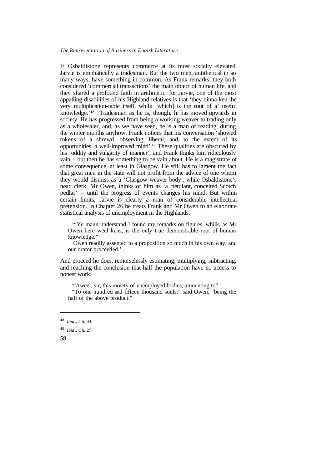If Osbaldistone represents commerce at its most socially elevated, Jarvie is emphatically a tradesman. But the two men, antithetical in so many ways, have something in common. As Frank remarks, they both considered 'commercial transactions' the main object of human life, and they shared a profound faith in arithmetic: for Jarvie, one of the most appalling disabilities of his Highland relatives is that 'they dinna ken the very multiplication-table itself, whilk [which] is the root of a' usefu' knowledge.<sup>'48</sup> Tradesman as he is, though, he has moved upwards in society. He has progressed from being a working weaver to trading only as a wholesaler, and, as we have seen, he is a man of reading, during the winter months anyhow. Frank notices that his conversation 'showed tokens of a shrewd, observing, liberal, and, to the extent of its opportunities, a well-improved mind'.49 These qualities are obscured by his 'oddity and vulgarity of manner', and Frank thinks him ridiculously vain – but then he has something to be vain about. He is a magistrate of some consequence, at least in Glasgow. He still has to lament the fact that great men in the state will not profit from the advice of one whom they would dismiss as a 'Glasgow weaver-body', while Osbaldistone's head clerk, Mr Owen, thinks of him as 'a petulant, conceited Scotch pedlar' – until the progress of events changes his mind. But within certain limits, Jarvie is clearly a man of considerable intellectual pretension. In Chapter 26 he treats Frank and Mr Owen to an elaborate statistical analysis of unemployment in the Highlands:

 '"Ye maun understand I found my remarks on figures, whilk, as Mr Owen here weel kens, is the only true demonstrable root of human knowledge.'

 Owen readily assented to a proposition so much in his own way, and our orator proceeded.'

And proceed he does, remorselessly estimating, multiplying, subtracting, and reaching the conclusion that half the population have no access to honest work.

'"Aweel, sir, this moiety of unemployed bodies, amounting to" –

 "To one hundred and fifteen thousand souls," said Owen, "being the half of the above product."

58

<sup>48</sup> *Ibid*., Ch. 34.

<sup>49</sup> *Ibid*., Ch. 27.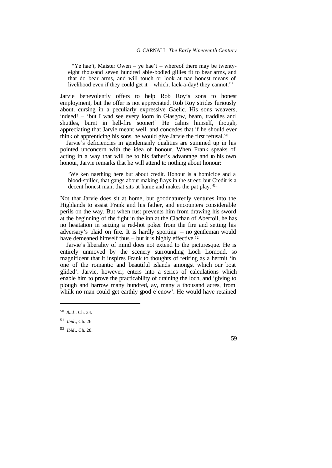"Ye hae't, Maister Owen – ye hae't – whereof there may be twentyeight thousand seven hundred able-bodied gillies fit to bear arms, and that do bear arms, and will touch or look at nae honest means of livelihood even if they could get it – which, lack-a-day! they cannot."'

Jarvie benevolently offers to help Rob Roy's sons to honest employment, but the offer is not appreciated. Rob Roy strides furiously about, cursing in a peculiarly expressive Gaelic. His sons weavers, indeed! – 'but I wad see every loom in Glasgow, beam, traddles and shuttles, burnt in hell-fire sooner!' He calms himself, though, appreciating that Jarvie meant well, and concedes that if he should ever think of apprenticing his sons, he would give Jarvie the first refusal.<sup>50</sup>

Jarvie's deficiencies in gentlemanly qualities are summed up in his pointed unconcern with the idea of honour. When Frank speaks of acting in a way that will be to his father's advantage and to his own honour, Jarvie remarks that he will attend to nothing about honour:

'We ken naething here but about credit. Honour is a homicide and a blood-spiller, that gangs about making frays in the street; but Credit is a decent honest man, that sits at hame and makes the pat play.'<sup>51</sup>

Not that Jarvie does sit at home, but goodnaturedly ventures into the Highlands to assist Frank and his father, and encounters considerable perils on the way. But when rust prevents him from drawing his sword at the beginning of the fight in the inn at the Clachan of Aberfoil, he has no hesitation in seizing a red-hot poker from the fire and setting his adversary's plaid on fire. It is hardly sporting – no gentleman would have demeaned himself thus  $-$  but it is highly effective.<sup>52</sup>

Jarvie's liberality of mind does not extend to the picturesque. He is entirely unmoved by the scenery surrounding Loch Lomond, so magnificent that it inspires Frank to thoughts of retiring as a hermit 'in one of the romantic and beautiful islands amongst which our boat glided'. Jarvie, however, enters into a series of calculations which enable him to prove the practicability of draining the loch, and 'giving to plough and harrow many hundred, ay, many a thousand acres, from whilk no man could get earthly good e'enow'. He would have retained

<sup>50</sup> *Ibid*., Ch. 34.

<sup>51</sup> *Ibid*., Ch. 26.

<sup>52</sup> *Ibid*., Ch. 28.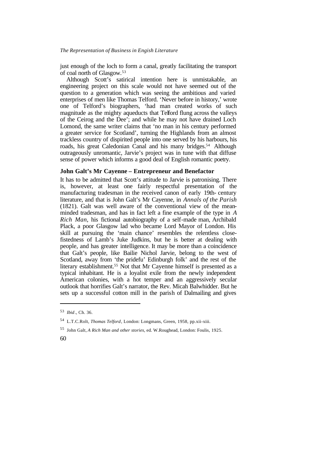just enough of the loch to form a canal, greatly facilitating the transport of coal north of Glasgow.<sup>53</sup>

Although Scott's satirical intention here is unmistakable, an engineering project on this scale would not have seemed out of the question to a generation which was seeing the ambitious and varied enterprises of men like Thomas Telford. 'Never before in history,' wrote one of Telford's biographers, 'had man created works of such magnitude as the mighty aqueducts that Telford flung across the valleys of the Ceirog and the Dee'; and while he may not have drained Loch Lomond, the same writer claims that 'no man in his century performed a greater service for Scotland', turning the Highlands from an almost trackless country of dispirited people into one served by his harbours, his roads, his great Caledonian Canal and his many bridges.<sup>54</sup> Although outrageously unromantic, Jarvie's project was in tune with that diffuse sense of power which informs a good deal of English romantic poetry.

# **John Galt's Mr Cayenne – Entrepreneur and Benefactor**

It has to be admitted that Scott's attitude to Jarvie is patronising. There is, however, at least one fairly respectful presentation of the manufacturing tradesman in the received canon of early 19th- century literature, and that is John Galt's Mr Cayenne, in *Annals of the Parish* (1821). Galt was well aware of the conventional view of the meanminded tradesman, and has in fact left a fine example of the type in *A Rich Man*, his fictional autobiography of a self-made man, Archibald Plack, a poor Glasgow lad who became Lord Mayor of London. His skill at pursuing the 'main chance' resembles the relentless closefistedness of Lamb's Juke Judkins, but he is better at dealing with people, and has greater intelligence. It may be more than a coincidence that Galt's people, like Bailie Nichol Jarvie, belong to the west of Scotland, away from 'the pridefu' Edinburgh folk' and the rest of the literary establishment.55 Not that Mr Cayenne himself is presented as a typical inhabitant. He is a loyalist exile from the newly independent American colonies, with a hot temper and an aggressively secular outlook that horrifies Galt's narrator, the Rev. Micah Balwhidder. But he sets up a successful cotton mill in the parish of Dalmailing and gives

<sup>53</sup> *Ibid*., Ch. 36.

<sup>54</sup> L.T.C.Rolt, *Thomas Telford*, London: Longmans, Green, 1958, pp.xii-xiii.

<sup>55</sup> John Galt, *A Rich Man and other stories*, ed. W.Roughead, London: Foulis, 1925.

<sup>60</sup>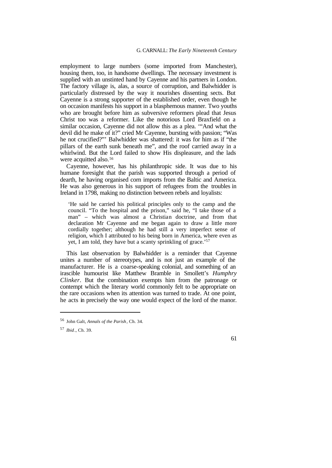employment to large numbers (some imported from Manchester), housing them, too, in handsome dwellings. The necessary investment is supplied with an unstinted hand by Cayenne and his partners in London. The factory village is, alas, a source of corruption, and Balwhidder is particularly distressed by the way it nourishes dissenting sects. But Cayenne is a strong supporter of the established order, even though he on occasion manifests his support in a blasphemous manner. Two youths who are brought before him as subversive reformers plead that Jesus Christ too was a reformer. Like the notorious Lord Braxfield on a similar occasion, Cayenne did not allow this as a plea. '"And what the devil did he make of it?" cried Mr Cayenne, bursting with passion; "Was he not crucified?"' Balwhidder was shattered: it was for him as if "the pillars of the earth sunk beneath me", and the roof carried away in a whirlwind. But the Lord failed to show His displeasure, and the lads were acquitted also.<sup>56</sup>

Cayenne, however, has his philanthropic side. It was due to his humane foresight that the parish was supported through a period of dearth, he having organised corn imports from the Baltic and America. He was also generous in his support of refugees from the troubles in Ireland in 1798, making no distinction between rebels and loyalists:

'He said he carried his political principles only to the camp and the council. "To the hospital and the prison," said he, "I take those of a man" – which was almost a Christian doctrine, and from that declaration Mr Cayenne and me began again to draw a little more cordially together; although he had still a very imperfect sense of religion, which I attributed to his being born in America, where even as yet, I am told, they have but a scanty sprinkling of grace.'<sup>57</sup>

This last observation by Balwhidder is a reminder that Cayenne unites a number of stereotypes, and is not just an example of the manufacturer. He is a coarse-speaking colonial, and something of an irascible humourist like Matthew Bramble in Smollett's *Humphry Clinker*. But the combination exempts him from the patronage or contempt which the literary world commonly felt to be appropriate on the rare occasions when its attention was turned to trade. At one point, he acts in precisely the way one would expect of the lord of the manor.

l

61

<sup>56</sup> John Galt, *Annals of the Parish*, Ch. 34.

<sup>57</sup> *Ibid*., Ch. 39.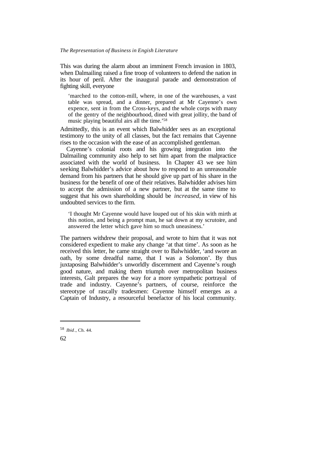This was during the alarm about an imminent French invasion in 1803, when Dalmailing raised a fine troop of volunteers to defend the nation in its hour of peril. After the inaugural parade and demonstration of fighting skill, everyone

'marched to the cotton-mill, where, in one of the warehouses, a vast table was spread, and a dinner, prepared at Mr Cayenne's own expence, sent in from the Cross-keys, and the whole corps with many of the gentry of the neighbourhood, dined with great jollity, the band of music playing beautiful airs all the time.'<sup>58</sup>

Admittedly, this is an event which Balwhidder sees as an exceptional testimony to the unity of all classes, but the fact remains that Cayenne rises to the occasion with the ease of an accomplished gentleman.

Cayenne's colonial roots and his growing integration into the Dalmailing community also help to set him apart from the malpractice associated with the world of business. In Chapter 43 we see him seeking Balwhidder's advice about how to respond to an unreasonable demand from his partners that he should give up part of his share in the business for the benefit of one of their relatives. Balwhidder advises him to accept the admission of a new partner, but at the same time to suggest that his own shareholding should be *increased*, in view of his undoubted services to the firm.

'I thought Mr Cayenne would have louped out of his skin with mirth at this notion, and being a prompt man, he sat down at my scrutoire, and answered the letter which gave him so much uneasiness.'

The partners withdrew their proposal, and wrote to him that it was not considered expedient to make any change 'at that time'. As soon as he received this letter, he came straight over to Balwhidder, 'and swore an oath, by some dreadful name, that I was a Solomon'. By thus juxtaposing Balwhidder's unworldly discernment and Cayenne's rough good nature, and making them triumph over metropolitan business interests, Galt prepares the way for a more sympathetic portrayal of trade and industry. Cayenne's partners, of course, reinforce the stereotype of rascally tradesmen: Cayenne himself emerges as a Captain of Industry, a resourceful benefactor of his local community.

<sup>58</sup> *Ibid*., Ch. 44.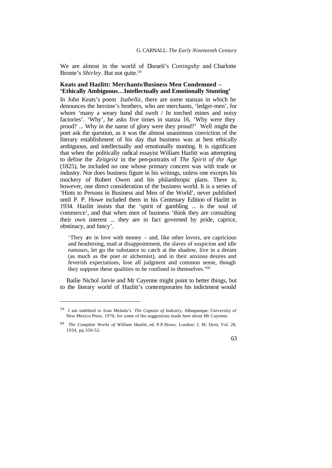We are almost in the world of Disraeli's *Coningsby* and Charlotte Bronte's *Shirley*. But not quite.<sup>59</sup>

# **Keats and Hazlitt: Merchants/Business Men Condemned – 'Ethically Ambiguous…Intellectually and Emotionally Stunting'**

In John Keats's poem *Isabella*, there are some stanzas in which he denounces the heroine's brothers, who are merchants, 'ledger-men', for whom 'many a weary hand did swelt / In torched mines and noisy factories'. 'Why', he asks five times in stanza 16, 'Why were they proud? ... Why in the name of glory were they proud?' Well might the poet ask the question, as it was the almost unanimous conviction of the literary establishment of his day that business was at best ethically ambiguous, and intellectually and emotionally stunting. It is significant that when the politically radical essayist William Hazlitt was attempting to define the *Zeitgeist* in the pen-portraits of *The Spirit of the Age* (1825), he included no one whose primary concern was with trade or industry. Nor does business figure in his writings, unless one excepts his mockery of Robert Owen and his philanthropic plans. There is, however, one direct consideration of the business world. It is a series of 'Hints to Persons in Business and Men of the World', never published until P. P. Howe included them in his Centenary Edition of Hazlitt in 1934. Hazlitt insists that the 'spirit of gambling ... is the soul of commerce', and that when men of business 'think they are consulting their own interest ... they are in fact governed by pride, caprice, obstinacy, and fancy'.

'They are in love with money – and, like other lovers, are capricious and headstrong, mad at disappointment, the slaves of suspicion and idle rumours, let go the substance to catch at the shadow, live in a dream (as much as the poet or alchemist), and in their anxious desires and feverish expectations, lose all judgment and common sense, though they suppose these qualities to be confined to themselves.'<sup>60</sup>

Bailie Nichol Jarvie and Mr Cayenne might point to better things, but to the literary world of Hazlitt's contemporaries his indictment would

<sup>59</sup> I am indebted to Ivan Melada's *The Captain of Industry*, Albuquerque: University of New Mexico Press, 1970, for some of the suggestions made here about Mr Cayenne.

<sup>60</sup> *The Complete Works of William Hazlitt*, ed. P.P.Howe, London: J. M. Dent, Vol. 20, 1934, pp.350-52.

<sup>63</sup>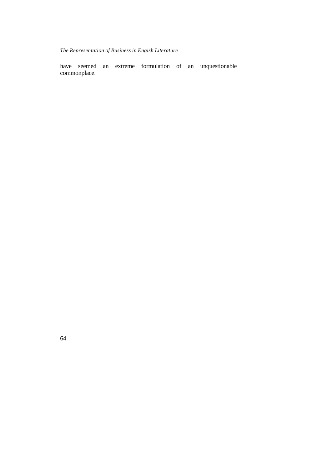have seemed an extreme formulation of an unquestionable commonplace.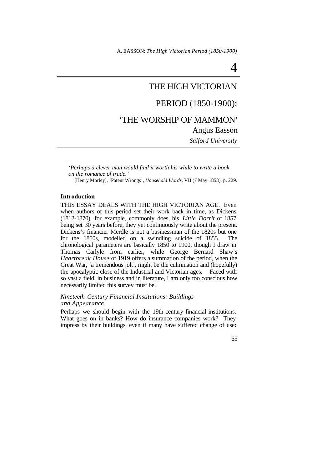# 4

# THE HIGH VICTORIAN

# PERIOD (1850-1900):

# 'THE WORSHIP OF MAMMON'

Angus Easson

*Salford University* 

*'Perhaps a clever man would find it worth his while to write a book on the romance of trade.'*

[Henry Morley], 'Patent Wrongs', *Household Words*, VII (7 May 1853), p. 229.

# **Introduction**

**T**HIS ESSAY DEALS WITH THE HIGH VICTORIAN AGE. Even when authors of this period set their work back in time, as Dickens (1812-1870), for example, commonly does, his *Little Dorrit* of 1857 being set 30 years before, they yet continuously write about the present. Dickens's financier Merdle is not a businessman of the 1820s but one for the 1850s, modelled on a swindling suicide of 1855. The chronological parameters are basically 1850 to 1900, though I draw in Thomas Carlyle from earlier, while George Bernard Shaw's *Heartbreak House* of 1919 offers a summation of the period, when the Great War, 'a tremendous jolt', might be the culmination and (hopefully) the apocalyptic close of the Industrial and Victorian ages. Faced with so vast a field, in business and in literature, I am only too conscious how necessarily limited this survey must be.

# *Nineteeth-Century Financial Institutions: Buildings and Appearance*

Perhaps we should begin with the 19th-century financial institutions. What goes on in banks? How do insurance companies work? They impress by their buildings, even if many have suffered change of use: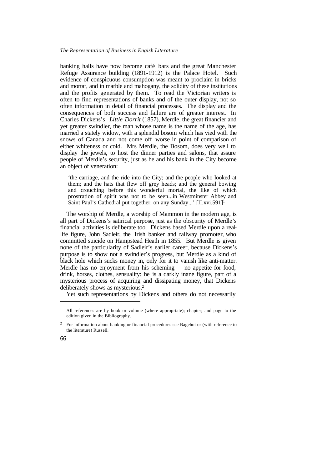banking halls have now become café bars and the great Manchester Refuge Assurance building (1891-1912) is the Palace Hotel. Such evidence of conspicuous consumption was meant to proclaim in bricks and mortar, and in marble and mahogany, the solidity of these institutions and the profits generated by them. To read the Victorian writers is often to find representations of banks and of the outer display, not so often information in detail of financial processes. The display and the consequences of both success and failure are of greater interest. In Charles Dickens's *Little Dorrit* (1857), Merdle, the great financier and yet greater swindler, the man whose name is the name of the age, has married a stately widow, with a splendid bosom which has vied with the snows of Canada and not come off worse in point of comparison of either whiteness or cold. Mrs Merdle, the Bosom, does very well to display the jewels, to host the dinner parties and salons, that assure people of Merdle's security, just as he and his bank in the City become an object of veneration:

'the carriage, and the ride into the City; and the people who looked at them; and the hats that flew off grey heads; and the general bowing and crouching before this wonderful mortal, the like of which prostration of spirit was not to be seen...in Westminster Abbey and Saint Paul's Cathedral put together, on any Sunday...' [II.xvi.591]<sup>1</sup>

The worship of Merdle, a worship of Mammon in the modern age, is all part of Dickens's satirical purpose, just as the obscurity of Merdle's financial activities is deliberate too. Dickens based Merdle upon a reallife figure, John Sadleir, the Irish banker and railway promoter, who committed suicide on Hampstead Heath in 1855. But Merdle is given none of the particularity of Sadleir's earlier career, because Dickens's purpose is to show not a swindler's progress, but Merdle as a kind of black hole which sucks money in, only for it to vanish like anti-matter. Merdle has no enjoyment from his scheming – no appetite for food, drink, horses, clothes, sensuality: he is a darkly inane figure, part of a mysterious process of acquiring and dissipating money, that Dickens deliberately shows as mysterious.<sup>2</sup>

Yet such representations by Dickens and others do not necessarily

<sup>&</sup>lt;sup>1</sup> All references are by book or volume (where appropriate); chapter; and page to the edition given in the Bibliography.

<sup>&</sup>lt;sup>2</sup> For information about banking or financial procedures see Bagehot or (with reference to the literature) Russell.

<sup>66</sup>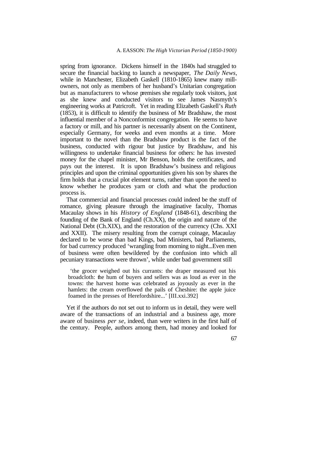spring from ignorance. Dickens himself in the 1840s had struggled to secure the financial backing to launch a newspaper, *The Daily News*, while in Manchester, Elizabeth Gaskell (1810-1865) knew many millowners, not only as members of her husband's Unitarian congregation but as manufacturers to whose premises she regularly took visitors, just as she knew and conducted visitors to see James Nasmyth's engineering works at Patricroft. Yet in reading Elizabeth Gaskell's *Ruth* (1853), it is difficult to identify the business of Mr Bradshaw, the most influential member of a Nonconformist congregation. He seems to have a factory or mill, and his partner is necessarily absent on the Continent, especially Germany, for weeks and even months at a time. More important to the novel than the Bradshaw product is the fact of the business, conducted with rigour but justice by Bradshaw, and his willingness to undertake financial business for others: he has invested money for the chapel minister, Mr Benson, holds the certificates, and pays out the interest. It is upon Bradshaw's business and religious principles and upon the criminal opportunities given his son by shares the firm holds that a crucial plot element turns, rather than upon the need to know whether he produces yarn or cloth and what the production process is.

That commercial and financial processes could indeed be the stuff of romance, giving pleasure through the imaginative faculty, Thomas Macaulay shows in his *History of England* (1848-61), describing the founding of the Bank of England (Ch.XX), the origin and nature of the National Debt (Ch.XIX), and the restoration of the currency (Chs. XXI and XXII). The misery resulting from the corrupt coinage, Macaulay declared to be worse than bad Kings, bad Ministers, bad Parliaments, for bad currency produced 'wrangling from morning to night...Even men of business were often bewildered by the confusion into which all pecuniary transactions were thrown', while under bad government still

'the grocer weighed out his currants: the draper measured out his broadcloth: the hum of buyers and sellers was as loud as ever in the towns: the harvest home was celebrated as joyously as ever in the hamlets: the cream overflowed the pails of Cheshire: the apple juice foamed in the presses of Herefordshire...' [III.xxi.392]

Yet if the authors do not set out to inform us in detail, they were well aware of the transactions of an industrial and a business age, more aware of business *per se*, indeed, than were writers in the first half of the century. People, authors among them, had money and looked for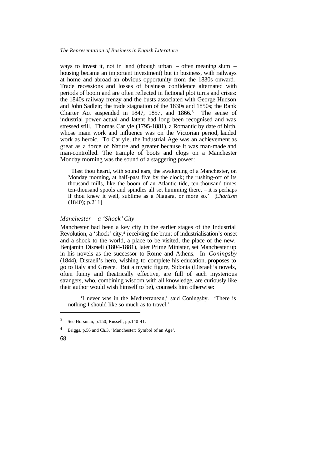ways to invest it, not in land (though urban – often meaning slum – housing became an important investment) but in business, with railways at home and abroad an obvious opportunity from the 1830s onward. Trade recessions and losses of business confidence alternated with periods of boom and are often reflected in fictional plot turns and crises: the 1840s railway frenzy and the busts associated with George Hudson and John Sadleir; the trade stagnation of the 1830s and 1850s; the Bank Charter Act suspended in 1847, 1857, and 1866.<sup>3</sup> The sense of industrial power actual and latent had long been recognised and was stressed still. Thomas Carlyle (1795-1881), a Romantic by date of birth, whose main work and influence was on the Victorian period, lauded work as heroic. To Carlyle, the Industrial Age was an achievement as great as a force of Nature and greater because it was man-made and man-controlled. The trample of boots and clogs on a Manchester Monday morning was the sound of a staggering power:

'Hast thou heard, with sound ears, the awakening of a Manchester, on Monday morning, at half-past five by the clock; the rushing-off of its thousand mills, like the boom of an Atlantic tide, ten-thousand times ten-thousand spools and spindles all set humming there, – it is perhaps if thou knew it well, sublime as a Niagara, or more so.' [*Chartism* (1840); p.211]

# *Manchester – a 'Shock' City*

Manchester had been a key city in the earlier stages of the Industrial Revolution, a 'shock' city,<sup>4</sup> receiving the brunt of industrialisation's onset and a shock to the world, a place to be visited, the place of the new. Benjamin Disraeli (1804-1881), later Prime Minister, set Manchester up in his novels as the successor to Rome and Athens. In *Coningsby* (1844), Disraeli's hero, wishing to complete his education, proposes to go to Italy and Greece. But a mystic figure, Sidonia (Disraeli's novels, often funny and theatrically effective, are full of such mysterious strangers, who, combining wisdom with all knowledge, are curiously like their author would wish himself to be), counsels him otherwise:

 'I never was in the Mediterranean,' said Coningsby. 'There is nothing I should like so much as to travel.'

 $3$  See Horsman, p.150; Russell, pp.140-41.

<sup>&</sup>lt;sup>4</sup> Briggs, p.56 and Ch.3, 'Manchester: Symbol of an Age'.

<sup>68</sup>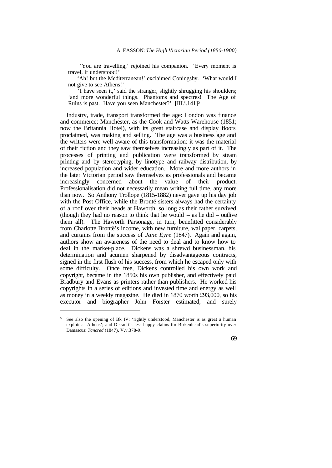'You are travelling,' rejoined his companion. 'Every moment is travel, if understood!'

 'Ah! but the Mediterranean!' exclaimed Coningsby. 'What would I not give to see Athens!'

 'I have seen it,' said the stranger, slightly shrugging his shoulders; 'and more wonderful things. Phantoms and spectres! The Age of Ruins is past. Have you seen Manchester?' [III.i.141]<sup>5</sup>

Industry, trade, transport transformed the age: London was finance and commerce; Manchester, as the Cook and Watts Warehouse (1851; now the Britannia Hotel), with its great staircase and display floors proclaimed, was making and selling. The age was a business age and the writers were well aware of this transformation: it was the material of their fiction and they saw themselves increasingly as part of it. The processes of printing and publication were transformed by steam printing and by stereotyping, by linotype and railway distribution, by increased population and wider education. More and more authors in the later Victorian period saw themselves as professionals and became increasingly concerned about the value of their product. Professionalisation did not necessarily mean writing full time, any more than now. So Anthony Trollope (1815-1882) never gave up his day job with the Post Office, while the Brontë sisters always had the certainty of a roof over their heads at Haworth, so long as their father survived (though they had no reason to think that he would  $-$  as he did  $-$  outlive them all). The Haworth Parsonage, in turn, benefitted considerably from Charlotte Brontë's income, with new furniture, wallpaper, carpets, and curtains from the success of *Jane Eyre* (1847). Again and again, authors show an awareness of the need to deal and to know how to deal in the market-place. Dickens was a shrewd businessman, his determination and acumen sharpened by disadvantageous contracts, signed in the first flush of his success, from which he escaped only with some difficulty. Once free, Dickens controlled his own work and copyright, became in the 1850s his own publisher, and effectively paid Bradbury and Evans as printers rather than publishers. He worked his copyrights in a series of editions and invested time and energy as well as money in a weekly magazine. He died in 1870 worth £93,000, so his executor and biographer John Forster estimated, and surely

<sup>5</sup> See also the opening of Bk IV: 'rightly understood, Manchester is as great a human exploit as Athens'; and Disraeli's less happy claims for Birkenhead's superiority over Damascus: *Tancred* (1847), V.v.378-9.

<sup>69</sup>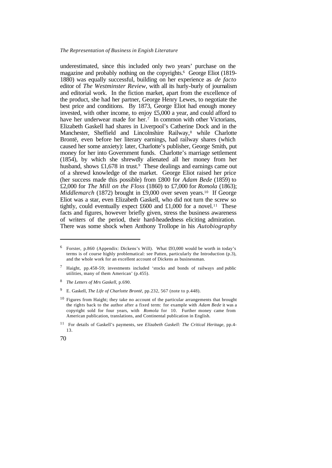underestimated, since this included only two years' purchase on the magazine and probably nothing on the copyrights.<sup>6</sup> George Eliot (1819-1880) was equally successful, building on her experience as *de facto* editor of *The Westminster Review*, with all its hurly-burly of journalism and editorial work. In the fiction market, apart from the excellence of the product, she had her partner, George Henry Lewes, to negotiate the best price and conditions. By 1873, George Eliot had enough money invested, with other income, to enjoy £5,000 a year, and could afford to have her underwear made for her.<sup>7</sup> In common with other Victorians, Elizabeth Gaskell had shares in Liverpool's Catherine Dock and in the Manchester, Sheffield and Lincolnshire Railway,<sup>8</sup> while Charlotte Brontë, even before her literary earnings, had railway shares (which caused her some anxiety): later, Charlotte's publisher, George Smith, put money for her into Government funds. Charlotte's marriage settlement (1854), by which she shrewdly alienated all her money from her husband, shows  $£1,678$  in trust.<sup>9</sup> These dealings and earnings came out of a shrewd knowledge of the market. George Eliot raised her price (her success made this possible) from £800 for *Adam Bede* (1859) to £2,000 for *The Mill on the Floss* (1860) to £7,000 for *Romola* (1863); *Middlemarch* (1872) brought in £9,000 over seven years.<sup>10</sup> If George Eliot was a star, even Elizabeth Gaskell, who did not turn the screw so tightly, could eventually expect £600 and  $£1,000$  for a novel.<sup>11</sup> These facts and figures, however briefly given, stress the business awareness of writers of the period, their hard-headedness eliciting admiration. There was some shock when Anthony Trollope in his *Autobiography*

<sup>9</sup> E. Gaskell, *The Life of Charlotte Brontë*, pp.232, 567 (note to p.448).

<sup>6</sup> Forster, p.860 (Appendix: Dickens's Will). What £93,000 would be worth in today's terms is of course highly problematical: see Patten, particularly the Introduction (p.3), and the whole work for an excellent account of Dickens as businessman.

<sup>7</sup> Haight, pp.458-59; investments included 'stocks and bonds of railways and public utilities, many of them American' (p.455).

<sup>8</sup> *The Letters of Mrs Gaskell*, p.690.

 $10$  Figures from Haight; they take no account of the particular arrangements that brought the rights back to the author after a fixed term: for example with *Adam Bede* it was a copyright sold for four years, with *Romola* for 10. Further money came from American publication, translations, and Continental publication in English.

<sup>11</sup> For details of Gaskell's payments, see *Elizabeth Gaskell: The Critical Heritage*, pp.4- 13.

<sup>70</sup>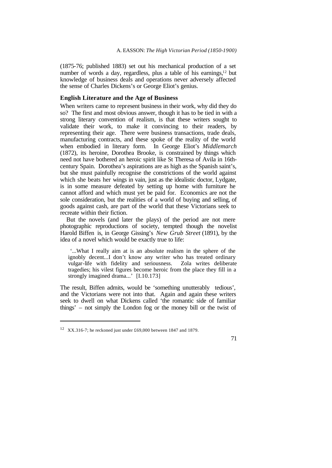(1875-76; published 1883) set out his mechanical production of a set number of words a day, regardless, plus a table of his earnings, $12$  but knowledge of business deals and operations never adversely affected the sense of Charles Dickens's or George Eliot's genius.

### **English Literature and the Age of Business**

When writers came to represent business in their work, why did they do so? The first and most obvious answer, though it has to be tied in with a strong literary convention of realism, is that these writers sought to validate their work, to make it convincing to their readers, by representing their age. There were business transactions, trade deals, manufacturing contracts, and these spoke of the reality of the world when embodied in literary form. In George Eliot's *Middlemarch* (1872), its heroine, Dorothea Brooke, is constrained by things which need not have bothered an heroic spirit like St Theresa of Avila in 16thcentury Spain. Dorothea's aspirations are as high as the Spanish saint's, but she must painfully recognise the constrictions of the world against which she beats her wings in vain, just as the idealistic doctor, Lydgate, is in some measure defeated by setting up home with furniture he cannot afford and which must yet be paid for. Economics are not the sole consideration, but the realities of a world of buying and selling, of goods against cash, are part of the world that these Victorians seek to recreate within their fiction.

But the novels (and later the plays) of the period are not mere photographic reproductions of society, tempted though the novelist Harold Biffen is, in George Gissing's *New Grub Street* (1891), by the idea of a novel which would be exactly true to life:

'...What I really aim at is an absolute realism in the sphere of the ignobly decent...I don't know any writer who has treated ordinary vulgar-life with fidelity and seriousness. Zola writes deliberate tragedies; his vilest figures become heroic from the place they fill in a strongly imagined drama...' [I.10.173]

The result, Biffen admits, would be 'something unutterably tedious', and the Victorians were not into that. Again and again these writers seek to dwell on what Dickens called 'the romantic side of familiar things' – not simply the London fog or the money bill or the twist of

<sup>12</sup> XX.316-7; he reckoned just under £69,000 between 1847 and 1879.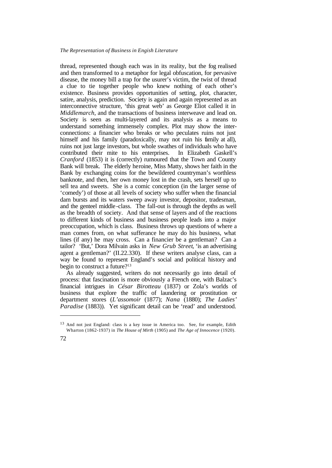thread, represented though each was in its reality, but the fog realised and then transformed to a metaphor for legal obfuscation, for pervasive disease, the money bill a trap for the usurer's victim, the twist of thread a clue to tie together people who knew nothing of each other's existence. Business provides opportunities of setting, plot, character, satire, analysis, prediction. Society is again and again represented as an interconnective structure, 'this great web' as George Eliot called it in *Middlemarch*, and the transactions of business interweave and lead on. Society is seen as multi-layered and its analysis as a means to understand something immensely complex. Plot may show the interconnections: a financier who breaks or who peculates ruins not just himself and his family (paradoxically, may not ruin his family at all), ruins not just large investors, but whole swathes of individuals who have contributed their mite to his enterprises. In Elizabeth Gaskell's *Cranford* (1853) it is (correctly) rumoured that the Town and County Bank will break. The elderly heroine, Miss Matty, shows her faith in the Bank by exchanging coins for the bewildered countryman's worthless banknote, and then, her own money lost in the crash, sets herself up to sell tea and sweets. She is a comic conception (in the larger sense of 'comedy') of those at all levels of society who suffer when the financial dam bursts and its waters sweep away investor, depositor, tradesman, and the genteel middle-class. The fall-out is through the depths as well as the breadth of society. And that sense of layers and of the reactions to different kinds of business and business people leads into a major preoccupation, which is class. Business throws up questions of where a man comes from, on what sufferance he may do his business, what lines (if any) he may cross. Can a financier be a gentleman? Can a tailor? 'But,' Dora Milvain asks in *New Grub Street*, 'is an advertising agent a gentleman?' (II.22.330). If these writers analyse class, can a way be found to represent England's social and political history and begin to construct a future?<sup>13</sup>

As already suggested, writers do not necessarily go into detail of process: that fascination is more obviously a French one, with Balzac's financial intrigues in *César Birotteau* (1837) or Zola's worlds of business that explore the traffic of laundering or prostitution or department stores (*L'assomoir* (1877); *Nana* (1880); *The Ladies' Paradise* (1883)). Yet significant detail can be 'read' and understood.

<sup>13</sup> And not just England: class is a key issue in America too. See, for example, Edith Wharton (1862-1937) in *The House of Mirth* (1905) and *The Age of Innocence* (1920).

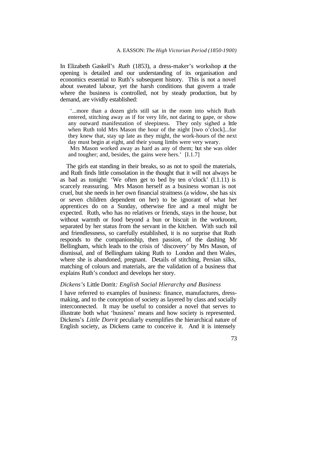In Elizabeth Gaskell's *Ruth* (1853), a dress-maker's workshop at the opening is detailed and our understanding of its organisation and economics essential to Ruth's subsequent history. This is not a novel about sweated labour, yet the harsh conditions that govern a trade where the business is controlled, not by steady production, but by demand, are vividly established:

'...more than a dozen girls still sat in the room into which Ruth entered, stitching away as if for very life, not daring to gape, or show any outward manifestation of sleepiness. They only sighed a little when Ruth told Mrs Mason the hour of the night [two o'clock]...for they knew that, stay up late as they might, the work-hours of the next day must begin at eight, and their young limbs were very weary.

Mrs Mason worked away as hard as any of them; but she was older and tougher; and, besides, the gains were hers.' [I.1.7]

The girls eat standing in their breaks, so as not to spoil the materials, and Ruth finds little consolation in the thought that it will not always be as bad as tonight: 'We often get to bed by ten o'clock' (I.1.11) is scarcely reassuring. Mrs Mason herself as a business woman is not cruel, but she needs in her own financial straitness (a widow, she has six or seven children dependent on her) to be ignorant of what her apprentices do on a Sunday, otherwise fire and a meal might be expected. Ruth, who has no relatives or friends, stays in the house, but without warmth or food beyond a bun or biscuit in the workroom, separated by her status from the servant in the kitchen. With such toil and friendlessness, so carefully established, it is no surprise that Ruth responds to the companionship, then passion, of the dashing Mr Bellingham, which leads to the crisis of 'discovery' by Mrs Mason, of dismissal, and of Bellingham taking Ruth to London and then Wales, where she is abandoned, pregnant. Details of stitching, Persian silks, matching of colours and materials, are the validation of a business that explains Ruth's conduct and develops her story.

# *Dickens's* Little Dorrit*: English Social Hierarchy and Business*

I have referred to examples of business: finance, manufactures, dressmaking, and to the conception of society as layered by class and socially interconnected. It may be useful to consider a novel that serves to illustrate both what 'business' means and how society is represented. Dickens's *Little Dorrit* peculiarly exemplifies the hierarchical nature of English society, as Dickens came to conceive it. And it is intensely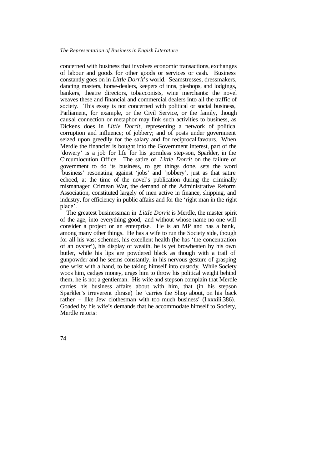concerned with business that involves economic transactions, exchanges of labour and goods for other goods or services or cash. Business constantly goes on in *Little Dorrit*'s world. Seamstresses, dressmakers, dancing masters, horse-dealers, keepers of inns, pieshops, and lodgings, bankers, theatre directors, tobacconists, wine merchants: the novel weaves these and financial and commercial dealers into all the traffic of society. This essay is not concerned with political or social business, Parliament, for example, or the Civil Service, or the family, though causal connection or metaphor may link such activities to business, as Dickens does in *Little Dorrit*, representing a network of political corruption and influence; of jobbery; and of posts under government seized upon greedily for the salary and for reciprocal favours. When Merdle the financier is bought into the Government interest, part of the 'dowery' is a job for life for his gormless step-son, Sparkler, in the Circumlocution Office. The satire of *Little Dorrit* on the failure of government to do its business, to get things done, sets the word 'business' resonating against 'jobs' and 'jobbery', just as that satire echoed, at the time of the novel's publication during the criminally mismanaged Crimean War, the demand of the Administrative Reform Association, constituted largely of men active in finance, shipping, and industry, for efficiency in public affairs and for the 'right man in the right place'.

The greatest businessman in *Little Dorrit* is Merdle, the master spirit of the age, into everything good, and without whose name no one will consider a project or an enterprise. He is an MP and has a bank, among many other things. He has a wife to run the Society side, though for all his vast schemes, his excellent health (he has 'the concentration of an oyster'), his display of wealth, he is yet browbeaten by his own butler, while his lips are powdered black as though with a trail of gunpowder and he seems constantly, in his nervous gesture of grasping one wrist with a hand, to be taking himself into custody. While Society woos him, cadges money, urges him to throw his political weight behind them, he is not a gentleman. His wife and stepson complain that Merdle carries his business affairs about with him, that (in his stepson Sparkler's irreverent phrase) he 'carries the Shop about, on his back rather – like Jew clothesman with too much business' (I.xxxiii.386). Goaded by his wife's demands that he accommodate himself to Society, Merdle retorts: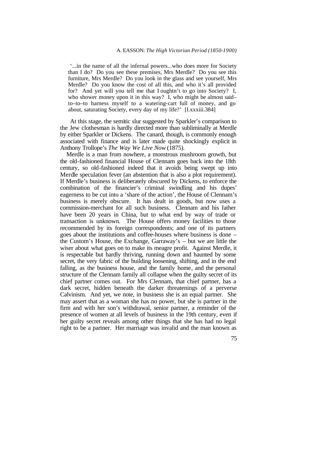'...in the name of all the infernal powers...who does more for Society than I do? Do you see these premises, Mrs Merdle? Do you see this furniture, Mrs Merdle? Do you look in the glass and see yourself, Mrs Merdle? Do you know the cost of all this, and who it's all provided for? And yet will you tell me that I oughtn't to go into Society? I, who shower money upon it in this way? I, who might be almost saidto–to–to harness myself to a watering-cart full of money, and go about, saturating Society, every day of my life?' [I.xxxiii.384]

At this stage, the semitic slur suggested by Sparkler's comparison to the Jew clothesman is hardly directed more than subliminally at Merdle by either Sparkler or Dickens. The canard, though, is commonly enough associated with finance and is later made quite shockingly explicit in Anthony Trollope's *The Way We Live Now* (1875).

Merdle is a man from nowhere, a monstrous mushroom growth, but the old-fashioned financial House of Clennam goes back into the 18th century, so old-fashioned indeed that it avoids being swept up into Merdle speculation fever (an abstention that is also a plot requirement). If Merdle's business is deliberately obscured by Dickens, to enforce the combination of the financier's criminal swindling and his dupes' eagerness to be cut into a 'share of the action', the House of Clennam's business is merely obscure. It has dealt in goods, but now uses a commission-merchant for all such business. Clennam and his father have been 20 years in China, but to what end by way of trade or transaction is unknown. The House offers money facilities to those recommended by its foreign correspondents; and one of its partners goes about the institutions and coffee-houses where business is done – the Custom's House, the Exchange, Garraway's – but we are little the wiser about what goes on to make its meagre profit. Against Merdle, it is respectable but hardly thriving, running down and haunted by some secret, the very fabric of the building loosening, shifting, and in the end falling, as the business house, and the family home, and the personal structure of the Clennam family all collapse when the guilty secret of its chief partner comes out. For Mrs Clennam, that chief partner, has a dark secret, hidden beneath the darker threatenings of a perverse Calvinism. And yet, we note, in business she is an equal partner. She may assert that as a woman she has no power, but she is partner in the firm and with her son's withdrawal, senior partner, a reminder of the presence of women at all levels of business in the 19th century, even if her guilty secret reveals among other things that she has had no legal right to be a partner. Her marriage was invalid and the man known as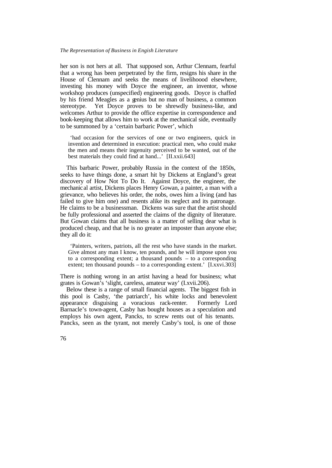her son is not hers at all. That supposed son, Arthur Clennam, fearful that a wrong has been perpetrated by the firm, resigns his share in the House of Clennam and seeks the means of livelihoood elsewhere, investing his money with Doyce the engineer, an inventor, whose workshop produces (unspecified) engineering goods. Doyce is chaffed by his friend Meagles as a genius but no man of business, a common stereotype. Yet Doyce proves to be shrewdly business-like, and welcomes Arthur to provide the office expertise in correspondence and book-keeping that allows him to work at the mechanical side, eventually to be summoned by a 'certain barbaric Power', which

'had occasion for the services of one or two engineers, quick in invention and determined in execution: practical men, who could make the men and means their ingenuity perceived to be wanted, out of the best materials they could find at hand...' [II.xxii.643]

This barbaric Power, probably Russia in the context of the 1850s, seeks to have things done, a smart hit by Dickens at England's great discovery of How Not To Do It. Against Doyce, the engineer, the mechanical artist, Dickens places Henry Gowan, a painter, a man with a grievance, who believes his order, the nobs, owes him a living (and has failed to give him one) and resents alike its neglect and its patronage. He claims to be a businessman. Dickens was sure that the artist should be fully professional and asserted the claims of the dignity of literature. But Gowan claims that all business is a matter of selling dear what is produced cheap, and that he is no greater an imposter than anyone else; they all do it:

'Painters, writers, patriots, all the rest who have stands in the market. Give almost any man I know, ten pounds, and he will impose upon you to a corresponding extent; a thousand pounds – to a corresponding extent; ten thousand pounds – to a corresponding extent.' [I.xxvi.303]

There is nothing wrong in an artist having a head for business; what grates is Gowan's 'slight, careless, amateur way' (I.xvii.206).

Below these is a range of small financial agents. The biggest fish in this pool is Casby, 'the patriarch', his white locks and benevolent appearance disguising a voracious rack-renter. Formerly Lord Barnacle's town-agent, Casby has bought houses as a speculation and employs his own agent, Pancks, to screw rents out of his tenants. Pancks, seen as the tyrant, not merely Casby's tool, is one of those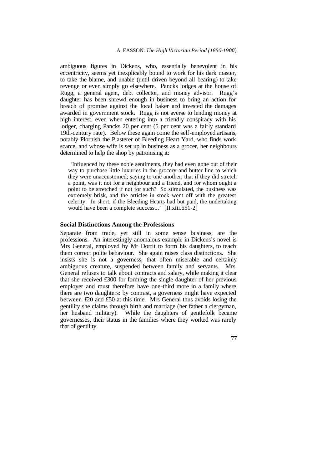ambiguous figures in Dickens, who, essentially benevolent in his eccentricity, seems yet inexplicably bound to work for his dark master, to take the blame, and unable (until driven beyond all bearing) to take revenge or even simply go elsewhere. Pancks lodges at the house of Rugg, a general agent, debt collector, and money advisor. Rugg's daughter has been shrewd enough in business to bring an action for breach of promise against the local baker and invested the damages awarded in government stock. Rugg is not averse to lending money at high interest, even when entering into a friendly conspiracy with his lodger, charging Pancks 20 per cent (5 per cent was a fairly standard 19th-century rate). Below these again come the self-employed artisans, notably Plornish the Plasterer of Bleeding Heart Yard, who finds work scarce, and whose wife is set up in business as a grocer, her neighbours determined to help the shop by patronising it:

'Influenced by these noble sentiments, they had even gone out of their way to purchase little luxuries in the grocery and butter line to which they were unaccustomed; saying to one another, that if they did stretch a point, was it not for a neighbour and a friend, and for whom ought a point to be stretched if not for such? So stimulated, the business was extremely brisk, and the articles in stock went off with the greatest celerity. In short, if the Bleeding Hearts had but paid, the undertaking would have been a complete success...' [II.xiii.551-2]

#### **Social Distinctions Among the Professions**

Separate from trade, yet still in some sense business, are the professions. An interestingly anomalous example in Dickens's novel is Mrs General, employed by Mr Dorrit to form his daughters, to teach them correct polite behaviour. She again raises class distinctions. She insists she is not a governess, that often miserable and certainly ambiguous creature, suspended between family and servants. Mrs General refuses to talk about contracts and salary, while making it clear that she received £300 for forming the single daughter of her previous employer and must therefore have one-third more in a family where there are two daughters: by contrast, a governess might have expected between £20 and £50 at this time. Mrs General thus avoids losing the gentility she claims through birth and marriage (her father a clergyman, her husband military). While the daughters of gentlefolk became governesses, their status in the families where they worked was rarely that of gentility.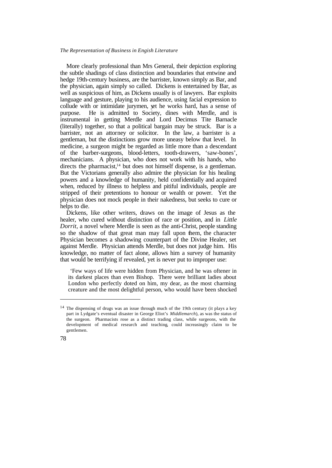More clearly professional than Mrs General, their depiction exploring the subtle shadings of class distinction and boundaries that entwine and hedge 19th-century business, are the barrister, known simply as Bar, and the physician, again simply so called. Dickens is entertained by Bar, as well as suspicious of him, as Dickens usually is of lawyers. Bar exploits language and gesture, playing to his audience, using facial expression to collude with or intimidate jurymen, yet he works hard, has a sense of purpose. He is admitted to Society, dines with Merdle, and is instrumental in getting Merdle and Lord Decimus Tite Barnacle (literally) together, so that a political bargain may be struck. Bar is a barrister, not an attorney or solicitor. In the law, a barrister is a gentleman, but the distinctions grow more uneasy below that level. In medicine, a surgeon might be regarded as little more than a descendant of the barber-surgeons, blood-letters, tooth-drawers, 'saw-bones', mechanicians. A physician, who does not work with his hands, who directs the pharmacist,<sup>14</sup> but does not himself dispense, is a gentleman. But the Victorians generally also admire the physician for his healing powers and a knowledge of humanity, held confidentially and acquired when, reduced by illness to helpless and pitiful individuals, people are stripped of their pretentions to honour or wealth or power. Yet the physician does not mock people in their nakedness, but seeks to cure or helps to die.

Dickens, like other writers, draws on the image of Jesus as the healer, who cured without distinction of race or position, and in *Little Dorrit*, a novel where Merdle is seen as the anti-Christ, people standing so the shadow of that great man may fall upon them, the character Physician becomes a shadowing counterpart of the Divine Healer, set against Merdle. Physician attends Merdle, but does not judge him. His knowledge, no matter of fact alone, allows him a survey of humanity that would be terrifying if revealed, yet is never put to improper use:

'Few ways of life were hidden from Physician, and he was oftener in its darkest places than even Bishop. There were brilliant ladies about London who perfectly doted on him, my dear, as the most charming creature and the most delightful person, who would have been shocked

<sup>14</sup> The dispensing of drugs was an issue through much of the 19th century (it plays a key part in Lydgate's eventual disaster in George Eliot's *Middlemarch*), as was the status of the surgeon. Pharmacists rose as a distinct trading class, while surgeons, with the development of medical research and teaching, could increasingly claim to be gentlemen.

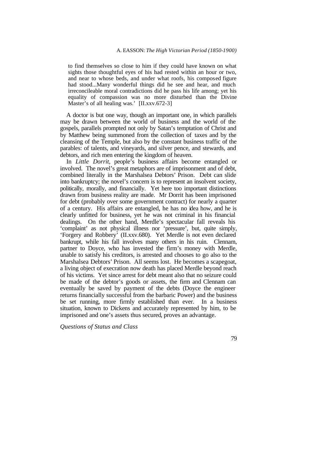to find themselves so close to him if they could have known on what sights those thoughtful eyes of his had rested within an hour or two, and near to whose beds, and under what roofs, his composed figure had stood...Many wonderful things did he see and hear, and much irreconcileable moral contradictions did he pass his life among; yet his equality of compassion was no more disturbed than the Divine Master's of all healing was.' [II.xxv.672-3]

A doctor is but one way, though an important one, in which parallels may be drawn between the world of business and the world of the gospels, parallels prompted not only by Satan's temptation of Christ and by Matthew being summoned from the collection of taxes and by the cleansing of the Temple, but also by the constant business traffic of the parables: of talents, and vineyards, and silver pence, and stewards, and debtors, and rich men entering the kingdom of heaven.

In *Little Dorrit*, people's business affairs become entangled or involved. The novel's great metaphors are of imprisonment and of debt, combined literally in the Marshalsea Debtors' Prison. Debt can slide into bankruptcy; the novel's concern is to represent an insolvent society, politically, morally, and financially. Yet here too important distinctions drawn from business reality are made. Mr Dorrit has been imprisoned for debt (probably over some government contract) for nearly a quarter of a century. His affairs are entangled, he has no idea how, and he is clearly unfitted for business, yet he was not criminal in his financial dealings. On the other hand, Merdle's spectacular fall reveals his 'complaint' as not physical illness nor 'pressure', but, quite simply, 'Forgery and Robbery' (II.xxv.680). Yet Merdle is not even declared bankrupt, while his fall involves many others in his ruin. Clennam, partner to Doyce, who has invested the firm's money with Merdle, unable to satisfy his creditors, is arrested and chooses to go also to the Marshalsea Debtors' Prison. All seems lost. He becomes a scapegoat, a living object of execration now death has placed Merdle beyond reach of his victims. Yet since arrest for debt meant also that no seizure could be made of the debtor's goods or assets, the firm and Clennam can eventually be saved by payment of the debts (Doyce the engineer returns financially successful from the barbaric Power) and the business be set running, more firmly established than ever. In a business situation, known to Dickens and accurately represented by him, to be imprisoned and one's assets thus secured, proves an advantage.

*Questions of Status and Class*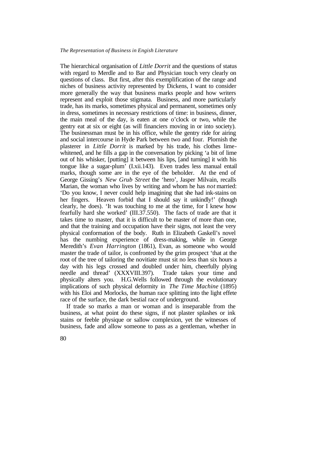The hierarchical organisation of *Little Dorrit* and the questions of status with regard to Merdle and to Bar and Physician touch very clearly on questions of class. But first, after this exemplification of the range and niches of business activity represented by Dickens, I want to consider more generally the way that business marks people and how writers represent and exploit those stigmata. Business, and more particularly trade, has its marks, sometimes physical and permanent, sometimes only in dress, sometimes in necessary restrictions of time: in business, dinner, the main meal of the day, is eaten at one o'clock or two, while the gentry eat at six or eight (as will financiers moving in or into society). The businessman must be in his office, while the gentry ride for airing and social intercourse in Hyde Park between two and four. Plornish the plasterer in *Little Dorrit* is marked by his trade, his clothes limewhitened, and he fills a gap in the conversation by picking 'a bit of lime out of his whisker, [putting] it between his lips, [and turning] it with his tongue like a sugar-plum' (I.xii.143). Even trades less manual entail marks, though some are in the eye of the beholder. At the end of George Gissing's *New Grub Street* the 'hero', Jasper Milvain, recalls Marian, the woman who lives by writing and whom he has *not* married: 'Do you know, I never could help imagining that she had ink-stains on her fingers. Heaven forbid that I should say it unkindly!' (though clearly, he does). 'It was touching to me at the time, for I knew how fearfully hard she worked' (III.37.550). The facts of trade are that it takes time to master, that it is difficult to be master of more than one, and that the training and occupation have their signs, not least the very physical conformation of the body. Ruth in Elizabeth Gaskell's novel has the numbing experience of dress-making, while in George Meredith's *Evan Harrington* (1861), Evan, as someone who would master the trade of tailor, is confronted by the grim prospect 'that at the root of the tree of tailoring the novitiate must sit no less than six hours a day with his legs crossed and doubled under him, cheerfully plying needle and thread' (XXXVIII.397). Trade takes your time and physically alters you. H.G.Wells followed through the evolutionary implications of such physical deformity in *The Time Machine* (1895) with his Eloi and Morlocks, the human race splitting into the light effete race of the surface, the dark bestial race of underground.

If trade so marks a man or woman and is inseparable from the business, at what point do these signs, if not plaster splashes or ink stains or feeble physique or sallow complexion, yet the witnesses of business, fade and allow someone to pass as a gentleman, whether in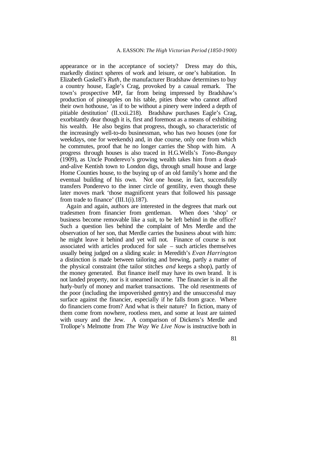appearance or in the acceptance of society? Dress may do this, markedly distinct spheres of work and leisure, or one's habitation. In Elizabeth Gaskell's *Ruth*, the manufacturer Bradshaw determines to buy a country house, Eagle's Crag, provoked by a casual remark. The town's prospective MP, far from being impressed by Bradshaw's production of pineapples on his table, pities those who cannot afford their own hothouse, 'as if to be without a pinery were indeed a depth of pitiable destitution' (II.xxii.218). Bradshaw purchases Eagle's Crag, exorbitantly dear though it is, first and foremost as a means of exhibiting his wealth. He also begins that progress, though, so characteristic of the increasingly well-to-do businessman, who has two houses (one for weekdays, one for weekends) and, in due course, only one from which he commutes, proof that he no longer carries the Shop with him. A progress through houses is also traced in H.G.Wells's *Tono-Bungay* (1909), as Uncle Ponderevo's growing wealth takes him from a deadand-alive Kentish town to London digs, through small house and large Home Counties house, to the buying up of an old family's home and the eventual building of his own. Not one house, in fact, successfully transfers Ponderevo to the inner circle of gentility, even though these later moves mark 'those magnificent years that followed his passage from trade to finance' (III.1(i).187).

Again and again, authors are interested in the degrees that mark out tradesmen from financier from gentleman. When does 'shop' or business become removable like a suit, to be left behind in the office? Such a question lies behind the complaint of Mrs Merdle and the observation of her son, that Merdle carries the business about with him: he might leave it behind and yet will not. Finance of course is not associated with articles produced for sale – such articles themselves usually being judged on a sliding scale: in Meredith's *Evan Harrington* a distinction is made between tailoring and brewing, partly a matter of the physical constraint (the tailor stitches *and* keeps a shop), partly of the money generated. But finance itself may have its own brand. It is not landed property, nor is it unearned income. The financier is in all the hurly-burly of money and market transactions. The old resentments of the poor (including the impoverished gentry) and the unsuccessful may surface against the financier, especially if he falls from grace. Where do financiers come from? And what is their nature? In fiction, many of them come from nowhere, rootless men, and some at least are tainted with usury and the Jew. A comparison of Dickens's Merdle and Trollope's Melmotte from *The Way We Live Now* is instructive both in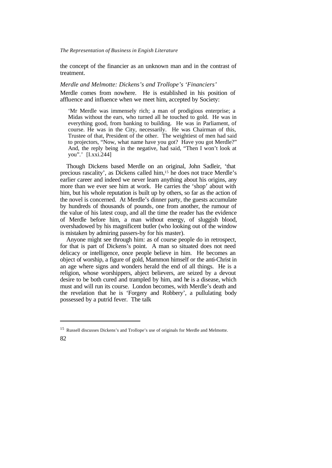the concept of the financier as an unknown man and in the contrast of treatment.

#### *Merdle and Melmotte: Dickens's and Trollope's 'Financiers'*

Merdle comes from nowhere. He is established in his position of affluence and influence when we meet him, accepted by Society:

'Mr Merdle was immensely rich; a man of prodigious enterprise; a Midas without the ears, who turned all he touched to gold. He was in everything good, from banking to building. He was in Parliament, of course. He was in the City, necessarily. He was Chairman of this, Trustee of that, President of the other. The weightiest of men had said to projectors, "Now, what name have you got? Have you got Merdle?" And, the reply being in the negative, had said, "Then I won't look at you".' [I.xxi.244]

Though Dickens based Merdle on an original, John Sadleir, 'that precious rascality', as Dickens called him,15 he does not trace Merdle's earlier career and indeed we never learn anything about his origins, any more than we ever see him at work. He carries the 'shop' about with him, but his whole reputation is built up by others, so far as the action of the novel is concerned. At Merdle's dinner party, the guests accumulate by hundreds of thousands of pounds, one from another, the rumour of the value of his latest coup, and all the time the reader has the evidence of Merdle before him, a man without energy, of sluggish blood, overshadowed by his magnificent butler (who looking out of the window is mistaken by admiring passers-by for his master).

Anyone might see through him: as of course people do in retrospect, for that is part of Dickens's point. A man so situated does not need delicacy or intelligence, once people believe in him. He becomes an object of worship, a figure of gold, Mammon himself or the anti-Christ in an age where signs and wonders herald the end of all things. He is a religion, whose worshippers, abject believers, are seized by a devout desire to be both cured and trampled by him, and he is a disease, which must and will run its course. London becomes, with Merdle's death and the revelation that he is 'Forgery and Robbery', a pullulating body possessed by a putrid fever. The talk

<sup>15</sup> Russell discusses Dickens's and Trollope's use of originals for Merdle and Melmotte.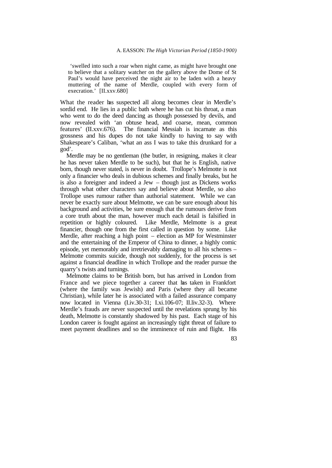'swelled into such a roar when night came, as might have brought one to believe that a solitary watcher on the gallery above the Dome of St Paul's would have perceived the night air to be laden with a heavy muttering of the name of Merdle, coupled with every form of execration.' [II.xxv.680]

What the reader has suspected all along becomes clear in Merdle's sordid end. He lies in a public bath where he has cut his throat, a man who went to do the deed dancing as though possessed by devils, and now revealed with 'an obtuse head, and coarse, mean, common features' (II.xxv.676). The financial Messiah is incarnate as this grossness and his dupes do not take kindly to having to say with Shakespeare's Caliban, 'what an ass I was to take this drunkard for a god'.

Merdle may be no gentleman (the butler, in resigning, makes it clear he has never taken Merdle to be such), but that he is English, native born, though never stated, is never in doubt. Trollope's Melmotte is not only a financier who deals in dubious schemes and finally breaks, but he is also a foreigner and indeed a Jew – though just as Dickens works through what other characters say and believe about Merdle, so also Trollope uses rumour rather than authorial statement. While we can never be exactly sure about Melmotte, we can be sure enough about his background and activities, be sure enough that the rumours derive from a core truth about the man, however much each detail is falsified in repetition or highly coloured. Like Merdle, Melmotte is a great financier, though one from the first called in question by some. Like Merdle, after reaching a high point – election as MP for Westminster and the entertaining of the Emperor of China to dinner, a highly comic episode, yet memorably and irretrievably damaging to all his schemes – Melmotte commits suicide, though not suddenly, for the process is set against a financial deadline in which Trollope and the reader pursue the quarry's twists and turnings.

Melmotte claims to be British born, but has arrived in London from France and we piece together a career that has taken in Frankfort (where the family was Jewish) and Paris (where they all became Christian), while later he is associated with a failed assurance company now located in Vienna (I.iv.30-31; I.xi.106-07; II.liv.32-3). Where Merdle's frauds are never suspected until the revelations sprung by his death, Melmotte is constantly shadowed by his past. Each stage of his London career is fought against an increasingly tight threat of failure to meet payment deadlines and so the imminence of ruin and flight. His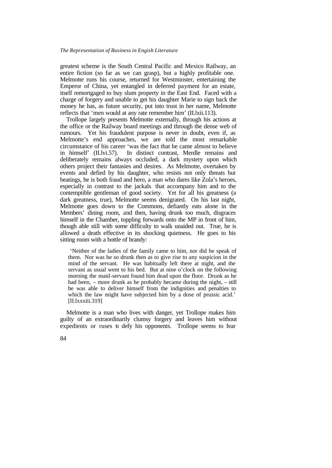greatest scheme is the South Central Pacific and Mexico Railway, an entire fiction (so far as we can grasp), but a highly profitable one. Melmotte runs his course, returned for Westminster, entertaining the Emperor of China, yet entangled in deferred payment for an estate, itself remortgaged to buy slum property in the East End. Faced with a charge of forgery and unable to get his daughter Marie to sign back the money he has, as future security, put into trust in her name, Melmotte reflects that 'men would at any rate remember him' (II.lxii.113).

Trollope largely presents Melmotte externally, through his actions at the office or the Railway board meetings and through the dense web of rumours. Yet his fraudulent purpose is never in doubt, even if, as Melmotte's end approaches, we are told the most remarkable circumstance of his career 'was the fact that he came almost to believe in himself' (II.lvi.57). In distinct contrast, Merdle remains and deliberately remains always occluded, a dark mystery upon which others project their fantasies and desires. As Melmotte, overtaken by events and defied by his daughter, who resists not only threats but beatings, he is both fraud and hero, a man who dares like Zola's heroes, especially in contrast to the jackals that accompany him and to the contemptible gentleman of good society. Yet for all his greatness (a dark greatness, true), Melmotte seems denigrated. On his last night, Melmotte goes down to the Commons, defiantly eats alone in the Members' dining room, and then, having drunk too much, disgraces himself in the Chamber, toppling forwards onto the MP in front of him, though able still with some difficulty to walk unaided out. True, he is allowed a death effective in its shocking quietness. He goes to his sitting room with a bottle of brandy:

'Neither of the ladies of the family came to him, nor did he speak of them. Nor was he so drunk then as to give rise to any suspicion in the mind of the servant. He was habitually left there at night, and the servant as usual went to his bed. But at nine o'clock on the following morning the maid-servant found him dead upon the floor. Drunk as he had been, – more drunk as he probably became during the night, – still he was able to deliver himself from the indignities and penalties to which the law might have subjected him by a dose of prussic acid.' [II.lxxxiii.319]

Melmotte is a man who lives with danger, yet Trollope makes him guilty of an extraordinarily clumsy forgery and leaves him without expedients or ruses to defy his opponents. Trollope seems to fear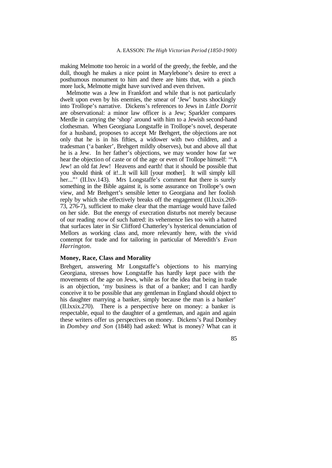making Melmotte too heroic in a world of the greedy, the feeble, and the dull, though he makes a nice point in Marylebone's desire to erect a posthumous monument to him and there are hints that, with a pinch more luck, Melmotte might have survived and even thriven.

Melmotte was a Jew in Frankfort and while that is not particularly dwelt upon even by his enemies, the smear of 'Jew' bursts shockingly into Trollope's narrative. Dickens's references to Jews in *Little Dorrit* are observational: a minor law officer is a Jew; Sparkler compares Merdle in carrying the 'shop' around with him to a Jewish second-hand clothesman. When Georgiana Longstaffe in Trollope's novel, desperate for a husband, proposes to accept Mr Brehgert, the objections are not only that he is in his fifties, a widower with two children, and a tradesman ('a banker', Brehgert mildly observes), but and above all that he is a Jew. In her father's objections, we may wonder how far we hear the objection of caste or of the age or even of Trollope himself: '"A Jew! an old fat Jew! Heavens and earth! that it should be possible that you should think of it!...It will kill [your mother]. It will simply kill her..."' (II.lxv.143). Mrs Longstaffe's comment hat there is surely something in the Bible against it, is some assurance on Trollope's own view, and Mr Brehgert's sensible letter to Georgiana and her foolish reply by which she effectively breaks off the engagement (II.lxxix.269- 73, 276-7), sufficient to make clear that the marriage would have failed on her side. But the energy of execration disturbs not merely because of our reading *now* of such hatred: its vehemence lies too with a hatred that surfaces later in Sir Clifford Chatterley's hysterical denunciation of Mellors as working class and, more relevantly here, with the vivid contempt for trade and for tailoring in particular of Meredith's *Evan Harrington*.

# **Money, Race, Class and Morality**

Brehgert, answering Mr Longstaffe's objections to his marrying Georgiana, stresses how Longstaffe has hardly kept pace with the movements of the age on Jews, while as for the idea that being in trade is an objection, 'my business is that of a banker; and I can hardly conceive it to be possible that any gentleman in England should object to his daughter marrying a banker, simply because the man is a banker' (II.lxxix.270). There is a perspective here on money: a banker is respectable, equal to the daughter of a gentleman, and again and again these writers offer us perspectives on money. Dickens's Paul Dombey in *Dombey and Son* (1848) had asked: What is money? What can it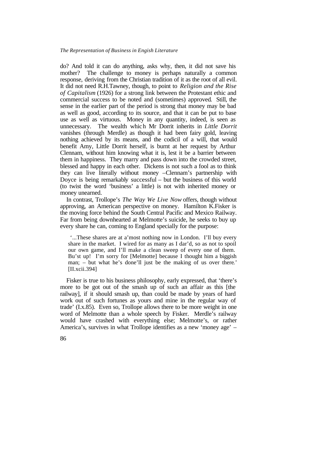do? And told it can do anything, asks why, then, it did not save his mother? The challenge to money is perhaps naturally a common response, deriving from the Christian tradition of it as the root of all evil. It did not need R.H.Tawney, though, to point to *Religion and the Rise of Capitalism* (1926) for a strong link between the Protestant ethic and commercial success to be noted and (sometimes) approved. Still, the sense in the earlier part of the period is strong that money may be bad as well as good, according to its source, and that it can be put to base use as well as virtuous. Money in any quantity, indeed, is seen as unnecessary. The wealth which Mr Dorrit inherits in *Little Dorrit* vanishes (through Merdle) as though it had been fairy gold, leaving nothing achieved by its means, and the codicil of a will, that would benefit Amy, Little Dorrit herself, is burnt at her request by Arthur Clennam, without him knowing what it is, lest it be a barrier between them in happiness. They marry and pass down into the crowded street, blessed and happy in each other. Dickens is not such a fool as to think they can live literally without money –Clennam's partnership with Doyce is being remarkably successful – but the business of this world (to twist the word 'business' a little) is not with inherited money or money unearned.

In contrast, Trollope's *The Way We Live Now* offers, though without approving, an American perspective on money. Hamilton K.Fisker is the moving force behind the South Central Pacific and Mexico Railway. Far from being downhearted at Melmotte's suicide, he seeks to buy up every share he can, coming to England specially for the purpose:

'...These shares are at a'most nothing now in London. I'll buy every share in the market. I wired for as many as I dar'd, so as not to spoil our own game, and I'll make a clean sweep of every one of them. Bu'st up! I'm sorry for [Melmotte] because I thought him a biggish man; – but what he's done'll just be the making of us over there.' [II.xcii.394]

Fisker is true to his business philosophy, early expressed, that 'there's more to be got out of the smash up of such an affair as this [the railway], if it should smash up, than could be made by years of hard work out of such fortunes as yours and mine in the regular way of trade' (I.x.85). Even so, Trollope allows there to be more weight in one word of Melmotte than a whole speech by Fisker. Merdle's railway would have crashed with everything else; Melmotte's, or rather America's, survives in what Trollope identifies as a new 'money age' –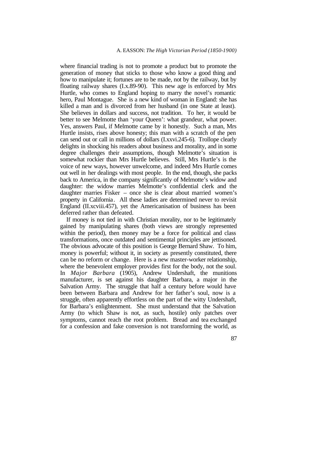where financial trading is not to promote a product but to promote the generation of money that sticks to those who know a good thing and how to manipulate it; fortunes are to be made, not by the railway, but by floating railway shares (I.x.89-90). This new age is enforced by Mrs Hurtle, who comes to England hoping to marry the novel's romantic hero, Paul Montague. She is a new kind of woman in England: she has killed a man and is divorced from her husband (in one State at least). She believes in dollars and success, not tradition. To her, it would be better to see Melmotte than 'your Queen': what grandeur, what power. Yes, answers Paul, if Melmotte came by it honestly. Such a man, Mrs Hurtle insists, rises above honesty; this man with a scratch of the pen can send out or call in millions of dollars (I.xxvi.245-6). Trollope clearly delights in shocking his readers about business and morality, and in some degree challenges their assumptions, though Melmotte's situation is somewhat rockier than Mrs Hurtle believes. Still, Mrs Hurtle's is the voice of new ways, however unwelcome, and indeed Mrs Hurtle comes out well in her dealings with most people. In the end, though, she packs back to America, in the company significantly of Melmotte's widow and daughter: the widow marries Melmotte's confidential clerk and the daughter marries Fisker – once she is clear about married women's property in California. All these ladies are determined never to revisit England (II.xcviii.457), yet the Americanisation of business has been deferred rather than defeated.

If money is not tied in with Christian morality, nor to be legitimately gained by manipulating shares (both views are strongly represented within the period), then money may be a force for political and class transformations, once outdated and sentimental principles are jettisoned. The obvious advocate of this position is George Bernard Shaw. To him, money is powerful; without it, in society as presently constituted, there can be no reform or change. Here is a new master-worker relationship, where the benevolent employer provides first for the body, not the soul. In *Major Barbara* (1905), Andrew Undershaft, the munitions manufacturer, is set against his daughter Barbara, a major in the Salvation Army. The struggle that half a century before would have been between Barbara and Andrew for her father's soul, now is a struggle, often apparently effortless on the part of the witty Undershaft, for Barbara's enlightenment. She must understand that the Salvation Army (to which Shaw is not, as such, hostile) only patches over symptoms, cannot reach the root problem. Bread and tea exchanged for a confession and fake conversion is not transforming the world, as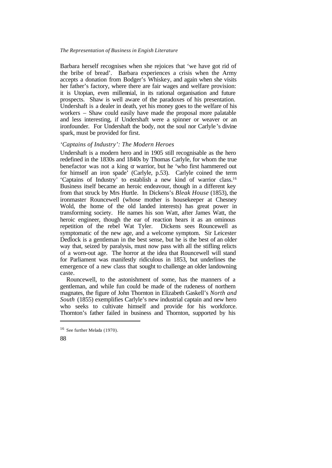Barbara herself recognises when she rejoices that 'we have got rid of the bribe of bread'. Barbara experiences a crisis when the Army accepts a donation from Bodger's Whiskey, and again when she visits her father's factory, where there are fair wages and welfare provision: it is Utopian, even millennial, in its rational organisation and future prospects. Shaw is well aware of the paradoxes of his presentation. Undershaft is a dealer in death, yet his money goes to the welfare of his workers – Shaw could easily have made the proposal more palatable and less interesting, if Undershaft were a spinner or weaver or an ironfounder. For Undershaft the body, not the soul nor Carlyle's divine spark, must be provided for first.

# *'Captains of Industry': The Modern Heroes*

Undershaft is a modern hero and in 1905 still recognisable as the hero redefined in the 1830s and 1840s by Thomas Carlyle, for whom the true benefactor was not a king  $\alpha$  warrior, but he 'who first hammered out for himself an iron spade' (Carlyle, p.53). Carlyle coined the term 'Captains of Industry' to establish a new kind of warrior class.<sup>16</sup> Business itself became an heroic endeavour, though in a different key from that struck by Mrs Hurtle. In Dickens's *Bleak House* (1853), the ironmaster Rouncewell (whose mother is housekeeper at Chesney Wold, the home of the old landed interests) has great power in transforming society. He names his son Watt, after James Watt, the heroic engineer, though the ear of reaction hears it as an ominous repetition of the rebel Wat Tyler. Dickens sees Rouncewell as symptomatic of the new age, and a welcome symptom. Sir Leicester Dedlock is a gentleman in the best sense, but he is the best of an older way that, seized by paralysis, must now pass with all the stifling relicts of a worn-out age. The horror at the idea that Rouncewell will stand for Parliament was manifestly ridiculous in 1853, but underlines the emergence of a new class that sought to challenge an older landowning caste.

Rouncewell, to the astonishment of some, has the manners of a gentleman, and while fun could be made of the rudeness of northern magnates, the figure of John Thornton in Elizabeth Gaskell's *North and South* (1855) exemplifies Carlyle's new industrial captain and new hero who seeks to cultivate himself and provide for his workforce. Thornton's father failed in business and Thornton, supported by his

### 88

<sup>16</sup> See further Melada (1970).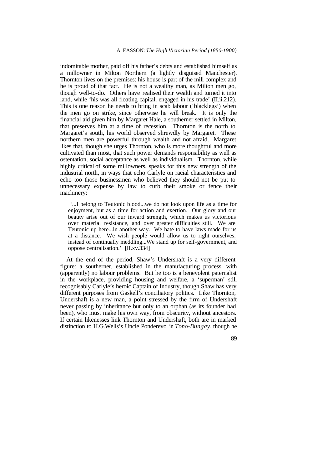indomitable mother, paid off his father's debts and established himself as a millowner in Milton Northern (a lightly disguised Manchester). Thornton lives on the premises: his house is part of the mill complex and he is proud of that fact. He is not a wealthy man, as Milton men go, though well-to-do. Others have realised their wealth and turned it into land, while 'his was all floating capital, engaged in his trade' (II.ii.212). This is one reason he needs to bring in scab labour ('blacklegs') when the men go on strike, since otherwise he will break. It is only the financial aid given him by Margaret Hale, a southerner settled in Milton, that preserves him at a time of recession. Thornton is the north to Margaret's south, his world observed shrewdly by Margaret. These northern men are powerful through wealth and not afraid. Margaret likes that, though she urges Thornton, who is more thoughtful and more cultivated than most, that such power demands responsibility as well as ostentation, social acceptance as well as individualism. Thornton, while highly critical of some millowners, speaks for this new strength of the industrial north, in ways that echo Carlyle on racial characteristics and echo too those businessmen who believed they should not be put to unnecessary expense by law to curb their smoke or fence their machinery:

'...I belong to Teutonic blood...we do not look upon life as a time for enjoyment, but as a time for action and exertion. Our glory and our beauty arise out of our inward strength, which makes us victorious over material resistance, and over greater difficulties still. We are Teutonic up here...in another way. We hate to have laws made for us at a distance. We wish people would allow us to right ourselves, instead of continually meddling...We stand up for self-government, and oppose centralisation.' [II.xv.334]

At the end of the period, Shaw's Undershaft is a very different figure: a southerner, established in the manufacturing process, with (apparently) no labour problems. But he too is a benevolent paternalist in the workplace, providing housing and welfare, a 'superman' still recognisably Carlyle's heroic Captain of Industry, though Shaw has very different purposes from Gaskell's conciliatory politics. Like Thornton, Undershaft is a new man, a point stressed by the firm of Undershaft never passing by inheritance but only to an orphan (as its founder had been), who must make his own way, from obscurity, without ancestors. If certain likenesses link Thornton and Undershaft, both are in marked distinction to H.G.Wells's Uncle Ponderevo in *Tono-Bungay*, though he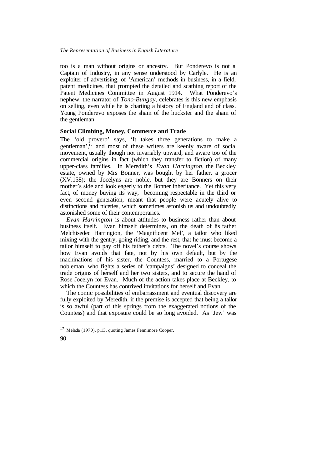too is a man without origins or ancestry. But Ponderevo is not a Captain of Industry, in any sense understood by Carlyle. He is an exploiter of advertising, of 'American' methods in business, in a field, patent medicines, that prompted the detailed and scathing report of the Patent Medicines Committee in August 1914. What Ponderevo's nephew, the narrator of *Tono-Bungay*, celebrates is this new emphasis on selling, even while he is charting a history of England and of class. Young Ponderevo exposes the sham of the huckster and the sham of the gentleman.

# **Social Climbing, Money, Commerce and Trade**

The 'old proverb' says, 'It takes three generations to make a gentleman',17 and most of these writers are keenly aware of social movement, usually though not invariably upward, and aware too of the commercial origins in fact (which they transfer to fiction) of many upper-class families. In Meredith's *Evan Harrington*, the Beckley estate, owned by Mrs Bonner, was bought by her father, a grocer (XV.158); the Jocelyns are noble, but they are Bonners on their mother's side and look eagerly to the Bonner inheritance. Yet this very fact, of money buying its way, becoming respectable in the third or even second generation, meant that people were acutely alive to distinctions and niceties, which sometimes astonish us and undoubtedly astonished some of their contemporaries.

*Evan Harrington* is about attitudes to business rather than about business itself. Evan himself determines, on the death of his father Melchisedec Harrington, the 'Magnificent Mel', a tailor who liked mixing with the gentry, going riding, and the rest, that he must become a tailor himself to pay off his father's debts. The novel's course shows how Evan avoids that fate, not by his own default, but by the machinations of his sister, the Countess, married to a Portugese nobleman, who fights a series of 'campaigns' designed to conceal the trade origins of herself and her two sisters, and to secure the hand of Rose Jocelyn for Evan. Much of the action takes place at Beckley, to which the Countess has contrived invitations for herself and Evan.

The comic possibilities of embarrassment and eventual discovery are fully exploited by Meredith, if the premise is accepted that being a tailor is so awful (part of this springs from the exaggerated notions of the Countess) and that exposure could be so long avoided. As 'Jew' was

<sup>17</sup> Melada (1970), p.13, quoting James Fennimore Cooper.

<sup>90</sup>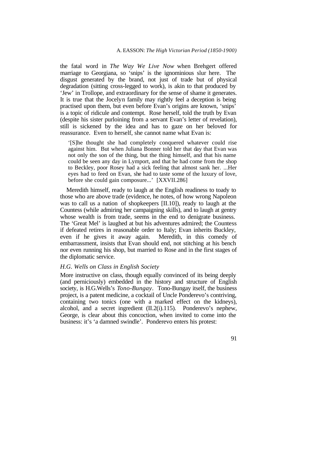the fatal word in *The Way We Live Now* when Brehgert offered marriage to Georgiana, so 'snips' is the ignominious slur here. The disgust generated by the brand, not just of trade but of physical degradation (sitting cross-legged to work), is akin to that produced by 'Jew' in Trollope, and extraordinary for the sense of shame it generates. It is true that the Jocelyn family may rightly feel a deception is being practised upon them, but even before Evan's origins are known, 'snips' is a topic of ridicule and contempt. Rose herself, told the truth by Evan (despite his sister purloining from a servant Evan's letter of revelation), still is sickened by the idea and has to gaze on her beloved for reassurance. Even to herself, she cannot name what Evan is:

'[S]he thought she had completely conquered whatever could rise against him. But when Juliana Bonner told her that day that Evan was not only the son of the thing, but the thing himself, and that his name could be seen any day in Lymport, and that he had come from the shop to Beckley, poor Rosey had a sick feeling that almost sank her. ...Her eyes had to feed on Evan, she had to taste some of the luxury of love, before she could gain composure...' [XXVII.286]

Meredith himself, ready to laugh at the English readiness to toady to those who are above trade (evidence, he notes, of how wrong Napoleon was to call us a nation of shopkeepers [II.10]), ready to laugh at the Countess (while admiring her campaigning skills), and to laugh at gentry whose wealth is from trade, seems in the end to denigrate business. The 'Great Mel' is laughed at but his adventures admired; the Countess if defeated retires in reasonable order to Italy; Evan inherits Buckley, even if he gives it away again. Meredith, in this comedy of embarrassment, insists that Evan should end, not stitching at his bench nor even running his shop, but married to Rose and in the first stages of the diplomatic service.

# *H.G. Wells on Class in English Society*

More instructive on class, though equally convinced of its being deeply (and perniciously) embedded in the history and structure of English society, is H.G.Wells's *Tono-Bungay*. Tono-Bungay itself, the business project, is a patent medicine, a cocktail of Uncle Ponderevo's contriving, containing two tonics (one with a marked effect on the kidneys), alcohol, and a secret ingredient (II.2(i).115). Ponderevo's nephew, George, is clear about this concoction, when invited to come into the business: it's 'a damned swindle'. Ponderevo enters his protest: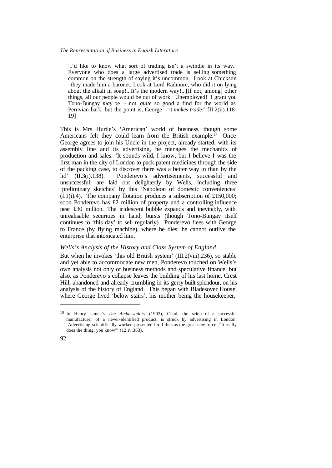'I'd like to know what sort of trading isn't a swindle in its way. Everyone who does a large advertised trade is selling something common on the strength of saying it's uncommon. Look at Chickson –they made him a baronet. Look at Lord Radmore, who did it on lying about the alkali in soap!...It's the modern way!...[If not, among] other things, all our people would be out of work. Unemployed! I grant you Tono-Bungay *may* be – not *quite* so good a find for the world as Peruvian bark, but the point is, George – it *makes trade!*' [II.2(ii).118- 19]

This is Mrs Hurtle's 'American' world of business, though some Americans felt they could learn from the British example.18 Once George agrees to join his Uncle in the project, already started, with its assembly line and its advertising, he manages the mechanics of production and sales: 'It sounds wild, I know, but I believe I was the first man in the city of London to pack patent medicines through the side of the packing case, to discover there was a better way in than by the lid' (II.3(i).138). Ponderevo's advertisements, successful and unsuccessful, are laid out delightedly by Wells, including three 'preliminary sketches' by this 'Napoleon of domestic conveniences'  $(I.1(i).4)$ . The company flotation produces a subscription of £150,000; soon Ponderevo has £2 million of property and a controlling influence near £30 million. The iridescent bubble expands and inevitably, with unrealisable securities in hand, bursts (though Tono-Bungay itself continues to 'this day' to sell regularly). Ponderevo flees with George to France (by flying machine), where he dies: he cannot outlive the enterprise that intoxicated him.

# *Wells's Analysis of the History and Class System of England*

But when he invokes 'this old British system' (III.2(viii).236), so stable and yet able to accommodate new men, Ponderevo touched on Wells's own analysis not only of business methods and speculative finance, but also, as Ponderevo's collapse leaves the building of his last home, Crest Hill, abandoned and already crumbling in its gerry-built splendour, on his analysis of the history of England. This began with Bladesover House, where George lived 'below stairs', his mother being the housekeeper,

<sup>18</sup> In Henry James's *The Ambassadors* (1903), Chad, the scion of a successful manufacturer of a never-identified product, is struck by advertising in London: 'Advertising scientifically worked presented itself thus as the great new force: "It really does the thing, you know"' (12.iv.363).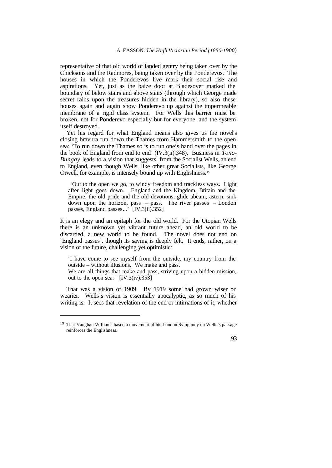representative of that old world of landed gentry being taken over by the Chicksons and the Radmores, being taken over by the Ponderevos. The houses in which the Ponderevos live mark their social rise and aspirations. Yet, just as the baize door at Bladesover marked the boundary of below stairs and above stairs (through which George made secret raids upon the treasures hidden in the library), so also these houses again and again show Ponderevo up against the impermeable membrane of a rigid class system. For Wells this barrier must be broken, not for Ponderevo especially but for everyone, and the system itself destroyed.

Yet his regard for what England means also gives us the novel's closing bravura run down the Thames from Hammersmith to the open sea: 'To run down the Thames so is to run one's hand over the pages in the book of England from end to end' (IV.3(ii).348). Business in *Tono-Bungay* leads to a vision that suggests, from the Socialist Wells, an end to England, even though Wells, like other great Socialists, like George Orwell, for example, is intensely bound up with Englishness.<sup>19</sup>

'Out to the open we go, to windy freedom and trackless ways. Light after light goes down. England and the Kingdom, Britain and the Empire, the old pride and the old devotions, glide abeam, astern, sink down upon the horizon, pass – pass. The river passes – London passes, England passes...' [IV.3(ii).352]

It is an elegy and an epitaph for the old world. For the Utopian Wells there is an unknown yet vibrant future ahead, an old world to be discarded, a new world to be found. The novel does not end on 'England passes', though its saying is deeply felt. It ends, rather, on a vision of the future, challenging yet optimistic:

'I have come to see myself from the outside, my country from the outside – without illusions. We make and pass.

We are all things that make and pass, striving upon a hidden mission, out to the open sea.' [IV.3(iv).353]

That was a vision of 1909. By 1919 some had grown wiser or wearier. Wells's vision is essentially apocalyptic, as so much of his writing is. It sees that revelation of the end or intimations of it, whether

<sup>19</sup> That Vaughan Williams based a movement of his London Symphony on Wells's passage reinforces the Englishness.

<sup>93</sup>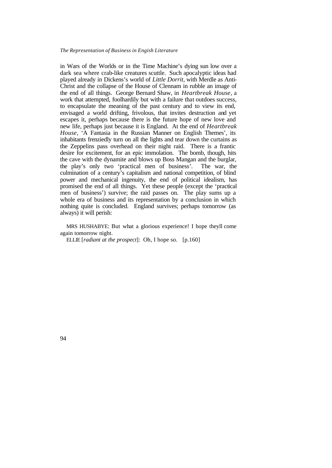in Wars of the Worlds or in the Time Machine's dying sun low over a dark sea where crab-like creatures scuttle. Such apocalyptic ideas had played already in Dickens's world of *Little Dorrit*, with Merdle as Anti-Christ and the collapse of the House of Clennam in rubble an image of the end of all things. George Bernard Shaw, in *Heartbreak House*, a work that attempted, foolhardily but with a failure that outdoes success, to encapsulate the meaning of the past century and to view its end, envisaged a world drifting, frivolous, that invites destruction and yet escapes it, perhaps because there is the future hope of new love and new life, perhaps just because it is England. At the end of *Heartbreak House*, 'A Fantasia in the Russian Manner on English Themes', its inhabitants frenziedly turn on all the lights and tear down the curtains as the Zeppelins pass overhead on their night raid. There is a frantic desire for excitement, for an epic immolation. The bomb, though, hits the cave with the dynamite and blows up Boss Mangan and the burglar, the play's only two 'practical men of business'. The war, the culmination of a century's capitalism and national competition, of blind power and mechanical ingenuity, the end of political idealism, has promised the end of all things. Yet these people (except the 'practical men of business') survive; the raid passes on. The play sums up a whole era of business and its representation by a conclusion in which nothing quite is concluded. England survives; perhaps tomorrow (as always) it will perish:

MRS HUSHABYE: But what a glorious experience! I hope theyll come again tomorrow night.

ELLIE [*radiant at the prospect*]: Oh, I hope so. [p.160]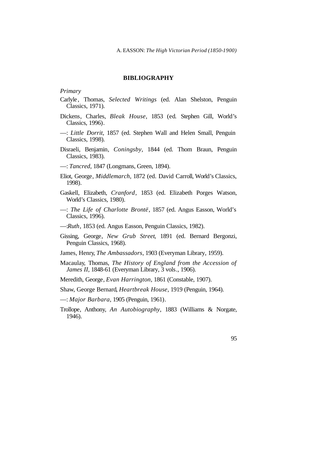# **BIBLIOGRAPHY**

#### *Primary*

- Carlyle, Thomas, *Selected Writings* (ed. Alan Shelston, Penguin Classics, 1971).
- Dickens, Charles, *Bleak House*, 1853 (ed. Stephen Gill, World's Classics, 1996).
- —: *Little Dorrit*, 1857 (ed. Stephen Wall and Helen Small, Penguin Classics, 1998).
- Disraeli, Benjamin, *Coningsby*, 1844 (ed. Thom Braun, Penguin Classics, 1983).
- —: *Tancred*, 1847 (Longmans, Green, 1894).
- Eliot, George, *Middlemarch*, 1872 (ed. David Carroll, World's Classics, 1998).
- Gaskell, Elizabeth, *Cranford*, 1853 (ed. Elizabeth Porges Watson, World's Classics, 1980).
- —: *The Life of Charlotte Brontë*, 1857 (ed. Angus Easson, World's Classics, 1996).
- —:*Ruth*, 1853 (ed. Angus Easson, Penguin Classics, 1982).
- Gissing, George, *New Grub Street*, 1891 (ed. Bernard Bergonzi, Penguin Classics, 1968).
- James, Henry, *The Ambassadors*, 1903 (Everyman Library, 1959).
- Macaulay, Thomas, *The History of England from the Accession of James II*, 1848-61 (Everyman Library, 3 vols., 1906).
- Meredith, George, *Evan Harrington*, 1861 (Constable, 1907).
- Shaw, George Bernard, *Heartbreak House*, 1919 (Penguin, 1964).
- —: *Major Barbara*, 1905 (Penguin, 1961).
- Trollope, Anthony, *An Autobiography*, 1883 (Williams & Norgate, 1946).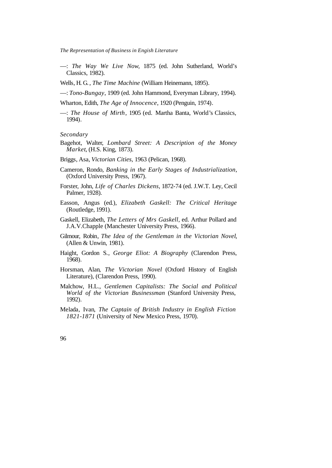—: *The Way We Live Now*, 1875 (ed. John Sutherland, World's Classics, 1982).

Wells, H. G., *The Time Machine* (William Heinemann, 1895).

—: *Tono-Bungay*, 1909 (ed. John Hammond, Everyman Library, 1994).

Wharton, Edith, *The Age of Innocence*, 1920 (Penguin, 1974).

—: *The House of Mirth*, 1905 (ed. Martha Banta, World's Classics, 1994).

*Secondary*

- Bagehot, Walter, *Lombard Street: A Description of the Money Market*, (H.S. King, 1873).
- Briggs, Asa, *Victorian Cities*, 1963 (Pelican, 1968).
- Cameron, Rondo, *Banking in the Early Stages of Industrialization*, (Oxford University Press, 1967).
- Forster, John, *Life of Charles Dickens*, 1872-74 (ed. J.W.T. Ley, Cecil Palmer, 1928).
- Easson, Angus (ed.), *Elizabeth Gaskell: The Critical Heritage* (Routledge, 1991).
- Gaskell, Elizabeth, *The Letters of Mrs Gaskell*, ed. Arthur Pollard and J.A.V.Chapple (Manchester University Press, 1966).
- Gilmour, Robin, *The Idea of the Gentleman in the Victorian Novel*, (Allen & Unwin, 1981).
- Haight, Gordon S., *George Eliot: A Biography* (Clarendon Press, 1968).
- Horsman, Alan, *The Victorian Novel* (Oxford History of English Literature), (Clarendon Press, 1990).
- Malchow, H.L., *Gentlemen Capitalists: The Social and Political World of the Victorian Businessman* (Stanford University Press, 1992).
- Melada, Ivan, *The Captain of British Industry in English Fiction 1821-1871* (University of New Mexico Press, 1970).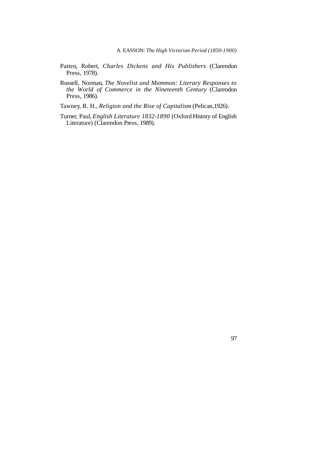- Patten, Robert, *Charles Dickens and His Publishers* (Clarendon Press, 1978).
- Russell, Norman, *The Novelist and Mammon: Literary Responses to the World of Commerce in the Nineteenth Century* (Clarendon Press, 1986).
- Tawney, R. H., *Religion and the Rise of Capitalism* (Pelican,1926).
- Turner, Paul, *English Literature 1832-1890* (Oxford History of English Literature) (Clarendon Press, 1989).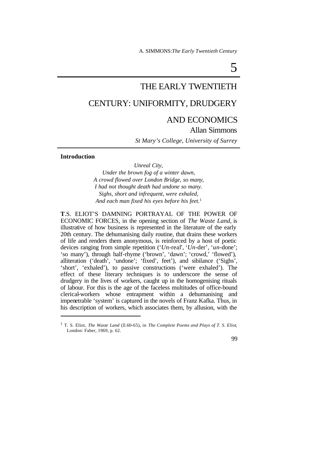# 5

# THE EARLY TWENTIETH

# CENTURY: UNIFORMITY, DRUDGERY

# AND ECONOMICS Allan Simmons

*St Mary's College, University of Surrey* 

# **Introduction**

l

*Unreal City, Under the brown fog of a winter dawn, A crowd flowed over London Bridge, so many, I had not thought death had undone so many. Sighs, short and infrequent, were exhaled, And each man fixed his eyes before his feet.*<sup>1</sup>

**T**.S. ELIOT'S DAMNING PORTRAYAL OF THE POWER OF ECONOMIC FORCES, in the opening section of *The Waste Land*, is illustrative of how business is represented in the literature of the early 20th century. The dehumanising daily routine, that drains these workers of life and renders them anonymous, is reinforced by a host of poetic devices ranging from simple repetition ('*Un*-real', '*Un-*der', '*un-*done'; 'so many'), through half-rhyme ('brown', 'dawn'; 'crowd,' 'flowed'), alliteration ('death', 'undone'; 'fixed', feet'), and sibilance ('Sighs', 'short', 'exhaled'), to passive constructions ('were exhaled'). The effect of these literary techniques is to underscore the sense of drudgery in the lives of workers, caught up in the homogenising rituals of labour. For this is the age of the faceless multitudes of office-bound clerical-workers whose entrapment within a dehumanising and impenetrable 'system' is captured in the novels of Franz Kafka. Thus, in his description of workers, which associates them, by allusion, with the

<sup>1</sup> T. S. Eliot, *The Waste Land* (ll.60-65), in *The Complete Poems and Plays of T. S. Eliot*, London: Faber, 1969, p. 62.

<sup>99</sup>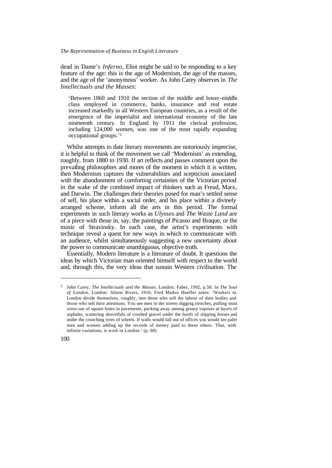dead in Dante's *Inferno*, Eliot might be said to be responding to a key feature of the age: this is the age of Modernism, the age of the masses, and the age of the 'anonymous' worker. As John Carey observes in *The Intellectuals and the Masses*:

'Between 1860 and 1910 the section of the middle and lower-middle class employed in commerce, banks, insurance and real estate increased markedly in all Western European countries, as a result of the emergence of the imperialist and international economy of the late nineteenth century. In England by 1911 the clerical profession, including 124,000 women, was one of the most rapidly expanding occupational groups.'<sup>2</sup>

Whilst attempts to date literary movements are notoriously imprecise, it is helpful to think of the movement we call 'Modernism' as extending, roughly, from 1880 to 1930. If art reflects and passes comment upon the prevailing philosophies and mores of the moment in which it is written, then Modernism captures the vulnerabilities and scepticism associated with the abandonment of comforting certainties of the Victorian period in the wake of the combined impact of thinkers such as Freud, Marx, and Darwin. The challenges their theories posed for man's settled sense of self, his place within a social order, and his place within a divinely arranged scheme, inform all the arts in this period. The formal experiments in such literary works as *Ulysses* and *The Waste Land* are of a piece with those in, say, the paintings of Picasso and Braque, or the music of Stravinsky. In each case, the artist's experiments with technique reveal a quest for new ways in which to communicate with an audience, whilst simultaneously suggesting a new uncertainty about the power to communicate unambiguous, objective truth.

Essentially, Modern literature is a literature of doubt. It questions the ideas by which Victorian man oriented himself with respect to the world and, through this, the very ideas that sustain Western civilisation. The

<sup>2</sup> John Carey, *The Intellectuals and the Masses*, London: Faber, 1992, p.58. In *The Soul of London*, London: Alston Rivers, 1910, Ford Madox Hueffer notes: 'Workers in London divide themselves, roughly, into those who sell the labour of their bodies and those who sell their attentions. You see men in the streets digging trenches, pulling stout wires out of square holes in pavements, pecking away among greasy vapours at layers of asphalte, scattering shovelfuls of crushed gravel under the hoofs of slipping horses and under the crunching tyres of wheels. If walls would fall out of offices you would see paler men and women adding up the records of money paid to these others. That, with infinite variations, is work in London.' (p. 68)

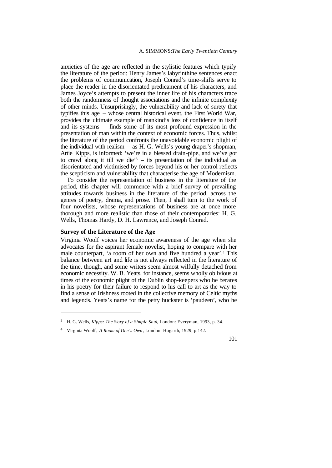anxieties of the age are reflected in the stylistic features which typify the literature of the period: Henry James's labyrinthine sentences enact the problems of communication, Joseph Conrad's time-shifts serve to place the reader in the disorientated predicament of his characters, and James Joyce's attempts to present the inner life of his characters trace both the randomness of thought associations and the infinite complexity of other minds. Unsurprisingly, the vulnerability and lack of surety that typifies this age – whose central historical event, the First World War, provides the ultimate example of mankind's loss of confidence in itself and its systems – finds some of its most profound expression in the presentation of man within the context of economic forces. Thus, whilst the literature of the period confronts the unavoidable economic plight of the individual with realism – as H. G. Wells's young draper's shopman, Artie Kipps, is informed: 'we're in a blessed drain-pipe, and we've got to crawl along it till we die<sup>'3</sup> – its presentation of the individual as disorientated and victimised by forces beyond his or her control reflects the scepticism and vulnerability that characterise the age of Modernism.

To consider the representation of business in the literature of the period, this chapter will commence with a brief survey of prevailing attitudes towards business in the literature of the period, across the genres of poetry, drama, and prose. Then, I shall turn to the work of four novelists, whose representations of business are at once more thorough and more realistic than those of their contemporaries: H. G. Wells, Thomas Hardy, D. H. Lawrence, and Joseph Conrad.

# **Survey of the Literature of the Age**

l

Virginia Woolf voices her economic awareness of the age when she advocates for the aspirant female novelist, hoping to compare with her male counterpart, 'a room of her own and five hundred a year'.<sup>4</sup> This balance between art and life is not always reflected in the literature of the time, though, and some writers seem almost wilfully detached from economic necessity. W. B. Yeats, for instance, seems wholly oblivious at times of the economic plight of the Dublin shop-keepers who he berates in his poetry for their failure to respond to his call to art as the way to find a sense of Irishness rooted in the collective memory of Celtic myths and legends. Yeats's name for the petty huckster is 'paudeen', who he

<sup>3</sup> H. G. Wells, *Kipps: The Story of a Simple Soul*, London: Everyman, 1993, p. 34.

<sup>4</sup> Virginia Woolf, *A Room of One's Own*, London: Hogarth, 1929, p.142.

<sup>101</sup>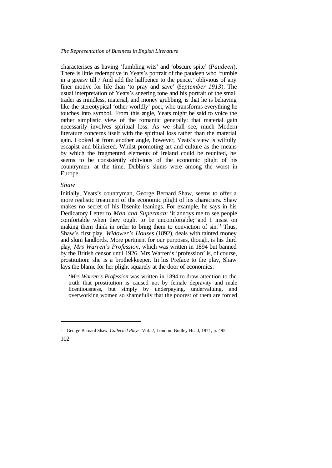characterises as having 'fumbling wits' and 'obscure spite' (*Paudeen*). There is little redemptive in Yeats's portrait of the paudeen who 'fumble in a greasy till / And add the halfpence to the pence,' oblivious of any finer motive for life than 'to pray and save' (*September 1913*). The usual interpretation of Yeats's sneering tone and his portrait of the small trader as mindless, material, and money grubbing, is that he is behaving like the stereotypical 'other-worldly' poet, who transforms everything he touches into symbol. From this angle, Yeats might be said to voice the rather simplistic view of the romantic generally: that material gain necessarily involves spiritual loss. As we shall see, much Modern literature concerns itself with the spiritual loss rather than the material gain. Looked at from another angle, however, Yeats's view is wilfully escapist and blinkered. Whilst promoting art and culture as the means by which the fragmented elements of Ireland could be reunited, he seems to be consistently oblivious of the economic plight of his countrymen: at the time, Dublin's slums were among the worst in Europe.

# *Shaw*

l

Initially, Yeats's countryman, George Bernard Shaw, seems to offer a more realistic treatment of the economic plight of his characters. Shaw makes no secret of his Ibsenite leanings. For example, he says in his Dedicatory Letter to *Man and Superman*: 'it annoys me to see people comfortable when they ought to be uncomfortable; and I insist on making them think in order to bring them to conviction of sin.'<sup>5</sup> Thus, Shaw's first play, *Widower's Houses* (1892), deals with tainted money and slum landlords. More pertinent for our purposes, though, is his third play, *Mrs Warren's Profession*, which was written in 1894 but banned by the British censor until 1926. Mrs Warren's 'profession' is, of course, prostitution: she is a brothel-keeper. In his Preface to the play, Shaw lays the blame for her plight squarely at the door of economics:

'*Mrs Warren's Profession* was written in 1894 to draw attention to the truth that prostitution is caused not by female depravity and male licentiousness, but simply by underpaying, undervaluing, and overworking women so shamefully that the poorest of them are forced

<sup>102</sup> <sup>5</sup> George Bernard Shaw, *Collected Plays*, Vol. 2, London: Bodley Head, 1971, p. 495.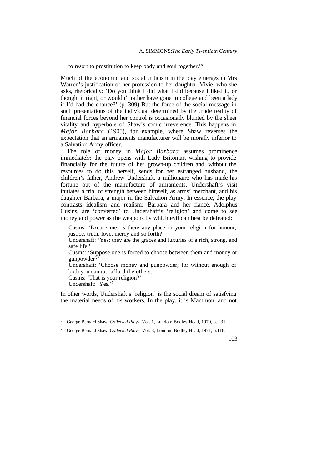to resort to prostitution to keep body and soul together.'<sup>6</sup>

Much of the economic and social criticism in the play emerges in Mrs Warren's justification of her profession to her daughter, Vivie, who she asks, rhetorically: 'Do you think I did what I did because I liked it, or thought it right, or wouldn't rather have gone to college and been a lady if I'd had the chance?' (p. 309) But the force of the social message in such presentations of the individual determined by the crude reality of financial forces beyond her control is occasionally blunted by the sheer vitality and hyperbole of Shaw's comic irreverence. This happens in *Major Barbara* (1905), for example, where Shaw reverses the expectation that an armaments manufacturer will be morally inferior to a Salvation Army officer.

The role of money in *Major Barbara* assumes prominence immediately: the play opens with Lady Britomart wishing to provide financially for the future of her grown-up children and, without the resources to do this herself, sends for her estranged husband, the children's father, Andrew Undershaft, a millionaire who has made his fortune out of the manufacture of armaments. Undershaft's visit initiates a trial of strength between himself, as arms' merchant, and his daughter Barbara, a major in the Salvation Army. In essence, the play contrasts idealism and realism: Barbara and her fiancé, Adolphus Cusins, are 'converted' to Undershaft's 'religion' and come to see money and power as the weapons by which evil can best be defeated:

Cusins: 'Excuse me: is there any place in your religion for honour, justice, truth, love, mercy and so forth?'

Undershaft: 'Yes: they are the graces and luxuries of a rich, strong, and safe life.'

Cusins: 'Suppose one is forced to choose between them and money or gunpowder?'

Undershaft: 'Choose money and gunpowder; for without enough of both you cannot afford the others.'

Cusins: 'That is your religion?'

Undershaft: 'Yes.'<sup>7</sup>

l

In other words, Undershaft's 'religion' is the social dream of satisfying the material needs of his workers. In the play, it is Mammon, and not

<sup>6</sup> George Bernard Shaw, *Collected Plays*, Vol. 1, London: Bodley Head, 1970, p. 231.

<sup>7</sup> George Bernard Shaw, *Collected Plays*, Vol. 3, London: Bodley Head, 1971, p.116.

<sup>103</sup>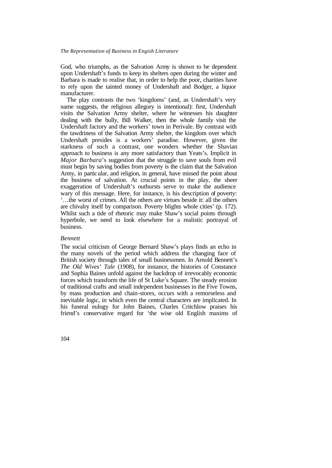God, who triumphs, as the Salvation Army is shown to be dependent upon Undershaft's funds to keep its shelters open during the winter and Barbara is made to realise that, in order to help the poor, charities have to rely upon the tainted money of Undershaft and Bodger, a liquor manufacturer.

The play contrasts the two 'kingdoms' (and, as Undershaft's very name suggests, the religious allegory is intentional): first, Undershaft visits the Salvation Army shelter, where he witnesses his daughter dealing with the bully, Bill Walker, then the whole family visit the Undershaft factory and the workers' town in Perivale. By contrast with the tawdriness of the Salvation Army shelter, the kingdom over which Undershaft presides is a workers' paradise. However, given the starkness of such a contrast, one wonders whether the Shavian approach to business is any more satisfactory than Yeats's. Implicit in *Major Barbara*'s suggestion that the struggle to save souls from evil must begin by saving bodies from poverty is the claim that the Salvation Army, in particular, and religion, in general, have missed the point about the business of salvation. At crucial points in the play, the sheer exaggeration of Undershaft's outbursts serve to make the audience wary of this message. Here, for instance, is his description of poverty: '…the worst of crimes. All the others are virtues beside it: all the others are chivalry itself by comparison. Poverty blights whole cities' (p. 172). Whilst such a tide of rhetoric may make Shaw's social points through hyperbole, we need to look elsewhere for a realistic portrayal of business.

# *Bennett*

The social criticism of George Bernard Shaw's plays finds an echo in the many novels of the period which address the changing face of British society through tales of small businessmen. In Arnold Bennett's *The Old Wives' Tale* (1908), for instance, the histories of Constance and Sophia Baines unfold against the backdrop of irrevocably economic forces which transform the life of St Luke's Square. The steady erosion of traditional crafts and small independent businesses in the Five Towns, by mass production and chain-stores, occurs with a remorseless and inevitable logic, in which even the central characters are implicated. In his funeral eulogy for John Baines, Charles Critchlow praises his friend's conservative regard for 'the wise old English maxims of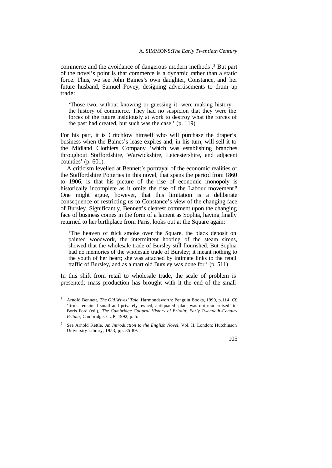commerce and the avoidance of dangerous modern methods'.<sup>8</sup> But part of the novel's point is that commerce is a dynamic rather than a static force. Thus, we see John Baines's own daughter, Constance, and her future husband, Samuel Povey, designing advertisements to drum up trade:

'Those two, without knowing or guessing it, were making history – the history of commerce. They had no suspicion that they were the forces of the future insidiously at work to destroy what the forces of the past had created, but such was the case.' (p. 119)

For his part, it is Critchlow himself who will purchase the draper's business when the Baines's lease expires and, in his turn, will sell it to the Midland Clothiers Company 'which was establishing branches throughout Staffordshire, Warwickshire, Leicestershire, and adjacent counties' (p. 601).

A criticism levelled at Bennett's portrayal of the economic realities of the Staffordshire Potteries in this novel, that spans the period from 1860 to 1906, is that his picture of the rise of economic monopoly is historically incomplete as it omits the rise of the Labour movement.<sup>9</sup> One might argue, however, that this limitation is a deliberate consequence of restricting us to Constance's view of the changing face of Bursley. Significantly, Bennett's clearest comment upon the changing face of business comes in the form of a lament as Sophia, having finally returned to her birthplace from Paris, looks out at the Square again:

'The heaven of thick smoke over the Square, the black deposit on painted woodwork, the intermittent hooting of the steam sirens, showed that the wholesale trade of Bursley still flourished. But Sophia had no memories of the wholesale trade of Bursley; it meant nothing to the youth of her heart; she was attached by intimate links to the retail traffic of Bursley, and as a mart old Bursley was done for.' (p. 511)

In this shift from retail to wholesale trade, the scale of problem is presented: mass production has brought with it the end of the small

<sup>8</sup> Arnold Bennett, *The Old Wives' Tale*, Harmondsworth: Penguin Books, 1990, p.114. *Cf*. 'firms remained small and privately owned, antiquated plant was not modernised' in Boris Ford (ed.), *The Cambridge Cultural History of Britain: Early Twentieth-Century Britain*, Cambridge: CUP, 1992, p. 5.

<sup>9</sup> See Arnold Kettle, *An Introduction to the English Novel*, Vol. II, London: Hutchinson University Library, 1953, pp. 85-89.

<sup>105</sup>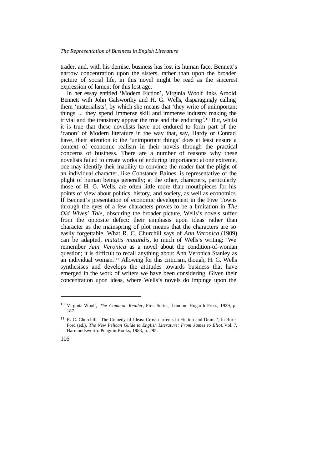trader, and, with his demise, business has lost its human face. Bennett's narrow concentration upon the sisters, rather than upon the broader picture of social life, in this novel might be read as the sincerest expression of lament for this lost age.

In her essay entitled 'Modern Fiction', Virginia Woolf links Arnold Bennett with John Galsworthy and H. G. Wells, disparagingly calling them 'materialists', by which she means that 'they write of unimportant things ... they spend immense skill and immense industry making the trivial and the transitory appear the true and the enduring'.10 But, whilst it is true that these novelists have not endured to form part of the 'canon' of Modern literature in the way that, say, Hardy or Conrad have, their attention to the 'unimportant things' does at least ensure a context of economic realism in their novels through the practical concerns of business. There are a number of reasons why these novelists failed to create works of enduring importance: at one extreme, one may identify their inability to convince the reader that the plight of an individual character, like Constance Baines, is representative of the plight of human beings generally; at the other, characters, particularly those of H. G. Wells, are often little more than mouthpieces for his points of view about politics, history, and society, as well as economics. If Bennett's presentation of economic development in the Five Towns through the eyes of a few characters proves to be a limitation in *The Old Wives' Tale*, obscuring the broader picture, Wells's novels suffer from the opposite defect: their emphasis upon ideas rather than character as the mainspring of plot means that the characters are so easily forgettable. What R. C. Churchill says of *Ann Veronica* (1909) can be adapted, *mutatis mutandis*, to much of Wells's writing: 'We remember *Ann Veronica* as a novel about the condition-of-woman question; it is difficult to recall anything about Ann Veronica Stanley as an individual woman.'11 Allowing for this criticism, though, H. G. Wells synthesises and develops the attitudes towards business that have emerged in the work of writers we have been considering. Given their concentration upon ideas, where Wells's novels do impinge upon the

<sup>10</sup> Virginia Woolf, *The Common Reader*, First Series, London: Hogarth Press, 1929, p. 187.

<sup>&</sup>lt;sup>11</sup> R. C. Churchill, 'The Comedy of Ideas: Cross-currents in Fiction and Drama', in Boris Ford (ed.), *The New Pelican Guide to English Literature: From James to Eliot*, Vol. 7, Harmondsworth: Penguin Books, 1983, p. 295.

<sup>106</sup>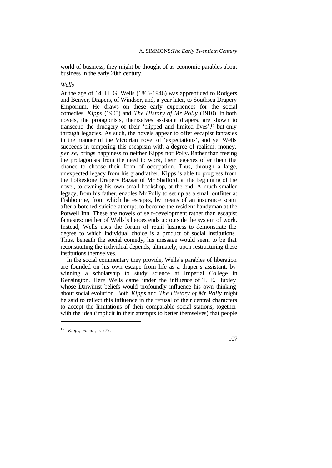world of business, they might be thought of as economic parables about business in the early 20th century.

# *Wells*

At the age of 14, H. G. Wells (1866-1946) was apprenticed to Rodgers and Benyer, Drapers, of Windsor, and, a year later, to Southsea Drapery Emporium. He draws on these early experiences for the social comedies, *Kipps* (1905) and *The History of Mr Polly* (1910). In both novels, the protagonists, themselves assistant drapers, are shown to transcend the drudgery of their 'clipped and limited lives',<sup>12</sup> but only through legacies. As such, the novels appear to offer escapist fantasies in the manner of the Victorian novel of 'expectations', and yet Wells succeeds in tempering this escapism with a degree of realism: money, *per se*, brings happiness to neither Kipps nor Polly. Rather than freeing the protagonists from the need to work, their legacies offer them the chance to choose their form of occupation. Thus, through a large, unexpected legacy from his grandfather, Kipps is able to progress from the Folkestone Drapery Bazaar of Mr Shalford, at the beginning of the novel, to owning his own small bookshop, at the end. A much smaller legacy, from his father, enables Mr Polly to set up as a small outfitter at Fishbourne, from which he escapes, by means of an insurance scam after a botched suicide attempt, to become the resident handyman at the Potwell Inn. These are novels of self-development rather than escapist fantasies: neither of Wells's heroes ends up outside the system of work. Instead, Wells uses the forum of retail business to demonstrate the degree to which individual choice is a product of social institutions. Thus, beneath the social comedy, his message would seem to be that reconstituting the individual depends, ultimately, upon restructuring these institutions themselves.

In the social commentary they provide, Wells's parables of liberation are founded on his own escape from life as a draper's assistant, by winning a scholarship to study science at Imperial College in Kensington. Here Wells came under the influence of T. E. Huxley whose Darwinist beliefs would profoundly influence his own thinking about social evolution. Both *Kipps* and *The History of Mr Polly* might be said to reflect this influence in the refusal of their central characters to accept the limitations of their comparable social stations, together with the idea (implicit in their attempts to better themselves) that people

l

<sup>12</sup> *Kipps*, *op. cit*., p. 279.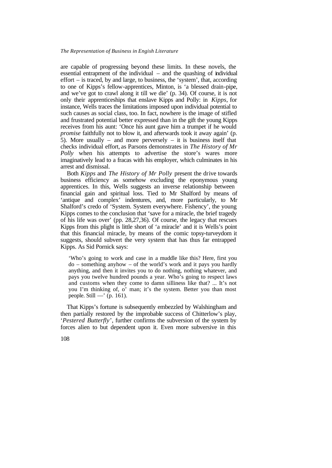are capable of progressing beyond these limits. In these novels, the essential entrapment of the individual – and the quashing of individual effort – is traced, by and large, to business, the 'system', that, according to one of Kipps's fellow-apprentices, Minton, is 'a blessed drain-pipe, and we've got to crawl along it till we die' (p. 34). Of course, it is not only their apprenticeships that enslave Kipps and Polly: in *Kipps*, for instance, Wells traces the limitations imposed upon individual potential to such causes as social class, too. In fact, nowhere is the image of stifled and frustrated potential better expressed than in the gift the young Kipps receives from his aunt: 'Once his aunt gave him a trumpet if he would *promise* faithfully not to blow it, and afterwards took it away again' (p. 5). More usually – and more perversely – it is business itself that checks individual effort, as Parsons demonstrates in *The History of Mr Polly* when his attempts to advertise the store's wares more imaginatively lead to a fracas with his employer, which culminates in his arrest and dismissal.

Both *Kipps* and *The History of Mr Polly* present the drive towards business efficiency as somehow excluding the eponymous young apprentices. In this, Wells suggests an inverse relationship between financial gain and spiritual loss. Tied to Mr Shalford by means of 'antique and complex' indentures, and, more particularly, to Mr Shalford's credo of 'System. System everywhere. Fishency', the young Kipps comes to the conclusion that 'save for a miracle, the brief tragedy of his life was over' (pp. 28,27,36). Of course, the legacy that rescues Kipps from this plight is little short of 'a miracle' and it is Wells's point that this financial miracle, by means of the comic topsy-turveydom it suggests, should subvert the very system that has thus far entrapped Kipps. As Sid Pornick says:

'Who's going to work and case in a muddle like this? Here, first you do – something anyhow – of the world's work and it pays you hardly anything, and then it invites you to do nothing, nothing whatever, and pays you twelve hundred pounds a year. Who's going to respect laws and customs when they come to damn silliness like that? ... It's not you I'm thinking of, o' man; it's the system. Better you than most people. Still —'  $(p. 161)$ .

That Kipps's fortune is subsequently embezzled by Walshingham and then partially restored by the improbable success of Chitterlow's play, '*Pestered Butterfly*', further confirms the subversion of the system by forces alien to but dependent upon it. Even more subversive in this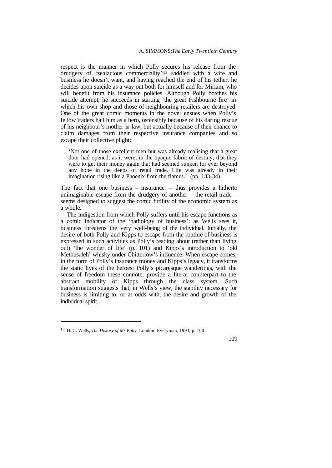respect is the manner in which Polly secures his release from the drudgery of 'zealacious commerciality':13 saddled with a wife and business he doesn't want, and having reached the end of his tether, he decides upon suicide as a way out both for himself and for Miriam, who will benefit from his insurance policies. Although Polly botches his suicide attempt, he succeeds in starting 'the great Fishbourne fire' in which his own shop and those of neighbouring retailers are destroyed. One of the great comic moments in the novel ensues when Polly's fellow traders hail him as a hero, ostensibly because of his daring rescue of his neighbour's mother-in-law, but actually because of their chance to claim damages from their respective insurance companies and so escape their collective plight:

'Not one of those excellent men but was already realising that a great door had opened, as it were, in the opaque fabric of destiny, that they were to get their money again that had seemed sunken for ever beyond any hope in the deeps of retail trade. Life was already in their imagination rising like a Phoenix from the flames.' (pp. 133-34)

The fact that one business – insurance – thus provides a hitherto unimaginable escape from the drudgery of another – the retail trade – seems designed to suggest the comic futility of the economic system as a whole.

The indigestion from which Polly suffers until his escape functions as a comic indicator of the 'pathology of business': as Wells sees it, business threatens the very well-being of the individual. Initially, the desire of both Polly and Kipps to escape from the routine of business is expressed in such activities as Polly's reading about (rather than living out) 'the wonder of life' (p. 101) and Kipps's introduction to 'old Methusaleh' whisky under Chitterlow's influence. When escape comes, in the form of Polly's insurance money and Kipps's legacy, it transforms the static lives of the heroes: Polly's picaresque wanderings, with the sense of freedom these connote, provide a literal counterpart to the abstract mobility of Kipps through the class system. Such transformation suggests that, in Wells's view, the stability necessary for business is limiting to, or at odds with, the desire and growth of the individual spirit.

l

<sup>13</sup> H. G. Wells, *The History of Mr Polly*, London: Everyman, 1993, p. 100.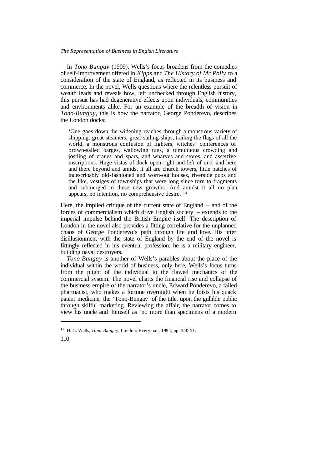In *Tono-Bungay* (1909), Wells's focus broadens from the comedies of self-improvement offered in *Kipps* and *The History of Mr Polly* to a consideration of the state of England, as reflected in its business and commerce. In the novel, Wells questions where the relentless pursuit of wealth leads and reveals how, left unchecked through English history, this pursuit has had degenerative effects upon individuals, communities and environments alike. For an example of the breadth of vision in *Tono-Bungay*, this is how the narrator, George Ponderevo, describes the London docks:

'One goes down the widening reaches through a monstrous variety of shipping, great steamers, great sailing-ships, trailing the flags of all the world, a monstrous confusion of lighters, witches' conferences of brown-sailed barges, wallowing tugs, a tumultuous crowding and jostling of cranes and spars, and wharves and stores, and assertive inscriptions. Huge vistas of dock open right and left of one, and here and there beyond and amidst it all are church towers, little patches of indescribably old-fashioned and worn-out houses, riverside pubs and the like, vestiges of townships that were long since torn to fragments and submerged in these new growths. And amidst it all no plan appears, no intention, no comprehensive desire.'<sup>14</sup>

Here, the implied critique of the current state of England – and of the forces of commercialism which drive English society – extends to the imperial impulse behind the British Empire itself. The description of London in the novel also provides a fitting correlative for the unplanned chaos of George Ponderevo's path through life and love. His utter disillusionment with the state of England by the end of the novel is fittingly reflected in his eventual profession: he is a military engineer, building naval destroyers.

*Tono-Bungay* is another of Wells's parables about the place of the individual within the world of business, only here, Wells's focus turns from the plight of the individual to the flawed mechanics of the commercial system. The novel charts the financial rise and collapse of the business empire of the narrator's uncle, Edward Ponderevo, a failed pharmacist, who makes a fortune overnight when he foists his quack patent medicine, the 'Tono-Bungay' of the title, upon the gullible public through skilful marketing. Reviewing the affair, the narrator comes to view his uncle and himself as 'no more than specimens of a modern

<sup>110</sup> <sup>14</sup> H. G. Wells, *Tono-Bungay*, London: Everyman, 1994, pp. 350-51.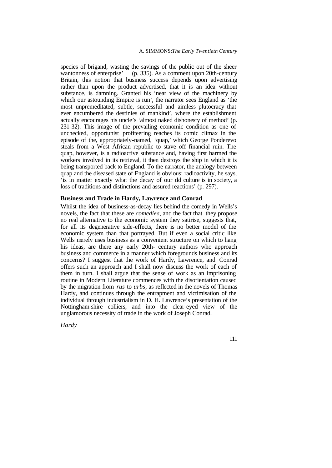species of brigand, wasting the savings of the public out of the sheer wantonness of enterprise' (p. 335). As a comment upon 20th-century Britain, this notion that business success depends upon advertising rather than upon the product advertised, that it is an idea without substance, is damning. Granted his 'near view of the machinery by which our astounding Empire is run', the narrator sees England as 'the most unpremeditated, subtle, successful and aimless plutocracy that ever encumbered the destinies of mankind', where the establishment actually encourages his uncle's 'almost naked dishonesty of method' (p. 231-32). This image of the prevailing economic condition as one of unchecked, opportunist profiteering reaches its comic climax in the episode of the, appropriately-named, 'quap,' which George Ponderevo steals from a West African republic to stave off financial ruin. The quap, however, is a radioactive substance and, having first harmed the workers involved in its retrieval, it then destroys the ship in which it is being transported back to England. To the narrator, the analogy between quap and the diseased state of England is obvious: radioactivity, he says, is in matter exactly what the decay of our dd culture is in society, a loss of traditions and distinctions and assured reactions' (p. 297).

# **Business and Trade in Hardy, Lawrence and Conrad**

Whilst the idea of business-as-decay lies behind the comedy in Wells's novels, the fact that these are *comedies*, and the fact that they propose no real alternative to the economic system they satirise, suggests that, for all its degenerative side-effects, there is no better model of the economic system than that portrayed. But if even a social critic like Wells merely uses business as a convenient structure on which to hang his ideas, are there any early 20th- century authors who approach business and commerce in a manner which foregrounds business and its concerns? I suggest that the work of Hardy, Lawrence, and Conrad offers such an approach and I shall now discuss the work of each of them in turn. I shall argue that the sense of work as an imprisoning routine in Modern Literature commences with the disorientation caused by the migration from *rus* to *urbs*, as reflected in the novels of Thomas Hardy, and continues through the entrapment and victimisation of the individual through industrialism in D. H. Lawrence's presentation of the Nottingham-shire colliers, and into the clear-eyed view of the unglamorous necessity of trade in the work of Joseph Conrad.

*Hardy*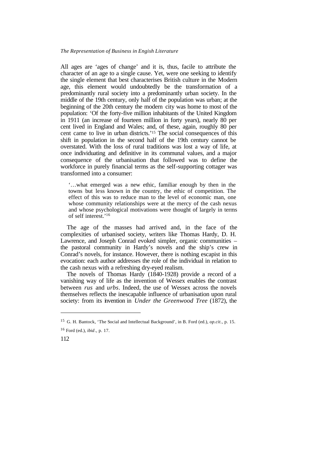All ages are 'ages of change' and it is, thus, facile to attribute the character of an age to a single cause. Yet, were one seeking to identify the single element that best characterises British culture in the Modern age, this element would undoubtedly be the transformation of a predominantly rural society into a predominantly urban society. In the middle of the 19th century, only half of the population was urban; at the beginning of the 20th century the modern city was home to most of the population: 'Of the forty-five million inhabitants of the United Kingdom in 1911 (an increase of fourteen million in forty years), nearly 80 per cent lived in England and Wales; and, of these, again, roughly 80 per cent came to live in urban districts.'15 The social consequences of this shift in population in the second half of the 19th century cannot be overstated. With the loss of rural traditions was lost a way of life, at once individuating and definitive in its communal values, and a major consequence of the urbanisation that followed was to define the workforce in purely financial terms as the self-supporting cottager was transformed into a consumer:

'…what emerged was a new ethic, familiar enough by then in the towns but less known in the country, the ethic of competition. The effect of this was to reduce man to the level of economic man, one whose community relationships were at the mercy of the cash nexus and whose psychological motivations were thought of largely in terms of self interest.'<sup>16</sup>

The age of the masses had arrived and, in the face of the complexities of urbanised society, writers like Thomas Hardy, D. H. Lawrence, and Joseph Conrad evoked simpler, organic communities – the pastoral community in Hardy's novels and the ship's crew in Conrad's novels, for instance. However, there is nothing escapist in this evocation: each author addresses the role of the individual in relation to the cash nexus with a refreshing dry-eyed realism.

The novels of Thomas Hardy (1840-1928) provide a record of a vanishing way of life as the invention of Wessex enables the contrast between *rus* and *urbs*. Indeed, the use of Wessex across the novels themselves reflects the inescapable influence of urbanisation upon rural society: from its invention in *Under the Greenwood Tree* (1872), the

<sup>15</sup> G. H. Bantock, 'The Social and Intellectual Background', in B. Ford (ed.), *op.cit*., p. 15. <sup>16</sup> Ford (ed.), *ibid*., p. 17.

<sup>112</sup>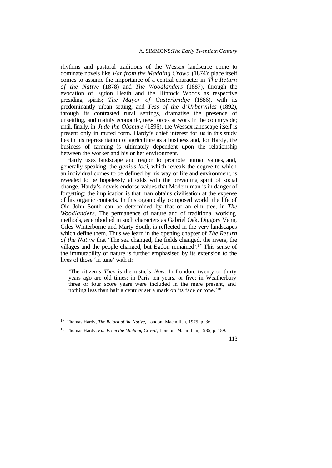rhythms and pastoral traditions of the Wessex landscape come to dominate novels like *Far from the Madding Crowd* (1874); place itself comes to assume the importance of a central character in *The Return of the Native* (1878) and *The Woodlanders* (1887), through the evocation of Egdon Heath and the Hintock Woods as respective presiding spirits; *The Mayor of Casterbridge* (1886), with its predominantly urban setting, and *Tess of the d'Urbervilles* (1892), through its contrasted rural settings, dramatise the presence of unsettling, and mainly economic, new forces at work in the countryside; until, finally, in *Jude the Obscure* (1896), the Wessex landscape itself is present only in muted form. Hardy's chief interest for us in this study lies in his representation of agriculture as a business and, for Hardy, the business of farming is ultimately dependent upon the relationship between the worker and his or her environment.

Hardy uses landscape and region to promote human values, and, generally speaking, the *genius loci*, which reveals the degree to which an individual comes to be defined by his way of life and environment, is revealed to be hopelessly at odds with the prevailing spirit of social change. Hardy's novels endorse values that Modern man is in danger of forgetting; the implication is that man obtains civilisation at the expense of his organic contacts. In this organically composed world, the life of Old John South can be determined by that of an elm tree, in *The Woodlanders*. The permanence of nature and of traditional working methods, as embodied in such characters as Gabriel Oak, Diggory Venn, Giles Winterborne and Marty South, is reflected in the very landscapes which define them. Thus we learn in the opening chapter of *The Return of the Native* that 'The sea changed, the fields changed, the rivers, the villages and the people changed, but Egdon remained'.17 This sense of the immutability of nature is further emphasised by its extension to the lives of those 'in tune' with it:

'The citizen's *Then* is the rustic's *Now*. In London, twenty or thirty years ago are old times; in Paris ten years, or five; in Weatherbury three or four score years were included in the mere present, and nothing less than half a century set a mark on its face or tone.<sup>'18</sup>

<sup>17</sup> Thomas Hardy, *The Return of the Native*, London: Macmillan, 1975, p. 36.

<sup>18</sup> Thomas Hardy, *Far From the Madding Crowd*, London: Macmillan, 1985, p. 189.

<sup>113</sup>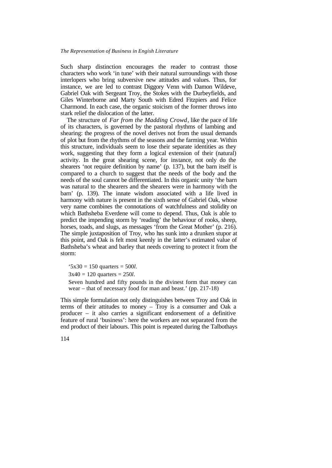Such sharp distinction encourages the reader to contrast those characters who work 'in tune' with their natural surroundings with those interlopers who bring subversive new attitudes and values. Thus, for instance, we are led to contrast Diggory Venn with Damon Wildeve, Gabriel Oak with Sergeant Troy, the Stokes with the Durbeyfields, and Giles Winterborne and Marty South with Edred Fitzpiers and Felice Charmond. In each case, the organic stoicism of the former throws into stark relief the dislocation of the latter.

The structure of *Far from the Madding Crowd*, like the pace of life of its characters, is governed by the pastoral rhythms of lambing and shearing: the progress of the novel derives not from the usual demands of plot but from the rhythms of the seasons and the farming year. Within this structure, individuals seem to lose their separate identities as they work, suggesting that they form a logical extension of their (natural) activity. In the great shearing scene, for instance, not only do the shearers 'not require definition by name' (p. 137), but the barn itself is compared to a church to suggest that the needs of the body and the needs of the soul cannot be differentiated. In this organic unity 'the barn was natural to the shearers and the shearers were in harmony with the barn' (p. 139). The innate wisdom associated with a life lived in harmony with nature is present in the sixth sense of Gabriel Oak, whose very name combines the connotations of watchfulness and stolidity on which Bathsheba Everdene will come to depend. Thus, Oak is able to predict the impending storm by 'reading' the behaviour of rooks, sheep, horses, toads, and slugs, as messages 'from the Great Mother' (p. 216). The simple juxtaposition of Troy, who has sunk into a drunken stupor at this point, and Oak is felt most keenly in the latter's estimated value of Bathsheba's wheat and barley that needs covering to protect it from the storm:

'5x30 = 150 quarters = 500*l*.

3x40 = 120 quarters = 250*l*.

Seven hundred and fifty pounds in the divinest form that money can wear – that of necessary food for man and beast.' (pp. 217-18)

This simple formulation not only distinguishes between Troy and Oak in terms of their attitudes to money – Troy is a consumer and Oak a producer – it also carries a significant endorsement of a definitive feature of rural 'business': here the workers are not separated from the end product of their labours. This point is repeated during the Talbothays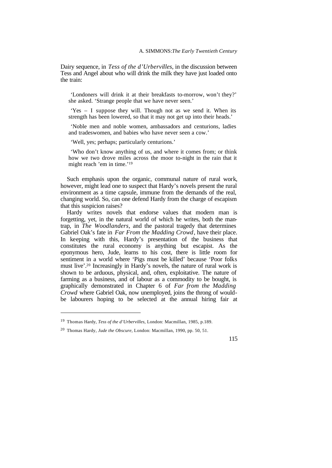Dairy sequence, in *Tess of the d'Urbervilles*, in the discussion between Tess and Angel about who will drink the milk they have just loaded onto the train:

'Londoners will drink it at their breakfasts to-morrow, won't they?' she asked. 'Strange people that we have never seen.'

'Yes – I suppose they will. Though not as we send it. When its strength has been lowered, so that it may not get up into their heads.'

'Noble men and noble women, ambassadors and centurions, ladies and tradeswomen, and babies who have never seen a cow.'

'Well, yes; perhaps; particularly centurions.'

'Who don't know anything of us, and where it comes from; or think how we two drove miles across the moor to-night in the rain that it might reach 'em in time.'<sup>19</sup>

Such emphasis upon the organic, communal nature of rural work, however, might lead one to suspect that Hardy's novels present the rural environment as a time capsule, immune from the demands of the real, changing world. So, can one defend Hardy from the charge of escapism that this suspicion raises?

Hardy writes novels that endorse values that modern man is forgetting, yet, in the natural world of which he writes, both the mantrap, in *The Woodlanders*, and the pastoral tragedy that determines Gabriel Oak's fate in *Far From the Madding Crowd*, have their place. In keeping with this, Hardy's presentation of the business that constitutes the rural economy is anything but escapist. As the eponymous hero, Jude, learns to his cost, there is little room for sentiment in a world where 'Pigs must be killed' because 'Poor folks must live'.20 Increasingly in Hardy's novels, the nature of rural work is shown to be arduous, physical, and, often, exploitative. The nature of farming as a business, and of labour as a commodity to be bought, is graphically demonstrated in Chapter 6 of *Far from the Madding Crowd* where Gabriel Oak, now unemployed, joins the throng of wouldbe labourers hoping to be selected at the annual hiring fair at

<sup>19</sup> Thomas Hardy, *Tess of the d'Urbervilles*, London: Macmillan, 1985, p.189.

<sup>20</sup> Thomas Hardy, *Jude the Obscure*, London: Macmillan, 1990, pp. 50, 51.

<sup>115</sup>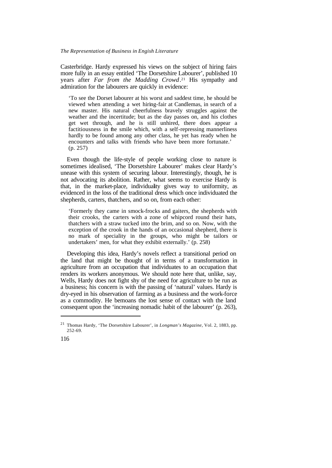Casterbridge. Hardy expressed his views on the subject of hiring fairs more fully in an essay entitled 'The Dorsetshire Labourer', published 10 years after *Far from the Madding Crowd*. <sup>21</sup> His sympathy and admiration for the labourers are quickly in evidence:

'To see the Dorset labourer at his worst and saddest time, he should be viewed when attending a wet hiring-fair at Candlemas, in search of a new master. His natural cheerfulness bravely struggles against the weather and the incertitude; but as the day passes on, and his clothes get wet through, and he is still unhired, there does appear a factitiousness in the smile which, with a self-repressing mannerliness hardly to be found among any other class, he yet has ready when he encounters and talks with friends who have been more fortunate.' (p. 257)

Even though the life-style of people working close to nature is sometimes idealised, 'The Dorsetshire Labourer' makes clear Hardy's unease with this system of securing labour. Interestingly, though, he is not advocating its abolition. Rather, what seems to exercise Hardy is that, in the market-place, individuality gives way to uniformity, as evidenced in the loss of the traditional dress which once individuated the shepherds, carters, thatchers, and so on, from each other:

'Formerly they came in smock-frocks and gaiters, the shepherds with their crooks, the carters with a zone of whipcord round their hats, thatchers with a straw tucked into the brim, and so on. Now, with the exception of the crook in the hands of an occasional shepherd, there is no mark of speciality in the groups, who might be tailors or undertakers' men, for what they exhibit externally.' (p. 258)

Developing this idea, Hardy's novels reflect a transitional period on the land that might be thought of in terms of a transformation in agriculture from an occupation that individuates to an occupation that renders its workers anonymous. We should note here that, unlike, say, Wells, Hardy does not fight shy of the need for agriculture to be run as a business; his concern is with the passing of 'natural' values. Hardy is dry-eyed in his observation of farming as a business and the work-force as a commodity. He bemoans the lost sense of contact with the land consequent upon the 'increasing nomadic habit of the labourer' (p. 263),

<sup>21</sup> Thomas Hardy, 'The Dorsetshire Labourer', in *Longman's Magazine*, Vol. 2, 1883, pp. 252-69.

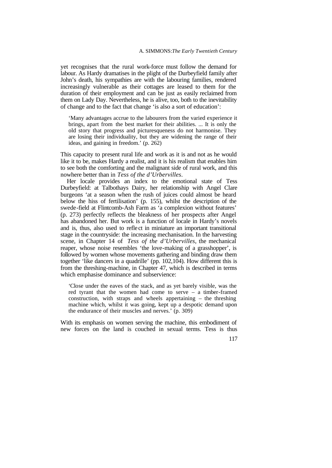yet recognises that the rural work-force must follow the demand for labour. As Hardy dramatises in the plight of the Durbeyfield family after John's death, his sympathies are with the labouring families, rendered increasingly vulnerable as their cottages are leased to them for the duration of their employment and can be just as easily reclaimed from them on Lady Day. Nevertheless, he is alive, too, both to the inevitability of change and to the fact that change 'is also a sort of education':

'Many advantages accrue to the labourers from the varied experience it brings, apart from the best market for their abilities. ... It is only the old story that progress and picturesqueness do not harmonise. They are losing their individuality, but they are widening the range of their ideas, and gaining in freedom.' (p. 262)

This capacity to present rural life and work as it is and not as he would like it to be, makes Hardy a realist, and it is his realism that enables him to see both the comforting and the malignant side of rural work, and this nowhere better than in *Tess of the d'Urbervilles*.

Her locale provides an index to the emotional state of Tess Durbeyfield: at Talbothays Dairy, her relationship with Angel Clare burgeons 'at a season when the rush of juices could almost be heard below the hiss of fertilisation' (p. 155), whilst the description of the swede-field at Flintcomb-Ash Farm as 'a complexion without features' (p. 273) perfectly reflects the bleakness of her prospects after Angel has abandoned her. But work is a function of locale in Hardy's novels and is, thus, also used to reflect in miniature an important transitional stage in the countryside: the increasing mechanisation. In the harvesting scene, in Chapter 14 of *Tess of the d'Urbervilles*, the mechanical reaper, whose noise resembles 'the love-making of a grasshopper', is followed by women whose movements gathering and binding draw them together 'like dancers in a quadrille' (pp. 102,104). How different this is from the threshing-machine, in Chapter 47, which is described in terms which emphasise dominance and subservience:

'Close under the eaves of the stack, and as yet barely visible, was the red tyrant that the women had come to serve – a timber-framed construction, with straps and wheels appertaining – the threshing machine which, whilst it was going, kept up a despotic demand upon the endurance of their muscles and nerves.' (p. 309)

With its emphasis on women serving the machine, this embodiment of new forces on the land is couched in sexual terms. Tess is thus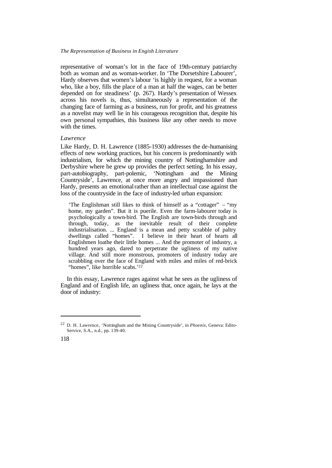representative of woman's lot in the face of 19th-century patriarchy both as woman and as woman-worker. In 'The Dorsetshire Labourer', Hardy observes that women's labour 'is highly in request, for a woman who, like a boy, fills the place of a man at half the wages, can be better depended on for steadiness' (p. 267). Hardy's presentation of Wessex across his novels is, thus, simultaneously a representation of the changing face of farming as a business, run for profit, and his greatness as a novelist may well lie in his courageous recognition that, despite his own personal sympathies, this business like any other needs to move with the times.

# *Lawrence*

Like Hardy, D. H. Lawrence (1885-1930) addresses the de-humanising effects of new working practices, but his concern is predominantly with industrialism, for which the mining country of Nottinghamshire and Derbyshire where he grew up provides the perfect setting. In his essay, part-autobiography, part-polemic, 'Nottingham and the Mining Countryside', Lawrence, at once more angry and impassioned than Hardy, presents an emotional rather than an intellectual case against the loss of the countryside in the face of industry-led urban expansion:

'The Englishman still likes to think of himself as a "cottager" – "my home, my garden". But it is puerile. Even the farm-labourer today is psychologically a town-bird. The English are town-birds through and through, today, as the inevitable result of their complete industrialisation. ... England is a mean and petty scrabble of paltry dwellings called "homes". I believe in their heart of hearts all Englishmen loathe their little homes ... And the promoter of industry, a hundred years ago, dared to perpetrate the ugliness of my native village. And still more monstrous, promoters of industry today are scrabbling over the face of England with miles and miles of red-brick "homes", like horrible scabs.'22

In this essay, Lawrence rages against what he sees as the ugliness of England and of English life, an ugliness that, once again, he lays at the door of industry:

<sup>22</sup> D. H. Lawrence, 'Nottingham and the Mining Countryside', in *Phoenix*, Geneva: Edito-Service, S.A., n.d., pp. 139-40.

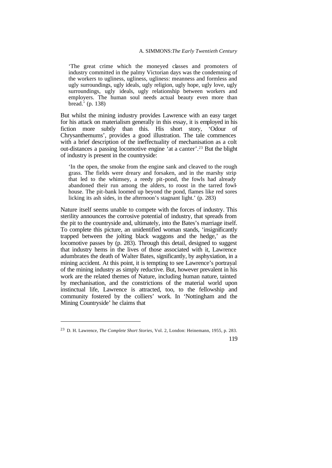'The great crime which the moneyed classes and promoters of industry committed in the palmy Victorian days was the condemning of the workers to ugliness, ugliness, ugliness: meanness and formless and ugly surroundings, ugly ideals, ugly religion, ugly hope, ugly love, ugly surroundings, ugly ideals, ugly relationship between workers and employers. The human soul needs actual beauty even more than bread.' (p. 138)

But whilst the mining industry provides Lawrence with an easy target for his attack on materialism generally in this essay, it is employed in his fiction more subtly than this. His short story, 'Odour of Chrysanthemums', provides a good illustration. The tale commences with a brief description of the ineffectuality of mechanisation as a colt out-distances a passing locomotive engine 'at a canter'.23 But the blight of industry is present in the countryside:

'In the open, the smoke from the engine sank and cleaved to the rough grass. The fields were dreary and forsaken, and in the marshy strip that led to the whimsey, a reedy pit-pond, the fowls had already abandoned their run among the alders, to roost in the tarred fowlhouse. The pit-bank loomed up beyond the pond, flames like red sores licking its ash sides, in the afternoon's stagnant light.' (p. 283)

Nature itself seems unable to compete with the forces of industry. This sterility announces the corrosive potential of industry, that spreads from the pit to the countryside and, ultimately, into the Bates's marriage itself. To complete this picture, an unidentified woman stands, 'insignificantly trapped between the jolting black waggons and the hedge,' as the locomotive passes by (p. 283). Through this detail, designed to suggest that industry hems in the lives of those associated with it, Lawrence adumbrates the death of Walter Bates, significantly, by asphyxiation, in a mining accident. At this point, it is tempting to see Lawrence's portrayal of the mining industry as simply reductive. But, however prevalent in his work are the related themes of Nature, including human nature, tainted by mechanisation, and the constrictions of the material world upon instinctual life, Lawrence is attracted, too, to the fellowship and community fostered by the colliers' work. In 'Nottingham and the Mining Countryside' he claims that

<sup>119</sup> <sup>23</sup> D. H. Lawrence, *The Complete Short Stories*, Vol. 2, London: Heinemann, 1955, p. 283.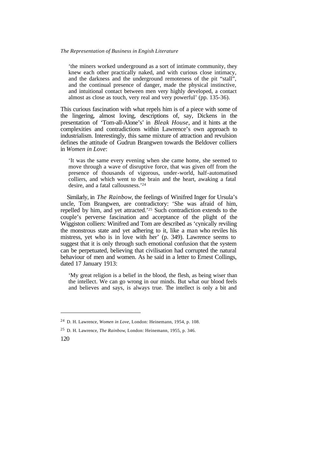'the miners worked underground as a sort of intimate community, they knew each other practically naked, and with curious close intimacy, and the darkness and the underground remoteness of the pit "stall", and the continual presence of danger, made the physical instinctive, and intuitional contact between men very highly developed, a contact almost as close as touch, very real and very powerful' (pp. 135-36).

This curious fascination with what repels him is of a piece with some of the lingering, almost loving, descriptions of, say, Dickens in the presentation of 'Tom-all-Alone's' in *Bleak House*, and it hints at the complexities and contradictions within Lawrence's own approach to industrialism. Interestingly, this same mixture of attraction and revulsion defines the attitude of Gudrun Brangwen towards the Beldover colliers in *Women in Love*:

'It was the same every evening when she came home, she seemed to move through a wave of disruptive force, that was given off from the presence of thousands of vigorous, under-world, half-automatised colliers, and which went to the brain and the heart, awaking a fatal desire, and a fatal callousness.'<sup>24</sup>

Similarly, in *The Rainbow*, the feelings of Winifred Inger for Ursula's uncle, Tom Brangwen, are contradictory: 'She was afraid of him, repelled by him, and yet attracted.'25 Such contradiction extends to the couple's perverse fascination and acceptance of the plight of the Wiggiston colliers: Winifred and Tom are described as 'cynically reviling the monstrous state and yet adhering to it, like a man who reviles his mistress, yet who is in love with her' (p. 349). Lawrence seems to suggest that it is only through such emotional confusion that the system can be perpetuated, believing that civilisation had corrupted the natural behaviour of men and women. As he said in a letter to Ernest Collings, dated 17 January 1913:

'My great religion is a belief in the blood, the flesh, as being wiser than the intellect. We can go wrong in our minds. But what our blood feels and believes and says, is always true. The intellect is only a bit and

<sup>24</sup> D. H. Lawrence, *Women in Love*, London: Heinemann, 1954, p. 108.

<sup>120</sup> <sup>25</sup> D. H. Lawrence, *The Rainbow*, London: Heinemann, 1955, p. 346.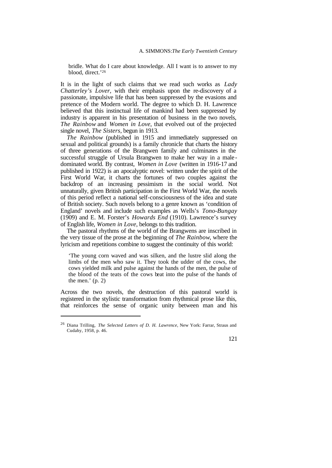bridle. What do I care about knowledge. All I want is to answer to my blood, direct.'<sup>26</sup>

It is in the light of such claims that we read such works as *Lady Chatterley's Lover*, with their emphasis upon the re-discovery of a passionate, impulsive life that has been suppressed by the evasions and pretence of the Modern world. The degree to which D. H. Lawrence believed that this instinctual life of mankind had been suppressed by industry is apparent in his presentation of business in the two novels, *The Rainbow* and *Women in Love*, that evolved out of the projected single novel, *The Sisters*, begun in 1913.

*The Rainbow* (published in 1915 and immediately suppressed on sexual and political grounds) is a family chronicle that charts the history of three generations of the Brangwen family and culminates in the successful struggle of Ursula Brangwen to make her way in a male dominated world. By contrast, *Women in Love* (written in 1916-17 and published in 1922) is an apocalyptic novel: written under the spirit of the First World War, it charts the fortunes of two couples against the backdrop of an increasing pessimism in the social world. Not unnaturally, given British participation in the First World War, the novels of this period reflect a national self-consciousness of the idea and state of British society. Such novels belong to a genre known as 'condition of England' novels and include such examples as Wells's *Tono-Bungay* (1909) and E. M. Forster's *Howards End* (1910). Lawrence's survey of English life, *Women in Love*, belongs to this tradition.

The pastoral rhythms of the world of the Brangwens are inscribed in the very tissue of the prose at the beginning of *The Rainbow*, where the lyricism and repetitions combine to suggest the continuity of this world:

'The young corn waved and was silken, and the lustre slid along the limbs of the men who saw it. They took the udder of the cows, the cows yielded milk and pulse against the hands of the men, the pulse of the blood of the teats of the cows beat into the pulse of the hands of the men.'  $(p. 2)$ 

Across the two novels, the destruction of this pastoral world is registered in the stylistic transformation from rhythmical prose like this, that reinforces the sense of organic unity between man and his

<sup>26</sup> Diana Trilling, *The Selected Letters of D. H. Lawrence*, New York: Farrar, Straus and Cudahy, 1958, p. 46.

<sup>121</sup>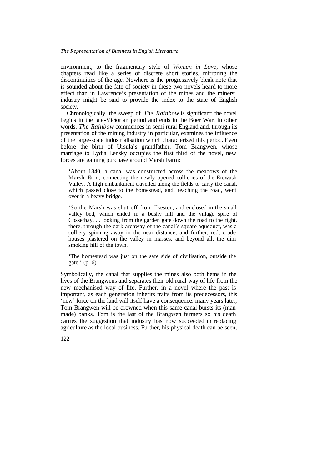environment, to the fragmentary style of *Women in Love*, whose chapters read like a series of discrete short stories, mirroring the discontinuities of the age. Nowhere is the progressively bleak note that is sounded about the fate of society in these two novels heard to more effect than in Lawrence's presentation of the mines and the miners: industry might be said to provide the index to the state of English society.

Chronologically, the sweep of *The Rainbow* is significant: the novel begins in the late-Victorian period and ends in the Boer War. In other words, *The Rainbow* commences in semi-rural England and, through its presentation of the mining industry in particular, examines the influence of the large-scale industrialisation which characterised this period. Even before the birth of Ursula's grandfather, Tom Brangwen, whose marriage to Lydia Lensky occupies the first third of the novel, new forces are gaining purchase around Marsh Farm:

'About 1840, a canal was constructed across the meadows of the Marsh Farm, connecting the newly-opened collieries of the Erewash Valley. A high embankment travelled along the fields to carry the canal, which passed close to the homestead, and, reaching the road, went over in a heavy bridge.

'So the Marsh was shut off from Ilkeston, and enclosed in the small valley bed, which ended in a bushy hill and the village spire of Cossethay. ... looking from the garden gate down the road to the right, there, through the dark archway of the canal's square aqueduct, was a colliery spinning away in the near distance, and further, red, crude houses plastered on the valley in masses, and beyond all, the dim smoking hill of the town.

'The homestead was just on the safe side of civilisation, outside the gate.' (p. 6)

Symbolically, the canal that supplies the mines also both hems in the lives of the Brangwens and separates their old rural way of life from the new mechanised way of life. Further, in a novel where the past is important, as each generation inherits traits from its predecessors, this 'new' force on the land will itself have a consequence: many years later, Tom Brangwen will be drowned when this same canal bursts its (manmade) banks. Tom is the last of the Brangwen farmers so his death carries the suggestion that industry has now succeeded in replacing agriculture as the local business. Further, his physical death can be seen,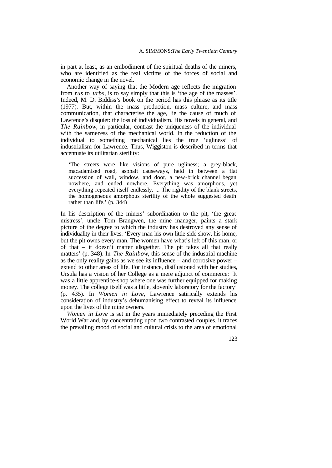in part at least, as an embodiment of the spiritual deaths of the miners, who are identified as the real victims of the forces of social and economic change in the novel.

Another way of saying that the Modern age reflects the migration from *rus* to *urbs*, is to say simply that this is 'the age of the masses'. Indeed, M. D. Biddiss's book on the period has this phrase as its title (1977). But, within the mass production, mass culture, and mass communication, that characterise the age, lie the cause of much of Lawrence's disquiet: the loss of individualism. His novels in general, and *The Rainbow*, in particular, contrast the uniqueness of the individual with the sameness of the mechanical world. In the reduction of the individual to something mechanical lies the true 'ugliness' of industrialism for Lawrence. Thus, Wiggiston is described in terms that accentuate its utilitarian sterility:

'The streets were like visions of pure ugliness; a grey-black, macadamised road, asphalt causeways, held in between a flat succession of wall, window, and door, a new-brick channel began nowhere, and ended nowhere. Everything was amorphous, yet everything repeated itself endlessly. ... The rigidity of the blank streets, the homogeneous amorphous sterility of the whole suggested death rather than life.' (p. 344)

In his description of the miners' subordination to the pit, 'the great mistress', uncle Tom Brangwen, the mine manager, paints a stark picture of the degree to which the industry has destroyed any sense of individuality in their lives: 'Every man his own little side show, his home, but the pit owns every man. The women have what's left of this man, or of that – it doesn't matter altogether. The pit takes all that really matters' (p. 348). In *The Rainbow*, this sense of the industrial machine as the only reality gains as we see its influence – and corrosive power – extend to other areas of life. For instance, disillusioned with her studies, Ursula has a vision of her College as a mere adjunct of commerce: 'It was a little apprentice-shop where one was further equipped for making money. The college itself was a little, slovenly laboratory for the factory' (p. 435). In *Women in Love,* Lawrence satirically extends his consideration of industry's dehumanising effect to reveal its influence upon the lives of the mine owners.

*Women in Love* is set in the years immediately preceding the First World War and, by concentrating upon two contrasted couples, it traces the prevailing mood of social and cultural crisis to the area of emotional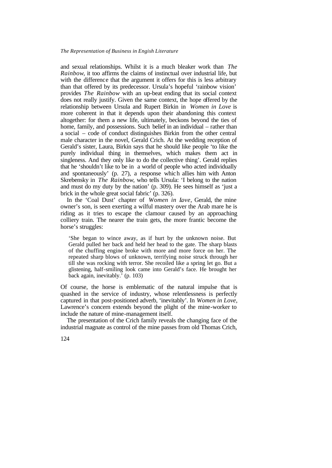and sexual relationships. Whilst it is a much bleaker work than *The Rainbow*, it too affirms the claims of instinctual over industrial life, but with the difference that the argument it offers for this is less arbitrary than that offered by its predecessor. Ursula's hopeful 'rainbow vision' provides *The Rainbow* with an up-beat ending that its social context does not really justify. Given the same context, the hope offered by the relationship between Ursula and Rupert Birkin in *Women in Love* is more coherent in that it depends upon their abandoning this context altogether: for them a new life, ultimately, beckons beyond the ties of home, family, and possessions. Such belief in an individual – rather than a social – code of conduct distinguishes Birkin from the other central male character in the novel, Gerald Crich. At the wedding reception of Gerald's sister, Laura, Birkin says that he should like people 'to like the purely individual thing in themselves, which makes them act in singleness. And they only like to do the collective thing'. Gerald replies that he 'shouldn't like to be in a world of people who acted individually and spontaneously' (p. 27), a response which allies him with Anton Skrebensky in *The Rainbow*, who tells Ursula: 'I belong to the nation and must do my duty by the nation' (p. 309). He sees himself as 'just a brick in the whole great social fabric' (p. 326).

In the 'Coal Dust' chapter of *Women in Love*, Gerald, the mine owner's son, is seen exerting a wilful mastery over the Arab mare he is riding as it tries to escape the clamour caused by an approaching colliery train. The nearer the train gets, the more frantic become the horse's struggles:

'She began to wince away, as if hurt by the unknown noise. But Gerald pulled her back and held her head to the gate. The sharp blasts of the chuffing engine broke with more and more force on her. The repeated sharp blows of unknown, terrifying noise struck through her till she was rocking with terror. She recoiled like a spring let go. But a glistening, half-smiling look came into Gerald's face. He brought her back again, inevitably.' (p. 103)

Of course, the horse is emblematic of the natural impulse that is quashed in the service of industry, whose relentlessness is perfectly captured in that post-positioned adverb, 'inevitably'. In *Women in Love*, Lawrence's concern extends beyond the plight of the mine-worker to include the nature of mine-management itself.

The presentation of the Crich family reveals the changing face of the industrial magnate as control of the mine passes from old Thomas Crich,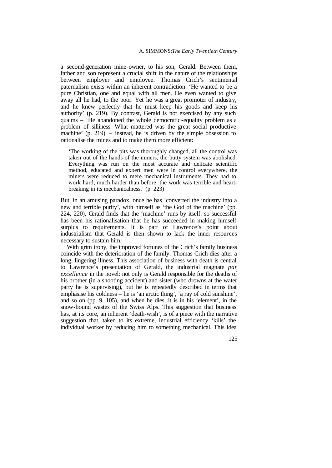a second-generation mine-owner, to his son, Gerald. Between them, father and son represent a crucial shift in the nature of the relationships between employer and employee. Thomas Crich's sentimental paternalism exists within an inherent contradiction: 'He wanted to be a pure Christian, one and equal with all men. He even wanted to give away all he had, to the poor. Yet he was a great promoter of industry, and he knew perfectly that he must keep his goods and keep his authority' (p. 219). By contrast, Gerald is not exercised by any such qualms – 'He abandoned the whole democratic -equality problem as a problem of silliness. What mattered was the great social productive machine' (p. 219) – instead, he is driven by the simple obsession to rationalise the mines and to make them more efficient:

'The working of the pits was thoroughly changed, all the control was taken out of the hands of the miners, the butty system was abolished. Everything was run on the most accurate and delicate scientific method, educated and expert men were in control everywhere, the miners were reduced to mere mechanical instruments. They had to work hard, much harder than before, the work was terrible and heartbreaking in its mechanicalness.' (p. 223)

But, in an amusing paradox, once he has 'converted the industry into a new and terrible purity', with himself as 'the God of the machine' (pp. 224, 220), Gerald finds that the 'machine' runs by itself: so successful has been his rationalisation that he has succeeded in making himself surplus to requirements. It is part of Lawrence's point about industrialism that Gerald is then shown to lack the inner resources necessary to sustain him.

With grim irony, the improved fortunes of the Crich's family business coincide with the deterioration of the family: Thomas Crich dies after a long, lingering illness. This association of business with death is central to Lawrence's presentation of Gerald, the industrial magnate *par excellence* in the novel: not only is Gerald responsible for the deaths of his brother (in a shooting accident) and sister (who drowns at the water party he is supervising), but he is repeatedly described in terms that emphasise his coldness – he is 'an arctic thing', 'a ray of cold sunshine', and so on (pp. 9, 105), and when he dies, it is in his 'element', in the snow-bound wastes of the Swiss Alps. This suggestion that business has, at its core, an inherent 'death-wish', is of a piece with the narrative suggestion that, taken to its extreme, industrial efficiency 'kills' the individual worker by reducing him to something mechanical. This idea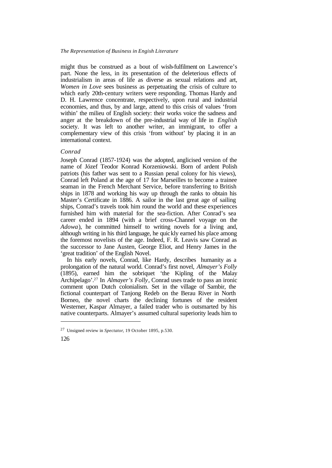might thus be construed as a bout of wish-fulfilment on Lawrence's part. None the less, in its presentation of the deleterious effects of industrialism in areas of life as diverse as sexual relations and art, *Women in Love* sees business as perpetuating the crisis of culture to which early 20th-century writers were responding. Thomas Hardy and D. H. Lawrence concentrate, respectively, upon rural and industrial economies, and thus, by and large, attend to this crisis of values 'from within' the milieu of English society: their works voice the sadness and anger at the breakdown of the pre-industrial way of life in *English* society. It was left to another writer, an immigrant, to offer a complementary view of this crisis 'from without' by placing it in an international context.

# *Conrad*

Joseph Conrad (1857-1924) was the adopted, anglicised version of the name of Józef Teodor Konrad Korzeniowski. Born of ardent Polish patriots (his father was sent to a Russian penal colony for his views), Conrad left Poland at the age of 17 for Marseilles to become a trainee seaman in the French Merchant Service, before transferring to British ships in 1878 and working his way up through the ranks to obtain his Master's Certificate in 1886. A sailor in the last great age of sailing ships, Conrad's travels took him round the world and these experiences furnished him with material for the sea-fiction. After Conrad's sea career ended in 1894 (with a brief cross-Channel voyage on the *Adowa*), he committed himself to writing novels for a living and, although writing in his third language, he quickly earned his place among the foremost novelists of the age. Indeed, F. R. Leavis saw Conrad as the successor to Jane Austen, George Eliot, and Henry James in the 'great tradition' of the English Novel.

In his early novels, Conrad, like Hardy, describes humanity as a prolongation of the natural world. Conrad's first novel, *Almayer's Folly* (1895), earned him the sobriquet 'the Kipling of the Malay Archipelago'.27 In *Almayer's Folly*, Conrad uses trade to pass an ironic comment upon Dutch colonialism. Set in the village of Sambir, the fictional counterpart of Tanjong Redeb on the Berau River in North Borneo, the novel charts the declining fortunes of the resident Westerner, Kaspar Almayer, a failed trader who is outsmarted by his native counterparts. Almayer's assumed cultural superiority leads him to

<sup>27</sup> Unsigned review in *Spectator*, 19 October 1895, p.530.

<sup>126</sup>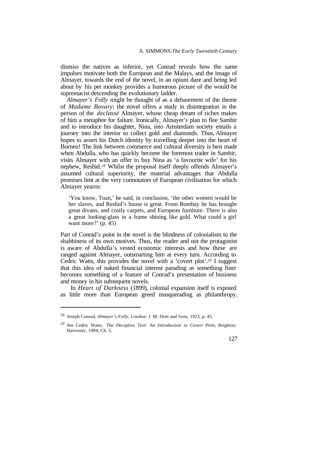dismiss the natives as inferior, yet Conrad reveals how the same impulses motivate both the European and the Malays, and the image of Almayer, towards the end of the novel, in an opium daze and being led about by his pet monkey provides a humorous picture of the would-be supremacist descending the evolutionary ladder.

*Almayer's Folly* might be thought of as a debasement of the theme of *Madame Bovary*: the novel offers a study in disintegration in the person of the *declassé* Almayer, whose cheap dream of riches makes of him a metaphor for failure. Ironically, Almayer's plan to flee Sambir and to introduce his daughter, Nina, into Amsterdam society entails a journey into the interior to collect gold and diamonds. Thus, Almayer hopes to assert his Dutch identity by travelling deeper into the heart of Borneo! The link between commerce and cultural diversity is best made when Abdulla, who has quickly become the foremost trader in Sambir, visits Almayer with an offer to buy Nina as 'a favourite wife' for his nephew, Reshid.28 Whilst the proposal itself deeply offends Almayer's assumed cultural superiority, the material advantages that Abdulla promises hint at the very connotators of European civilisation for which Almayer yearns:

'You know, Tuan,' he said, in conclusion, 'the other women would be her slaves, and Reshid's house is great. From Bombay he has brought great divans, and costly carpets, and European furniture. There is also a great looking-glass in a frame shining like gold. What could a girl want more?' (p. 45)

Part of Conrad's point in the novel is the blindness of colonialism to the shabbiness of its own motives. Thus, the reader and not the protagonist is aware of Abdulla's vested economic interests and how these are ranged against Almayer, outsmarting him at every turn. According to Cedric Watts, this provides the novel with a 'covert plot'.29 I suggest that this idea of naked financial interest parading as something finer becomes something of a feature of Conrad's presentation of business and money in his subsequent novels.

In *Heart of Darkness* (1899), colonial expansion itself is exposed as little more than European greed masquerading as philanthropy.

<sup>28</sup> Joseph Conrad, *Almayer's Folly*, London: J. M. Dent and Sons, 1923, p. 45.

<sup>29</sup> See Cedric Watts, *The Deceptive Text: An Introduction to Covert Plots*, Brighton: Harvester, 1984, Ch. 5.

<sup>127</sup>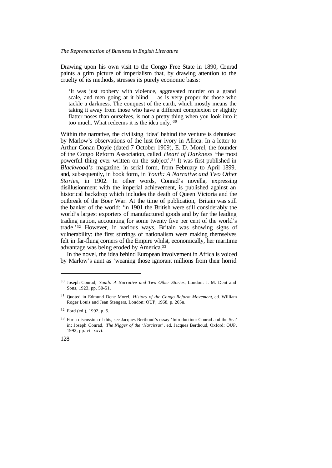Drawing upon his own visit to the Congo Free State in 1890, Conrad paints a grim picture of imperialism that, by drawing attention to the cruelty of its methods, stresses its purely economic basis:

'It was just robbery with violence, aggravated murder on a grand scale, and men going at it blind  $-$  as is very proper for those who tackle a darkness. The conquest of the earth, which mostly means the taking it away from those who have a different complexion or slightly flatter noses than ourselves, is not a pretty thing when you look into it too much. What redeems it is the idea only.'<sup>30</sup>

Within the narrative, the civilising 'idea' behind the venture is debunked by Marlow's observations of the lust for ivory in Africa. In a letter to Arthur Conan Doyle (dated 7 October 1909), E. D. Morel, the founder of the Congo Reform Association, called *Heart of Darkness* 'the most powerful thing ever written on the subject'.31 It was first published in *Blackwood's* magazine, in serial form, from February to April 1899, and, subsequently, in book form, in *Youth: A Narrative and Two Other Stories*, in 1902. In other words, Conrad's novella, expressing disillusionment with the imperial achievement, is published against an historical backdrop which includes the death of Queen Victoria and the outbreak of the Boer War. At the time of publication, Britain was still the banker of the world: 'in 1901 the British were still considerably the world's largest exporters of manufactured goods and by far the leading trading nation, accounting for some twenty five per cent of the world's trade.'32 However, in various ways, Britain was showing signs of vulnerability: the first stirrings of nationalism were making themselves felt in far-flung corners of the Empire whilst, economically, her maritime advantage was being eroded by America.<sup>33</sup>

In the novel, the idea behind European involvement in Africa is voiced by Marlow's aunt as 'weaning those ignorant millions from their horrid

<sup>30</sup> Joseph Conrad, *Youth: A Narrative and Two Other Stories*, London: J. M. Dent and Sons, 1923, pp. 50-51.

<sup>31</sup> Quoted in Edmund Dene Morel, *History of the Congo Reform Movement*, ed. William Roger Louis and Jean Stengers, London: OUP, 1968, p. 205n.

<sup>32</sup> Ford (ed.), 1992, p. 5.

<sup>33</sup> For a discussion of this, see Jacques Berthoud's essay 'Introduction: Conrad and the Sea' in: Joseph Conrad, *The Nigger of the 'Narcissus'*, ed. Jacques Berthoud, Oxford: OUP, 1992, pp. vii-xxvi.

<sup>128</sup>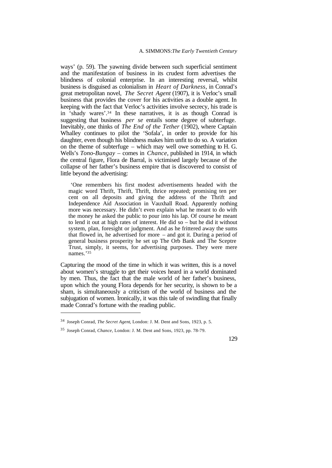ways' (p. 59). The yawning divide between such superficial sentiment and the manifestation of business in its crudest form advertises the blindness of colonial enterprise. In an interesting reversal, whilst business is disguised as colonialism in *Heart of Darkness*, in Conrad's great metropolitan novel, *The Secret Agent* (1907), it is Verloc's small business that provides the cover for his activities as a double agent. In keeping with the fact that Verloc's activities involve secrecy, his trade is in 'shady wares'.34 In these narratives, it is as though Conrad is suggesting that business *per se* entails some degree of subterfuge. Inevitably, one thinks of *The End of the Tether* (1902), where Captain Whalley continues to pilot the 'Sofala', in order to provide for his daughter, even though his blindness makes him unfit to do so. A variation on the theme of subterfuge – which may well owe something to H. G. Wells's *Tono-Bungay* – comes in *Chance*, published in 1914, in which the central figure, Flora de Barral, is victimised largely because of the collapse of her father's business empire that is discovered to consist of little beyond the advertising:

'One remembers his first modest advertisements headed with the magic word Thrift, Thrift, Thrift, thrice repeated; promising ten per cent on all deposits and giving the address of the Thrift and Independence Aid Association in Vauxhall Road. Apparently nothing more was necessary. He didn't even explain what he meant to do with the money he asked the public to pour into his lap. Of course he meant to lend it out at high rates of interest. He did so – but he did it without system, plan, foresight or judgment. And as he frittered away the sums that flowed in, he advertised for more – and got it. During a period of general business prosperity he set up The Orb Bank and The Sceptre Trust, simply, it seems, for advertising purposes. They were mere names.'<sup>35</sup>

Capturing the mood of the time in which it was written, this is a novel about women's struggle to get their voices heard in a world dominated by men. Thus, the fact that the male world of her father's business, upon which the young Flora depends for her security, is shown to be a sham, is simultaneously a criticism of the world of business and the subjugation of women. Ironically, it was this tale of swindling that finally made Conrad's fortune with the reading public.

<sup>34</sup> Joseph Conrad, *The Secret Agent*, London: J. M. Dent and Sons, 1923, p. 5.

<sup>35</sup> Joseph Conrad, *Chance*, London: J. M. Dent and Sons, 1923, pp. 78-79.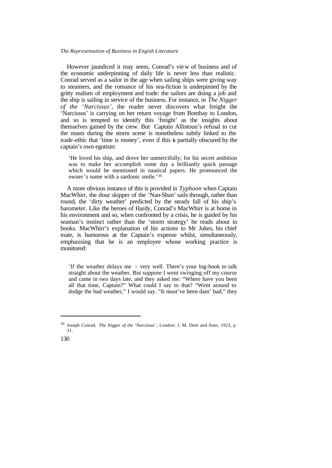However jaundiced it may seem, Conrad's view of business and of the economic underpinning of daily life is never less than realistic. Conrad served as a sailor in the age when sailing ships were giving way to steamers, and the romance of his sea-fiction is underpinned by the gritty realism of employment and trade: the sailors are doing a job and the ship is sailing in service of the business. For instance, in *The Nigger of the 'Narcissus'*, the reader never discovers what freight the 'Narcissus' is carrying on her return voyage from Bombay to London, and so is tempted to identify this 'freight' as the insights about themselves gained by the crew. But Captain Allistoun's refusal to cut the masts during the storm scene is nonetheless subtly linked to the trade-ethic that 'time is money', even if this is partially obscured by the captain's own egotism:

'He loved his ship, and drove her unmercifully; for his secret ambition was to make her accomplish some day a brilliantly quick passage which would be mentioned in nautical papers. He pronounced the owner's name with a sardonic smile.'<sup>36</sup>

A more obvious instance of this is provided in *Typhoon* when Captain MacWhirr, the dour skipper of the 'Nan-Shan' sails through, rather than round, the 'dirty weather' predicted by the steady fall of his ship's barometer. Like the heroes of Hardy, Conrad's MacWhirr is at home in his environment and so, when confronted by a crisis, he is guided by his seaman's instinct rather than the 'storm strategy' he reads about in books. MacWhirr's explanation of his actions to Mr Jukes, his chief mate, is humorous at the Captain's expense whilst, simultaneously, emphasising that he is an employee whose working practice is monitored:

'If the weather delays me – very well. There's your log-book to talk straight about the weather. But suppose I went swinging off my course and came in two days late, and they asked me: "Where have you been all that time, Captain?" What could I say to that? "Went around to dodge the bad weather," I would say. "It must've been dam' bad," they

<sup>36</sup> Joseph Conrad, *The Nigger of the 'Narcissus'*, London: J. M. Dent and Sons, 1923, p. 31.

<sup>130</sup>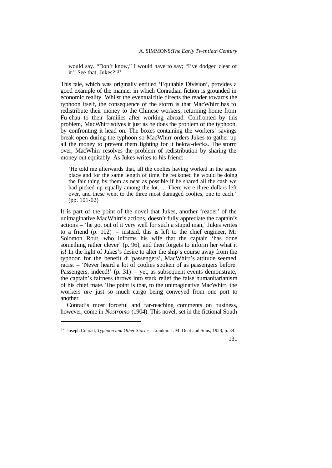would say. "Don't know," I would have to say; "I've dodged clear of it." See that, Jukes?'<sup>37</sup>

This tale, which was originally entitled 'Equitable Division', provides a good example of the manner in which Conradian fiction is grounded in economic reality. Whilst the eventual title directs the reader towards the typhoon itself, the consequence of the storm is that MacWhirr has to redistribute their money to the Chinese workers, returning home from Fu-chau to their families after working abroad. Confronted by this problem, MacWhirr solves it just as he does the problem of the typhoon, by confronting it head on. The boxes containing the workers' savings break open during the typhoon so MacWhirr orders Jukes to gather up all the money to prevent them fighting for it below-decks. The storm over, MacWhirr resolves the problem of redistribution by sharing the money out equitably. As Jukes writes to his friend:

'He told me afterwards that, all the coolies having worked in the same place and for the same length of time, he reckoned he would be doing the fair thing by them as near as possible if he shared all the cash we had picked up equally among the lot. ... There were three dollars left over, and these went to the three most damaged coolies, one to each.' (pp. 101-02)

It is part of the point of the novel that Jukes, another 'reader' of the unimaginative MacWhirr's actions, doesn't fully appreciate the captain's actions – 'he got out of it very well for such a stupid man,' Jukes writes to a friend (p. 102) – instead, this is left to the chief engineer, Mr Solomon Rout, who informs his wife that the captain 'has done something rather clever' (p. 96), and then forgets to inform her what it is! In the light of Jukes's desire to alter the ship's course away from the typhoon for the benefit of 'passengers', MacWhirr's attitude seemed racist – 'Never heard a lot of coolies spoken of as passengers before. Passengers, indeed!' (p. 31) – yet, as subsequent events demonstrate, the captain's fairness throws into stark relief the false humanitarianism of his chief mate. The point is that, to the unimaginative MacWhirr, the workers *are* just so much cargo being conveyed from one port to another.

Conrad's most forceful and far-reaching comments on business, however, come in *Nostromo* (1904). This novel, set in the fictional South

<sup>131</sup> <sup>37</sup> Joseph Conrad, *Typhoon and Other Stories*, London: J. M. Dent and Sons, 1923, p. 34.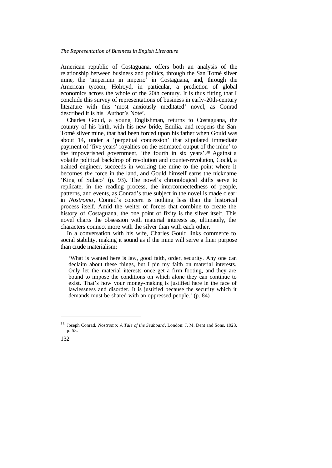American republic of Costaguana, offers both an analysis of the relationship between business and politics, through the San Tomé silver mine, the 'imperium in imperio' in Costaguana, and, through the American tycoon, Holroyd, in particular, a prediction of global economics across the whole of the 20th century. It is thus fitting that I conclude this survey of representations of business in early-20th-century literature with this 'most anxiously meditated' novel, as Conrad described it is his 'Author's Note'.

Charles Gould, a young Englishman, returns to Costaguana, the country of his birth, with his new bride, Emilia, and reopens the San Tomé silver mine, that had been forced upon his father when Gould was about 14, under a 'perpetual concession' that stipulated immediate payment of 'five years' royalties on the estimated output of the mine' to the impoverished government, 'the fourth in six years'.38 Against a volatile political backdrop of revolution and counter-revolution, Gould, a trained engineer, succeeds in working the mine to the point where it becomes *the* force in the land, and Gould himself earns the nickname 'King of Sulaco' (p. 93). The novel's chronological shifts serve to replicate, in the reading process, the interconnectedness of people, patterns, and events, as Conrad's true subject in the novel is made clear: in *Nostromo*, Conrad's concern is nothing less than the historical process itself. Amid the welter of forces that combine to create the history of Costaguana, the one point of fixity is the silver itself. This novel charts the obsession with material interests as, ultimately, the characters connect more with the silver than with each other.

In a conversation with his wife, Charles Gould links commerce to social stability, making it sound as if the mine will serve a finer purpose than crude materialism:

'What is wanted here is law, good faith, order, security. Any one can declaim about these things, but I pin my faith on material interests. Only let the material interests once get a firm footing, and they are bound to impose the conditions on which alone they can continue to exist. That's how your money-making is justified here in the face of lawlessness and disorder. It is justified because the security which it demands must be shared with an oppressed people.' (p. 84)

<sup>38</sup> Joseph Conrad, *Nostromo: A Tale of the Seaboard*, London: J. M. Dent and Sons, 1923, p. 53.

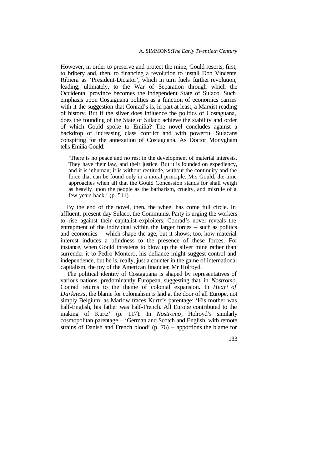However, in order to preserve and protect the mine, Gould resorts, first, to bribery and, then, to financing a revolution to install Don Vincente Ribiera as 'President-Dictator', which in turn fuels further revolution, leading, ultimately, to the War of Separation through which the Occidental province becomes the independent State of Sulaco. Such emphasis upon Costaguana politics as a function of economics carries with it the suggestion that Conrad's is, in part at least, a Marxist reading of history. But if the silver does influence the politics of Costaguana, does the founding of the State of Sulaco achieve the stability and order of which Gould spoke to Emilia? The novel concludes against a backdrop of increasing class conflict and with powerful Sulacans conspiring for the annexation of Costaguana. As Doctor Monygham tells Emilia Gould:

'There is no peace and no rest in the development of material interests. They have their law, and their justice. But it is founded on expediency, and it is inhuman; it is without rectitude, without the continuity and the force that can be found only in a moral principle. Mrs Gould, the time approaches when all that the Gould Concession stands for shall weigh as heavily upon the people as the barbarism, cruelty, and misrule of a few years back.' (p. 511)

By the end of the novel, then, the wheel has come full circle. In affluent, present-day Sulaco, the Communist Party is urging the workers to rise against their capitalist exploiters. Conrad's novel reveals the entrapment of the individual within the larger forces – such as politics and economics – which shape the age, but it shows, too, how material interest induces a blindness to the presence of these forces. For instance, when Gould threatens to blow up the silver mine rather than surrender it to Pedro Montero, his defiance might suggest control and independence, but he is, really, just a counter in the game of international capitalism, the toy of the American financier, Mr Holroyd.

The political identity of Costaguana is shaped by representatives of various nations, predominantly European, suggesting that, in *Nostromo*, Conrad returns to the theme of colonial expansion. In *Heart of Darkness*, the blame for colonialism is laid at the door of all Europe, not simply Belgium, as Marlow traces Kurtz's parentage: 'His mother was half-English, his father was half-French. All Europe contributed to the making of Kurtz' (p. 117). In *Nostromo*, Holroyd's similarly cosmopolitan parentage – 'German and Scotch and English, with remote strains of Danish and French blood' (p. 76) – apportions the blame for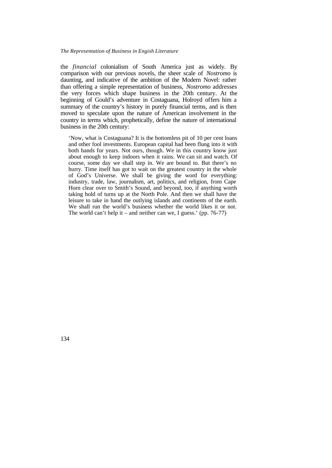the *financial* colonialism of South America just as widely. By comparison with our previous novels, the sheer scale of *Nostromo* is daunting, and indicative of the ambition of the Modern Novel: rather than offering a simple representation of business, *Nostromo* addresses the very forces which shape business in the 20th century. At the beginning of Gould's adventure in Costaguana, Holroyd offers him a summary of the country's history in purely financial terms, and is then moved to speculate upon the nature of American involvement in the country in terms which, prophetically, define the nature of international business in the 20th century:

'Now, what is Costaguana? It is the bottomless pit of 10 per cent loans and other fool investments. European capital had been flung into it with both hands for years. Not ours, though. We in this country know just about enough to keep indoors when it rains. We can sit and watch. Of course, some day we shall step in. We are bound to. But there's no hurry. Time itself has got to wait on the greatest country in the whole of God's Universe. We shall be giving the word for everything: industry, trade, law, journalism, art, politics, and religion, from Cape Horn clear over to Smith's Sound, and beyond, too, if anything worth taking hold of turns up at the North Pole. And then we shall have the leisure to take in hand the outlying islands and continents of the earth. We shall run the world's business whether the world likes it or not. The world can't help it – and neither can we, I guess.' (pp. 76-77)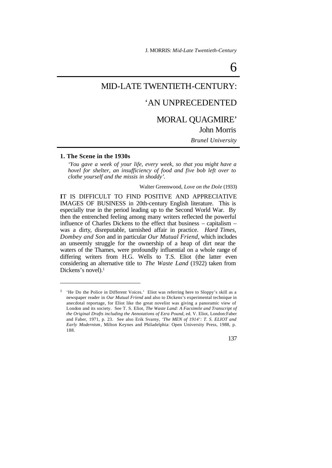# 6

# MID-LATE TWENTIETH-CENTURY:

# 'AN UNPRECEDENTED

# MORAL QUAGMIRE'

John Morris

*Brunel University* 

# **1. The Scene in the 1930s**

l

*'You gave a week of your life, every week, so that you might have a hovel for shelter, an insufficiency of food and five bob left over to clothe yourself and the missis in shoddy'.*

Walter Greenwood*, Love on the Dole* (1933)

**I**T IS DIFFICULT TO FIND POSITIVE AND APPRECIATIVE IMAGES OF BUSINESS in 20th-century English literature. This is especially true in the period leading up to the Second World War. By then the entrenched feeling among many writers reflected the powerful influence of Charles Dickens to the effect that business – capitalism – was a dirty, disreputable, tarnished affair in practice. *Hard Times, Dombey and Son* and in particular *Our Mutual Friend*, which includes an unseemly struggle for the ownership of a heap of dirt near the waters of the Thames, were profoundly influential on a whole range of differing writers from H.G. Wells to T.S. Eliot (the latter even considering an alternative title to *The Waste Land* (1922) taken from Dickens's novel).<sup>1</sup>

<sup>&</sup>lt;sup>1</sup> 'He Do the Police in Different Voices.' Eliot was referring here to Sloppy's skill as a newspaper reader in *Our Mutual Friend* and also to Dickens's experimental technique in anecdotal reportage, for Eliot like the great novelist was giving a panoramic view of London and its society. See T. S. Eliot, *The Waste Land: A Facsimile and Transcript of the Original Drafts including the Annotations of Ezra Pound*, ed. V. Eliot, London:Faber and Faber, 1971, p. 23. See also Erik Svarny, '*The MEN of 1914': T. S. ELIOT and Early Modernism*, Milton Keynes and Philadelphia: Open University Press, 1988, p. 188.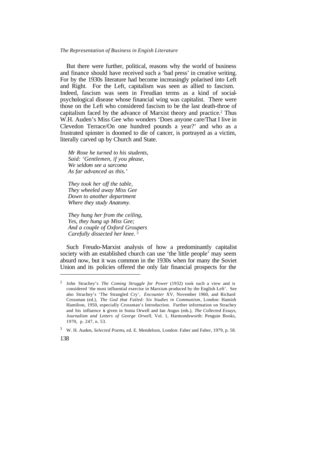But there were further, political, reasons why the world of business and finance should have received such a 'bad press' in creative writing. For by the 1930s literature had become increasingly polarised into Left and Right. For the Left, capitalism was seen as allied to fascism. Indeed, fascism was seen in Freudian terms as a kind of socialpsychological disease whose financial wing was capitalist. There were those on the Left who considered fascism to be the last death-throe of capitalism faced by the advance of Marxist theory and practice.<sup>2</sup> Thus W.H. Auden's Miss Gee who wonders 'Does anyone care/That I live in Clevedon Terrace/On one hundred pounds a year?' and who as a frustrated spinster is doomed to die of cancer, is portrayed as a victim, literally carved up by Church and State.

*Mr Rose he turned to his students, Said: 'Gentlemen, if you please, We seldom see a sarcoma As far advanced as this.'*

*They took her off the table, They wheeled away Miss Gee Down to another department Where they study Anatomy.*

*They hung her from the ceiling, Yes, they hung up Miss Gee; And a couple of Oxford Groupers Carefully dissected her knee.* <sup>3</sup>

Such Freudo-Marxist analysis of how a predominantly capitalist society with an established church can use 'the little people' may seem absurd now, but it was common in the 1930s when for many the Soviet Union and its policies offered the only fair financial prospects for the l

<sup>2</sup> John Strachey's *The Coming Struggle for Power* (1932) took such a view and is considered 'the most influential exercise in Marxism produced by the English Left'. See also Strachey's 'The Strangled Cry', *Encounter* XV, November 1960, and Richard Crossman (ed.), *The God that Failed: Six Studies in Communism*, London: Hamish Hamilton, 1950, especially Crossman's Introduction. Further information on Strachey and his influence is given in Sonia Orwell and Ian Angus (eds.), *The Collected Essays, Journalism and Letters of George Orwell*, Vol. 1, Harmondsworth: Penguin Books, 1970, p. 247, n. 53.

<sup>138</sup> <sup>3</sup> W. H. Auden, *Selected Poems*, ed. E. Mendelson, London: Faber and Faber, 1979, p. 58.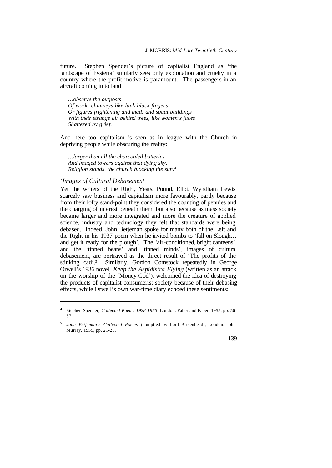future. Stephen Spender's picture of capitalist England as 'the landscape of hysteria' similarly sees only exploitation and cruelty in a country where the profit motive is paramount. The passengers in an aircraft coming in to land

*…observe the outposts Of work: chimneys like lank black fingers Or figures frightening and mad: and squat buildings With their strange air behind trees, like women's faces Shattered by grief.*

And here too capitalism is seen as in league with the Church in depriving people while obscuring the reality:

*…larger than all the charcoaled batteries And imaged towers against that dying sky, Religion stands, the church blocking the sun.*<sup>4</sup>

# *'Images of Cultural Debasement'*

l

Yet the writers of the Right, Yeats, Pound, Eliot, Wyndham Lewis scarcely saw business and capitalism more favourably, partly because from their lofty stand-point they considered the counting of pennies and the charging of interest beneath them, but also because as mass society became larger and more integrated and more the creature of applied science, industry and technology they felt that standards were being debased. Indeed, John Betjeman spoke for many both of the Left and the Right in his 1937 poem when he invited bombs to 'fall on Slough… and get it ready for the plough'. The 'air-conditioned, bright canteens', and the 'tinned beans' and 'tinned minds', images of cultural debasement, are portrayed as the direct result of 'The profits of the stinking cad'.<sup>5</sup> Similarly, Gordon Comstock repeatedly in George Orwell's 1936 novel, *Keep the Aspidistra Flying* (written as an attack on the worship of the 'Money-God'), welcomed the idea of destroying the products of capitalist consumerist society because of their debasing effects, while Orwell's own war-time diary echoed these sentiments:

<sup>4</sup> Stephen Spender, *Collected Poems 1928-1953*, London: Faber and Faber, 1955, pp. 56- 57.

<sup>5</sup> *John Betjeman's Collected Poems*, (compiled by Lord Birkenhead), London: John Murray, 1959, pp. 21-23.

<sup>139</sup>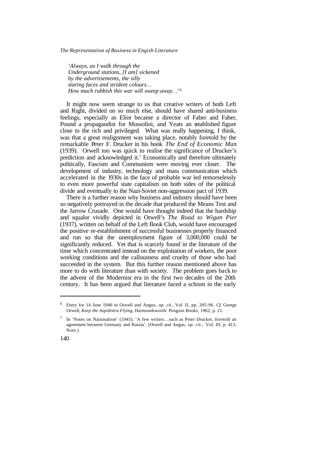*'Always, as I walk through the Underground stations, [I am] sickened by the advertisements, the silly staring faces and strident colours… How much rubbish this war will sweep away…*' 6

It might now seem strange to us that creative writers of both Left and Right, divided on so much else, should have shared anti-business feelings, especially as Eliot became a director of Faber and Faber, Pound a propagandist for Mussolini, and Yeats an established figure close to the rich and privileged. What was really happening, I think, was that a great realignment was taking place, notably foretold by the remarkable Peter F. Drucker in his book *The End of Economic Man* (1939). Orwell too was quick to realise the significance of Drucker's prediction and acknowledged it.<sup>7</sup> Economically and therefore ultimately politically, Fascism and Communism were moving ever closer. The development of industry, technology and mass communication which accelerated in the 1930s in the face of probable war led remorselessly to even more powerful state capitalism on both sides of the political divide and eventually to the Nazi-Soviet non-aggression pact of 1939.

There is a further reason why business and industry should have been so negatively portrayed in the decade that produced the Means Test and the Jarrow Crusade. One would have thought indeed that the hardship and squalor vividly depicted in Orwell's *The Road to Wigan Pier* (1937), written on behalf of the Left Book Club, would have encouraged the positive re-establishment of successful businesses properly financed and run so that the unemployment figure of 3,000,000 could be significantly reduced. Yet that is scarcely found in the literature of the time which concentrated instead on the exploitation of workers, the poor working conditions and the callousness and cruelty of those who had succeeded in the system. But this further reason mentioned above has more to do with literature than with society. The problem goes back to the advent of the Modernist era in the first two decades of the 20th century. It has been argued that literature faced a schism in the early

<sup>6</sup> Entry for 14 June 1940 in Orwell and Angus, *op. cit.*, Vol. II, pp. 395-96. *Cf.* George Orwell, *Keep the Aspidistra Flying*, Harmondsworth: Penguin Books, 1962, p. 21.

<sup>7</sup> In 'Notes on Nationalism' (1945): 'A few writers…such as Peter Drucker, foretold an agreement between Germany and Russia'. (Orwell and Angus, *op. cit.*, Vol. III, p. 413, Note.)

<sup>140</sup>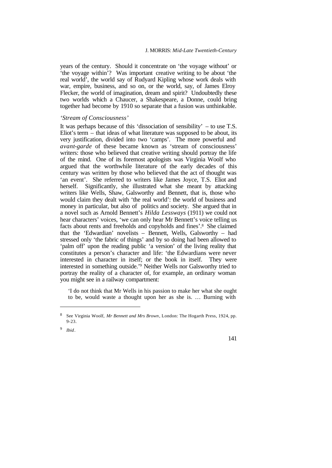years of the century. Should it concentrate on 'the voyage without' or 'the voyage within'? Was important creative writing to be about 'the real world', the world say of Rudyard Kipling whose work deals with war, empire, business, and so on, or the world, say, of James Elroy Flecker, the world of imagination, dream and spirit? Undoubtedly these two worlds which a Chaucer, a Shakespeare, a Donne, could bring together had become by 1910 so separate that a fusion was unthinkable.

# *'Stream of Consciousness'*

It was perhaps because of this 'dissociation of sensibility' – to use T.S. Eliot's term – that ideas of what literature was supposed to be about, its very justification, divided into two 'camps'. The more powerful and *avant-garde* of these became known as 'stream of consciousness' writers: those who believed that creative writing should portray the life of the mind. One of its foremost apologists was Virginia Woolf who argued that the worthwhile literature of the early decades of this century was written by those who believed that the act of thought was 'an event'. She referred to writers like James Joyce, T.S. Eliot and herself. Significantly, she illustrated what she meant by attacking writers like Wells, Shaw, Galsworthy and Bennett, that is, those who would claim they dealt with 'the real world': the world of business and money in particular, but also of politics and society. She argued that in a novel such as Arnold Bennett's *Hilda Lessways* (1911) we could not hear characters' voices, 'we can only hear Mr Bennett's voice telling us facts about rents and freeholds and copyholds and fines'.<sup>8</sup> She claimed that the 'Edwardian' novelists – Bennett, Wells, Galsworthy – had stressed only 'the fabric of things' and by so doing had been allowed to 'palm off' upon the reading public 'a version' of the living reality that constitutes a person's character and life: 'the Edwardians were never interested in character in itself; or the book in itself. They were interested in something outside.'<sup>9</sup> Neither Wells nor Galsworthy tried to portray the reality of a character of, for example, an ordinary woman you might see in a railway compartment:

'I do not think that Mr Wells in his passion to make her what she ought to be, would waste a thought upon her as she is. … Burning with

l

<sup>8</sup> See Virginia Woolf, *Mr Bennett and Mrs Brown*, London: The Hogarth Press, 1924, pp. 9-23.

<sup>9</sup> *Ibid*.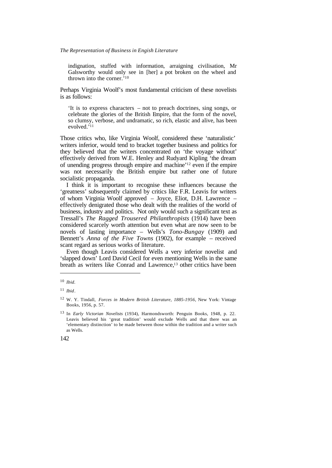indignation, stuffed with information, arraigning civilisation, Mr Galsworthy would only see in [her] a pot broken on the wheel and thrown into the corner.'<sup>10</sup>

Perhaps Virginia Woolf's most fundamental criticism of these novelists is as follows:

'It is to express characters – not to preach doctrines, sing songs, or celebrate the glories of the British Empire, that the form of the novel, so clumsy, verbose, and undramatic, so rich, elastic and alive, has been evolved.'<sup>11</sup>

Those critics who, like Virginia Woolf, considered these 'naturalistic' writers inferior, would tend to bracket together business and politics for they believed that the writers concentrated on 'the voyage without' effectively derived from W.E. Henley and Rudyard Kipling 'the dream of unending progress through empire and machine'<sup>12</sup> even if the empire was not necessarily the British empire but rather one of future socialistic propaganda.

I think it is important to recognise these influences because the 'greatness' subsequently claimed by critics like F.R. Leavis for writers of whom Virginia Woolf approved – Joyce, Eliot, D.H. Lawrence – effectively denigrated those who dealt with the realities of the world of business, industry and politics. Not only would such a significant text as Tressall's *The Ragged Trousered Philanthropists* (1914) have been considered scarcely worth attention but even what are now seen to be novels of lasting importance – Wells's *Tono-Bungay* (1909) and Bennett's *Anna of the Five Towns* (1902), for example – received scant regard as serious works of literature.

Even though Leavis considered Wells a very inferior novelist and 'slapped down' Lord David Cecil for even mentioning Wells in the same breath as writers like Conrad and Lawrence,<sup>13</sup> other critics have been

<sup>10</sup> *Ibid.*

<sup>11</sup> *Ibid*.

<sup>12</sup> W. Y. Tindall, *Forces in Modern British Literature, 1885-1956*, New York: Vintage Books, 1956, p. 57.

<sup>13</sup> In *Early Victorian Novelists* (1934), Harmondsworth: Penguin Books, 1948, p. 22. Leavis believed his 'great tradition' would exclude Wells and that there was an 'elementary distinction' to be made between those within the tradition and a writer such as Wells.

<sup>142</sup>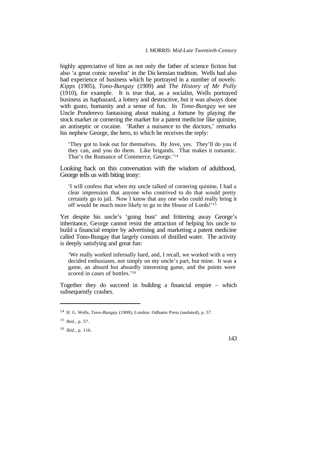highly appreciative of him as not only the father of science fiction but also 'a great comic novelist' in the Dickensian tradition. Wells had also had experience of business which he portrayed in a number of novels: *Kipps* (1905), *Tono-Bungay* (1909) and *The History of Mr Polly* (1910), for example. It is true that, as a socialist, Wells portrayed business as haphazard, a lottery and destructive, but it was always done with gusto, humanity and a sense of fun. In *Tono-Bungay* we see Uncle Ponderevo fantasising about making a fortune by playing the stock market or cornering the market for a patent medicine like quinine, an antiseptic or cocaine. 'Rather a nuisance to the doctors,' remarks his nephew George, the hero, to which he receives the reply:

'They got to look out for themselves. By Jove, yes. They'll do you if they can, and you do them. Like brigands. That makes it romantic. That's the Romance of Commerce, George.'<sup>14</sup>

Looking back on this conversation with the wisdom of adulthood, George tells us with biting irony:

'I will confess that when my uncle talked of cornering quinine, I had a clear impression that anyone who contrived to do that would pretty certainly go to jail. Now I know that any one who could really bring it off would be much more likely to go to the House of Lords!'<sup>15</sup>

Yet despite his uncle's 'going bust' and frittering away George's inheritance, George cannot resist the attraction of helping his uncle to build a financial empire by advertising and marketing a patent medicine called Tono-Bungay that largely consists of distilled water. The activity is deeply satisfying and great fun:

'We really worked infernally hard, and, I recall, we worked with a very decided enthusiasm, not simply on my uncle's part, but mine. It was a game, an absurd but absurdly interesting game, and the points were scored in cases of bottles.'<sup>16</sup>

Together they do succeed in building a financial empire – which subsequently crashes.

l

<sup>14</sup> H. G. Wells, *Tono-Bungay* (1909), London: Odhams Press (undated), p. 57.

<sup>15</sup> *Ibid*., p. 57.

<sup>16</sup> *Ibid*., p. 116.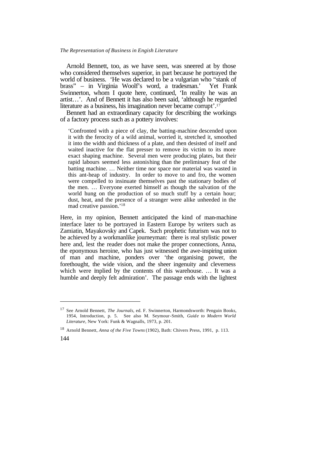Arnold Bennett, too, as we have seen, was sneered at by those who considered themselves superior, in part because he portrayed the world of business. 'He was declared to be a vulgarian who "stank of brass" – in Virginia Woolf's word, a tradesman.' Yet Frank Swinnerton, whom I quote here, continued, 'In reality he was an artist…'. And of Bennett it has also been said, 'although he regarded literature as a business, his imagination never became corrupt'.<sup>17</sup>

Bennett had an extraordinary capacity for describing the workings of a factory process such as a pottery involves:

'Confronted with a piece of clay, the batting-machine descended upon it with the ferocity of a wild animal, worried it, stretched it, smoothed it into the width and thickness of a plate, and then desisted of itself and waited inactive for the flat presser to remove its victim to its more exact shaping machine. Several men were producing plates, but their rapid labours seemed less astonishing than the preliminary feat of the batting machine. … Neither time nor space nor material was wasted in this ant-heap of industry. In order to move to and fro, the women were compelled to insinuate themselves past the stationary bodies of the men. … Everyone exerted himself as though the salvation of the world hung on the production of so much stuff by a certain hour; dust, heat, and the presence of a stranger were alike unheeded in the mad creative passion.'<sup>18</sup>

Here, in my opinion, Bennett anticipated the kind of man-machine interface later to be portrayed in Eastern Europe by writers such as Zamiatin, Mayakovsky and Capek. Such prophetic futurism was not to be achieved by a workmanlike journeyman: there is real stylistic power here and, lest the reader does not make the proper connections, Anna, the eponymous heroine, who has just witnessed the awe-inspiring union of man and machine, ponders over 'the organising power, the forethought, the wide vision, and the sheer ingenuity and cleverness which were implied by the contents of this warehouse. ... It was a humble and deeply felt admiration'. The passage ends with the lightest

<sup>17</sup> See Arnold Bennett, *The Journals*, ed. F. Swinnerton, Harmondsworth: Penguin Books, 1954, Introduction, p. 5. See also M. Seymour-Smith, *Guide to Modern World Literature*, New York: Funk & Wagnalls, 1973, p. 201.

<sup>144</sup> <sup>18</sup> Arnold Bennett, *Anna of the Five Towns* (1902), Bath: Chivers Press, 1991, p. 113.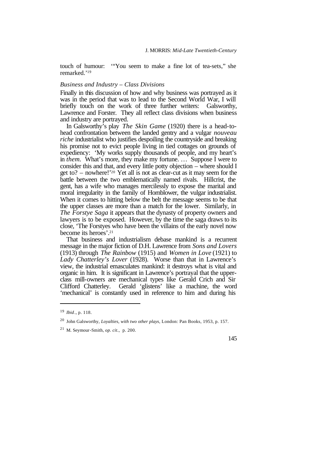touch of humour: '"You seem to make a fine lot of tea-sets," she remarked.'<sup>19</sup>

# *Business and Industry – Class Divisions*

Finally in this discussion of how and why business was portrayed as it was in the period that was to lead to the Second World War, I will briefly touch on the work of three further writers: Galsworthy, Lawrence and Forster. They all reflect class divisions when business and industry are portrayed.

In Galsworthy's play *The Skin Game* (1920) there is a head-tohead confrontation between the landed gentry and a vulgar *nouveau riche* industrialist who justifies despoiling the countryside and breaking his promise not to evict people living in tied cottages on grounds of expediency: 'My works supply thousands of people, and my heart's in *them.* What's more, they make my fortune. … Suppose I were to consider this and that, and every little potty objection – where should I get to? – nowhere!'20 Yet all is not as clear-cut as it may seem for the battle between the two emblematically named rivals. Hillcrist, the gent, has a wife who manages mercilessly to expose the marital and moral irregularity in the family of Hornblower, the vulgar industrialist. When it comes to hitting below the belt the message seems to be that the upper classes are more than a match for the lower. Similarly, in *The Forstye Saga* it appears that the dynasty of property owners and lawyers is to be exposed. However, by the time the saga draws to its close, 'The Forstyes who have been the villains of the early novel now become its heroes'.<sup>21</sup>

That business and industrialism debase mankind is a recurrent message in the major fiction of D.H. Lawrence from *Sons and Lovers* (1913) through *The Rainbow* (1915) and *Women in Love* (1921) to *Lady Chatterley's Lover* (1928). Worse than that in Lawrence's view, the industrial emasculates mankind: it destroys what is vital and organic in him. It is significant in Lawrence's portrayal that the upperclass mill-owners are mechanical types like Gerald Crich and Sir Clifford Chatterley. Gerald 'glistens' like a machine, the word 'mechanical' is constantly used in reference to him and during his

l

<sup>19</sup> *Ibid*., p. 118.

<sup>20</sup> John Galsworthy, *Loyalties, with two other plays*, London: Pan Books, 1953, p. 157.

<sup>21</sup> M. Seymour-Smith, *op. cit*., p. 200.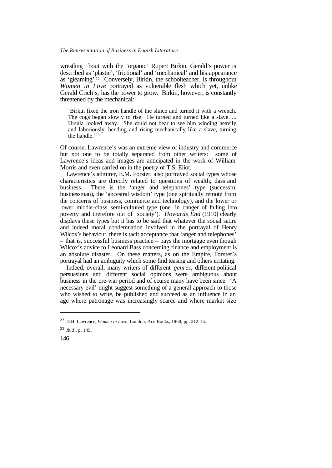wrestling bout with the 'organic' Rupert Birkin, Gerald's power is described as 'plastic', 'frictional' and 'mechanical' and his appearance as 'gleaming'.22 Conversely, Birkin, the schoolteacher, is throughout *Women in Love* portrayed as vulnerable flesh which yet, unlike Gerald Crich's, has the power to grow. Birkin, however, is constantly threatened by the mechanical:

'Birkin fixed the iron handle of the sluice and turned it with a wrench. The cogs began slowly to rise. He turned and turned like a slave. ... Ursula looked away. She could not bear to see him winding heavily and laboriously, bending and rising mechanically like a slave, turning the handle.'<sup>23</sup>

Of course, Lawrence's was an extreme view of industry and commerce but not one to be totally separated from other writers: some of Lawrence's ideas and images are anticipated in the work of William Morris and even carried on in the poetry of T.S. Eliot.

Lawrence's admirer, E.M. Forster, also portrayed social types whose characteristics are directly related to questions of wealth, dass and business. There is the 'anger and telephones' type (successful businessman), the 'ancestral wisdom' type (one spiritually remote from the concerns of business, commerce and technology), and the lower or lower middle-class semi-cultured type (one in danger of falling into poverty and therefore out of 'society'). *Howards End* (1910) clearly displays these types but it has to be said that whatever the social satire and indeed moral condemnation involved in the portrayal of Henry Wilcox's behaviour, there is tacit acceptance that 'anger and telephones' – that is, successful business practice – pays the mortgage even though Wilcox's advice to Leonard Bass concerning finance and employment is an absolute disaster. On these matters, as on the Empire, Forster's portrayal had an ambiguity which some find teasing and others irritating.

Indeed, overall, many writers of different *genres,* different political persuasions and different social opinions were ambiguous about business in the pre-war period and of course many have been since. 'A necessary evil' might suggest something of a general approach to those who wished to write, be published and succeed as an influence in an age where patronage was increasingly scarce and where market size

<sup>22</sup> D.H. Lawrence, *Women in Love*, London: Ace Books, 1960, pp. 212-16.

<sup>23</sup> *Ibid*., p. 145.

<sup>146</sup>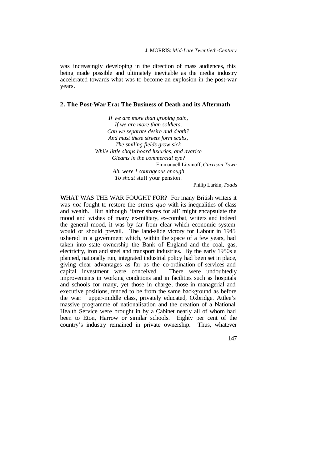was increasingly developing in the direction of mass audiences, this being made possible and ultimately inevitable as the media industry accelerated towards what was to become an explosion in the post-war years.

# **2. The Post-War Era: The Business of Death and its Aftermath**

*If we are more than groping pain, If we are more than soldiers, Can we separate desire and death? And must these streets form scabs, The smiling fields grow sick While little shops hoard luxuries, and avarice Gleams in the commercial eye?* Emmanuell Litvinoff, *Garrison Town Ah, were I courageous enough To shout* stuff your pension!

Philip Larkin, *Toads*

**W**HAT WAS THE WAR FOUGHT FOR? For many British writers it was *not* fought to restore the *status quo* with its inequalities of class and wealth. But although 'fairer shares for all' might encapsulate the mood and wishes of many ex-military, ex-combat, writers and indeed the general mood, it was by far from clear which economic system would or should prevail. The land-slide victory for Labour in 1945 ushered in a government which, within the space of a few years, had taken into state ownership the Bank of England and the coal, gas, electricity, iron and steel and transport industries. By the early 1950s a planned, nationally run, integrated industrial policy had been set in place, giving clear advantages as far as the co-ordination of services and capital investment were conceived. There were undoubtedly improvements in working conditions and in facilities such as hospitals and schools for many, yet those in charge, those in managerial and executive positions, tended to be from the same background as before the war: upper-middle class, privately educated, Oxbridge. Attlee's massive programme of nationalisation and the creation of a National Health Service were brought in by a Cabinet nearly all of whom had been to Eton, Harrow or similar schools. Eighty per cent of the country's industry remained in private ownership. Thus, whatever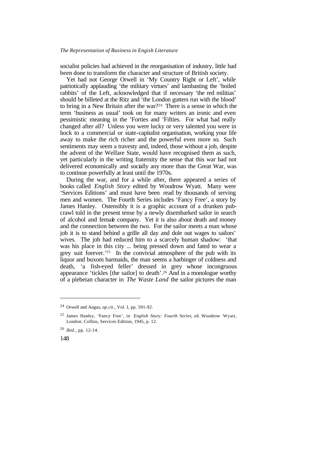socialist policies had achieved in the reorganisation of industry, little had been done to transform the character and structure of British society.

Yet had not George Orwell in 'My Country Right or Left', while patriotically applauding 'the military virtues' and lambasting the 'boiled rabbits' of the Left, acknowledged that if necessary 'the red militias' should be billeted at the Ritz and 'the London gutters run with the blood' to bring in a New Britain after the war?24 There is a sense in which the term 'business as usual' took on for many writers an ironic and even pessimistic meaning in the 'Forties and 'Fifties. For what had really changed after all? Unless you were lucky or very talented you were in hock to a commercial or state-capitalist organisation, working your life away to make the rich richer and the powerful even more so. Such sentiments may seem a travesty and, indeed, those without a job, despite the advent of the Welfare State, would have recognised them as such, yet particularly in the writing fraternity the sense that this war had not delivered economically and socially any more than the Great War, was to continue powerfully at least until the 1970s.

During the war, and for a while after, there appeared a series of books called *English Story* edited by Woodrow Wyatt. Many were 'Services Editions' and must have been read by thousands of serving men and women. The Fourth Series includes 'Fancy Free', a story by James Hanley. Ostensibly it is a graphic account of a drunken pubcrawl told in the present tense by a newly disembarked sailor in search of alcohol and female company. Yet it is also about death and money and the connection between the two. For the sailor meets a man whose job it is to stand behind a grille all day and dole out wages to sailors' wives. The job had reduced him to a scarcely human shadow: 'that was his place in this city ... being pressed down and fated to wear a grey suit forever.<sup>'25</sup> In the convivial atmosphere of the pub with its liquor and buxom barmaids, the man seems a harbinger of coldness and death, 'a fish-eyed feller' dressed in grey whose incongruous appearance 'tickles [the sailor] to death'.26 And in a monologue worthy of a plebeian character in *The Waste Land* the sailor pictures the man

# 148

<sup>24</sup> Orwell and Angus, *op.cit*., Vol. I, pp. 591-92.

<sup>25</sup> James Hanley, 'Fancy Free', in *English Story: Fourth Series*, ed. Woodrow Wyatt, London: Collins, Services Edition, 1945, p. 12.

<sup>26</sup> *Ibid*., pp. 12-14.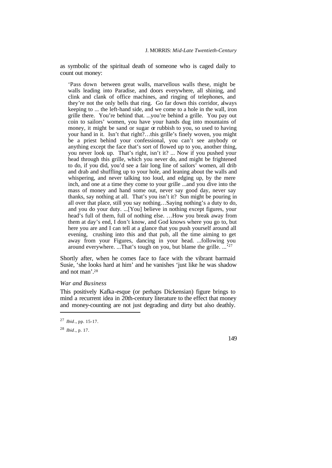as symbolic of the spiritual death of someone who is caged daily to count out money:

'Pass down between great walls, marvellous walls these, might be walls leading into Paradise, and doors everywhere, all shining, and clink and clank of office machines, and ringing of telephones, and they're not the only bells that ring. Go far down this corridor, always keeping to ... the left-hand side, and we come to a hole in the wall, iron grille there. You're behind that. ...you're behind a grille. You pay out coin to sailors' women, you have your hands dug into mountains of money, it might be sand or sugar or rubbish to you, so used to having your hand in it. Isn't that right?…this grille's finely woven, you might be a priest behind your confessional, you can't see anybody or anything except the face that's sort of flowed up to you, another thing, you never look up. That's right, isn't it? ... Now if you pushed your head through this grille, which you never do, and might be frightened to do, if you did, you'd see a fair long line of sailors' women, all drib and drab and shuffling up to your hole, and leaning about the walls and whispering, and never talking too loud, and edging up, by the mere inch, and one at a time they come to your grille ...and you dive into the mass of money and hand some out, never say good day, never say thanks, say nothing at all. That's you isn't it? Sun might be pouring in all over that place, still you say nothing…Saying nothing's a duty to do, and you do your duty. ...[You] believe in nothing except figures, your head's full of them, full of nothing else. …How you break away from them at day's end, I don't know, and God knows where you go to, but here you are and I can tell at a glance that you push yourself around all evening, crushing into this and that pub, all the time aiming to get away from your Figures, dancing in your head. ...following you around everywhere. ...That's tough on you, but blame the grille.  $\ldots$ <sup>27</sup>

Shortly after, when he comes face to face with the vibrant barmaid Susie, 'she looks hard at him' and he vanishes 'just like he was shadow and not man' 28

# *War and Business*

This positively Kafka-esque (or perhaps Dickensian) figure brings to mind a recurrent idea in 20th-century literature to the effect that money and money-counting are not just degrading and dirty but also deathly.

l

<sup>27</sup> *Ibid*., pp. 15-17.

<sup>28</sup> *Ibid*., p. 17.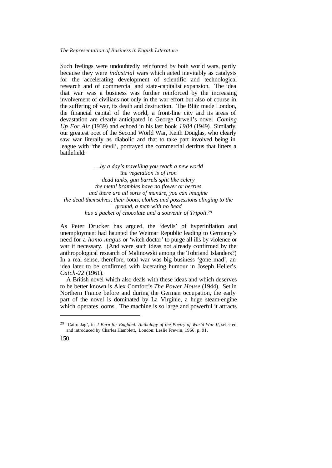Such feelings were undoubtedly reinforced by both world wars, partly because they were *industrial* wars which acted inevitably as catalysts for the accelerating development of scientific and technological research and of commercial and state-capitalist expansion. The idea that war was a business was further reinforced by the increasing involvement of civilians not only in the war effort but also of course in the suffering of war, its death and destruction. The Blitz made London, the financial capital of the world, a front-line city and its areas of devastation are clearly anticipated in George Orwell's novel *Coming Up For Air* (1939) and echoed in his last book *1984* (1949). Similarly, our greatest poet of the Second World War, Keith Douglas, who clearly saw war literally as diabolic and that to take part involved being in league with 'the devil', portrayed the commercial detritus that litters a battlefield:

*….by a day's travelling you reach a new world the vegetation is of iron dead tanks, gun barrels split like celery the metal brambles have no flower or berries and there are all sorts of manure, you can imagine the dead themselves, their boots, clothes and possessions clinging to the ground, a man with no head has a packet of chocolate and a souvenir of Tripoli*. 29

As Peter Drucker has argued, the 'devils' of hyperinflation and unemployment had haunted the Weimar Republic leading to Germany's need for a *homo magus* or 'witch doctor' to purge all ills by violence or war if necessary. (And were such ideas not already confirmed by the anthropological research of Malinowski among the Tobriand Islanders?) In a real sense, therefore, total war was big business 'gone mad', an idea later to be confirmed with lacerating humour in Joseph Heller's *Catch-22* (1961).

A British novel which also deals with these ideas and which deserves to be better known is Alex Comfort's *The Power House* (1944). Set in Northern France before and during the German occupation, the early part of the novel is dominated by La Virginie, a huge steam-engine which operates looms. The machine is so large and powerful it attracts

<sup>29</sup> 'Cairo Jag', in *I Burn for England: Anthology of the Poetry of World War II*, selected and introduced by Charles Hamblett, London: Leslie Frewin, 1966, p. 91.

<sup>150</sup>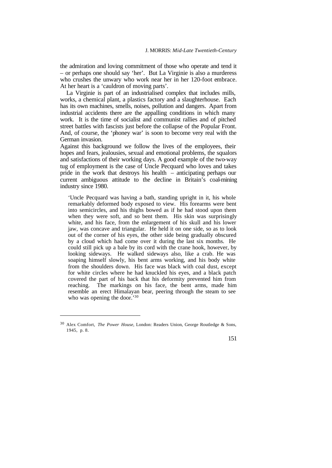the admiration and loving commitment of those who operate and tend it – or perhaps one should say 'her'. But La Virginie is also a murderess who crushes the unwary who work near her in her 120-foot embrace. At her heart is a 'cauldron of moving parts'.

La Virginie is part of an industrialised complex that includes mills, works, a chemical plant, a plastics factory and a slaughterhouse. Each has its own machines, smells, noises, pollution and dangers. Apart from industrial accidents there are the appalling conditions in which many work. It is the time of socialist and communist rallies and of pitched street battles with fascists just before the collapse of the Popular Front. And, of course, the 'phoney war' is soon to become very real with the German invasion.

Against this background we follow the lives of the employees, their hopes and fears, jealousies, sexual and emotional problems, the squalors and satisfactions of their working days. A good example of the two-way tug of employment is the case of Uncle Pecquard who loves and takes pride in the work that destroys his health – anticipating perhaps our current ambiguous attitude to the decline in Britain's coal-mining industry since 1980.

'Uncle Pecquard was having a bath, standing upright in it, his whole remarkably deformed body exposed to view. His forearms were bent into semicircles, and his thighs bowed as if he had stood upon them when they were soft, and so bent them. His skin was surprisingly white, and his face, from the enlargement of his skull and his lower jaw, was concave and triangular. He held it on one side, so as to look out of the corner of his eyes, the other side being gradually obscured by a cloud which had come over it during the last six months. He could still pick up a bale by its cord with the crane hook, however, by looking sideways. He walked sideways also, like a crab. He was soaping himself slowly, his bent arms working, and his body white from the shoulders down. His face was black with coal dust, except for white circles where he had knuckled his eyes, and a black patch covered the part of his back that his deformity prevented him from reaching. The markings on his face, the bent arms, made him resemble an erect Himalayan bear, peering through the steam to see who was opening the door.'<sup>30</sup>

<sup>30</sup> Alex Comfort, *The Power House*, London: Readers Union, George Routledge & Sons, 1945, p. 8.

<sup>151</sup>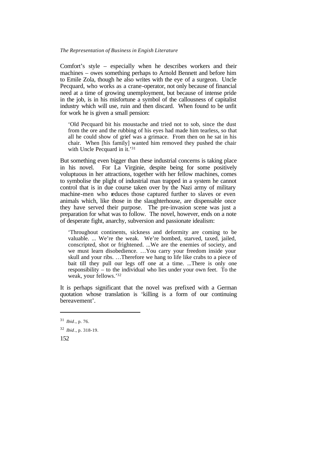Comfort's style – especially when he describes workers and their machines – owes something perhaps to Arnold Bennett and before him to Emile Zola, though he also writes with the eye of a surgeon. Uncle Pecquard, who works as a crane-operator, not only because of financial need at a time of growing unemployment, but because of intense pride in the job, is in his misfortune a symbol of the callousness of capitalist industry which will use, ruin and then discard. When found to be unfit for work he is given a small pension:

'Old Pecquard bit his moustache and tried not to sob, since the dust from the ore and the rubbing of his eyes had made him tearless, so that all he could show of grief was a grimace. From then on he sat in his chair. When [his family] wanted him removed they pushed the chair with Uncle Pecquard in it.'<sup>31</sup>

But something even bigger than these industrial concerns is taking place in his novel. For La Virginie, despite being for some positively voluptuous in her attractions, together with her fellow machines, comes to symbolise the plight of industrial man trapped in a system he cannot control that is in due course taken over by the Nazi army of military machine-men who reduces those captured further to slaves or even animals which, like those in the slaughterhouse, are dispensable once they have served their purpose. The pre-invasion scene was just a preparation for what was to follow. The novel, however, ends on a note of desperate fight, anarchy, subversion and passionate idealism:

'Throughout continents, sickness and deformity are coming to be valuable. ... We're the weak. We're bombed, starved, taxed, jailed, conscripted, shot or frightened. ...We are the enemies of society, and we must learn disobedience. …You carry your freedom inside your skull and your ribs. …Therefore we hang to life like crabs to a piece of bait till they pull our legs off one at a time. ...There is only one responsibility – to the individual who lies under your own feet. To the weak, your fellows.'<sup>32</sup>

It is perhaps significant that the novel was prefixed with a German quotation whose translation is 'killing is a form of our continuing bereavement'.

152

<sup>31</sup> *Ibid*., p. 76.

<sup>32</sup> *Ibid*., p. 318-19.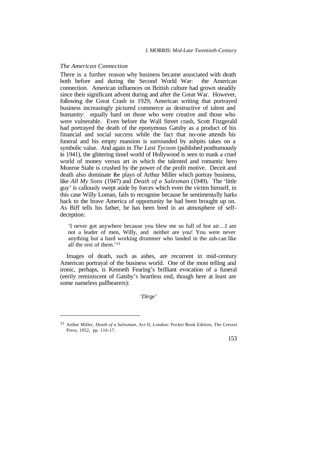# *The American Connection*

l

There is a further reason why business became associated with death both before and during the Second World War: the American connection. American influences on British culture had grown steadily since their significant advent during and after the Great War. However, following the Great Crash in 1929, American writing that portrayed business increasingly pictured commerce as destructive of talent and humanity: equally hard on those who were creative and those who were vulnerable. Even before the Wall Street crash, Scott Fitzgerald had portrayed the death of the eponymous Gatsby as a product of his financial and social success while the fact that no-one attends his funeral and his empty mansion is surrounded by ashpits takes on a symbolic value. And again in *The Last Tycoon* (published posthumously in 1941), the glittering tinsel world of Hollywood is seen to mask a cruel world of money versus art in which the talented and romantic hero Monroe Stahr is crushed by the power of the profit motive. Deceit and death also dominate the plays of Arthur Miller which portray business, like *All My Sons* (1947) and *Death of a Salesman* (1949). The 'little guy' is callously swept aside by forces which even the victim himself, in this case Willy Loman, fails to recognise because he sentimentally harks back to the brave America of opportunity he had been brought up on. As Biff tells his father, he has been bred in an atmosphere of selfdeception:

'I never got anywhere because you blew me so full of hot air…I am not a leader of men, Willy, and neither are you! You were never anything but a hard working drummer who landed in the ash-can like all the rest of them.'<sup>33</sup>

Images of death, such as ashes, are recurrent in mid-century American portrayal of the business world. One of the most telling and ironic, perhaps, is Kenneth Fearing's brilliant evocation of a funeral (eerily reminiscent of Gatsby's heartless end, though here at least are some nameless pallbearers):

*'Dirge'*

<sup>33</sup> Arthur Miller, *Death of a Salesman,* Act II, London: Pocket Book Edition, The Cresset Press, 1952, pp. 116-17.

<sup>153</sup>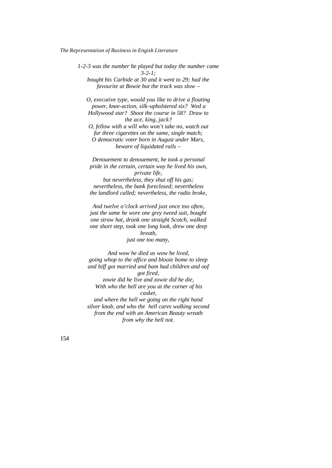*1-2-3 was the number he played but today the number came 3-2-1; bought his Carbide at 30 and it went to 29; had the favourite at Bowie but the track was slow –*

*O, executive type, would you like to drive a floating power, knee-action, silk-upholstered six? Wed a Hollywood star? Shoot the course in 58? Draw to the ace, king, jack? O, fellow with a will who won't take no, watch out for three cigarettes on the same, single match; O democratic voter born in August under Mars,*

*beware of liquidated rails –*

*Denouement to denouement, he took a personal pride in the certain, certain way he lived his own, private life, but nevertheless, they shut off his gas; nevertheless, the bank foreclosed; nevertheless the landlord called; nevertheless, the radio broke,*

*And twelve o'clock arrived just once too often, just the same he wore one grey tweed suit, bought one straw hat, drank one straight Scotch, walked one short step, took one long look, drew one deep breath,*

*just one too many,*

*And wow he died as wow he lived, going whop to the office and blooie home to sleep and biff got married and bam had children and oof*

*got fired,*

*zowie did he live and zowie did he die, With who the hell are you at the corner of his casket,*

*and where the hell we going on the right hand silver knob, and who the hell cares walking second from the end with an American Beauty wreath from why the hell not.*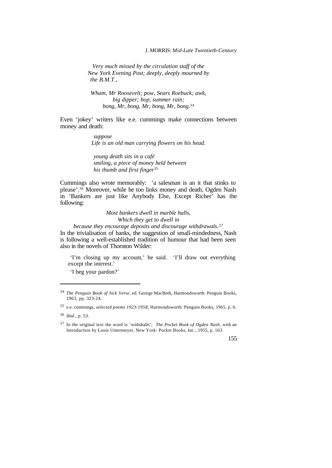#### J. MORRIS: *Mid-Late Twentieth-Century*

*Very much missed by the circulation staff of the New York Evening Post; deeply, deeply mourned by the B.M.T.,*

*Wham, Mr Roosevelt; pow, Sears Roebuck; awk, big dipper; bop, summer rain; bong, Mr, bong, Mr, bong, Mr, bong.*<sup>34</sup>

Even 'jokey' writers like e.e. cummings make connections between money and death:

> *suppose Life is an old man carrying flowers on his head.*

*young death sits in a café smiling, a piece of money held between his thumb and first finger*<sup>35</sup>

Cummings also wrote memorably: 'a salesman is an it that stinks to please'.36 Moreover, while he too links money and death, Ogden Nash in 'Bankers are just like Anybody Else, Except Richer' has the following:

> *Most bankers dwell in marble halls, Which they get to dwell in*

*because they encourage deposits and discourage withdrawals.<sup>37</sup>* In the trivialisation of banks, the suggestion of small-mindedness, Nash is following a well-established tradition of humour that had been seen also in the novels of Thornton Wilder:

'I'm closing up my account,' he said. 'I'll draw out everything except the interest.'

'I beg your pardon?'

<sup>34</sup> *The Penguin Book of Sick Verse*, ed. George MacBeth, Harmondsworth: Penguin Books, 1963, pp. 323-24.

<sup>35</sup> e.e. cummings, *selected poems 1923-1958*, Harmondsworth: Penguin Books, 1965, p. 6.

<sup>36</sup> *Ibid*., p. 53.

<sup>37</sup> In the original text the word is 'withdralls'; *The Pocket Book of Ogden Nash*, with an Introduction by Louis Untermeyer, New York: Pocket Books, Inc., 1955, p. 163.

<sup>155</sup>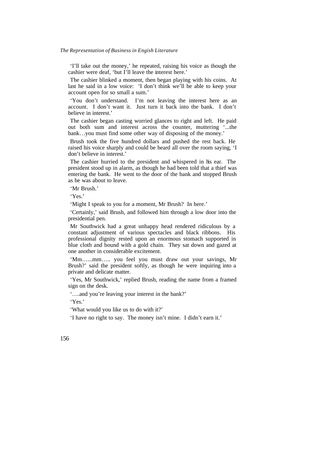'I'll take out the money,' he repeated, raising his voice as though the cashier were deaf, 'but I'll leave the interest here.'

The cashier blinked a moment, then began playing with his coins. At last he said in a low voice: 'I don't think we'll be able to keep your account open for so small a sum.'

'You don't understand. I'm not leaving the interest here as an account. I don't want it. Just turn it back into the bank. I don't believe in interest.'

The cashier began casting worried glances to right and left. He paid out both sum and interest across the counter, muttering '...the bank…you must find some other way of disposing of the money.'

Brush took the five hundred dollars and pushed the rest back. He raised his voice sharply and could be heard all over the room saying, 'I don't believe in interest.'

The cashier hurried to the president and whispered in his ear. The president stood up in alarm, as though he had been told that a thief was entering the bank. He went to the door of the bank and stopped Brush as he was about to leave.

'Mr Brush.'

'Yes.'

'Might I speak to you for a moment, Mr Brush? In here.'

'Certainly,' said Brush, and followed him through a low door into the presidential pen.

Mr Southwick had a great unhappy head rendered ridiculous by a constant adjustment of various spectacles and black ribbons. His professional dignity rested upon an enormous stomach supported in blue cloth and bound with a gold chain. They sat down and gazed at one another in considerable excitement.

'Mm…...mm….. you feel you must draw out your savings, Mr Brush?' said the president softly, as though he were inquiring into a private and delicate matter.

'Yes, Mr Southwick,' replied Brush, reading the name from a framed sign on the desk.

'….and you're leaving your interest in the bank?'

'Yes.'

'What would you like us to do with it?'

'I have no right to say. The money isn't mine. I didn't earn it.'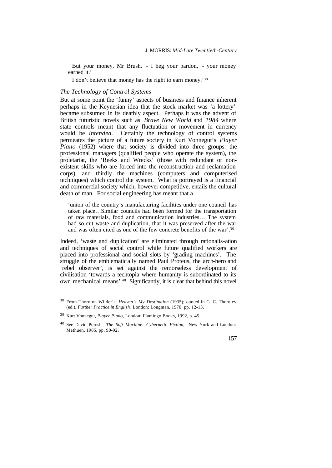'But your money, Mr Brush, - I beg your pardon, - your money earned it.'

'I don't believe that money has the right to earn money.'<sup>38</sup>

# *The Technology of Control Systems*

But at some point the 'funny' aspects of business and finance inherent perhaps in the Keynesian idea that the stock market was 'a lottery' became subsumed in its deathly aspect. Perhaps it was the advent of British futuristic novels such as *Brave New World* and *1984* where state controls meant that any fluctuation or movement in currency would be *intended.* Certainly the technology of control systems permeates the picture of a future society in Kurt Vonnegut's *Player Piano* (1952) where that society is divided into three groups: the professional managers (qualified people who operate the system), the proletariat, the 'Reeks and Wrecks' (those with redundant or nonexistent skills who are forced into the reconstruction and reclamation corps), and thirdly the machines (computers and computerised techniques) which control the system. What is portrayed is a financial and commercial society which, however competitive, entails the cultural death of man. For social engineering has meant that a

'union of the country's manufacturing facilities under one council has taken place…Similar councils had been formed for the transportation of raw materials, food and communication industries… The system had so cut waste and duplication, that it was preserved after the war and was often cited as one of the few concrete benefits of the war'.<sup>39</sup>

Indeed, 'waste and duplication' are eliminated through rationalis-ation and techniques of social control while future qualified workers are placed into professional and social slots by 'grading machines'. The struggle of the emblematically named Paul Proteus, the arch-hero and 'rebel observer', is set against the remorseless development of civilisation 'towards a techtopia where humanity is subordinated to its own mechanical means'.40 Significantly, it is clear that behind this novel

<sup>38</sup> From Thornton Wilder's *Heaven's My Destination* (1935); quoted in G. C. Thornley (ed.), *Further Practice in English*, London: Longman, 1970, pp. 12-13.

<sup>39</sup> Kurt Vonnegut, *Player Piano*, London: Flamingo Books, 1992, p. 45.

<sup>40</sup> See David Porush, *The Soft Machine: Cybernetic Fiction*, New York and London: Methuen, 1985, pp. 90-92.

<sup>157</sup>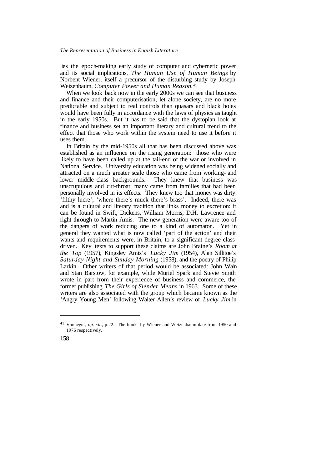lies the epoch-making early study of computer and cybernetic power and its social implications, *The Human Use of Human Beings* by Norbent Wiener, itself a precursor of the disturbing study by Joseph Weizenbaum, *Computer Power and Human Reason.*<sup>41</sup>

When we look back now in the early 2000s we can see that business and finance and their computerisation, let alone society, are no more predictable and subject to real controls than quasars and black holes would have been fully in accordance with the laws of physics as taught in the early 1950s. But it has to be said that the dystopian look at finance and business set an important literary and cultural trend to the effect that those who work within the system need to use it before it uses them.

In Britain by the mid-1950s all that has been discussed above was established as an influence on the rising generation: those who were likely to have been called up at the tail-end of the war or involved in National Service. University education was being widened socially and attracted on a much greater scale those who came from working- and lower middle-class backgrounds. They knew that business was unscrupulous and cut-throat: many came from families that had been personally involved in its effects. They knew too that money was dirty: 'filthy lucre'; 'where there's muck there's brass'. Indeed, there was and is a cultural and literary tradition that links money to excretion: it can be found in Swift, Dickens, William Morris, D.H. Lawrence and right through to Martin Amis. The new generation were aware too of the dangers of work reducing one to a kind of automaton. Yet in general they wanted what is now called 'part of the action' and their wants and requirements were, in Britain, to a significant degree classdriven. Key texts to support these claims are John Braine's *Room at the Top* (1957), Kingsley Amis's *Lucky Jim* (1954), Alan Sillitoe's *Saturday Night and Sunday Morning* (1958), and the poetry of Philip Larkin. Other writers of that period would be associated: John Wain and Stan Barstow, for example, while Muriel Spark and Stevie Smith wrote in part from their experience of business and commerce, the former publishing *The Girls of Slender Means* in 1963. Some of these writers are also associated with the group which became known as the 'Angry Young Men' following Walter Allen's review of *Lucky Jim* in

<sup>41</sup> Vonnegut, *op. cit*., p.22. The books by Wiener and Weizenbaum date from 1950 and 1976 respectively.

<sup>158</sup>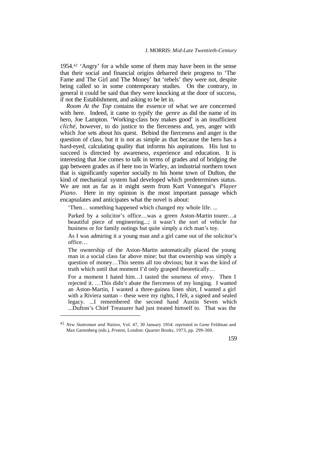1954.<sup>42</sup> 'Angry' for a while some of them may have been in the sense that their social and financial origins debarred their progress to 'The Fame and The Girl and The Money' but 'rebels' they were not, despite being called so in some contemporary studies. On the contrary, in general it could be said that they were knocking at the door of success, if not the Establishment, and asking to be let in.

*Room At the Top* contains the essence of what we are concerned with here. Indeed, it came to typify the *genre* as did the name of its hero, Joe Lampton. 'Working-class boy makes good' is an insufficient *cliché,* however, to do justice to the fierceness and, yes, anger with which Joe sets about his quest. Behind the fierceness and anger is the question of class, but it is not as simple as that because the hero has a hard-eyed, calculating quality that informs his aspirations. His lust to succeed is directed by awareness, experience and education. It is interesting that Joe comes to talk in terms of grades and of bridging the gap between grades as if here too in Warley, an industrial northern town that is significantly superior socially to his home town of Dufton, the kind of mechanical system had developed which predetermines status. We are not as far as it might seem from Kurt Vonnegut's *Player Piano*. Here in my opinion is the most important passage which encapsulates and anticipates what the novel is about:

'Then… something happened which changed my whole life. ...

Parked by a solicitor's office…was a green Aston-Martin tourer…a beautiful piece of engineering...; it wasn't the sort of vehicle for business or for family outings but quite simply a rich man's toy.

As I was admiring it a young man and a girl came out of the solicitor's office…

The ownership of the Aston-Martin automatically placed the young man in a social class far above mine; but that ownership was simply a question of money…This seems all too obvious; but it was the kind of truth which until that moment I'd only grasped theoretically…

For a moment I hated him…I tasted the sourness of envy. Then I rejected it. …This didn't abate the fierceness of my longing. I wanted an Aston-Martin, I wanted a three-guinea linen shirt, I wanted a girl with a Riviera suntan – these were my rights, I felt, a signed and sealed legacy. ...I remembered the second hand Austin Seven which ...Dufton's Chief Treasurer had just treated himself to. That was the

<sup>42</sup> *New Statesman and Nation*, Vol. 47, 30 January 1954: reprinted in Gene Feldman and Max Gartenberg (eds.), *Protest*, London: Quartet Books, 1973, pp. 299-300.

<sup>159</sup>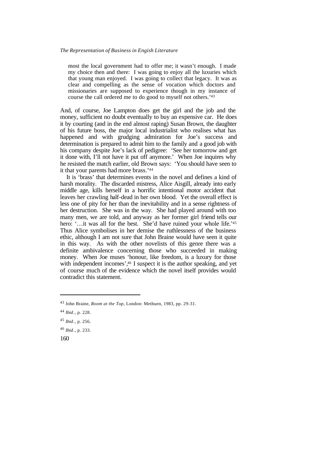most the local government had to offer me; it wasn't enough. I made my choice then and there: I was going to enjoy all the luxuries which that young man enjoyed. I was going to collect that legacy. It was as clear and compelling as the sense of vocation which doctors and missionaries are supposed to experience though in my instance of course the call ordered me to do good to myself not others.'<sup>43</sup>

And, of course, Joe Lampton does get the girl and the job and the money, sufficient no doubt eventually to buy an expensive car. He does it by courting (and in the end almost raping) Susan Brown, the daughter of his future boss, the major local industrialist who realises what has happened and with grudging admiration for Joe's success and determination is prepared to admit him to the family and a good job with his company despite Joe's lack of pedigree: 'See her tomorrow and get it done with, I'll not have it put off anymore.' When Joe inquires why he resisted the match earlier, old Brown says: 'You should have seen to it that your parents had more brass.'<sup>44</sup>

It is 'brass' that determines events in the novel and defines a kind of harsh morality. The discarded mistress, Alice Aisgill, already into early middle age, kills herself in a horrific intentional motor accident that leaves her crawling half-dead in her own blood. Yet the overall effect is less one of pity for her than the inevitability and in a sense rightness of her destruction. She was in the way. She had played around with too many men, we are told, and anyway as her former girl friend tells our hero: '...it was all for the best. She'd have ruined your whole life.'45 Thus Alice symbolises in her demise the ruthlessness of the business ethic, although I am not sure that John Braine would have seen it quite in this way. As with the other novelists of this genre there was a definite ambivalence concerning those who succeeded in making money. When Joe muses 'honour, like freedom, is a luxury for those with independent incomes',<sup>46</sup> I suspect it is the author speaking, and yet of course much of the evidence which the novel itself provides would contradict this statement.

160

<sup>43</sup> John Braine, *Room at the Top*, London: Methuen, 1983, pp. 29-31.

<sup>44</sup> *Ibid*., p. 228.

<sup>45</sup> *Ibid*., p. 256.

<sup>46</sup> *Ibid*., p. 233.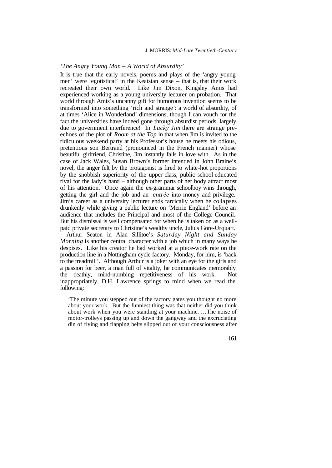# *'The Angry Young Man – A World of Absurdity'*

It is true that the early novels, poems and plays of the 'angry young men' were 'egotistical' in the Keatsian sense – that is, that their work recreated their own world. Like Jim Dixon, Kingsley Amis had experienced working as a young university lecturer on probation. That world through Amis's uncanny gift for humorous invention seems to be transformed into something 'rich and strange': a world of absurdity, of at times 'Alice in Wonderland' dimensions, though I can vouch for the fact the universities have indeed gone through absurdist periods, largely due to government interference! In *Lucky Jim* there are strange preechoes of the plot of *Room at the Top* in that when Jim is invited to the ridiculous weekend party at his Professor's house he meets his odious, pretentious son Bertrand (pronounced in the French manner) whose beautiful girlfriend, Christine, Jim instantly falls in love with. As in the case of Jack Wales, Susan Brown's former intended in John Braine's novel, the anger felt by the protagonist is fired to white-hot proportions by the snobbish superiority of the upper-class, public school-educated rival for the lady's hand – although other parts of her body attract most of his attention. Once again the ex-grammar schoolboy wins through, getting the girl and the job and an *entrée* into money and privilege. Jim's career as a university lecturer ends farcically when he collapses drunkenly while giving a public lecture on 'Merrie England' before an audience that includes the Principal and most of the College Council. But his dismissal is well compensated for when he is taken on as a wellpaid private secretary to Christine's wealthy uncle, Julius Gore-Urquart.

Arthur Seaton in Alan Sillitoe's *Saturday Night and Sunday Morning* is another central character with a job which in many ways he despises. Like his creator he had worked at a piece-work rate on the production line in a Nottingham cycle factory. Monday, for him, is 'back to the treadmill'. Although Arthur is a joker with an eye for the girls and a passion for beer, a man full of vitality, he communicates memorably the deathly, mind-numbing repetitiveness of his work. Not inappropriately, D.H. Lawrence springs to mind when we read the following:

'The minute you stepped out of the factory gates you thought no more about your work. But the funniest thing was that neither did you think about work when you were standing at your machine. …The noise of motor-trolleys passing up and down the gangway and the excruciating din of flying and flapping belts slipped out of your consciousness after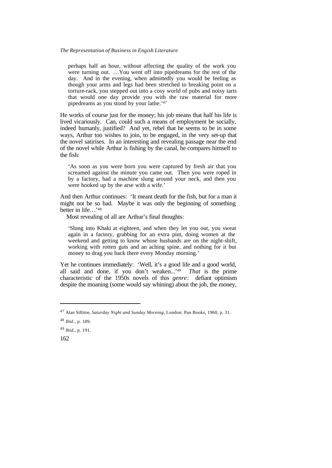perhaps half an hour, without affecting the quality of the work you were turning out. …You went off into pipedreams for the rest of the day. And in the evening, when admittedly you would be feeling as though your arms and legs had been stretched to breaking point on a torture-rack, you stepped out into a cosy world of pubs and noisy tarts that would one day provide you with the raw material for more pipedreams as you stood by your lathe.'<sup>47</sup>

He works of course just for the money; his job means that half his life is lived vicariously. Can, could such a means of employment be socially, indeed humanly, justified? And yet, rebel that he seems to be in some ways, Arthur too wishes to join, to be engaged, in the very set-up that the novel satirises. In an interesting and revealing passage near the end of the novel while Arthur is fishing by the canal, he compares himself to the fish:

'As soon as you were born you were captured by fresh air that you screamed against the minute you came out. Then you were roped in by a factory, had a machine slung around your neck, and then you were hooked up by the arse with a wife.'

And then Arthur continues: 'It meant death for the fish, but for a man it might not be so bad. Maybe it was only the beginning of something better in life...'<sup>48</sup>

Most revealing of all are Arthur's final thoughts:

'Slung into Khaki at eighteen, and when they let you out, you sweat again in a factory, grabbing for an extra pint, doing women at the weekend and getting to know whose husbands are on the night-shift, working with rotten guts and an aching spine, and nothing for it but money to drag you back there every Monday morning.'

Yet he continues immediately: 'Well, it's a good life and a good world, all said and done, if you don't weaken...'49 *That* is the prime characteristic of the 1950s novels of this *genre*: defiant optimism despite the moaning (some would say whining) about the job, the money,

<sup>47</sup> Alan Sillitoe, *Saturday Night and Sunday Morning*, London: Pan Books, 1960, p. 31.

<sup>48</sup> *Ibid*., p. 189.

<sup>49</sup> *Ibid.*, p. 191.

<sup>162</sup>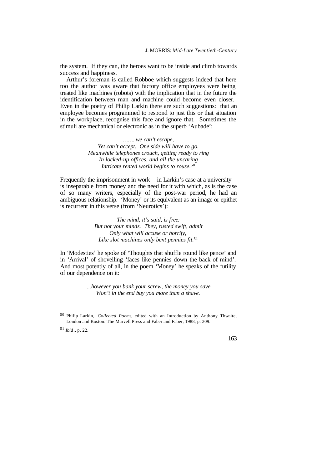the system. If they can, the heroes want to be inside and climb towards success and happiness.

Arthur's foreman is called Robboe which suggests indeed that here too the author was aware that factory office employees were being treated like machines (robots) with the implication that in the future the identification between man and machine could become even closer. Even in the poetry of Philip Larkin there are such suggestions: that an employee becomes programmed to respond to just this or that situation in the workplace, recognise this face and ignore that. Sometimes the stimuli are mechanical or electronic as in the superb 'Aubade':

> *……..we can't escape, Yet can't accept. One side will have to go. Meanwhile telephones crouch, getting ready to ring In locked-up offices, and all the uncaring Intricate rented world begins to rouse*. 50

Frequently the imprisonment in work – in Larkin's case at a university – is inseparable from money and the need for it with which, as is the case of so many writers, especially of the post-war period, he had an ambiguous relationship. 'Money' or its equivalent as an image or epithet is recurrent in this verse (from 'Neurotics'):

> *The mind, it's said, is free: But not your minds. They, rusted swift, admit Only what will accuse or horrify, Like slot machines only bent pennies fit.*<sup>51</sup>

In 'Modesties' he spoke of 'Thoughts that shuffle round like pence' and in 'Arrival' of shovelling 'faces like pennies down the back of mind'. And most potently of all, in the poem 'Money' he speaks of the futility of our dependence on it:

> *...however you bank your screw, the money you save Won't in the end buy you more than a shave.*

l

<sup>50</sup> Philip Larkin, *Collected Poems*, edited with an Introduction by Anthony Thwaite, London and Boston: The Marvell Press and Faber and Faber, 1988, p. 209.

<sup>51</sup> *Ibid*., p. 22.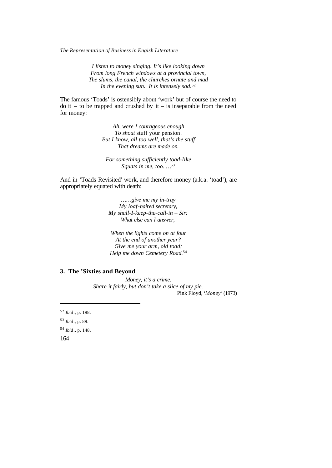*I listen to money singing. It's like looking down From long French windows at a provincial town, The slums, the canal, the churches ornate and mad In the evening sun. It is intensely sad*. 52

The famous 'Toads' is ostensibly about 'work' but of course the need to  $\phi$  it – to be trapped and crushed by it – is inseparable from the need for money:

> *Ah, were I courageous enough To shout* stuff your pension! *But I know, all too well, that's the stuff That dreams are made on.*

*For something sufficiently toad-like Squats in me, too. …*<sup>53</sup>

And in 'Toads Revisited' work, and therefore money (a.k.a. 'toad'), are appropriately equated with death:

> *……give me my in-tray My loaf-haired secretary, My shall-I-keep-the-call-in – Sir: What else can I answer,*

*When the lights come on at four At the end of another year? Give me your arm, old toad; Help me down Cemetery Road.*<sup>54</sup>

# **3. The 'Sixties and Beyond**

*Money, it's a crime. Share it fairly, but don't take a slice of my pie.* Pink Floyd, *'Money'* (1973)

<sup>52</sup> *Ibid*., p. 198.

<sup>53</sup> *Ibid*., p. 89.

<sup>54</sup> *Ibid*., p. 148.

164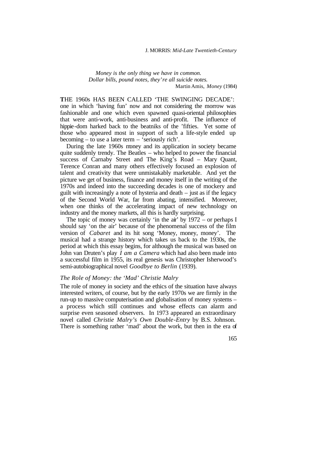#### J. MORRIS: *Mid-Late Twentieth-Century*

*Money is the only thing we have in common. Dollar bills, pound notes, they're all suicide notes.* Martin Amis, *Money* (1984)

**T**HE 1960s HAS BEEN CALLED 'THE SWINGING DECADE': one in which 'having fun' now and not considering the morrow was fashionable and one which even spawned quasi-oriental philosophies that were anti-work, anti-business and anti-profit. The influence of hippie-dom harked back to the beatniks of the 'fifties. Yet some of those who appeared most in support of such a life-style ended up becoming – to use a later term – 'seriously rich'.

During the late 1960s money and its application in society became quite suddenly trendy. The Beatles – who helped to power the financial success of Carnaby Street and The King's Road – Mary Quant, Terence Conran and many others effectively focused an explosion of talent and creativity that were unmistakably marketable. And yet the picture we get of business, finance and money itself in the writing of the 1970s and indeed into the succeeding decades is one of mockery and guilt with increasingly a note of hysteria and death – just as if the legacy of the Second World War, far from abating, intensified. Moreover, when one thinks of the accelerating impact of new technology on industry and the money markets, all this is hardly surprising.

The topic of money was certainly 'in the air' by 1972 – or perhaps I should say 'on the air' because of the phenomenal success of the film version of *Cabaret* and its hit song 'Money, money, money'. The musical had a strange history which takes us back to the 1930s, the period at which this essay begins, for although the musical was based on John van Druten's play *I am a Camera* which had also been made into a successful film in 1955, its real genesis was Christopher Isherwood's semi-autobiographical novel *Goodbye to Berlin* (1939).

# *The Role of Money: the 'Mad' Christie Malry*

The role of money in society and the ethics of the situation have always interested writers, of course, but by the early 1970s we are firmly in the run-up to massive computerisation and globalisation of money systems – a process which still continues and whose effects can alarm and surprise even seasoned observers. In 1973 appeared an extraordinary novel called *Christie Malry's Own Double-Entry* by B.S. Johnson. There is something rather 'mad' about the work, but then in the era of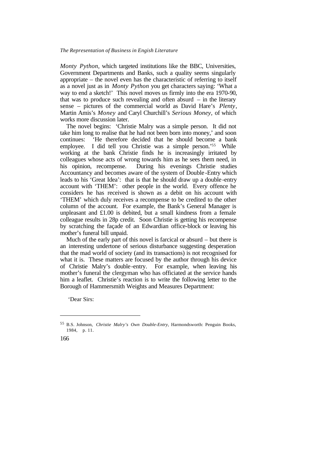*Monty Python*, which targeted institutions like the BBC, Universities, Government Departments and Banks, such a quality seems singularly appropriate – the novel even has the characteristic of referring to itself as a novel just as in *Monty Python* you get characters saying: 'What a way to end a sketch!' This novel moves us firmly into the era 1970-90, that was to produce such revealing and often absurd  $-$  in the literary sense – pictures of the commercial world as David Hare's *Plenty*, Martin Amis's *Money* and Caryl Churchill's *Serious Money,* of which works more discussion later.

The novel begins: 'Christie Malry was a simple person. It did not take him long to realise that he had not been born into money,' and soon continues: 'He therefore decided that he should become a bank employee. I did tell you Christie was a simple person.'55 While working at the bank Christie finds he is increasingly irritated by colleagues whose acts of wrong towards him as he sees them need, in his opinion, recompense. During his evenings Christie studies Accountancy and becomes aware of the system of Double -Entry which leads to his 'Great Idea': that is that he should draw up a double -entry account with 'THEM': other people in the world. Every offence he considers he has received is shown as a debit on his account with 'THEM' which duly receives a recompense to be credited to the other column of the account. For example, the Bank's General Manager is unpleasant and £1.00 is debited, but a small kindness from a female colleague results in 28p credit. Soon Christie is getting his recompense by scratching the façade of an Edwardian office-block or leaving his mother's funeral bill unpaid.

Much of the early part of this novel is farcical or absurd – but there is an interesting undertone of serious disturbance suggesting desperation that the mad world of society (and its transactions) is not recognised for what it is. These matters are focused by the author through his device of Christie Malry's double-entry. For example, when leaving his mother's funeral the clergyman who has officiated at the service hands him a leaflet. Christie's reaction is to write the following letter to the Borough of Hammersmith Weights and Measures Department:

'Dear Sirs:

<sup>55</sup> B.S. Johnson, *Christie Malry's Own Double-Entry*, Harmondsworth: Penguin Books, 1984, p. 11.

<sup>166</sup>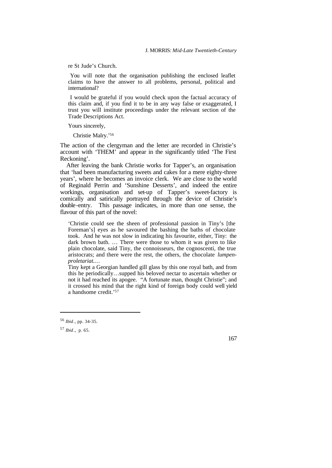re St Jude's Church.

You will note that the organisation publishing the enclosed leaflet claims to have the answer to all problems, personal, political and international?

I would be grateful if you would check upon the factual accuracy of this claim and, if you find it to be in any way false or exaggerated, I trust you will institute proceedings under the relevant section of the Trade Descriptions Act.

Yours sincerely,

Christie Malry.'<sup>56</sup>

The action of the clergyman and the letter are recorded in Christie's account with 'THEM' and appear in the significantly titled 'The First Reckoning'.

After leaving the bank Christie works for Tapper's, an organisation that 'had been manufacturing sweets and cakes for a mere eighty-three years', where he becomes an invoice clerk. We are close to the world of Reginald Perrin and 'Sunshine Desserts', and indeed the entire workings, organisation and set-up of Tapper's sweet-factory is comically and satirically portrayed through the device of Christie's double-entry. This passage indicates, in more than one sense, the flavour of this part of the novel:

'Christie could see the sheen of professional passion in Tiny's [the Foreman's] eyes as he savoured the bashing the baths of chocolate took. And he was not slow in indicating his favourite, either, Tiny: the dark brown bath. … There were those to whom it was given to like plain chocolate, said Tiny, the connoisseurs, the cognoscenti, the true aristocrats; and there were the rest, the others, the chocolate *lumpenproletariat.…*

Tiny kept a Georgian handled gill glass by this one royal bath, and from this he periodically…supped his beloved nectar to ascertain whether or not it had reached its apogee. "A fortunate man, thought Christie"; and it crossed his mind that the right kind of foreign body could well yield a handsome credit.'<sup>57</sup>

l

<sup>56</sup> *Ibid*., pp. 34-35.

<sup>57</sup> *Ibid*., p. 65.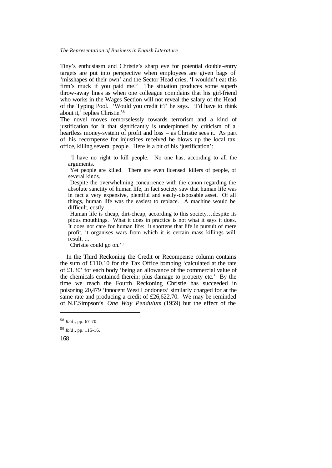Tiny's enthusiasm and Christie's sharp eye for potential double-entry targets are put into perspective when employees are given bags of 'misshapes of their own' and the Sector Head cries, 'I wouldn't eat this firm's muck if you paid me!' The situation produces some superb throw-away lines as when one colleague complains that his girl-friend who works in the Wages Section will not reveal the salary of the Head of the Typing Pool. 'Would you credit it?' he says. 'I'd have to think about it,' replies Christie.<sup>58</sup>

The novel moves remorselessly towards terrorism and a kind of justification for it that significantly is underpinned by criticism of a heartless money-system of profit and loss – as Christie sees it. As part of his recompense for injustices received he blows up the local tax office, killing several people. Here is a bit of his 'justification':

'I have no right to kill people. No one has, according to all the arguments.

Yet people are killed. There are even licensed killers of people, of several kinds.

Despite the overwhelming concurrence with the canon regarding the absolute sanctity of human life, in fact society saw that human life was in fact a very expensive, plentiful and easily-disposable asset. Of all things, human life was the easiest to replace. A machine would be difficult, costly…

Human life is cheap, dirt-cheap, according to this society…despite its pious mouthings. What it does in practice is not what it says it does. It does not care for human life: it shortens that life in pursuit of mere profit, it organises wars from which it is certain mass killings will result. ...

Christie could go on.'<sup>59</sup>

In the Third Reckoning the Credit or Recompense column contains the sum of £110.10 for the Tax Office bombing 'calculated at the rate of £1.30' for each body 'being an allowance of the commercial value of the chemicals contained therein: plus damage to property etc.' By the time we reach the Fourth Reckoning Christie has succeeded in poisoning 20,479 'innocent West Londoners' similarly charged for at the same rate and producing a credit of £26,622.70. We may be reminded of N.F.Simpson's *One Way Pendulum* (1959) but the effect of the

168

<sup>58</sup> *Ibid*., pp. 67-70.

<sup>59</sup> *Ibid*., pp. 115-16.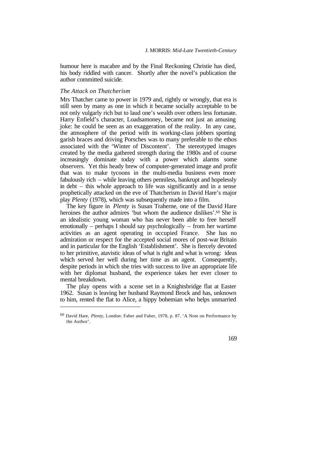humour here is macabre and by the Final Reckoning Christie has died, his body riddled with cancer. Shortly after the novel's publication the author committed suicide.

#### *The Attack on Thatcherism*

l

Mrs Thatcher came to power in 1979 and, rightly or wrongly, that era is still seen by many as one in which it became socially acceptable to be not only vulgarly rich but to laud one's wealth over others less fortunate. Harry Enfield's character, Loadsamoney, became not just an amusing joke: he could be seen as an exaggeration of the reality. In any case, the atmosphere of the period with its working-class jobbers sporting garish braces and driving Porsches was to many preferable to the ethos associated with the 'Winter of Discontent'. The stereotyped images created by the media gathered strength during the 1980s and of course increasingly dominate today with a power which alarms some observers. Yet this heady brew of computer-generated image and profit that was to make tycoons in the multi-media business even more fabulously rich – while leaving others penniless, bankrupt and hopelessly in debt – this whole approach to life was significantly and in a sense prophetically attacked on the eve of Thatcherism in David Hare's major play *Plenty* (1978), which was subsequently made into a film.

The key figure in *Plenty* is Susan Traherne, one of the David Hare heroines the author admires 'but whom the audience dislikes'.<sup>60</sup> She is an idealistic young woman who has never been able to free herself emotionally – perhaps I should say psychologically – from her wartime activities as an agent operating in occupied France. She has no admiration or respect for the accepted social mores of post-war Britain and in particular for the English 'Establishment'. She is fiercely devoted to her primitive, atavistic ideas of what is right and what is wrong: ideas which served her well during her time as an agent. Consequently, despite periods in which she tries with success to live an appropriate life with her diplomat husband, the experience takes her ever closer to mental breakdown.

The play opens with a scene set in a Knightsbridge flat at Easter 1962. Susan is leaving her husband Raymond Brock and has, unknown to him, rented the flat to Alice, a hippy bohemian who helps unmarried

<sup>60</sup> David Hare, *Plenty*, London: Faber and Faber, 1978, p. 87. 'A Note on Performance by the Author'.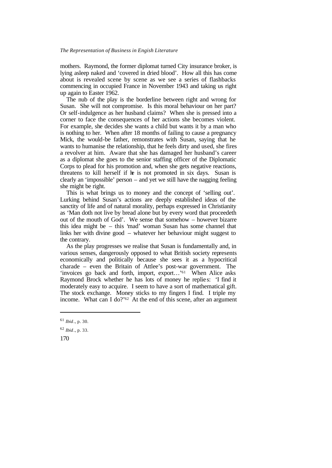mothers. Raymond, the former diplomat turned City insurance broker, is lying asleep naked and 'covered in dried blood'. How all this has come about is revealed scene by scene as we see a series of flashbacks commencing in occupied France in November 1943 and taking us right up again to Easter 1962.

The nub of the play is the borderline between right and wrong for Susan. She will not compromise. Is this moral behaviour on her part? Or self-indulgence as her husband claims? When she is pressed into a corner to face the consequences of her actions she becomes violent. For example, she decides she wants a child but wants it by a man who is nothing to her. When after 18 months of failing to cause a pregnancy Mick, the would-be father, remonstrates with Susan, saying that he wants to humanise the relationship, that he feels dirty and used, she fires a revolver at him. Aware that she has damaged her husband's career as a diplomat she goes to the senior staffing officer of the Diplomatic Corps to plead for his promotion and, when she gets negative reactions, threatens to kill herself if he is not promoted in six days. Susan is clearly an 'impossible' person – and yet we still have the nagging feeling she might be right.

This is what brings us to money and the concept of 'selling out'. Lurking behind Susan's actions are deeply established ideas of the sanctity of life and of natural morality, perhaps expressed in Christianity as 'Man doth not live by bread alone but by every word that proceedeth out of the mouth of God'. We sense that somehow – however bizarre this idea might be – this 'mad' woman Susan has some channel that links her with divine good – whatever her behaviour might suggest to the contrary.

As the play progresses we realise that Susan is fundamentally and, in various senses, dangerously opposed to what British society represents economically and politically because she sees it as a hypocritical charade – even the Britain of Attlee's post-war government. The 'invoices go back and forth, import, export…'61 When Alice asks Raymond Brock whether he has lots of money he replie s: 'I find it moderately easy to acquire. I seem to have a sort of mathematical gift. The stock exchange. Money sticks to my fingers I find. I triple my income. What can I do?'<sup>62</sup> At the end of this scene, after an argument

<sup>61</sup> *Ibid*., p. 30.

<sup>62</sup> *Ibid*., p. 33.

<sup>170</sup>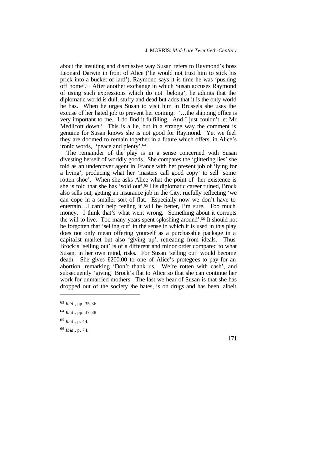about the insulting and dismissive way Susan refers to Raymond's boss Leonard Darwin in front of Alice ('he would not trust him to stick his prick into a bucket of lard'), Raymond says it is time he was 'pushing off home'.<sup>63</sup> After another exchange in which Susan accuses Raymond of using such expressions which do not 'belong', he admits that the diplomatic world is dull, stuffy and dead but adds that it is the only world he has. When he urges Susan to visit him in Brussels she uses the excuse of her hated job to prevent her coming: '…the shipping office is very important to me. I do find it fulfilling. And I just couldn't let Mr Medlicott down.' This is a lie, but in a strange way the comment is genuine for Susan knows she is not good for Raymond. Yet we feel they are doomed to remain together in a future which offers, in Alice's ironic words, 'peace and plenty'.<sup>64</sup>

The remainder of the play is in a sense concerned with Susan divesting herself of worldly goods. She compares the 'glittering lies' she told as an undercover agent in France with her present job of 'lying for a living', producing what her 'masters call good copy' to sell 'some rotten shoe'. When she asks Alice what the point of her existence is she is told that she has 'sold out'.65 His diplomatic career ruined, Brock also sells out, getting an insurance job in the City, ruefully reflecting 'we can cope in a smaller sort of flat. Especially now we don't have to entertain…I can't help feeling it will be better, I'm sure. Too much money. I think that's what went wrong. Something about it corrupts the will to live. Too many years spent sploshing around'.66 It should not be forgotten that 'selling out' in the sense in which it is used in this play does not only mean offering yourself as a purchasable package in a capitalist market but also 'giving up', retreating from ideals. Thus Brock's 'selling out' is of a different and minor order compared to what Susan, in her own mind, risks. For Susan 'selling out' would become death. She gives £200.00 to one of Alice's protegees to pay for an abortion, remarking 'Don't thank us. We're rotten with cash', and subsequently 'giving' Brock's flat to Alice so that she can continue her work for unmarried mothers. The last we hear of Susan is that she has dropped out of the society she hates, is on drugs and has been, albeit

l

<sup>63</sup> *Ibid*., pp. 35-36.

<sup>64</sup> *Ibid*., pp. 37-38.

<sup>65</sup> *Ibid*., p. 44.

<sup>66</sup> *Ibid*., p. 74.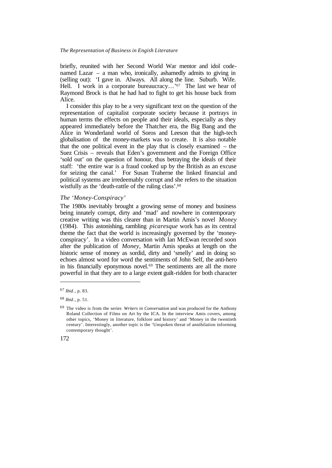briefly, reunited with her Second World War mentor and idol codenamed Lazar – a man who, ironically, ashamedly admits to giving in (selling out): 'I gave in. Always. All along the line. Suburb. Wife. Hell. I work in a corporate bureaucracy...'<sup>67</sup> The last we hear of Raymond Brock is that he had had to fight to get his house back from Alice.

I consider this play to be a very significant text on the question of the representation of capitalist corporate society because it portrays in human terms the effects on people and their ideals, especially as they appeared immediately before the Thatcher era, the Big Bang and the Alice in Wonderland world of Soros and Leeson that the high-tech globalisation of the money-markets was to create. It is also notable that the one political event in the play that is closely examined – the Suez Crisis – reveals that Eden's government and the Foreign Office 'sold out' on the question of honour, thus betraying the ideals of their staff: 'the entire war is a fraud cooked up by the British as an excuse for seizing the canal.' For Susan Traherne the linked financial and political systems are irredeemably corrupt and she refers to the situation wistfully as the 'death-rattle of the ruling class'.<sup>68</sup>

# *The 'Money-Conspiracy'*

The 1980s inevitably brought a growing sense of money and business being innately corrupt, dirty and 'mad' and nowhere in contemporary creative writing was this clearer than in Martin Amis's novel *Money*  (1984). This astonishing, rambling *picaresque* work has as its central theme the fact that the world is increasingly governed by the 'moneyconspiracy'. In a video conversation with Ian McEwan recorded soon after the publication of *Money,* Martin Amis speaks at length on the historic sense of money as sordid, dirty and 'smelly' and in doing so echoes almost word for word the sentiments of John Self, the anti-hero in his financially eponymous novel.69 The sentiments are all the more powerful in that they are to a large extent guilt-ridden for both character

<sup>69</sup> The video is from the series *Writers in Conversation* and was produced for the Anthony Roland Collection of Films on Art by the ICA. In the interview Amis covers, among other topics, 'Money in literature, folklore and history' and 'Money in the twentieth century'. Interestingly, another topic is the 'Unspoken threat of annihilation informing contemporary thought'.



<sup>67</sup> *Ibid*., p. 83.

<sup>68</sup> *Ibid*., p. 51.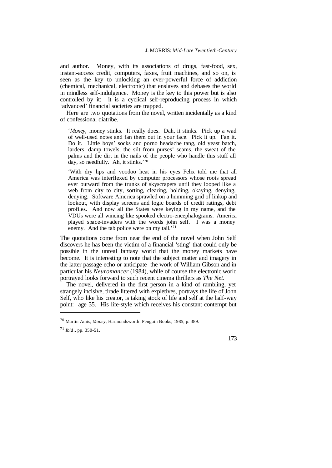and author. Money, with its associations of drugs, fast-food, sex, instant-access credit, computers, faxes, fruit machines, and so on, is seen as the key to unlocking an ever-powerful force of addiction (chemical, mechanical, electronic) that enslaves and debases the world in mindless self-indulgence. Money is the key to this power but is also controlled by it: it is a cyclical self-reproducing process in which 'advanced' financial societies are trapped.

Here are two quotations from the novel, written incidentally as a kind of confessional diatribe.

'*Money,* money stinks. It really does. Dah, it stinks. Pick up a wad of well-used notes and fan them out in your face. Pick it up. Fan it. Do it. Little boys' socks and porno headache tang, old yeast batch, larders, damp towels, the silt from purses' seams, the sweat of the palms and the dirt in the nails of the people who handle this stuff all day, so needfully. Ah, it stinks.'<sup>70</sup>

'With dry lips and voodoo heat in his eyes Felix told me that all America was interflexed by computer processors whose roots spread ever outward from the trunks of skyscrapers until they looped like a web from city to city, sorting, clearing, holding, okaying, denying, denying. Software America sprawled on a humming grid of linkup and lookout, with display screens and logic boards of credit ratings, debt profiles. And now all the States were keying in my name, and the VDUs were all wincing like spooked electro-encephalograms. America played space-invaders with the words john self. I was a money enemy. And the tab police were on my tail.'71

The quotations come from near the end of the novel when John Self discovers he has been the victim of a financial 'sting' that could only be possible in the unreal fantasy world that the money markets have become. It is interesting to note that the subject matter and imagery in the latter passage echo or anticipate the work of William Gibson and in particular his *Neuromancer* (1984), while of course the electronic world portrayed looks forward to such recent cinema thrillers as *The Net.*

The novel, delivered in the first person in a kind of rambling, yet strangely incisive, tirade littered with expletives, portrays the life of John Self, who like his creator, is taking stock of life and self at the half-way point: age 35. His life-style which receives his constant contempt but

<sup>70</sup> Martin Amis, *Money*, Harmondsworth: Penguin Books, 1985, p. 389.

<sup>71</sup> *Ibid*., pp. 350-51.

<sup>173</sup>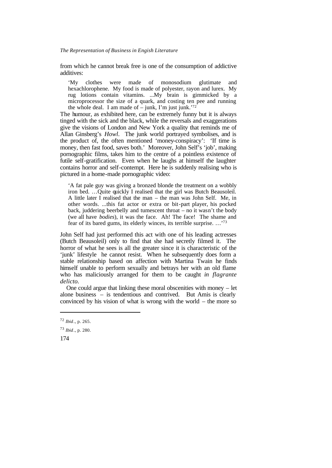from which he cannot break free is one of the consumption of addictive additives:

'My clothes were made of monosodium glutimate and hexachlorophene. My food is made of polyester, rayon and lurex. My rug lotions contain vitamins. ...My brain is gimmicked by a microprocessor the size of a quark, and costing ten pee and running the whole deal. I am made of  $-$  junk, I'm just junk.<sup>'72</sup>

The humour, as exhibited here, can be extremely funny but it is always tinged with the sick and the black, while the reversals and exaggerations give the visions of London and New York a quality that reminds me of Allan Ginsberg's *Howl*. The junk world portrayed symbolises, and is the product of, the often mentioned 'money-conspiracy': 'If time is money, then fast food, saves both.' Moreover, John Self's 'job', making pornographic films, takes him to the centre of a pointless existence of futile self-gratification. Even when he laughs at himself the laughter contains horror and self-contempt. Here he is suddenly realising who is pictured in a home-made pornographic video:

'A fat pale guy was giving a bronzed blonde the treatment on a wobbly iron bed. …Quite quickly I realised that the girl was Butch Beausoleil. A little later I realised that the man – the man was John Self. Me, in other words. ...this fat actor or extra or bit-part player, his pocked back, juddering beerbelly and tumescent throat – no it wasn't the body (we all have *bodies*), it was the face. Ah! The face! The shame and fear of its bared gums, its elderly winces, its terrible surprise. …'<sup>73</sup>

John Self had just performed this act with one of his leading actresses (Butch Beausoleil) only to find that she had secretly filmed it. The horror of what he sees is all the greater since it is characteristic of the 'junk' lifestyle he cannot resist. When he subsequently does form a stable relationship based on affection with Martina Twain he finds himself unable to perform sexually and betrays her with an old flame who has maliciously arranged for them to be caught *in flagrante delicto.*

One could argue that linking these moral obscenities with money – let alone business – is tendentious and contrived. But Amis is clearly convinced by his vision of what is wrong with the world – the more so

<sup>72</sup> *Ibid*., p. 265.

<sup>73</sup> *Ibid*., p. 280.

<sup>174</sup>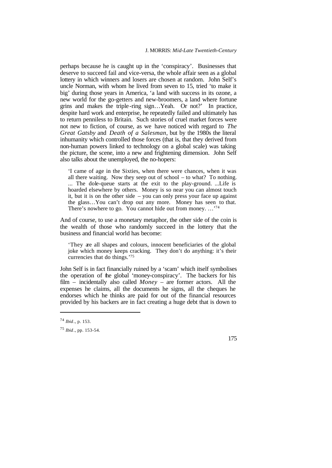perhaps because he is caught up in the 'conspiracy'. Businesses that deserve to succeed fail and vice-versa, the whole affair seen as a global lottery in which winners and losers are chosen at random. John Self's uncle Norman, with whom he lived from seven to 15, tried 'to make it big' during those years in America, 'a land with success in its ozone, a new world for the go-getters and new-broomers, a land where fortune grins and makes the triple-ring sign…Yeah. Or not?' In practice, despite hard work and enterprise, he repeatedly failed and ultimately has to return penniless to Britain. Such stories of cruel market forces were not new to fiction, of course, as we have noticed with regard to *The Great Gatsby* and *Death of a Salesman*, but by the 1980s the literal inhumanity which controlled those forces (that is, that they derived from non-human powers linked to technology on a global scale) was taking the picture, the scene, into a new and frightening dimension. John Self also talks about the unemployed, the no-hopers:

'I came of age in the Sixties, when there were chances, when it was all there waiting. Now they seep out of school – to what? To nothing. ... The dole-queue starts at the exit to the play-ground. ...Life is hoarded elsewhere by others. Money is so near you can almost touch it, but it is on the other side – you can only press your face up against the glass…You can't drop out any more. Money has seen to that. There's nowhere to go. You cannot hide out from money. ...'<sup>74</sup>

And of course, to use a monetary metaphor, the other side of the coin is the wealth of those who randomly succeed in the lottery that the business and financial world has become:

'They are all shapes and colours, innocent beneficiaries of the global joke which money keeps cracking. They don't do anything: it's their currencies that do things.'<sup>75</sup>

John Self is in fact financially ruined by a 'scam' which itself symbolises the operation of the global 'money-conspiracy'. The backers for his film – incidentally also called *Money* – are former actors. All the expenses he claims, all the documents he signs, all the cheques he endorses which he thinks are paid for out of the financial resources provided by his backers are in fact creating a huge debt that is down to

l

175

<sup>74</sup> *Ibid*., p. 153.

<sup>75</sup> *Ibid*., pp. 153-54.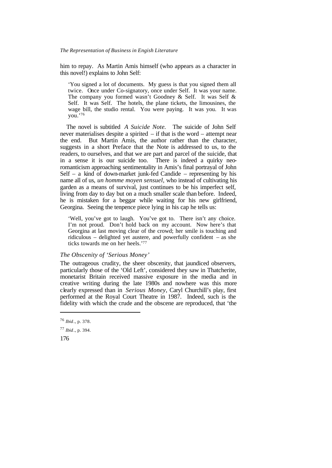him to repay. As Martin Amis himself (who appears as a character in this novel!) explains to John Self:

'You signed a lot of documents. My guess is that you signed them all twice. Once under Co-signatory, once under Self. It was your name. The company you formed wasn't Goodney & Self. It was Self & Self. It was Self. The hotels, the plane tickets, the limousines, the wage bill, the studio rental. You were paying. It was you. It was you.'<sup>76</sup>

The novel is subtitled *A Suicide Note.* The suicide of John Self never materialises despite a spirited – if that is the word – attempt near the end. But Martin Amis, the author rather than the character, suggests in a short Preface that the Note is addressed to us, to the readers, to ourselves, and that we are part and parcel of the suicide, that in a sense it is our suicide too. There is indeed a quirky neoromanticism approaching sentimentality in Amis's final portrayal of John Self – a kind of down-market junk-fed Candide – representing by his name all of us, *un homme moyen sensuel,* who instead of cultivating his garden as a means of survival, just continues to be his imperfect self, living from day to day but on a much smaller scale than before. Indeed, he is mistaken for a beggar while waiting for his new girlfriend, Georgina. Seeing the tenpence piece lying in his cap he tells us:

'Well, you've got to laugh. You've got to. There isn't any choice. I'm not proud. Don't hold back on my account. Now here's that Georgina at last moving clear of the crowd; her smile is touching and ridiculous – delighted yet austere, and powerfully confident – as she ticks towards me on her heels.'<sup>77</sup>

## *The Obscenity of 'Serious Money'*

The outrageous crudity, the sheer obscenity, that jaundiced observers, particularly those of the 'Old Left', considered they saw in Thatcherite, monetarist Britain received massive exposure in the media and in creative writing during the late 1980s and nowhere was this more clearly expressed than in *Serious Money*, Caryl Churchill's play, first performed at the Royal Court Theatre in 1987. Indeed, such is the fidelity with which the crude and the obscene are reproduced, that 'the

176

<sup>76</sup> *Ibid*., p. 378.

<sup>77</sup> *Ibid*., p. 394.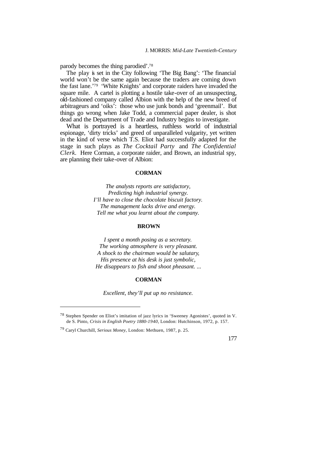parody becomes the thing parodied'.<sup>78</sup>

The play is set in the City following 'The Big Bang': 'The financial world won't be the same again because the traders are coming down the fast lane.'79 'White Knights' and corporate raiders have invaded the square mile. A cartel is plotting a hostile take-over of an unsuspecting, old-fashioned company called Albion with the help of the new breed of arbitrageurs and 'oiks': those who use junk bonds and 'greenmail'. But things go wrong when Jake Todd, a commercial paper dealer, is shot dead and the Department of Trade and Industry begins to investigate.

What is portrayed is a heartless, ruthless world of industrial espionage, 'dirty tricks' and greed of unparalleled vulgarity, yet written in the kind of verse which T.S. Eliot had successfully adapted for the stage in such plays as *The Cocktail Party* and *The Confidential Clerk.* Here Corman, a corporate raider, and Brown, an industrial spy, are planning their take-over of Albion:

### **CORMAN**

*The analysts reports are satisfactory, Predicting high industrial synergy. I'll have to close the chocolate biscuit factory. The management lacks drive and energy. Tell me what you learnt about the company.*

### **BROWN**

*I spent a month posing as a secretary. The working atmosphere is very pleasant. A shock to the chairman would be salutary, His presence at his desk is just symbolic, He disappears to fish and shoot pheasant. ...*

#### **CORMAN**

*Excellent, they'll put up no resistance.*



<sup>78</sup> Stephen Spender on Eliot's imitation of jazz lyrics in 'Sweeney Agonistes', quoted in V. de S. Pinto, *Crisis in English Poetry 1880-1940*, London: Hutchinson, 1972, p. 157.

<sup>79</sup> Caryl Churchill, *Serious Money*, London: Methuen, 1987, p. 25.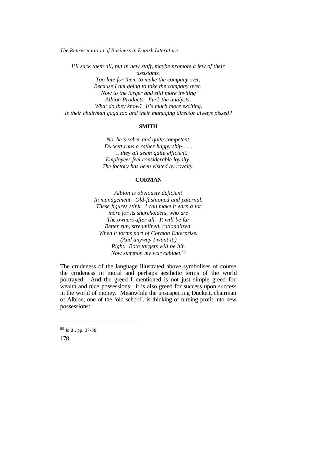*I'll sack them all, put in new staff, maybe promote a few of their assistants. Too late for them to make the company over, Because I am going to take the company over. Now to the larger and still more inviting Albion Products. Fuck the analysts, What do they know? It's much more exciting. Is their chairman gaga too and their managing director always pissed?*

## **SMITH**

*No, he's sober and quite competent. Duckett runs a rather happy ship…… …they all seem quite efficient. Employees feel considerable loyalty. The factory has been visited by royalty.*

## **CORMAN**

*Albion is obviously deficient In management. Old-fashioned and paternal. These figures stink. I can make it earn a lot more for its shareholders, who are The owners after all. It will be far Better run, streamlined, rationalised, When it forms part of Corman Enterprise. (And anyway I want it.) Right. Both targets will be hit. Now summon my war cabinet.*<sup>80</sup>

The crudeness of the language illustrated above symbolises of course the crudeness in moral and perhaps aesthetic terms of the world portrayed. And the greed I mentioned is not just simple greed for wealth and nice possessions: it is also greed for success upon success in the world of money. Meanwhile the unsuspecting Duckett, chairman of Albion, one of the 'old school', is thinking of turning profit into new possessions:

178

<sup>80</sup> *Ibid*., pp. 37-38.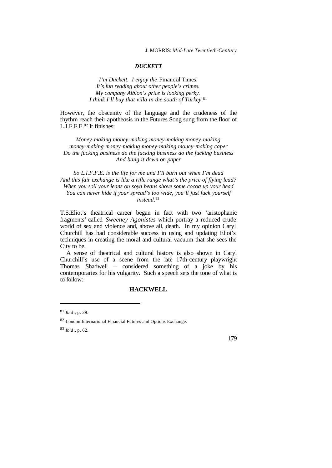#### J. MORRIS: *Mid-Late Twentieth-Century*

## *DUCKETT*

*I'm Duckett. I enjoy the* Financial Times*. It's fun reading about other people's crimes. My company Albion's price is looking perky. I think I'll buy that villa in the south of Turkey*. 81

However, the obscenity of the language and the crudeness of the rhythm reach their apotheosis in the Futures Song sung from the floor of L.I.F.F.E.<sup>82</sup> It finishes:

*Money-making money-making money-making money-making money-making money-making money-making money-making caper Do the fucking business do the fucking business do the fucking business And bang it down on paper*

*So L.I.F.F.E. is the life for me and I'll burn out when I'm dead And this fair exchange is like a rifle range what's the price of flying lead? When you soil your jeans on soya beans shove some cocoa up your head You can never hide if your spread's too wide, you'll just fuck yourself instead*. 83

T.S.Eliot's theatrical career began in fact with two 'aristophanic fragments' called *Sweeney Agonistes* which portray a reduced crude world of sex and violence and, above all, death. In my opinion Caryl Churchill has had considerable success in using and updating Eliot's techniques in creating the moral and cultural vacuum that she sees the City to be.

A sense of theatrical and cultural history is also shown in Caryl Churchill's use of a scene from the late 17th-century playwright Thomas Shadwell – considered something of a joke by his contemporaries for his vulgarity. Such a speech sets the tone of what is to follow:

## **HACKWELL**

l

179

<sup>81</sup> *Ibid*., p. 39.

<sup>82</sup> London International Financial Futures and Options Exchange.

<sup>83</sup> *Ibid*., p. 62.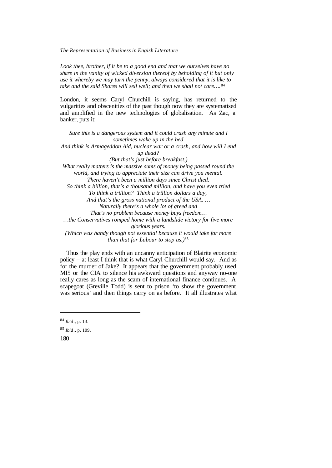*Look thee, brother, if it be to a good end and that we ourselves have no share in the vanity of wicked diversion thereof by beholding of it but only use it whereby we may turn the penny, always considered that it is like to take and the said Shares will sell well; and then we shall not care….*<sup>84</sup>

London, it seems Caryl Churchill is saying, has returned to the vulgarities and obscenities of the past though now they are systematised and amplified in the new technologies of globalisation. As Zac, a banker, puts it:

*Sure this is a dangerous system and it could crash any minute and I sometimes wake up in the bed And think is Armageddon Aid, nuclear war or a crash, and how will I end up dead? (But that's just before breakfast.) What really matters is the massive sums of money being passed round the world, and trying to appreciate their size can drive you mental. There haven't been a million days since Christ died. So think a billion, that's a thousand million, and have you even tried To think a trillion? Think a trillion dollars a day, And that's the gross national product of the USA. … Naturally there's a whole lot of greed and That's no problem because money buys freedom… …the Conservatives romped home with a landslide victory for five more glorious years. (Which was handy though not essential because it would take far more than that for Labour to stop us.)*<sup>85</sup>

Thus the play ends with an uncanny anticipation of Blairite economic policy – at least I think that is what Caryl Churchill would say. And as for the murder of Jake? It appears that the government probably used MI5 or the CIA to silence his awkward questions and anyway no-one really cares as long as the scam of international finance continues. A scapegoat (Greville Todd) is sent to prison 'to show the government was serious' and then things carry on as before. It all illustrates what

180

<sup>84</sup> *Ibid*., p. 13.

<sup>85</sup> *Ibid*., p. 109.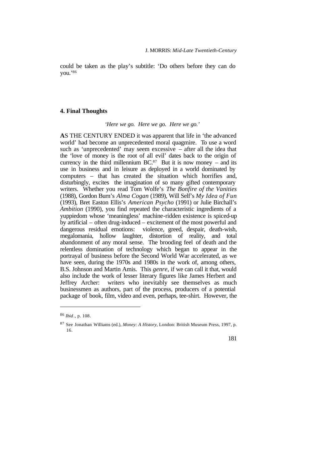could be taken as the play's subtitle: 'Do others before they can do you.'<sup>86</sup>

### **4. Final Thoughts**

### *'Here we go. Here we go. Here we go.'*

**A**S THE CENTURY ENDED it was apparent that life in 'the advanced world' had become an unprecedented moral quagmire. To use a word such as 'unprecedented' may seem excessive – after all the idea that the 'love of money is the root of all evil' dates back to the origin of currency in the third millennium BC.<sup>87</sup> But it is now money – and its use in business and in leisure as deployed in a world dominated by computers – that has created the situation which horrifies and, disturbingly, excites the imagination of so many gifted contemporary writers. Whether you read Tom Wolfe's *The Bonfire of the Vanities* (1988), Gordon Burn's *Alma Cogan* (1989), Will Self's *My Idea of Fun* (1993), Bret Easton Ellis's *American Psycho* (1991) or Julie Birchall's *Ambition* (1990), you find repeated the characteristic ingredients of a yuppiedom whose 'meaningless' machine-ridden existence is spiced-up by artificial – often drug-induced – excitement of the most powerful and dangerous residual emotions: violence, greed, despair, death-wish, megalomania, hollow laughter, distortion of reality, and total abandonment of any moral sense. The brooding feel of death and the relentless domination of technology which began to appear in the portrayal of business before the Second World War accelerated, as we have seen, during the 1970s and 1980s in the work of, among others, B.S. Johnson and Martin Amis. This *genre,* if we can call it that, would also include the work of lesser literary figures like James Herbert and Jeffrey Archer: writers who inevitably see themselves as much businessmen as authors, part of the process, producers of a potential package of book, film, video and even, perhaps, tee-shirt. However, the

<sup>86</sup> *Ibid*., p. 108.

<sup>87</sup> See Jonathan Williams (ed.), *Money: A History*, London: British Museum Press, 1997, p. 16.